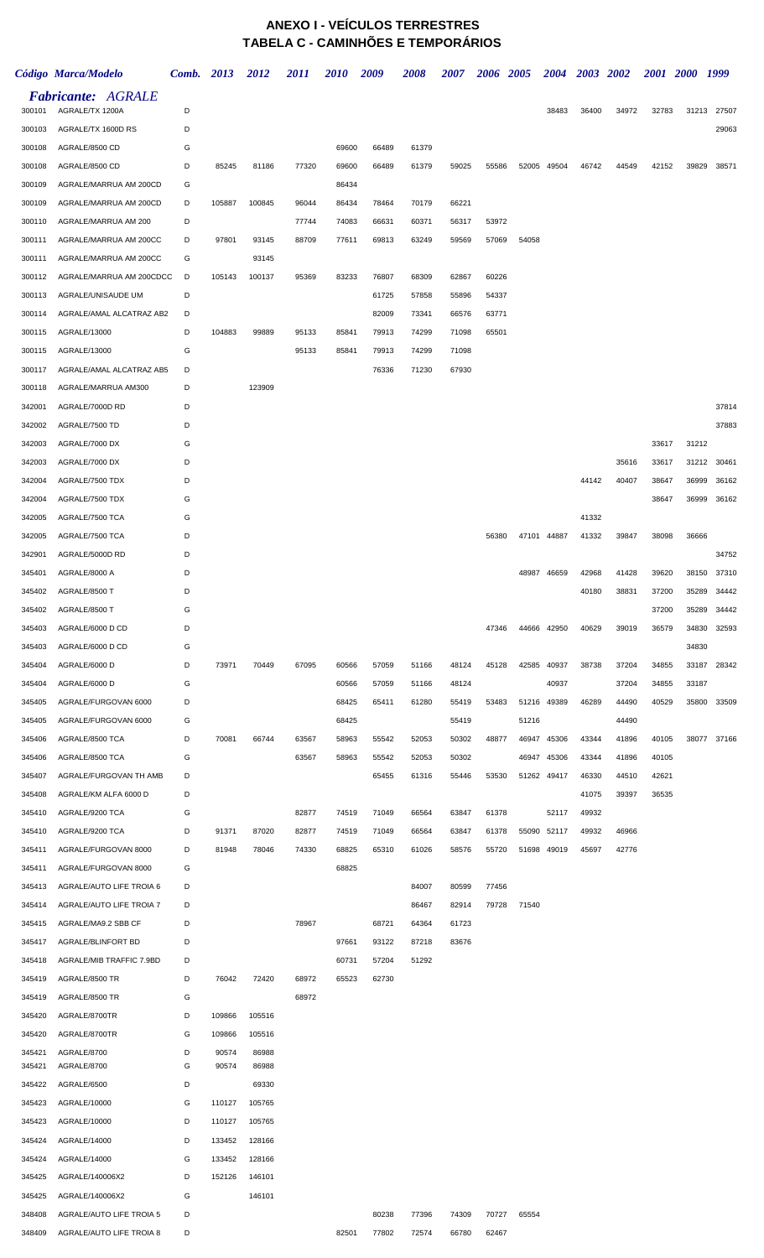## **ANEXO I - VEÍCULOS TERRESTRES TABELA C - CAMINHÕES E TEMPORÁRIOS**

|        | Código Marca/Modelo                          | Comb. 2013 |        | 2012   | 2011  | <b>2010</b> | 2009  | 2008  | 2007  | 2006 2005 |       |             | 2004 2003 2002 |       | 2001 2000 |       | 1999        |
|--------|----------------------------------------------|------------|--------|--------|-------|-------------|-------|-------|-------|-----------|-------|-------------|----------------|-------|-----------|-------|-------------|
| 300101 | <b>Fabricante: AGRALE</b><br>AGRALE/TX 1200A | D          |        |        |       |             |       |       |       |           |       | 38483       | 36400          | 34972 | 32783     | 31213 | 27507       |
| 300103 | AGRALE/TX 1600D RS                           | D          |        |        |       |             |       |       |       |           |       |             |                |       |           |       | 29063       |
| 300108 | AGRALE/8500 CD                               | G          |        |        |       | 69600       | 66489 | 61379 |       |           |       |             |                |       |           |       |             |
| 300108 | AGRALE/8500 CD                               | D          | 85245  | 81186  | 77320 | 69600       | 66489 | 61379 | 59025 | 55586     |       | 52005 49504 | 46742          | 44549 | 42152     | 39829 | 38571       |
| 300109 | AGRALE/MARRUA AM 200CD                       | G          |        |        |       | 86434       |       |       |       |           |       |             |                |       |           |       |             |
| 300109 | AGRALE/MARRUA AM 200CD                       | D          | 105887 | 100845 | 96044 | 86434       | 78464 | 70179 | 66221 |           |       |             |                |       |           |       |             |
| 300110 | AGRALE/MARRUA AM 200                         | D          |        |        | 77744 | 74083       | 66631 | 60371 | 56317 | 53972     |       |             |                |       |           |       |             |
| 300111 | AGRALE/MARRUA AM 200CC                       | D          | 97801  | 93145  | 88709 | 77611       | 69813 | 63249 | 59569 | 57069     | 54058 |             |                |       |           |       |             |
| 300111 | AGRALE/MARRUA AM 200CC                       | G          |        | 93145  |       |             |       |       |       |           |       |             |                |       |           |       |             |
| 300112 | AGRALE/MARRUA AM 200CDCC                     | D          | 105143 | 100137 | 95369 | 83233       | 76807 | 68309 | 62867 | 60226     |       |             |                |       |           |       |             |
| 300113 | AGRALE/UNISAUDE UM                           | D          |        |        |       |             | 61725 | 57858 | 55896 | 54337     |       |             |                |       |           |       |             |
| 300114 | AGRALE/AMAL ALCATRAZ AB2                     | D          |        |        |       |             | 82009 | 73341 | 66576 | 63771     |       |             |                |       |           |       |             |
| 300115 | AGRALE/13000                                 | D          | 104883 | 99889  | 95133 | 85841       | 79913 | 74299 | 71098 | 65501     |       |             |                |       |           |       |             |
| 300115 | AGRALE/13000                                 | G          |        |        | 95133 | 85841       | 79913 | 74299 | 71098 |           |       |             |                |       |           |       |             |
| 300117 | AGRALE/AMAL ALCATRAZ AB5                     | D          |        |        |       |             | 76336 | 71230 | 67930 |           |       |             |                |       |           |       |             |
| 300118 | AGRALE/MARRUA AM300                          | D          |        | 123909 |       |             |       |       |       |           |       |             |                |       |           |       |             |
| 342001 | AGRALE/7000D RD                              | D          |        |        |       |             |       |       |       |           |       |             |                |       |           |       | 37814       |
| 342002 | AGRALE/7500 TD                               | D          |        |        |       |             |       |       |       |           |       |             |                |       |           |       | 37883       |
| 342003 | AGRALE/7000 DX                               | G          |        |        |       |             |       |       |       |           |       |             |                |       | 33617     | 31212 |             |
| 342003 | AGRALE/7000 DX                               | D          |        |        |       |             |       |       |       |           |       |             |                | 35616 | 33617     | 31212 | 30461       |
| 342004 | AGRALE/7500 TDX                              | D          |        |        |       |             |       |       |       |           |       |             | 44142          | 40407 | 38647     | 36999 | 36162       |
| 342004 | AGRALE/7500 TDX                              | G          |        |        |       |             |       |       |       |           |       |             |                |       | 38647     | 36999 | 36162       |
| 342005 | AGRALE/7500 TCA                              | G          |        |        |       |             |       |       |       |           |       |             | 41332          |       |           |       |             |
| 342005 | AGRALE/7500 TCA                              | D          |        |        |       |             |       |       |       | 56380     |       | 47101 44887 | 41332          | 39847 | 38098     | 36666 |             |
| 342901 | AGRALE/5000D RD                              | D          |        |        |       |             |       |       |       |           |       |             |                |       |           |       | 34752       |
| 345401 | AGRALE/8000 A                                | D          |        |        |       |             |       |       |       |           |       | 48987 46659 | 42968          | 41428 | 39620     | 38150 | 37310       |
| 345402 | AGRALE/8500 T                                | D          |        |        |       |             |       |       |       |           |       |             | 40180          | 38831 | 37200     | 35289 | 34442       |
| 345402 | AGRALE/8500 T                                | G          |        |        |       |             |       |       |       |           |       |             |                |       | 37200     | 35289 | 34442       |
| 345403 | AGRALE/6000 D CD                             | D          |        |        |       |             |       |       |       | 47346     |       | 44666 42950 | 40629          | 39019 | 36579     | 34830 | 32593       |
| 345403 | AGRALE/6000 D CD                             | G          |        |        |       |             |       |       |       |           |       |             |                |       |           | 34830 |             |
| 345404 | AGRALE/6000 D                                | D          | 73971  | 70449  | 67095 | 60566       | 57059 | 51166 | 48124 | 45128     |       | 42585 40937 | 38738          | 37204 | 34855     | 33187 | 28342       |
| 345404 | AGRALE/6000 D                                | G          |        |        |       | 60566       | 57059 | 51166 | 48124 |           |       | 40937       |                | 37204 | 34855     | 33187 |             |
| 345405 | AGRALE/FURGOVAN 6000                         | D          |        |        |       | 68425       | 65411 | 61280 | 55419 | 53483     |       | 51216 49389 | 46289          | 44490 | 40529     | 35800 | 33509       |
| 345405 | AGRALE/FURGOVAN 6000                         | G          |        |        |       | 68425       |       |       | 55419 |           | 51216 |             |                | 44490 |           |       |             |
| 345406 | AGRALE/8500 TCA                              | D          | 70081  | 66744  | 63567 | 58963       | 55542 | 52053 | 50302 | 48877     |       | 46947 45306 | 43344          | 41896 | 40105     |       | 38077 37166 |
| 345406 | AGRALE/8500 TCA                              | G          |        |        | 63567 | 58963       | 55542 | 52053 | 50302 |           |       | 46947 45306 | 43344          | 41896 | 40105     |       |             |
| 345407 | AGRALE/FURGOVAN TH AMB                       | D          |        |        |       |             | 65455 | 61316 | 55446 | 53530     |       | 51262 49417 | 46330          | 44510 | 42621     |       |             |
| 345408 | AGRALE/KM ALFA 6000 D                        | D          |        |        |       |             |       |       |       |           |       |             | 41075          | 39397 | 36535     |       |             |
| 345410 | AGRALE/9200 TCA                              | G          |        |        | 82877 | 74519       | 71049 | 66564 | 63847 | 61378     |       | 52117       | 49932          |       |           |       |             |
| 345410 | AGRALE/9200 TCA                              | D          | 91371  | 87020  | 82877 | 74519       | 71049 | 66564 | 63847 | 61378     | 55090 | 52117       | 49932          | 46966 |           |       |             |
| 345411 | AGRALE/FURGOVAN 8000                         | D          | 81948  | 78046  | 74330 | 68825       | 65310 | 61026 | 58576 | 55720     |       | 51698 49019 | 45697          | 42776 |           |       |             |
| 345411 | AGRALE/FURGOVAN 8000                         | G          |        |        |       | 68825       |       |       |       |           |       |             |                |       |           |       |             |
| 345413 | AGRALE/AUTO LIFE TROIA 6                     | D          |        |        |       |             |       | 84007 | 80599 | 77456     |       |             |                |       |           |       |             |
| 345414 | AGRALE/AUTO LIFE TROIA 7                     | D          |        |        |       |             |       | 86467 | 82914 | 79728     | 71540 |             |                |       |           |       |             |
| 345415 | AGRALE/MA9.2 SBB CF                          | D          |        |        | 78967 |             | 68721 | 64364 | 61723 |           |       |             |                |       |           |       |             |
| 345417 | AGRALE/BLINFORT BD                           | D          |        |        |       | 97661       | 93122 | 87218 | 83676 |           |       |             |                |       |           |       |             |
| 345418 | AGRALE/MIB TRAFFIC 7.9BD                     | D          |        |        |       | 60731       | 57204 | 51292 |       |           |       |             |                |       |           |       |             |
| 345419 | AGRALE/8500 TR                               | D          | 76042  | 72420  | 68972 | 65523       | 62730 |       |       |           |       |             |                |       |           |       |             |
| 345419 | AGRALE/8500 TR                               | G          |        |        | 68972 |             |       |       |       |           |       |             |                |       |           |       |             |
| 345420 | AGRALE/8700TR                                | D          | 109866 | 105516 |       |             |       |       |       |           |       |             |                |       |           |       |             |
| 345420 | AGRALE/8700TR                                | G          | 109866 | 105516 |       |             |       |       |       |           |       |             |                |       |           |       |             |
| 345421 | AGRALE/8700                                  | D          | 90574  | 86988  |       |             |       |       |       |           |       |             |                |       |           |       |             |
| 345421 | AGRALE/8700                                  | G          | 90574  | 86988  |       |             |       |       |       |           |       |             |                |       |           |       |             |
| 345422 | AGRALE/6500                                  | D          |        | 69330  |       |             |       |       |       |           |       |             |                |       |           |       |             |
| 345423 | AGRALE/10000                                 | G          | 110127 | 105765 |       |             |       |       |       |           |       |             |                |       |           |       |             |
| 345423 | AGRALE/10000                                 | D          | 110127 | 105765 |       |             |       |       |       |           |       |             |                |       |           |       |             |
| 345424 | AGRALE/14000                                 | D          | 133452 | 128166 |       |             |       |       |       |           |       |             |                |       |           |       |             |
| 345424 | AGRALE/14000                                 | G          | 133452 | 128166 |       |             |       |       |       |           |       |             |                |       |           |       |             |
| 345425 | AGRALE/140006X2                              | D          | 152126 | 146101 |       |             |       |       |       |           |       |             |                |       |           |       |             |
| 345425 | AGRALE/140006X2                              | G          |        | 146101 |       |             |       |       |       |           |       |             |                |       |           |       |             |
| 348408 | AGRALE/AUTO LIFE TROIA 5                     | D          |        |        |       |             | 80238 | 77396 | 74309 | 70727     | 65554 |             |                |       |           |       |             |
| 348409 | AGRALE/AUTO LIFE TROIA 8                     | D          |        |        |       | 82501       | 77802 | 72574 | 66780 | 62467     |       |             |                |       |           |       |             |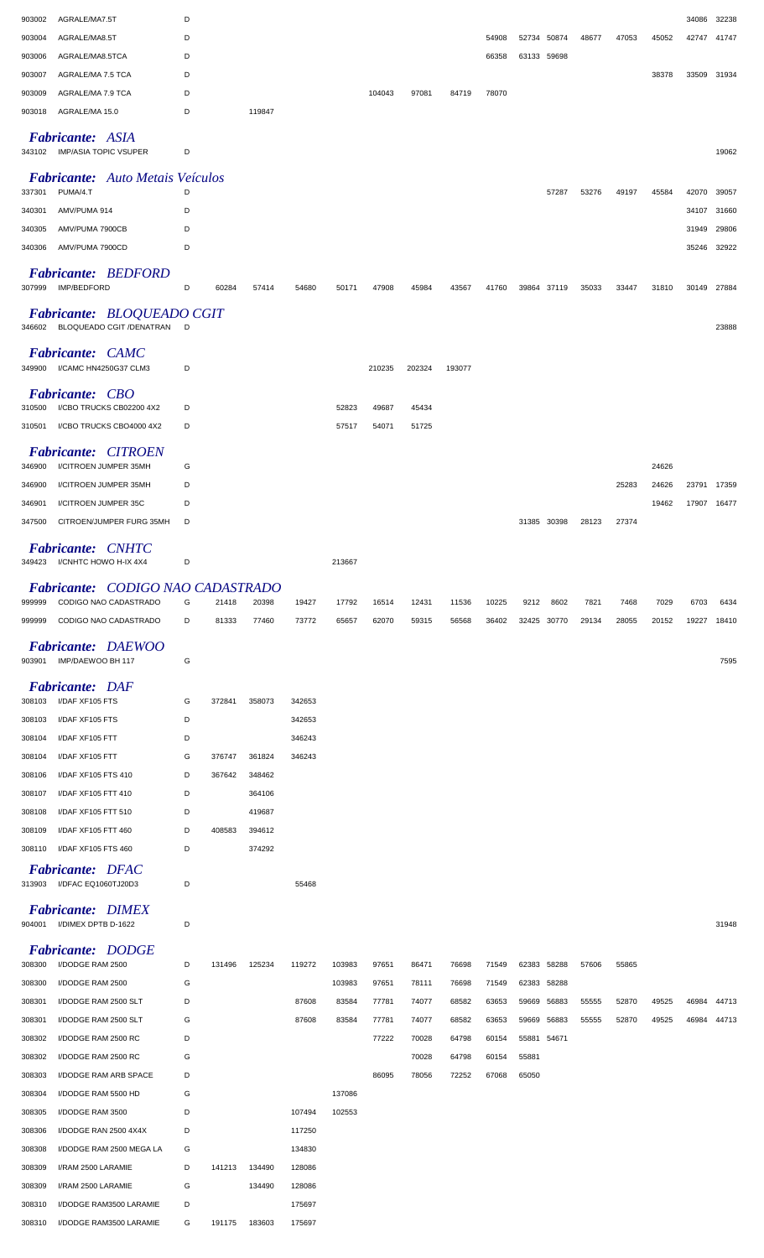| 903002           | AGRALE/MA7.5T                                                  | D      |        |        |        |                  |                |                |                |                |             |                            |       |       |       | 34086       | 32238 |
|------------------|----------------------------------------------------------------|--------|--------|--------|--------|------------------|----------------|----------------|----------------|----------------|-------------|----------------------------|-------|-------|-------|-------------|-------|
| 903004           | AGRALE/MA8.5T                                                  | D      |        |        |        |                  |                |                |                | 54908          |             | 52734 50874                | 48677 | 47053 | 45052 | 42747       | 41747 |
| 903006           | AGRALE/MA8.5TCA                                                | D      |        |        |        |                  |                |                |                | 66358          |             | 63133 59698                |       |       |       |             |       |
| 903007           | AGRALE/MA 7.5 TCA                                              | D      |        |        |        |                  |                |                |                |                |             |                            |       |       | 38378 | 33509       | 31934 |
| 903009           | AGRALE/MA 7.9 TCA                                              | D      |        |        |        |                  | 104043         | 97081          | 84719          | 78070          |             |                            |       |       |       |             |       |
| 903018           | AGRALE/MA 15.0                                                 | D      |        | 119847 |        |                  |                |                |                |                |             |                            |       |       |       |             |       |
|                  | <b>Fabricante: ASIA</b><br>343102 IMP/ASIA TOPIC VSUPER        | D      |        |        |        |                  |                |                |                |                |             |                            |       |       |       |             | 19062 |
|                  | <b>Fabricante:</b> Auto Metais Veículos                        |        |        |        |        |                  |                |                |                |                |             |                            |       |       |       |             |       |
| 337301           | PUMA/4.T                                                       | D      |        |        |        |                  |                |                |                |                |             | 57287                      | 53276 | 49197 | 45584 | 42070       | 39057 |
| 340301           | AMV/PUMA 914                                                   | D      |        |        |        |                  |                |                |                |                |             |                            |       |       |       | 34107       | 31660 |
| 340305           | AMV/PUMA 7900CB                                                | D      |        |        |        |                  |                |                |                |                |             |                            |       |       |       | 31949       | 29806 |
| 340306           | AMV/PUMA 7900CD                                                | D      |        |        |        |                  |                |                |                |                |             |                            |       |       |       | 35246       | 32922 |
| 307999           | <b>Fabricante: BEDFORD</b><br>IMP/BEDFORD                      | D      | 60284  | 57414  | 54680  | 50171            | 47908          | 45984          | 43567          | 41760          |             | 39864 37119                | 35033 | 33447 | 31810 | 30149       | 27884 |
|                  | Fabricante: BLOQUEADO CGIT<br>346602 BLOQUEADO CGIT / DENATRAN | D      |        |        |        |                  |                |                |                |                |             |                            |       |       |       |             | 23888 |
|                  | <b>Fabricante: CAMC</b>                                        |        |        |        |        |                  |                |                |                |                |             |                            |       |       |       |             |       |
| 349900           | I/CAMC HN4250G37 CLM3                                          | D      |        |        |        |                  | 210235         | 202324         | 193077         |                |             |                            |       |       |       |             |       |
| 310500           | <b>Fabricante: CBO</b><br>I/CBO TRUCKS CB02200 4X2             | D      |        |        |        | 52823            | 49687          | 45434          |                |                |             |                            |       |       |       |             |       |
| 310501           | I/CBO TRUCKS CBO4000 4X2                                       | D      |        |        |        | 57517            | 54071          | 51725          |                |                |             |                            |       |       |       |             |       |
|                  | <b>Fabricante: CITROEN</b>                                     |        |        |        |        |                  |                |                |                |                |             |                            |       |       |       |             |       |
| 346900           | I/CITROEN JUMPER 35MH                                          | G      |        |        |        |                  |                |                |                |                |             |                            |       |       | 24626 |             |       |
| 346900           | I/CITROEN JUMPER 35MH                                          | D      |        |        |        |                  |                |                |                |                |             |                            |       | 25283 | 24626 | 23791 17359 |       |
| 346901           | I/CITROEN JUMPER 35C                                           | D      |        |        |        |                  |                |                |                |                |             |                            |       |       | 19462 | 17907       | 16477 |
| 347500           | CITROEN/JUMPER FURG 35MH                                       | D      |        |        |        |                  |                |                |                |                |             | 31385 30398                | 28123 | 27374 |       |             |       |
|                  | <b>Fabricante: CNHTC</b><br>349423 I/CNHTC HOWO H-IX 4X4       | D      |        |        |        | 213667           |                |                |                |                |             |                            |       |       |       |             |       |
|                  | Fabricante: CODIGO NAO CADASTRADO                              |        |        |        |        |                  |                |                |                |                |             |                            |       |       |       |             |       |
| 999999           | CODIGO NAO CADASTRADO                                          | G      | 21418  | 20398  | 19427  | 17792            | 16514          | 12431          | 11536          | 10225          | 9212        | 8602                       | 7821  | 7468  | 7029  | 6703        | 6434  |
| 999999           | CODIGO NAO CADASTRADO                                          | D      | 81333  | 77460  | 73772  | 65657            | 62070          | 59315          | 56568          | 36402          |             | 32425 30770                | 29134 | 28055 | 20152 | 19227       | 18410 |
| 903901           | Fabricante: DAEWOO<br>IMP/DAEWOO BH 117                        | G      |        |        |        |                  |                |                |                |                |             |                            |       |       |       |             | 7595  |
|                  | <b>Fabricante: DAF</b>                                         |        |        |        |        |                  |                |                |                |                |             |                            |       |       |       |             |       |
| 308103           | I/DAF XF105 FTS                                                | G      | 372841 | 358073 | 342653 |                  |                |                |                |                |             |                            |       |       |       |             |       |
| 308103           | I/DAF XF105 FTS                                                | D      |        |        | 342653 |                  |                |                |                |                |             |                            |       |       |       |             |       |
| 308104           | I/DAF XF105 FTT                                                | D      |        |        | 346243 |                  |                |                |                |                |             |                            |       |       |       |             |       |
| 308104           | I/DAF XF105 FTT                                                | G      | 376747 | 361824 | 346243 |                  |                |                |                |                |             |                            |       |       |       |             |       |
| 308106           | I/DAF XF105 FTS 410                                            | D      | 367642 | 348462 |        |                  |                |                |                |                |             |                            |       |       |       |             |       |
| 308107           | I/DAF XF105 FTT 410                                            | D      |        | 364106 |        |                  |                |                |                |                |             |                            |       |       |       |             |       |
| 308108           | I/DAF XF105 FTT 510                                            | D      |        | 419687 |        |                  |                |                |                |                |             |                            |       |       |       |             |       |
| 308109           | I/DAF XF105 FTT 460                                            | D      | 408583 | 394612 |        |                  |                |                |                |                |             |                            |       |       |       |             |       |
| 308110           | I/DAF XF105 FTS 460                                            | D      |        | 374292 |        |                  |                |                |                |                |             |                            |       |       |       |             |       |
| 313903           | <b>Fabricante: DFAC</b><br>I/DFAC EQ1060TJ20D3                 | D      |        |        | 55468  |                  |                |                |                |                |             |                            |       |       |       |             |       |
| 904001           | <b>Fabricante: DIMEX</b><br>I/DIMEX DPTB D-1622                | D      |        |        |        |                  |                |                |                |                |             |                            |       |       |       |             | 31948 |
|                  | <b>Fabricante: DODGE</b>                                       |        | 131496 |        |        |                  |                |                |                |                |             |                            |       |       |       |             |       |
| 308300<br>308300 | I/DODGE RAM 2500<br>I/DODGE RAM 2500                           | D<br>G |        | 125234 | 119272 | 103983<br>103983 | 97651<br>97651 | 86471<br>78111 | 76698<br>76698 | 71549<br>71549 |             | 62383 58288<br>62383 58288 | 57606 | 55865 |       |             |       |
| 308301           | I/DODGE RAM 2500 SLT                                           | D      |        |        | 87608  | 83584            | 77781          | 74077          | 68582          | 63653          | 59669       | 56883                      | 55555 | 52870 | 49525 | 46984       | 44713 |
| 308301           | I/DODGE RAM 2500 SLT                                           | G      |        |        | 87608  | 83584            | 77781          | 74077          | 68582          | 63653          | 59669       | 56883                      | 55555 | 52870 | 49525 | 46984       | 44713 |
| 308302           | I/DODGE RAM 2500 RC                                            | D      |        |        |        |                  | 77222          | 70028          | 64798          | 60154          | 55881 54671 |                            |       |       |       |             |       |
| 308302           | I/DODGE RAM 2500 RC                                            | G      |        |        |        |                  |                | 70028          | 64798          | 60154          | 55881       |                            |       |       |       |             |       |
| 308303           | I/DODGE RAM ARB SPACE                                          | D      |        |        |        |                  | 86095          | 78056          | 72252          | 67068          | 65050       |                            |       |       |       |             |       |
| 308304           | I/DODGE RAM 5500 HD                                            | G      |        |        |        | 137086           |                |                |                |                |             |                            |       |       |       |             |       |
| 308305           | I/DODGE RAM 3500                                               | D      |        |        | 107494 | 102553           |                |                |                |                |             |                            |       |       |       |             |       |
| 308306           | I/DODGE RAN 2500 4X4X                                          | D      |        |        | 117250 |                  |                |                |                |                |             |                            |       |       |       |             |       |
| 308308           | I/DODGE RAM 2500 MEGA LA                                       | G      |        |        | 134830 |                  |                |                |                |                |             |                            |       |       |       |             |       |
| 308309           | I/RAM 2500 LARAMIE                                             | D      | 141213 | 134490 | 128086 |                  |                |                |                |                |             |                            |       |       |       |             |       |
| 308309           | I/RAM 2500 LARAMIE                                             | G      |        | 134490 | 128086 |                  |                |                |                |                |             |                            |       |       |       |             |       |
| 308310           | I/DODGE RAM3500 LARAMIE                                        | D      |        |        | 175697 |                  |                |                |                |                |             |                            |       |       |       |             |       |
| 308310           | I/DODGE RAM3500 LARAMIE                                        | G      | 191175 | 183603 | 175697 |                  |                |                |                |                |             |                            |       |       |       |             |       |
|                  |                                                                |        |        |        |        |                  |                |                |                |                |             |                            |       |       |       |             |       |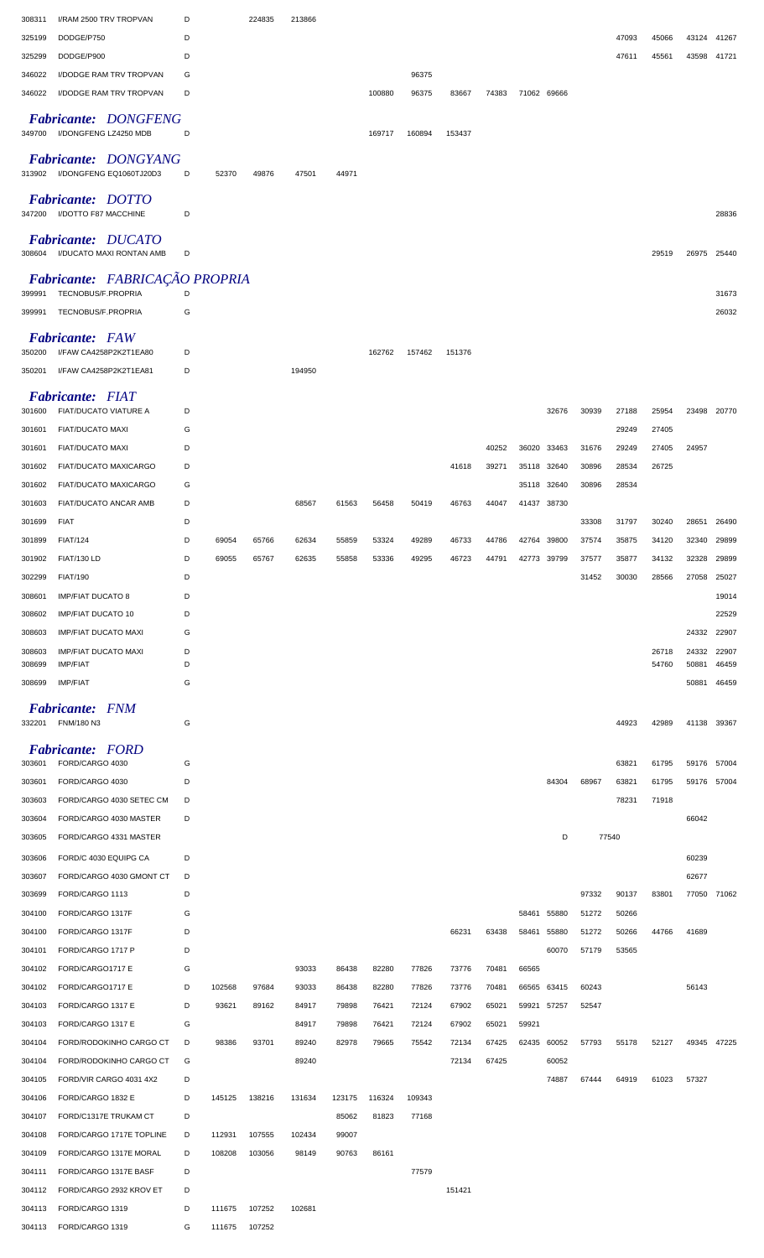| 308311 | I/RAM 2500 TRV TROPVAN                                 | D |        | 224835 | 213866 |        |        |        |        |       |             |       |       |       |       |             |       |
|--------|--------------------------------------------------------|---|--------|--------|--------|--------|--------|--------|--------|-------|-------------|-------|-------|-------|-------|-------------|-------|
| 325199 | DODGE/P750                                             | D |        |        |        |        |        |        |        |       |             |       |       | 47093 | 45066 | 43124       | 41267 |
| 325299 | DODGE/P900                                             | D |        |        |        |        |        |        |        |       |             |       |       | 47611 | 45561 | 43598       | 41721 |
| 346022 | I/DODGE RAM TRV TROPVAN                                | G |        |        |        |        |        | 96375  |        |       |             |       |       |       |       |             |       |
| 346022 | I/DODGE RAM TRV TROPVAN                                | D |        |        |        |        | 100880 | 96375  | 83667  | 74383 | 71062 69666 |       |       |       |       |             |       |
| 349700 | <b>Fabricante: DONGFENG</b><br>I/DONGFENG LZ4250 MDB   | D |        |        |        |        | 169717 | 160894 | 153437 |       |             |       |       |       |       |             |       |
| 313902 | <b>Fabricante: DONGYANG</b><br>I/DONGFENG EQ1060TJ20D3 | D | 52370  | 49876  | 47501  | 44971  |        |        |        |       |             |       |       |       |       |             |       |
| 347200 | Fabricante: DOTTO<br>I/DOTTO F87 MACCHINE              | D |        |        |        |        |        |        |        |       |             |       |       |       |       |             | 28836 |
| 308604 | <b>Fabricante: DUCATO</b><br>I/DUCATO MAXI RONTAN AMB  | D |        |        |        |        |        |        |        |       |             |       |       |       | 29519 | 26975       | 25440 |
| 399991 | Fabricante: FABRICAÇÃO PROPRIA<br>TECNOBUS/F.PROPRIA   | D |        |        |        |        |        |        |        |       |             |       |       |       |       |             | 31673 |
| 399991 | TECNOBUS/F.PROPRIA                                     | G |        |        |        |        |        |        |        |       |             |       |       |       |       |             | 26032 |
|        | <b>Fabricante:</b> FAW                                 |   |        |        |        |        |        |        |        |       |             |       |       |       |       |             |       |
| 350200 | I/FAW CA4258P2K2T1EA80                                 | D |        |        |        |        | 162762 | 157462 | 151376 |       |             |       |       |       |       |             |       |
| 350201 | I/FAW CA4258P2K2T1EA81                                 | D |        |        | 194950 |        |        |        |        |       |             |       |       |       |       |             |       |
|        | <b>Fabricante: FIAT</b>                                |   |        |        |        |        |        |        |        |       |             |       |       |       |       |             |       |
| 301600 | FIAT/DUCATO VIATURE A                                  | D |        |        |        |        |        |        |        |       |             | 32676 | 30939 | 27188 | 25954 | 23498       | 20770 |
| 301601 | <b>FIAT/DUCATO MAXI</b>                                | G |        |        |        |        |        |        |        |       |             |       |       | 29249 | 27405 |             |       |
| 301601 | <b>FIAT/DUCATO MAXI</b>                                | D |        |        |        |        |        |        |        | 40252 | 36020       | 33463 | 31676 | 29249 | 27405 | 24957       |       |
| 301602 | FIAT/DUCATO MAXICARGO                                  | D |        |        |        |        |        |        | 41618  | 39271 | 35118       | 32640 | 30896 | 28534 | 26725 |             |       |
| 301602 | FIAT/DUCATO MAXICARGO                                  | G |        |        |        |        |        |        |        |       | 35118       | 32640 | 30896 | 28534 |       |             |       |
| 301603 | FIAT/DUCATO ANCAR AMB                                  | D |        |        | 68567  | 61563  | 56458  | 50419  | 46763  | 44047 | 41437       | 38730 |       |       |       |             |       |
| 301699 | <b>FIAT</b>                                            | D |        |        |        |        |        |        |        |       |             |       | 33308 | 31797 | 30240 | 28651       | 26490 |
| 301899 | <b>FIAT/124</b>                                        | D | 69054  | 65766  | 62634  | 55859  | 53324  | 49289  | 46733  | 44786 | 42764       | 39800 | 37574 | 35875 | 34120 | 32340       | 29899 |
| 301902 | <b>FIAT/130 LD</b>                                     | D | 69055  | 65767  | 62635  | 55858  | 53336  | 49295  | 46723  | 44791 | 42773       | 39799 | 37577 | 35877 | 34132 | 32328       | 29899 |
| 302299 | <b>FIAT/190</b>                                        | D |        |        |        |        |        |        |        |       |             |       | 31452 | 30030 | 28566 | 27058       | 25027 |
| 308601 | <b>IMP/FIAT DUCATO 8</b>                               | D |        |        |        |        |        |        |        |       |             |       |       |       |       |             | 19014 |
| 308602 | <b>IMP/FIAT DUCATO 10</b>                              | D |        |        |        |        |        |        |        |       |             |       |       |       |       |             | 22529 |
| 308603 | <b>IMP/FIAT DUCATO MAXI</b>                            | G |        |        |        |        |        |        |        |       |             |       |       |       |       | 24332       | 22907 |
| 308603 | <b>IMP/FIAT DUCATO MAXI</b>                            | D |        |        |        |        |        |        |        |       |             |       |       |       | 26718 | 24332       | 22907 |
| 308699 | <b>IMP/FIAT</b>                                        | D |        |        |        |        |        |        |        |       |             |       |       |       | 54760 | 50881       | 46459 |
| 308699 | <b>IMP/FIAT</b>                                        | G |        |        |        |        |        |        |        |       |             |       |       |       |       | 50881       | 46459 |
| 332201 | <b>Fabricante:</b> FNM<br>FNM/180 N3                   | G |        |        |        |        |        |        |        |       |             |       |       | 44923 | 42989 | 41138       | 39367 |
|        | <b>Fabricante: FORD</b>                                |   |        |        |        |        |        |        |        |       |             |       |       |       |       |             |       |
| 303601 | FORD/CARGO 4030                                        | G |        |        |        |        |        |        |        |       |             |       |       | 63821 | 61795 | 59176       | 57004 |
| 303601 | FORD/CARGO 4030                                        | D |        |        |        |        |        |        |        |       |             | 84304 | 68967 | 63821 | 61795 | 59176       | 57004 |
| 303603 | FORD/CARGO 4030 SETEC CM                               | D |        |        |        |        |        |        |        |       |             |       |       | 78231 | 71918 |             |       |
| 303604 | FORD/CARGO 4030 MASTER                                 | D |        |        |        |        |        |        |        |       |             |       |       |       |       | 66042       |       |
| 303605 | FORD/CARGO 4331 MASTER                                 |   |        |        |        |        |        |        |        |       |             | D     |       | 77540 |       |             |       |
| 303606 | FORD/C 4030 EQUIPG CA                                  | D |        |        |        |        |        |        |        |       |             |       |       |       |       | 60239       |       |
| 303607 | FORD/CARGO 4030 GMONT CT                               | D |        |        |        |        |        |        |        |       |             |       |       |       |       | 62677       |       |
| 303699 | FORD/CARGO 1113                                        | D |        |        |        |        |        |        |        |       |             |       | 97332 | 90137 | 83801 | 77050 71062 |       |
| 304100 | FORD/CARGO 1317F                                       | G |        |        |        |        |        |        |        |       | 58461       | 55880 | 51272 | 50266 |       |             |       |
| 304100 | FORD/CARGO 1317F                                       | D |        |        |        |        |        |        | 66231  | 63438 | 58461       | 55880 | 51272 | 50266 | 44766 | 41689       |       |
| 304101 | FORD/CARGO 1717 P                                      | D |        |        |        |        |        |        |        |       |             | 60070 | 57179 | 53565 |       |             |       |
| 304102 |                                                        |   |        |        |        |        |        |        |        |       |             |       |       |       |       |             |       |
| 304102 | FORD/CARGO1717 E                                       | G |        |        | 93033  | 86438  | 82280  | 77826  | 73776  | 70481 | 66565       |       |       |       |       |             |       |
|        | FORD/CARGO1717 E                                       | D | 102568 | 97684  | 93033  | 86438  | 82280  | 77826  | 73776  | 70481 | 66565       | 63415 | 60243 |       |       | 56143       |       |
| 304103 | FORD/CARGO 1317 E                                      | D | 93621  | 89162  | 84917  | 79898  | 76421  | 72124  | 67902  | 65021 | 59921       | 57257 | 52547 |       |       |             |       |
| 304103 | FORD/CARGO 1317 E                                      | G |        |        | 84917  | 79898  | 76421  | 72124  | 67902  | 65021 | 59921       |       |       |       |       |             |       |
| 304104 | FORD/RODOKINHO CARGO CT                                | D | 98386  | 93701  | 89240  | 82978  | 79665  | 75542  | 72134  | 67425 | 62435       | 60052 | 57793 | 55178 | 52127 | 49345       | 47225 |
| 304104 | FORD/RODOKINHO CARGO CT                                | G |        |        | 89240  |        |        |        | 72134  | 67425 |             | 60052 |       |       |       |             |       |
| 304105 | FORD/VIR CARGO 4031 4X2                                | D |        |        |        |        |        |        |        |       |             | 74887 | 67444 | 64919 | 61023 | 57327       |       |
| 304106 | FORD/CARGO 1832 E                                      | D | 145125 | 138216 | 131634 | 123175 | 116324 | 109343 |        |       |             |       |       |       |       |             |       |
| 304107 | FORD/C1317E TRUKAM CT                                  | D |        |        |        | 85062  | 81823  | 77168  |        |       |             |       |       |       |       |             |       |
| 304108 | FORD/CARGO 1717E TOPLINE                               | D | 112931 | 107555 | 102434 | 99007  |        |        |        |       |             |       |       |       |       |             |       |
| 304109 | FORD/CARGO 1317E MORAL                                 | D | 108208 | 103056 | 98149  | 90763  | 86161  |        |        |       |             |       |       |       |       |             |       |
| 304111 | FORD/CARGO 1317E BASF                                  | D |        |        |        |        |        | 77579  |        |       |             |       |       |       |       |             |       |
| 304112 | FORD/CARGO 2932 KROV ET                                | D |        |        |        |        |        |        | 151421 |       |             |       |       |       |       |             |       |
| 304113 | FORD/CARGO 1319                                        | D | 111675 | 107252 | 102681 |        |        |        |        |       |             |       |       |       |       |             |       |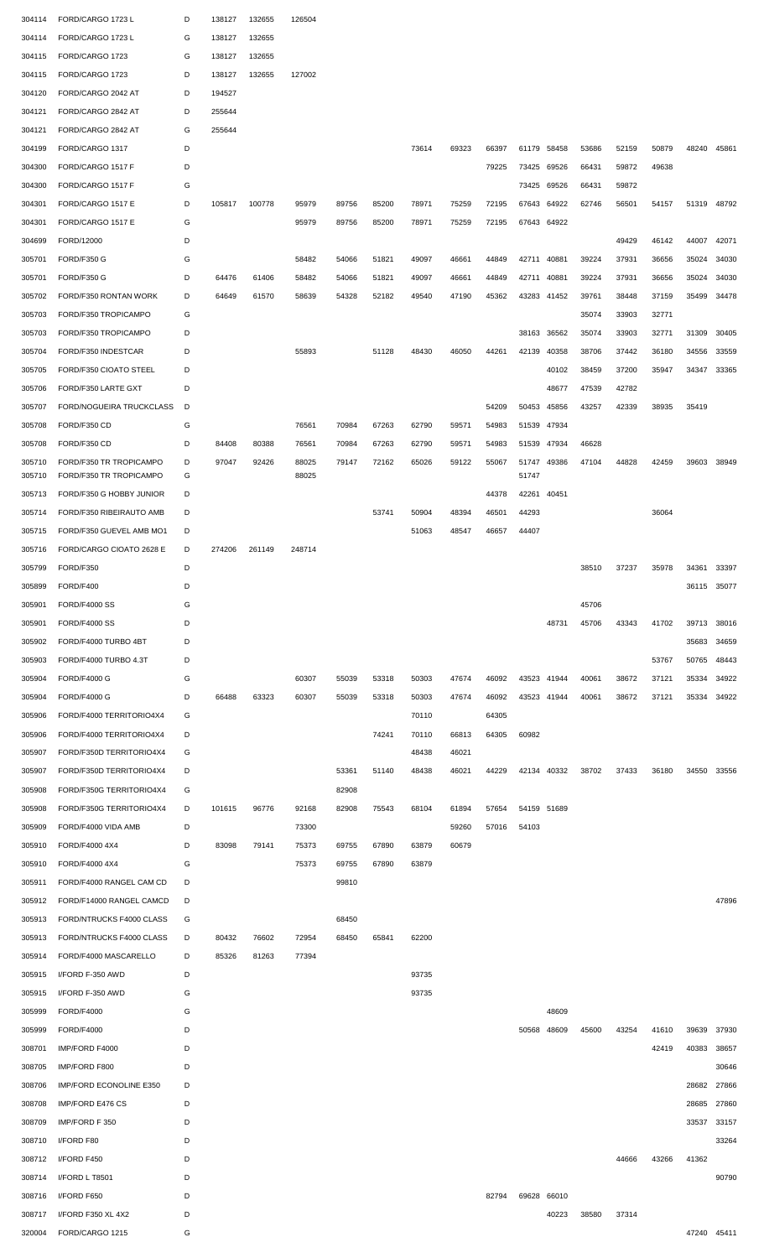| 304114           | FORD/CARGO 1723 L                                  | D      | 138127 | 132655 | 126504         |       |       |       |       |       |                |       |       |       |       |             |       |
|------------------|----------------------------------------------------|--------|--------|--------|----------------|-------|-------|-------|-------|-------|----------------|-------|-------|-------|-------|-------------|-------|
| 304114           | FORD/CARGO 1723 L                                  | G      | 138127 | 132655 |                |       |       |       |       |       |                |       |       |       |       |             |       |
| 304115           | FORD/CARGO 1723                                    | G      | 138127 | 132655 |                |       |       |       |       |       |                |       |       |       |       |             |       |
| 304115           | FORD/CARGO 1723                                    | D      | 138127 | 132655 | 127002         |       |       |       |       |       |                |       |       |       |       |             |       |
| 304120           | FORD/CARGO 2042 AT                                 | D      | 194527 |        |                |       |       |       |       |       |                |       |       |       |       |             |       |
| 304121           | FORD/CARGO 2842 AT                                 | D      | 255644 |        |                |       |       |       |       |       |                |       |       |       |       |             |       |
| 304121           | FORD/CARGO 2842 AT                                 | G      | 255644 |        |                |       |       |       |       |       |                |       |       |       |       |             |       |
| 304199           | FORD/CARGO 1317                                    | D      |        |        |                |       |       | 73614 | 69323 | 66397 | 61179          | 58458 | 53686 | 52159 | 50879 | 48240       | 45861 |
| 304300           | FORD/CARGO 1517 F                                  | D      |        |        |                |       |       |       |       | 79225 | 73425          | 69526 | 66431 | 59872 | 49638 |             |       |
| 304300           | FORD/CARGO 1517 F                                  | G      |        |        |                |       |       |       |       |       | 73425          | 69526 | 66431 | 59872 |       |             |       |
| 304301           | FORD/CARGO 1517 E                                  | D      | 105817 | 100778 | 95979          | 89756 | 85200 | 78971 | 75259 | 72195 | 67643          | 64922 | 62746 | 56501 | 54157 | 51319       | 48792 |
| 304301           | FORD/CARGO 1517 E                                  | G      |        |        | 95979          | 89756 | 85200 | 78971 | 75259 | 72195 | 67643 64922    |       |       |       |       |             |       |
| 304699           | FORD/12000                                         | D      |        |        |                |       |       |       |       |       |                |       |       | 49429 | 46142 | 44007       | 42071 |
| 305701           | FORD/F350 G                                        | G      |        |        | 58482          | 54066 | 51821 | 49097 | 46661 | 44849 | 42711          | 40881 | 39224 | 37931 | 36656 | 35024       | 34030 |
| 305701           | FORD/F350 G                                        | D      | 64476  | 61406  | 58482          | 54066 | 51821 | 49097 | 46661 | 44849 | 42711          | 40881 | 39224 | 37931 | 36656 | 35024       | 34030 |
| 305702           | FORD/F350 RONTAN WORK                              | D      | 64649  | 61570  | 58639          | 54328 | 52182 | 49540 | 47190 | 45362 | 43283          | 41452 | 39761 | 38448 | 37159 | 35499       | 34478 |
| 305703           | FORD/F350 TROPICAMPO                               | G      |        |        |                |       |       |       |       |       |                |       | 35074 | 33903 | 32771 |             |       |
| 305703           | FORD/F350 TROPICAMPO                               | D      |        |        |                |       |       |       |       |       | 38163          | 36562 | 35074 | 33903 | 32771 | 31309       | 30405 |
| 305704           | FORD/F350 INDESTCAR                                | D      |        |        | 55893          |       | 51128 | 48430 | 46050 | 44261 | 42139          | 40358 | 38706 | 37442 | 36180 | 34556       | 33559 |
| 305705           | FORD/F350 CIOATO STEEL                             | D      |        |        |                |       |       |       |       |       |                | 40102 | 38459 | 37200 | 35947 | 34347       | 33365 |
| 305706           | FORD/F350 LARTE GXT                                | D      |        |        |                |       |       |       |       |       |                | 48677 | 47539 | 42782 |       |             |       |
| 305707           | FORD/NOGUEIRA TRUCKCLASS                           | D      |        |        |                |       |       |       |       | 54209 | 50453          | 45856 | 43257 | 42339 | 38935 | 35419       |       |
|                  | FORD/F350 CD                                       | G      |        |        | 76561          | 70984 | 67263 | 62790 | 59571 |       | 51539          | 47934 |       |       |       |             |       |
| 305708           |                                                    |        |        |        |                |       |       |       |       | 54983 |                |       |       |       |       |             |       |
| 305708           | FORD/F350 CD                                       | D      | 84408  | 80388  | 76561          | 70984 | 67263 | 62790 | 59571 | 54983 | 51539          | 47934 | 46628 |       |       |             |       |
| 305710<br>305710 | FORD/F350 TR TROPICAMPO<br>FORD/F350 TR TROPICAMPO | D<br>G | 97047  | 92426  | 88025<br>88025 | 79147 | 72162 | 65026 | 59122 | 55067 | 51747<br>51747 | 49386 | 47104 | 44828 | 42459 | 39603       | 38949 |
| 305713           | FORD/F350 G HOBBY JUNIOR                           | D      |        |        |                |       |       |       |       | 44378 | 42261          | 40451 |       |       |       |             |       |
| 305714           | FORD/F350 RIBEIRAUTO AMB                           | D      |        |        |                |       | 53741 | 50904 | 48394 | 46501 | 44293          |       |       |       | 36064 |             |       |
| 305715           | FORD/F350 GUEVEL AMB MO1                           | D      |        |        |                |       |       | 51063 | 48547 | 46657 | 44407          |       |       |       |       |             |       |
| 305716           | FORD/CARGO CIOATO 2628 E                           | D      | 274206 | 261149 | 248714         |       |       |       |       |       |                |       |       |       |       |             |       |
| 305799           | FORD/F350                                          | D      |        |        |                |       |       |       |       |       |                |       | 38510 | 37237 | 35978 | 34361       | 33397 |
| 305899           | FORD/F400                                          | D      |        |        |                |       |       |       |       |       |                |       |       |       |       | 36115       | 35077 |
| 305901           | <b>FORD/F4000 SS</b>                               | G      |        |        |                |       |       |       |       |       |                |       | 45706 |       |       |             |       |
| 305901           | <b>FORD/F4000 SS</b>                               | D      |        |        |                |       |       |       |       |       |                | 48731 | 45706 | 43343 | 41702 | 39713       | 38016 |
| 305902           | FORD/F4000 TURBO 4BT                               | D      |        |        |                |       |       |       |       |       |                |       |       |       |       | 35683       | 34659 |
| 305903           | FORD/F4000 TURBO 4.3T                              | D      |        |        |                |       |       |       |       |       |                |       |       |       | 53767 | 50765       | 48443 |
| 305904           | <b>FORD/F4000 G</b>                                | G      |        |        | 60307          | 55039 | 53318 | 50303 | 47674 | 46092 | 43523          | 41944 | 40061 | 38672 | 37121 | 35334       | 34922 |
| 305904           | <b>FORD/F4000 G</b>                                | D      | 66488  | 63323  | 60307          | 55039 | 53318 | 50303 | 47674 | 46092 | 43523          | 41944 | 40061 | 38672 | 37121 | 35334       | 34922 |
| 305906           | FORD/F4000 TERRITORIO4X4                           | G      |        |        |                |       |       | 70110 |       | 64305 |                |       |       |       |       |             |       |
| 305906           | FORD/F4000 TERRITORIO4X4                           | D      |        |        |                |       | 74241 | 70110 | 66813 | 64305 | 60982          |       |       |       |       |             |       |
| 305907           | FORD/F350D TERRITORIO4X4                           | G      |        |        |                |       |       | 48438 | 46021 |       |                |       |       |       |       |             |       |
| 305907           | FORD/F350D TERRITORIO4X4                           | D      |        |        |                | 53361 | 51140 | 48438 | 46021 | 44229 | 42134 40332    |       | 38702 | 37433 | 36180 | 34550       | 33556 |
| 305908           | FORD/F350G TERRITORIO4X4                           | G      |        |        |                | 82908 |       |       |       |       |                |       |       |       |       |             |       |
| 305908           | FORD/F350G TERRITORIO4X4                           | D      | 101615 | 96776  | 92168          | 82908 | 75543 | 68104 | 61894 | 57654 | 54159 51689    |       |       |       |       |             |       |
| 305909           | FORD/F4000 VIDA AMB                                | D      |        |        | 73300          |       |       |       | 59260 | 57016 | 54103          |       |       |       |       |             |       |
| 305910           | FORD/F4000 4X4                                     | D      | 83098  | 79141  | 75373          | 69755 | 67890 | 63879 | 60679 |       |                |       |       |       |       |             |       |
| 305910           | FORD/F4000 4X4                                     | G      |        |        | 75373          | 69755 | 67890 | 63879 |       |       |                |       |       |       |       |             |       |
| 305911           | FORD/F4000 RANGEL CAM CD                           | D      |        |        |                | 99810 |       |       |       |       |                |       |       |       |       |             |       |
| 305912           | FORD/F14000 RANGEL CAMCD                           | D      |        |        |                |       |       |       |       |       |                |       |       |       |       |             | 47896 |
| 305913           | FORD/NTRUCKS F4000 CLASS                           | G      |        |        |                | 68450 |       |       |       |       |                |       |       |       |       |             |       |
| 305913           | FORD/NTRUCKS F4000 CLASS                           | D      | 80432  | 76602  | 72954          | 68450 | 65841 | 62200 |       |       |                |       |       |       |       |             |       |
| 305914           | FORD/F4000 MASCARELLO                              | D      | 85326  | 81263  | 77394          |       |       |       |       |       |                |       |       |       |       |             |       |
| 305915           | I/FORD F-350 AWD                                   | D      |        |        |                |       |       | 93735 |       |       |                |       |       |       |       |             |       |
| 305915           | I/FORD F-350 AWD                                   | G      |        |        |                |       |       | 93735 |       |       |                |       |       |       |       |             |       |
| 305999           | <b>FORD/F4000</b>                                  | G      |        |        |                |       |       |       |       |       |                | 48609 |       |       |       |             |       |
| 305999           | <b>FORD/F4000</b>                                  | D      |        |        |                |       |       |       |       |       | 50568          | 48609 | 45600 | 43254 | 41610 | 39639       | 37930 |
| 308701           | IMP/FORD F4000                                     | D      |        |        |                |       |       |       |       |       |                |       |       |       | 42419 | 40383       | 38657 |
| 308705           | IMP/FORD F800                                      | D      |        |        |                |       |       |       |       |       |                |       |       |       |       |             | 30646 |
| 308706           | IMP/FORD ECONOLINE E350                            | D      |        |        |                |       |       |       |       |       |                |       |       |       |       | 28682       | 27866 |
| 308708           | IMP/FORD E476 CS                                   | D      |        |        |                |       |       |       |       |       |                |       |       |       |       | 28685       | 27860 |
| 308709           | IMP/FORD F 350                                     | D      |        |        |                |       |       |       |       |       |                |       |       |       |       | 33537       | 33157 |
| 308710           | I/FORD F80                                         | D      |        |        |                |       |       |       |       |       |                |       |       |       |       |             | 33264 |
| 308712           | I/FORD F450                                        | D      |        |        |                |       |       |       |       |       |                |       |       | 44666 | 43266 | 41362       |       |
| 308714           | I/FORD L T8501                                     | D      |        |        |                |       |       |       |       |       |                |       |       |       |       |             | 90790 |
| 308716           | I/FORD F650                                        | D      |        |        |                |       |       |       |       | 82794 | 69628 66010    |       |       |       |       |             |       |
| 308717           | I/FORD F350 XL 4X2                                 | D      |        |        |                |       |       |       |       |       |                | 40223 | 38580 | 37314 |       |             |       |
| 320004           | FORD/CARGO 1215                                    | G      |        |        |                |       |       |       |       |       |                |       |       |       |       | 47240 45411 |       |
|                  |                                                    |        |        |        |                |       |       |       |       |       |                |       |       |       |       |             |       |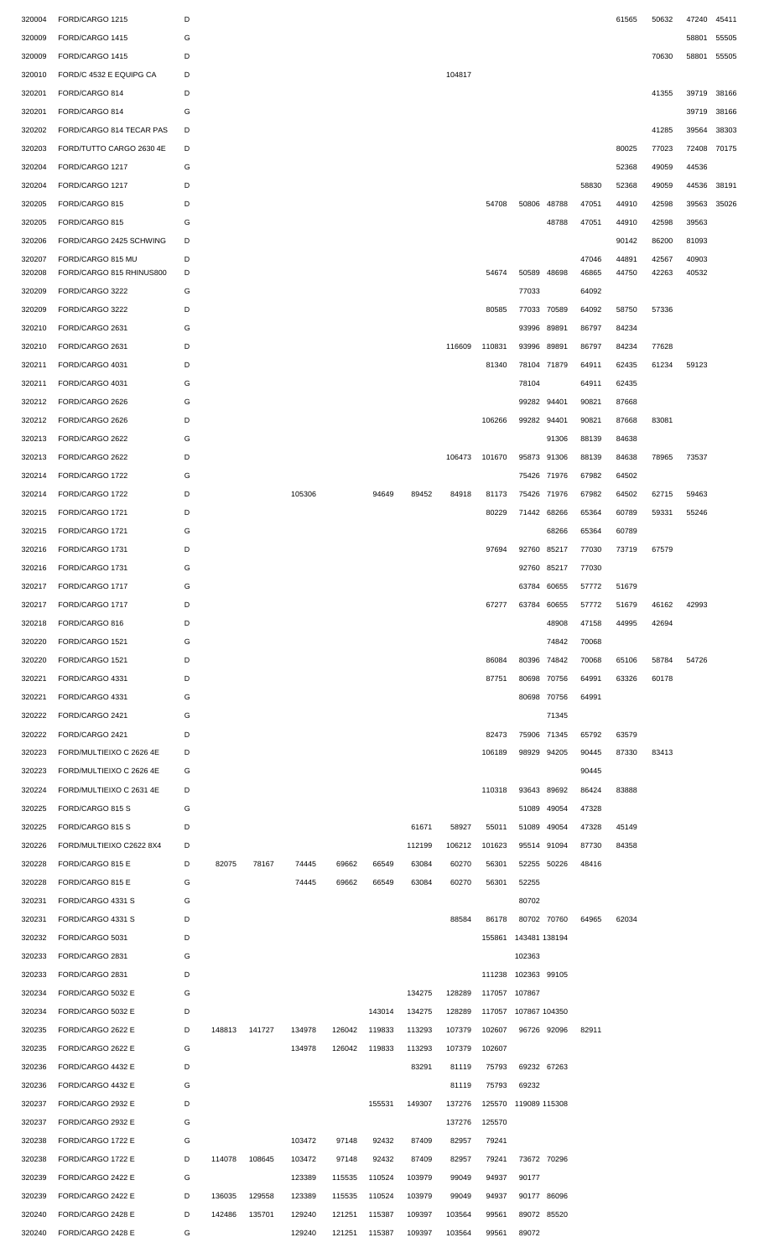| 320004 | FORD/CARGO 1215                               | D |        |        |        |        |        |        |        |        |                      |             |       | 61565          | 50632 | 47240 | 45411 |
|--------|-----------------------------------------------|---|--------|--------|--------|--------|--------|--------|--------|--------|----------------------|-------------|-------|----------------|-------|-------|-------|
| 320009 | FORD/CARGO 1415                               | G |        |        |        |        |        |        |        |        |                      |             |       |                |       | 58801 | 55505 |
| 320009 | FORD/CARGO 1415                               | D |        |        |        |        |        |        |        |        |                      |             |       |                | 70630 | 58801 | 55505 |
| 320010 | FORD/C 4532 E EQUIPG CA                       | D |        |        |        |        |        |        | 104817 |        |                      |             |       |                |       |       |       |
|        |                                               |   |        |        |        |        |        |        |        |        |                      |             |       |                |       |       |       |
| 320201 | FORD/CARGO 814                                | D |        |        |        |        |        |        |        |        |                      |             |       |                | 41355 | 39719 | 38166 |
| 320201 | FORD/CARGO 814                                | G |        |        |        |        |        |        |        |        |                      |             |       |                |       | 39719 | 38166 |
| 320202 | FORD/CARGO 814 TECAR PAS                      | D |        |        |        |        |        |        |        |        |                      |             |       |                | 41285 | 39564 | 38303 |
| 320203 | FORD/TUTTO CARGO 2630 4E                      | D |        |        |        |        |        |        |        |        |                      |             |       | 80025          | 77023 | 72408 | 70175 |
| 320204 | FORD/CARGO 1217                               | G |        |        |        |        |        |        |        |        |                      |             |       | 52368          | 49059 | 44536 |       |
| 320204 | FORD/CARGO 1217                               | D |        |        |        |        |        |        |        |        |                      |             | 58830 | 52368          | 49059 | 44536 | 38191 |
| 320205 | FORD/CARGO 815                                | D |        |        |        |        |        |        |        | 54708  | 50806                | 48788       | 47051 | 44910          | 42598 | 39563 | 35026 |
| 320205 | FORD/CARGO 815                                | G |        |        |        |        |        |        |        |        |                      | 48788       | 47051 | 44910          | 42598 | 39563 |       |
|        |                                               |   |        |        |        |        |        |        |        |        |                      |             |       |                |       |       |       |
| 320206 | FORD/CARGO 2425 SCHWING                       | D |        |        |        |        |        |        |        |        |                      |             |       | 90142          | 86200 | 81093 |       |
| 320207 | FORD/CARGO 815 MU<br>FORD/CARGO 815 RHINUS800 | D |        |        |        |        |        |        |        |        |                      |             | 47046 | 44891<br>44750 | 42567 | 40903 |       |
| 320208 |                                               | D |        |        |        |        |        |        |        | 54674  | 50589                | 48698       | 46865 |                | 42263 | 40532 |       |
| 320209 | FORD/CARGO 3222                               | G |        |        |        |        |        |        |        |        | 77033                |             | 64092 |                |       |       |       |
| 320209 | FORD/CARGO 3222                               | D |        |        |        |        |        |        |        | 80585  |                      | 77033 70589 | 64092 | 58750          | 57336 |       |       |
| 320210 | FORD/CARGO 2631                               | G |        |        |        |        |        |        |        |        |                      | 93996 89891 | 86797 | 84234          |       |       |       |
| 320210 | FORD/CARGO 2631                               | D |        |        |        |        |        |        | 116609 | 110831 | 93996 89891          |             | 86797 | 84234          | 77628 |       |       |
| 320211 | FORD/CARGO 4031                               | D |        |        |        |        |        |        |        | 81340  |                      | 78104 71879 | 64911 | 62435          | 61234 | 59123 |       |
| 320211 | FORD/CARGO 4031                               | G |        |        |        |        |        |        |        |        | 78104                |             | 64911 | 62435          |       |       |       |
| 320212 | FORD/CARGO 2626                               | G |        |        |        |        |        |        |        |        |                      | 99282 94401 | 90821 | 87668          |       |       |       |
| 320212 | FORD/CARGO 2626                               | D |        |        |        |        |        |        |        | 106266 |                      | 99282 94401 | 90821 | 87668          | 83081 |       |       |
|        |                                               |   |        |        |        |        |        |        |        |        |                      |             |       |                |       |       |       |
| 320213 | FORD/CARGO 2622                               | G |        |        |        |        |        |        |        |        |                      | 91306       | 88139 | 84638          |       |       |       |
| 320213 | FORD/CARGO 2622                               | D |        |        |        |        |        |        | 106473 | 101670 |                      | 95873 91306 | 88139 | 84638          | 78965 | 73537 |       |
| 320214 | FORD/CARGO 1722                               | G |        |        |        |        |        |        |        |        |                      | 75426 71976 | 67982 | 64502          |       |       |       |
| 320214 | FORD/CARGO 1722                               | D |        |        | 105306 |        | 94649  | 89452  | 84918  | 81173  |                      | 75426 71976 | 67982 | 64502          | 62715 | 59463 |       |
| 320215 | FORD/CARGO 1721                               | D |        |        |        |        |        |        |        | 80229  |                      | 71442 68266 | 65364 | 60789          | 59331 | 55246 |       |
| 320215 | FORD/CARGO 1721                               | G |        |        |        |        |        |        |        |        |                      | 68266       | 65364 | 60789          |       |       |       |
| 320216 | FORD/CARGO 1731                               | D |        |        |        |        |        |        |        | 97694  | 92760                | 85217       | 77030 | 73719          | 67579 |       |       |
| 320216 | FORD/CARGO 1731                               | G |        |        |        |        |        |        |        |        |                      | 92760 85217 | 77030 |                |       |       |       |
| 320217 | FORD/CARGO 1717                               | G |        |        |        |        |        |        |        |        |                      | 63784 60655 | 57772 | 51679          |       |       |       |
|        |                                               |   |        |        |        |        |        |        |        |        |                      |             |       |                |       |       |       |
| 320217 | FORD/CARGO 1717                               | D |        |        |        |        |        |        |        | 67277  | 63784                | 60655       | 57772 | 51679          | 46162 | 42993 |       |
| 320218 | FORD/CARGO 816                                | D |        |        |        |        |        |        |        |        |                      | 48908       | 47158 | 44995          | 42694 |       |       |
| 320220 | FORD/CARGO 1521                               | G |        |        |        |        |        |        |        |        |                      | 74842       | 70068 |                |       |       |       |
| 320220 | FORD/CARGO 1521                               | D |        |        |        |        |        |        |        | 86084  |                      | 80396 74842 | 70068 | 65106          | 58784 | 54726 |       |
| 320221 | FORD/CARGO 4331                               | D |        |        |        |        |        |        |        | 87751  | 80698                | 70756       | 64991 | 63326          | 60178 |       |       |
| 320221 | FORD/CARGO 4331                               | G |        |        |        |        |        |        |        |        |                      | 80698 70756 | 64991 |                |       |       |       |
| 320222 | FORD/CARGO 2421                               | G |        |        |        |        |        |        |        |        |                      | 71345       |       |                |       |       |       |
| 320222 | FORD/CARGO 2421                               | D |        |        |        |        |        |        |        | 82473  |                      | 75906 71345 | 65792 | 63579          |       |       |       |
|        |                                               |   |        |        |        |        |        |        |        |        |                      |             |       |                |       |       |       |
| 320223 | FORD/MULTIEIXO C 2626 4E                      | D |        |        |        |        |        |        |        | 106189 |                      | 98929 94205 | 90445 | 87330          | 83413 |       |       |
| 320223 | FORD/MULTIEIXO C 2626 4E                      | G |        |        |        |        |        |        |        |        |                      |             | 90445 |                |       |       |       |
| 320224 | FORD/MULTIEIXO C 2631 4E                      | D |        |        |        |        |        |        |        | 110318 |                      | 93643 89692 | 86424 | 83888          |       |       |       |
| 320225 | FORD/CARGO 815 S                              | G |        |        |        |        |        |        |        |        | 51089                | 49054       | 47328 |                |       |       |       |
| 320225 | FORD/CARGO 815 S                              | D |        |        |        |        |        | 61671  | 58927  | 55011  |                      | 51089 49054 | 47328 | 45149          |       |       |       |
| 320226 | FORD/MULTIEIXO C2622 8X4                      | D |        |        |        |        |        | 112199 | 106212 | 101623 |                      | 95514 91094 | 87730 | 84358          |       |       |       |
| 320228 | FORD/CARGO 815 E                              | D | 82075  | 78167  | 74445  | 69662  | 66549  | 63084  | 60270  | 56301  |                      | 52255 50226 | 48416 |                |       |       |       |
| 320228 | FORD/CARGO 815 E                              | G |        |        | 74445  | 69662  | 66549  | 63084  | 60270  | 56301  | 52255                |             |       |                |       |       |       |
| 320231 | FORD/CARGO 4331 S                             | G |        |        |        |        |        |        |        |        | 80702                |             |       |                |       |       |       |
|        |                                               |   |        |        |        |        |        |        |        |        |                      |             |       |                |       |       |       |
| 320231 | FORD/CARGO 4331 S                             | D |        |        |        |        |        |        | 88584  | 86178  |                      | 80702 70760 | 64965 | 62034          |       |       |       |
| 320232 | FORD/CARGO 5031                               | D |        |        |        |        |        |        |        |        | 155861 143481 138194 |             |       |                |       |       |       |
| 320233 | FORD/CARGO 2831                               | G |        |        |        |        |        |        |        |        | 102363               |             |       |                |       |       |       |
| 320233 | FORD/CARGO 2831                               | D |        |        |        |        |        |        |        |        | 111238 102363 99105  |             |       |                |       |       |       |
| 320234 | FORD/CARGO 5032 E                             | G |        |        |        |        |        | 134275 | 128289 |        | 117057 107867        |             |       |                |       |       |       |
| 320234 | FORD/CARGO 5032 E                             | D |        |        |        |        | 143014 | 134275 | 128289 |        | 117057 107867 104350 |             |       |                |       |       |       |
| 320235 | FORD/CARGO 2622 E                             | D | 148813 | 141727 | 134978 | 126042 | 119833 | 113293 | 107379 | 102607 |                      | 96726 92096 | 82911 |                |       |       |       |
| 320235 | FORD/CARGO 2622 E                             | G |        |        | 134978 | 126042 | 119833 | 113293 | 107379 | 102607 |                      |             |       |                |       |       |       |
| 320236 | FORD/CARGO 4432 E                             | D |        |        |        |        |        | 83291  | 81119  | 75793  |                      | 69232 67263 |       |                |       |       |       |
| 320236 | FORD/CARGO 4432 E                             | G |        |        |        |        |        |        | 81119  | 75793  | 69232                |             |       |                |       |       |       |
|        |                                               |   |        |        |        |        |        |        |        |        |                      |             |       |                |       |       |       |
| 320237 | FORD/CARGO 2932 E                             | D |        |        |        |        | 155531 | 149307 | 137276 |        | 125570 119089 115308 |             |       |                |       |       |       |
| 320237 | FORD/CARGO 2932 E                             | G |        |        |        |        |        |        | 137276 | 125570 |                      |             |       |                |       |       |       |
| 320238 | FORD/CARGO 1722 E                             | G |        |        | 103472 | 97148  | 92432  | 87409  | 82957  | 79241  |                      |             |       |                |       |       |       |
| 320238 | FORD/CARGO 1722 E                             | D | 114078 | 108645 | 103472 | 97148  | 92432  | 87409  | 82957  | 79241  |                      | 73672 70296 |       |                |       |       |       |
| 320239 | FORD/CARGO 2422 E                             | G |        |        | 123389 | 115535 | 110524 | 103979 | 99049  | 94937  | 90177                |             |       |                |       |       |       |
| 320239 | FORD/CARGO 2422 E                             | D | 136035 | 129558 | 123389 | 115535 | 110524 | 103979 | 99049  | 94937  |                      | 90177 86096 |       |                |       |       |       |
| 320240 | FORD/CARGO 2428 E                             | D | 142486 | 135701 | 129240 | 121251 | 115387 | 109397 | 103564 | 99561  |                      | 89072 85520 |       |                |       |       |       |
| 320240 | FORD/CARGO 2428 E                             | G |        |        | 129240 | 121251 | 115387 | 109397 | 103564 | 99561  | 89072                |             |       |                |       |       |       |
|        |                                               |   |        |        |        |        |        |        |        |        |                      |             |       |                |       |       |       |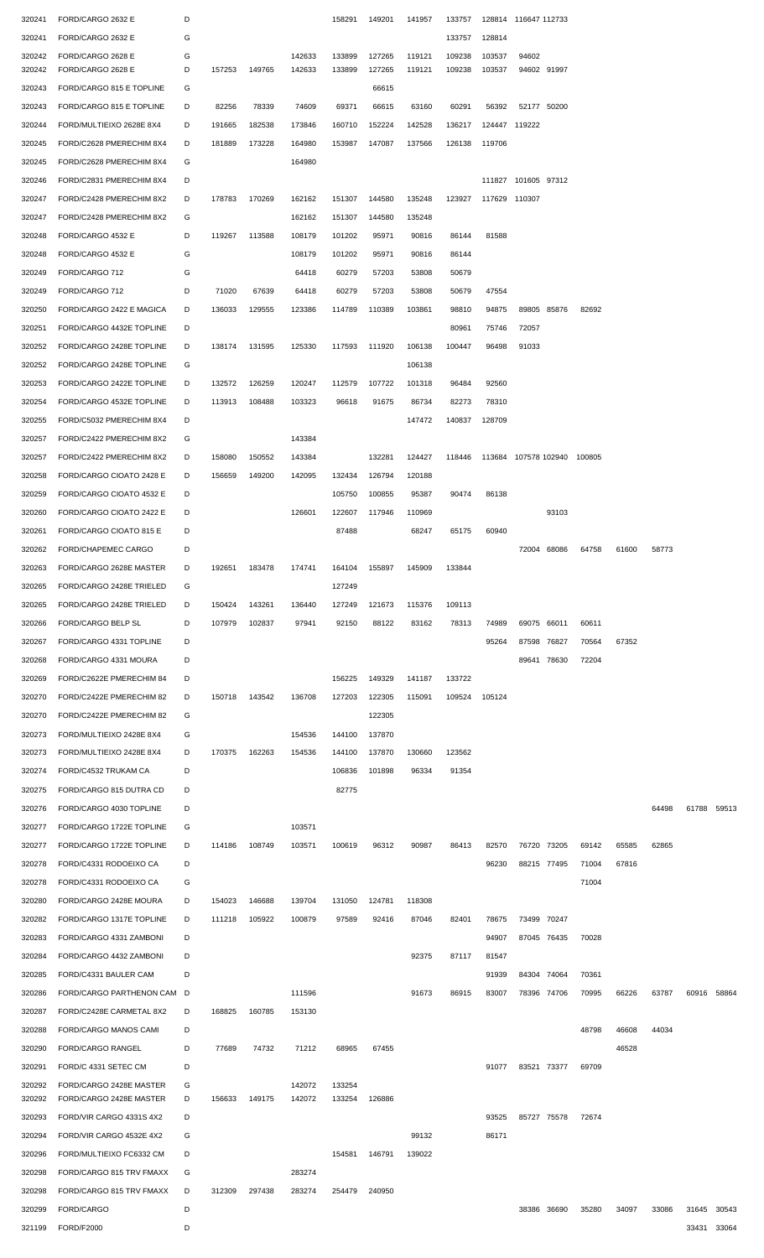| 320241           | FORD/CARGO 2632 E                      | D      |        |               |                  | 158291           | 149201           | 141957           | 133757           |                             | 128814 116647 112733 |             |       |       |       |             |       |
|------------------|----------------------------------------|--------|--------|---------------|------------------|------------------|------------------|------------------|------------------|-----------------------------|----------------------|-------------|-------|-------|-------|-------------|-------|
| 320241           | FORD/CARGO 2632 E                      | G      |        |               |                  |                  |                  |                  | 133757           | 128814                      |                      |             |       |       |       |             |       |
|                  |                                        |        |        |               |                  |                  |                  |                  |                  |                             |                      |             |       |       |       |             |       |
| 320242<br>320242 | FORD/CARGO 2628 E<br>FORD/CARGO 2628 E | G<br>D | 157253 | 149765        | 142633<br>142633 | 133899<br>133899 | 127265<br>127265 | 119121<br>119121 | 109238<br>109238 | 103537<br>103537            | 94602<br>94602 91997 |             |       |       |       |             |       |
|                  |                                        |        |        |               |                  |                  |                  |                  |                  |                             |                      |             |       |       |       |             |       |
| 320243           | FORD/CARGO 815 E TOPLINE               | G      |        |               |                  |                  | 66615            |                  |                  |                             |                      |             |       |       |       |             |       |
| 320243           | FORD/CARGO 815 E TOPLINE               | D      | 82256  | 78339         | 74609            | 69371            | 66615            | 63160            | 60291            | 56392                       | 52177 50200          |             |       |       |       |             |       |
| 320244           | FORD/MULTIEIXO 2628E 8X4               | D      | 191665 | 182538        | 173846           | 160710           | 152224           | 142528           | 136217           |                             | 124447 119222        |             |       |       |       |             |       |
| 320245           | FORD/C2628 PMERECHIM 8X4               | D      | 181889 | 173228        | 164980           | 153987           | 147087           | 137566           | 126138           | 119706                      |                      |             |       |       |       |             |       |
| 320245           | FORD/C2628 PMERECHIM 8X4               | G      |        |               | 164980           |                  |                  |                  |                  |                             |                      |             |       |       |       |             |       |
| 320246           | FORD/C2831 PMERECHIM 8X4               | D      |        |               |                  |                  |                  |                  |                  |                             | 111827 101605 97312  |             |       |       |       |             |       |
| 320247           | FORD/C2428 PMERECHIM 8X2               | D      | 178783 | 170269        | 162162           | 151307           | 144580           | 135248           | 123927           | 117629 110307               |                      |             |       |       |       |             |       |
| 320247           | FORD/C2428 PMERECHIM 8X2               | G      |        |               | 162162           | 151307           | 144580           | 135248           |                  |                             |                      |             |       |       |       |             |       |
|                  |                                        |        |        |               |                  |                  |                  |                  |                  |                             |                      |             |       |       |       |             |       |
| 320248           | FORD/CARGO 4532 E                      | D      | 119267 | 113588        | 108179           | 101202           | 95971            | 90816            | 86144            | 81588                       |                      |             |       |       |       |             |       |
| 320248           | FORD/CARGO 4532 E                      | G      |        |               | 108179           | 101202           | 95971            | 90816            | 86144            |                             |                      |             |       |       |       |             |       |
| 320249           | FORD/CARGO 712                         | G      |        |               | 64418            | 60279            | 57203            | 53808            | 50679            |                             |                      |             |       |       |       |             |       |
| 320249           | FORD/CARGO 712                         | D      | 71020  | 67639         | 64418            | 60279            | 57203            | 53808            | 50679            | 47554                       |                      |             |       |       |       |             |       |
| 320250           | FORD/CARGO 2422 E MAGICA               | D      | 136033 | 129555        | 123386           | 114789           | 110389           | 103861           | 98810            | 94875                       |                      | 89805 85876 | 82692 |       |       |             |       |
| 320251           | FORD/CARGO 4432E TOPLINE               | D      |        |               |                  |                  |                  |                  | 80961            | 75746                       | 72057                |             |       |       |       |             |       |
| 320252           | FORD/CARGO 2428E TOPLINE               | D      | 138174 | 131595        | 125330           | 117593           | 111920           | 106138           | 100447           | 96498                       | 91033                |             |       |       |       |             |       |
| 320252           | FORD/CARGO 2428E TOPLINE               | G      |        |               |                  |                  |                  | 106138           |                  |                             |                      |             |       |       |       |             |       |
|                  |                                        |        |        |               |                  |                  |                  |                  |                  |                             |                      |             |       |       |       |             |       |
| 320253           | FORD/CARGO 2422E TOPLINE               | D      | 132572 | 126259        | 120247           | 112579           | 107722           | 101318           | 96484            | 92560                       |                      |             |       |       |       |             |       |
| 320254           | FORD/CARGO 4532E TOPLINE               | D      | 113913 | 108488        | 103323           | 96618            | 91675            | 86734            | 82273            | 78310                       |                      |             |       |       |       |             |       |
| 320255           | FORD/C5032 PMERECHIM 8X4               | D      |        |               |                  |                  |                  | 147472           | 140837           | 128709                      |                      |             |       |       |       |             |       |
| 320257           | FORD/C2422 PMERECHIM 8X2               | G      |        |               | 143384           |                  |                  |                  |                  |                             |                      |             |       |       |       |             |       |
| 320257           | FORD/C2422 PMERECHIM 8X2               | D      | 158080 | 150552        | 143384           |                  | 132281           | 124427           | 118446           | 113684 107578 102940 100805 |                      |             |       |       |       |             |       |
| 320258           | FORD/CARGO CIOATO 2428 E               | D      | 156659 | 149200        | 142095           | 132434           | 126794           | 120188           |                  |                             |                      |             |       |       |       |             |       |
| 320259           | FORD/CARGO CIOATO 4532 E               | D      |        |               |                  | 105750           | 100855           | 95387            | 90474            | 86138                       |                      |             |       |       |       |             |       |
|                  |                                        |        |        |               |                  |                  | 117946           |                  |                  |                             |                      |             |       |       |       |             |       |
| 320260           | FORD/CARGO CIOATO 2422 E               | D      |        |               | 126601           | 122607           |                  | 110969           |                  |                             |                      | 93103       |       |       |       |             |       |
| 320261           | FORD/CARGO CIOATO 815 E                | D      |        |               |                  | 87488            |                  | 68247            | 65175            | 60940                       |                      |             |       |       |       |             |       |
| 320262           | FORD/CHAPEMEC CARGO                    | D      |        |               |                  |                  |                  |                  |                  |                             |                      | 72004 68086 | 64758 | 61600 | 58773 |             |       |
| 320263           | FORD/CARGO 2628E MASTER                | D      |        | 192651 183478 | 174741           | 164104           | 155897           | 145909           | 133844           |                             |                      |             |       |       |       |             |       |
| 320265           | FORD/CARGO 2428E TRIELED               | G      |        |               |                  | 127249           |                  |                  |                  |                             |                      |             |       |       |       |             |       |
| 320265           | FORD/CARGO 2428E TRIELED               | D      | 150424 | 143261        | 136440           | 127249           | 121673           | 115376           | 109113           |                             |                      |             |       |       |       |             |       |
| 320266           | FORD/CARGO BELP SL                     | D      | 107979 | 102837        | 97941            | 92150            | 88122            | 83162            | 78313            | 74989                       | 69075 66011          |             | 60611 |       |       |             |       |
| 320267           | FORD/CARGO 4331 TOPLINE                | D      |        |               |                  |                  |                  |                  |                  | 95264                       | 87598 76827          |             | 70564 | 67352 |       |             |       |
|                  |                                        |        |        |               |                  |                  |                  |                  |                  |                             |                      |             |       |       |       |             |       |
| 320268           | FORD/CARGO 4331 MOURA                  | D      |        |               |                  |                  |                  |                  |                  |                             | 89641                | 78630       | 72204 |       |       |             |       |
| 320269           | FORD/C2622E PMERECHIM 84               | D      |        |               |                  | 156225           | 149329           | 141187           | 133722           |                             |                      |             |       |       |       |             |       |
| 320270           | FORD/C2422E PMERECHIM 82               | D      | 150718 | 143542        | 136708           | 127203           | 122305           | 115091           | 109524           | 105124                      |                      |             |       |       |       |             |       |
| 320270           | FORD/C2422E PMERECHIM 82               | G      |        |               |                  |                  | 122305           |                  |                  |                             |                      |             |       |       |       |             |       |
| 320273           | FORD/MULTIEIXO 2428E 8X4               | G      |        |               | 154536           | 144100           | 137870           |                  |                  |                             |                      |             |       |       |       |             |       |
| 320273           | FORD/MULTIEIXO 2428E 8X4               | D      | 170375 | 162263        | 154536           | 144100           | 137870           | 130660           | 123562           |                             |                      |             |       |       |       |             |       |
| 320274           | FORD/C4532 TRUKAM CA                   | D      |        |               |                  | 106836           | 101898           | 96334            | 91354            |                             |                      |             |       |       |       |             |       |
| 320275           | FORD/CARGO 815 DUTRA CD                | D      |        |               |                  | 82775            |                  |                  |                  |                             |                      |             |       |       |       |             |       |
|                  |                                        |        |        |               |                  |                  |                  |                  |                  |                             |                      |             |       |       |       |             |       |
| 320276           | FORD/CARGO 4030 TOPLINE                | D      |        |               |                  |                  |                  |                  |                  |                             |                      |             |       |       | 64498 | 61788       | 59513 |
| 320277           | FORD/CARGO 1722E TOPLINE               | G      |        |               | 103571           |                  |                  |                  |                  |                             |                      |             |       |       |       |             |       |
| 320277           | FORD/CARGO 1722E TOPLINE               | D      | 114186 | 108749        | 103571           | 100619           | 96312            | 90987            | 86413            | 82570                       | 76720 73205          |             | 69142 | 65585 | 62865 |             |       |
| 320278           | FORD/C4331 RODOEIXO CA                 | D      |        |               |                  |                  |                  |                  |                  | 96230                       | 88215 77495          |             | 71004 | 67816 |       |             |       |
| 320278           | FORD/C4331 RODOEIXO CA                 | G      |        |               |                  |                  |                  |                  |                  |                             |                      |             | 71004 |       |       |             |       |
| 320280           | FORD/CARGO 2428E MOURA                 | D      | 154023 | 146688        | 139704           | 131050           | 124781           | 118308           |                  |                             |                      |             |       |       |       |             |       |
| 320282           | FORD/CARGO 1317E TOPLINE               | D      | 111218 | 105922        | 100879           | 97589            | 92416            | 87046            | 82401            | 78675                       | 73499 70247          |             |       |       |       |             |       |
| 320283           | FORD/CARGO 4331 ZAMBONI                | D      |        |               |                  |                  |                  |                  |                  | 94907                       |                      | 87045 76435 | 70028 |       |       |             |       |
|                  |                                        |        |        |               |                  |                  |                  |                  |                  |                             |                      |             |       |       |       |             |       |
| 320284           | FORD/CARGO 4432 ZAMBONI                | D      |        |               |                  |                  |                  | 92375            | 87117            | 81547                       |                      |             |       |       |       |             |       |
| 320285           | FORD/C4331 BAULER CAM                  | D      |        |               |                  |                  |                  |                  |                  | 91939                       | 84304 74064          |             | 70361 |       |       |             |       |
| 320286           | FORD/CARGO PARTHENON CAM D             |        |        |               | 111596           |                  |                  | 91673            | 86915            | 83007                       | 78396 74706          |             | 70995 | 66226 | 63787 | 60916       | 58864 |
| 320287           | FORD/C2428E CARMETAL 8X2               | D      | 168825 | 160785        | 153130           |                  |                  |                  |                  |                             |                      |             |       |       |       |             |       |
| 320288           | FORD/CARGO MANOS CAMI                  | D      |        |               |                  |                  |                  |                  |                  |                             |                      |             | 48798 | 46608 | 44034 |             |       |
| 320290           | FORD/CARGO RANGEL                      | D      | 77689  | 74732         | 71212            | 68965            | 67455            |                  |                  |                             |                      |             |       | 46528 |       |             |       |
| 320291           | FORD/C 4331 SETEC CM                   | D      |        |               |                  |                  |                  |                  |                  | 91077                       | 83521 73377          |             | 69709 |       |       |             |       |
| 320292           | FORD/CARGO 2428E MASTER                | G      |        |               | 142072           | 133254           |                  |                  |                  |                             |                      |             |       |       |       |             |       |
| 320292           | FORD/CARGO 2428E MASTER                | D      | 156633 | 149175        | 142072           | 133254           | 126886           |                  |                  |                             |                      |             |       |       |       |             |       |
| 320293           | FORD/VIR CARGO 4331S 4X2               | D      |        |               |                  |                  |                  |                  |                  | 93525                       |                      | 85727 75578 | 72674 |       |       |             |       |
|                  |                                        | G      |        |               |                  |                  |                  | 99132            |                  |                             |                      |             |       |       |       |             |       |
| 320294           | FORD/VIR CARGO 4532E 4X2               |        |        |               |                  |                  |                  |                  |                  | 86171                       |                      |             |       |       |       |             |       |
| 320296           | FORD/MULTIEIXO FC6332 CM               | D      |        |               |                  | 154581           | 146791           | 139022           |                  |                             |                      |             |       |       |       |             |       |
| 320298           | FORD/CARGO 815 TRV FMAXX               | G      |        |               | 283274           |                  |                  |                  |                  |                             |                      |             |       |       |       |             |       |
| 320298           | FORD/CARGO 815 TRV FMAXX               | D      | 312309 | 297438        | 283274           | 254479           | 240950           |                  |                  |                             |                      |             |       |       |       |             |       |
| 320299           | FORD/CARGO                             | D      |        |               |                  |                  |                  |                  |                  |                             |                      | 38386 36690 | 35280 | 34097 | 33086 | 31645 30543 |       |
| 321199           | <b>FORD/F2000</b>                      | D      |        |               |                  |                  |                  |                  |                  |                             |                      |             |       |       |       | 33431 33064 |       |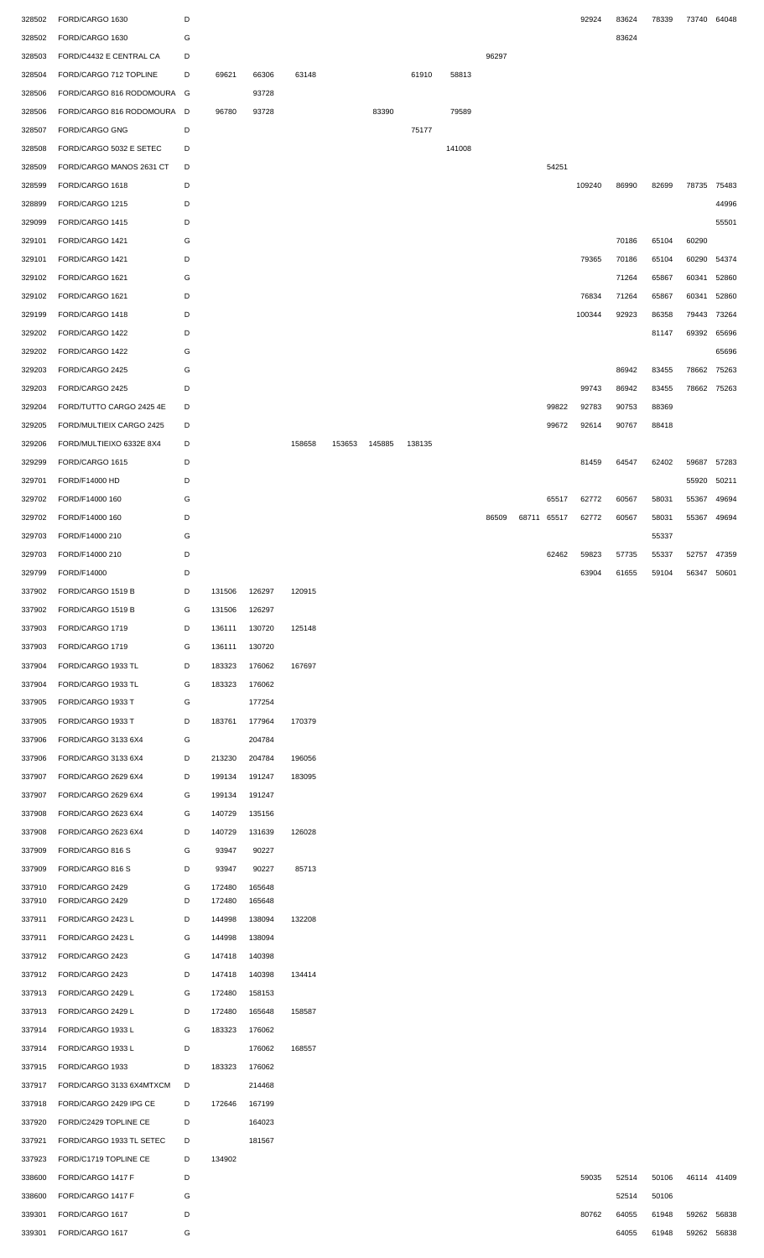| 328502           | FORD/CARGO 1630                    | D      |                  |                  |        |        |        |        |        |       |       |       | 92924  | 83624 | 78339 | 73740       | 64048 |
|------------------|------------------------------------|--------|------------------|------------------|--------|--------|--------|--------|--------|-------|-------|-------|--------|-------|-------|-------------|-------|
| 328502           | FORD/CARGO 1630                    | G      |                  |                  |        |        |        |        |        |       |       |       |        | 83624 |       |             |       |
| 328503           | FORD/C4432 E CENTRAL CA            | D      |                  |                  |        |        |        |        |        | 96297 |       |       |        |       |       |             |       |
|                  |                                    |        |                  |                  |        |        |        |        |        |       |       |       |        |       |       |             |       |
| 328504           | FORD/CARGO 712 TOPLINE             | D      | 69621            | 66306            | 63148  |        |        | 61910  | 58813  |       |       |       |        |       |       |             |       |
| 328506           | FORD/CARGO 816 RODOMOURA G         |        |                  | 93728            |        |        |        |        |        |       |       |       |        |       |       |             |       |
| 328506           | FORD/CARGO 816 RODOMOURA D         |        | 96780            | 93728            |        |        | 83390  |        | 79589  |       |       |       |        |       |       |             |       |
| 328507           | FORD/CARGO GNG                     | D      |                  |                  |        |        |        | 75177  |        |       |       |       |        |       |       |             |       |
|                  |                                    |        |                  |                  |        |        |        |        |        |       |       |       |        |       |       |             |       |
| 328508           | FORD/CARGO 5032 E SETEC            | D      |                  |                  |        |        |        |        | 141008 |       |       |       |        |       |       |             |       |
| 328509           | FORD/CARGO MANOS 2631 CT           | D      |                  |                  |        |        |        |        |        |       |       | 54251 |        |       |       |             |       |
| 328599           | FORD/CARGO 1618                    | D      |                  |                  |        |        |        |        |        |       |       |       | 109240 | 86990 | 82699 | 78735       | 75483 |
| 328899           | FORD/CARGO 1215                    | D      |                  |                  |        |        |        |        |        |       |       |       |        |       |       |             | 44996 |
|                  |                                    |        |                  |                  |        |        |        |        |        |       |       |       |        |       |       |             |       |
| 329099           | FORD/CARGO 1415                    | D      |                  |                  |        |        |        |        |        |       |       |       |        |       |       |             | 55501 |
| 329101           | FORD/CARGO 1421                    | G      |                  |                  |        |        |        |        |        |       |       |       |        | 70186 | 65104 | 60290       |       |
| 329101           | FORD/CARGO 1421                    | D      |                  |                  |        |        |        |        |        |       |       |       | 79365  | 70186 | 65104 | 60290       | 54374 |
| 329102           | FORD/CARGO 1621                    | G      |                  |                  |        |        |        |        |        |       |       |       |        | 71264 | 65867 | 60341       | 52860 |
|                  |                                    |        |                  |                  |        |        |        |        |        |       |       |       |        |       |       |             |       |
| 329102           | FORD/CARGO 1621                    | D      |                  |                  |        |        |        |        |        |       |       |       | 76834  | 71264 | 65867 | 60341       | 52860 |
| 329199           | FORD/CARGO 1418                    | D      |                  |                  |        |        |        |        |        |       |       |       | 100344 | 92923 | 86358 | 79443       | 73264 |
| 329202           | FORD/CARGO 1422                    | D      |                  |                  |        |        |        |        |        |       |       |       |        |       | 81147 | 69392       | 65696 |
| 329202           | FORD/CARGO 1422                    | G      |                  |                  |        |        |        |        |        |       |       |       |        |       |       |             | 65696 |
|                  |                                    |        |                  |                  |        |        |        |        |        |       |       |       |        |       |       |             |       |
| 329203           | FORD/CARGO 2425                    | G      |                  |                  |        |        |        |        |        |       |       |       |        | 86942 | 83455 | 78662       | 75263 |
| 329203           | FORD/CARGO 2425                    | D      |                  |                  |        |        |        |        |        |       |       |       | 99743  | 86942 | 83455 | 78662       | 75263 |
| 329204           | FORD/TUTTO CARGO 2425 4E           | D      |                  |                  |        |        |        |        |        |       |       | 99822 | 92783  | 90753 | 88369 |             |       |
| 329205           | FORD/MULTIEIX CARGO 2425           | D      |                  |                  |        |        |        |        |        |       |       | 99672 | 92614  | 90767 | 88418 |             |       |
|                  |                                    |        |                  |                  |        |        |        |        |        |       |       |       |        |       |       |             |       |
| 329206           | FORD/MULTIEIXO 6332E 8X4           | D      |                  |                  | 158658 | 153653 | 145885 | 138135 |        |       |       |       |        |       |       |             |       |
| 329299           | FORD/CARGO 1615                    | D      |                  |                  |        |        |        |        |        |       |       |       | 81459  | 64547 | 62402 | 59687       | 57283 |
| 329701           | FORD/F14000 HD                     | D      |                  |                  |        |        |        |        |        |       |       |       |        |       |       | 55920       | 50211 |
| 329702           | FORD/F14000 160                    | G      |                  |                  |        |        |        |        |        |       |       | 65517 | 62772  | 60567 | 58031 | 55367       | 49694 |
|                  |                                    |        |                  |                  |        |        |        |        |        |       |       |       |        |       |       |             |       |
| 329702           | FORD/F14000 160                    | D      |                  |                  |        |        |        |        |        | 86509 | 68711 | 65517 | 62772  | 60567 | 58031 | 55367       | 49694 |
| 329703           | FORD/F14000 210                    | G      |                  |                  |        |        |        |        |        |       |       |       |        |       | 55337 |             |       |
| 329703           | FORD/F14000 210                    | D      |                  |                  |        |        |        |        |        |       |       | 62462 | 59823  | 57735 | 55337 | 52757       | 47359 |
| 329799           | FORD/F14000                        | D      |                  |                  |        |        |        |        |        |       |       |       | 63904  | 61655 | 59104 | 56347       | 50601 |
|                  |                                    |        |                  |                  |        |        |        |        |        |       |       |       |        |       |       |             |       |
| 337902           | FORD/CARGO 1519 B                  | D      | 131506           | 126297           | 120915 |        |        |        |        |       |       |       |        |       |       |             |       |
| 337902           | FORD/CARGO 1519 B                  | G      | 131506           | 126297           |        |        |        |        |        |       |       |       |        |       |       |             |       |
| 337903           | FORD/CARGO 1719                    | D      | 136111           | 130720           | 125148 |        |        |        |        |       |       |       |        |       |       |             |       |
| 337903           | FORD/CARGO 1719                    | G      | 136111           | 130720           |        |        |        |        |        |       |       |       |        |       |       |             |       |
|                  |                                    |        |                  |                  |        |        |        |        |        |       |       |       |        |       |       |             |       |
| 337904           | FORD/CARGO 1933 TL                 | D      | 183323           | 176062           | 167697 |        |        |        |        |       |       |       |        |       |       |             |       |
| 337904           | FORD/CARGO 1933 TL                 | G      | 183323           | 176062           |        |        |        |        |        |       |       |       |        |       |       |             |       |
| 337905           | FORD/CARGO 1933 T                  | G      |                  | 177254           |        |        |        |        |        |       |       |       |        |       |       |             |       |
| 337905           | FORD/CARGO 1933 T                  | D      | 183761           | 177964           | 170379 |        |        |        |        |       |       |       |        |       |       |             |       |
|                  |                                    |        |                  |                  |        |        |        |        |        |       |       |       |        |       |       |             |       |
| 337906           | FORD/CARGO 3133 6X4                | G      |                  | 204784           |        |        |        |        |        |       |       |       |        |       |       |             |       |
| 337906           | FORD/CARGO 3133 6X4                | D      | 213230           | 204784           | 196056 |        |        |        |        |       |       |       |        |       |       |             |       |
| 337907           | FORD/CARGO 2629 6X4                | D      | 199134           | 191247           | 183095 |        |        |        |        |       |       |       |        |       |       |             |       |
| 337907           | FORD/CARGO 2629 6X4                | G      | 199134           | 191247           |        |        |        |        |        |       |       |       |        |       |       |             |       |
|                  |                                    |        |                  |                  |        |        |        |        |        |       |       |       |        |       |       |             |       |
| 337908           | FORD/CARGO 2623 6X4                | G      | 140729           | 135156           |        |        |        |        |        |       |       |       |        |       |       |             |       |
| 337908           | FORD/CARGO 2623 6X4                | D      | 140729           | 131639           | 126028 |        |        |        |        |       |       |       |        |       |       |             |       |
| 337909           | FORD/CARGO 816 S                   | G      | 93947            | 90227            |        |        |        |        |        |       |       |       |        |       |       |             |       |
| 337909           | FORD/CARGO 816 S                   | D      | 93947            | 90227            | 85713  |        |        |        |        |       |       |       |        |       |       |             |       |
|                  |                                    |        |                  |                  |        |        |        |        |        |       |       |       |        |       |       |             |       |
| 337910<br>337910 | FORD/CARGO 2429<br>FORD/CARGO 2429 | G<br>D | 172480<br>172480 | 165648<br>165648 |        |        |        |        |        |       |       |       |        |       |       |             |       |
|                  |                                    |        |                  |                  |        |        |        |        |        |       |       |       |        |       |       |             |       |
| 337911           | FORD/CARGO 2423 L                  | D      | 144998           | 138094           | 132208 |        |        |        |        |       |       |       |        |       |       |             |       |
| 337911           | FORD/CARGO 2423 L                  | G      | 144998           | 138094           |        |        |        |        |        |       |       |       |        |       |       |             |       |
| 337912           | FORD/CARGO 2423                    | G      | 147418           | 140398           |        |        |        |        |        |       |       |       |        |       |       |             |       |
| 337912           | FORD/CARGO 2423                    | D      | 147418           | 140398           | 134414 |        |        |        |        |       |       |       |        |       |       |             |       |
|                  |                                    |        |                  |                  |        |        |        |        |        |       |       |       |        |       |       |             |       |
| 337913           | FORD/CARGO 2429 L                  | G      | 172480           | 158153           |        |        |        |        |        |       |       |       |        |       |       |             |       |
| 337913           | FORD/CARGO 2429 L                  | D      | 172480           | 165648           | 158587 |        |        |        |        |       |       |       |        |       |       |             |       |
| 337914           | FORD/CARGO 1933 L                  | G      | 183323           | 176062           |        |        |        |        |        |       |       |       |        |       |       |             |       |
|                  |                                    | D      |                  |                  |        |        |        |        |        |       |       |       |        |       |       |             |       |
| 337914           | FORD/CARGO 1933 L                  |        |                  | 176062           | 168557 |        |        |        |        |       |       |       |        |       |       |             |       |
| 337915           | FORD/CARGO 1933                    | D      | 183323           | 176062           |        |        |        |        |        |       |       |       |        |       |       |             |       |
| 337917           | FORD/CARGO 3133 6X4MTXCM           | D      |                  | 214468           |        |        |        |        |        |       |       |       |        |       |       |             |       |
| 337918           | FORD/CARGO 2429 IPG CE             | D      | 172646           | 167199           |        |        |        |        |        |       |       |       |        |       |       |             |       |
|                  |                                    |        |                  |                  |        |        |        |        |        |       |       |       |        |       |       |             |       |
| 337920           | FORD/C2429 TOPLINE CE              | D      |                  | 164023           |        |        |        |        |        |       |       |       |        |       |       |             |       |
| 337921           | FORD/CARGO 1933 TL SETEC           | D      |                  | 181567           |        |        |        |        |        |       |       |       |        |       |       |             |       |
| 337923           | FORD/C1719 TOPLINE CE              | D      | 134902           |                  |        |        |        |        |        |       |       |       |        |       |       |             |       |
| 338600           | FORD/CARGO 1417 F                  | D      |                  |                  |        |        |        |        |        |       |       |       | 59035  | 52514 | 50106 | 46114 41409 |       |
| 338600           | FORD/CARGO 1417 F                  | G      |                  |                  |        |        |        |        |        |       |       |       |        | 52514 | 50106 |             |       |
|                  |                                    |        |                  |                  |        |        |        |        |        |       |       |       |        |       |       |             |       |
| 339301           | FORD/CARGO 1617                    | D      |                  |                  |        |        |        |        |        |       |       |       | 80762  | 64055 | 61948 | 59262       | 56838 |
| 339301           | FORD/CARGO 1617                    | G      |                  |                  |        |        |        |        |        |       |       |       |        | 64055 | 61948 | 59262 56838 |       |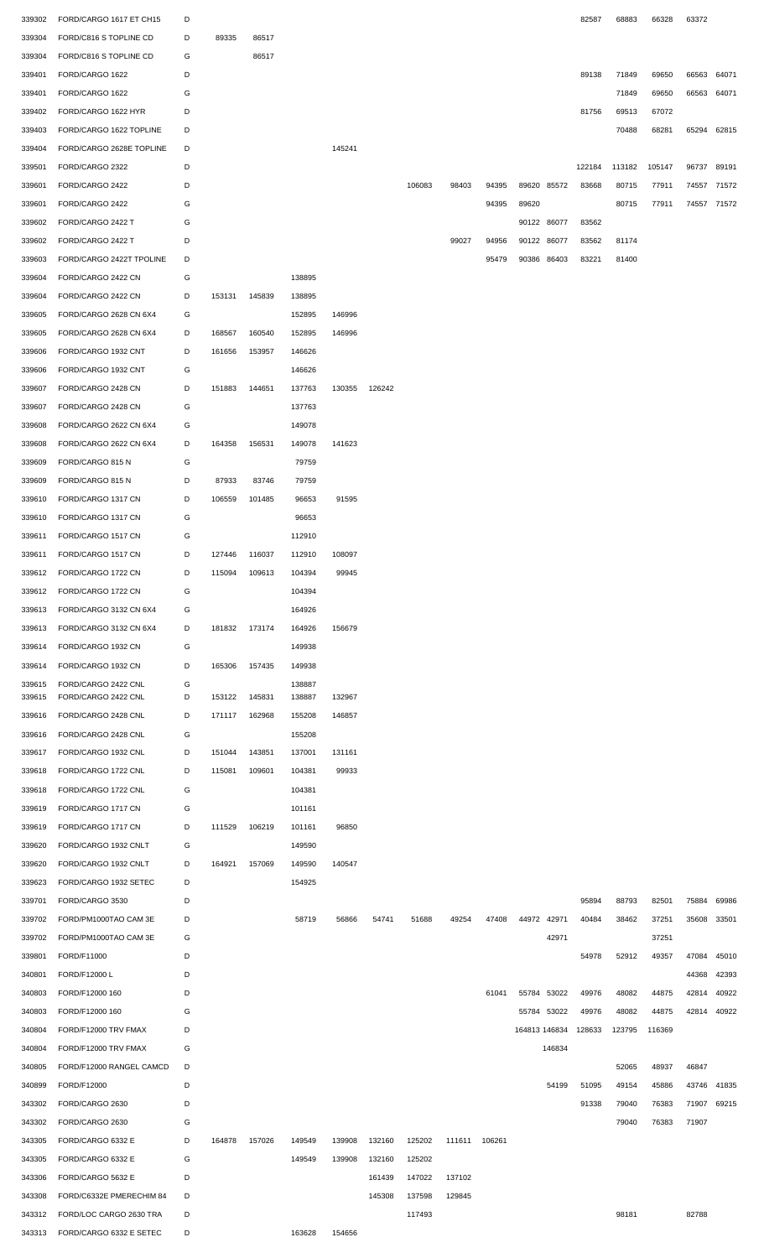| 339302 | FORD/CARGO 1617 ET CH15   | D |        |               |        |        |        |        |               |       |       |               | 82587  | 68883  | 66328  | 63372       |       |
|--------|---------------------------|---|--------|---------------|--------|--------|--------|--------|---------------|-------|-------|---------------|--------|--------|--------|-------------|-------|
| 339304 | FORD/C816 S TOPLINE CD    | D | 89335  | 86517         |        |        |        |        |               |       |       |               |        |        |        |             |       |
| 339304 | FORD/C816 S TOPLINE CD    | G |        | 86517         |        |        |        |        |               |       |       |               |        |        |        |             |       |
|        |                           |   |        |               |        |        |        |        |               |       |       |               |        |        |        |             |       |
| 339401 | FORD/CARGO 1622           | D |        |               |        |        |        |        |               |       |       |               | 89138  | 71849  | 69650  | 66563       | 64071 |
| 339401 | FORD/CARGO 1622           | G |        |               |        |        |        |        |               |       |       |               |        | 71849  | 69650  | 66563 64071 |       |
| 339402 | FORD/CARGO 1622 HYR       | D |        |               |        |        |        |        |               |       |       |               | 81756  | 69513  | 67072  |             |       |
| 339403 | FORD/CARGO 1622 TOPLINE   | D |        |               |        |        |        |        |               |       |       |               |        | 70488  | 68281  | 65294 62815 |       |
| 339404 | FORD/CARGO 2628E TOPLINE  | D |        |               |        | 145241 |        |        |               |       |       |               |        |        |        |             |       |
| 339501 | FORD/CARGO 2322           | D |        |               |        |        |        |        |               |       |       |               | 122184 | 113182 | 105147 | 96737       | 89191 |
| 339601 | FORD/CARGO 2422           | D |        |               |        |        |        | 106083 | 98403         | 94395 |       | 89620 85572   | 83668  | 80715  | 77911  | 74557       | 71572 |
|        |                           |   |        |               |        |        |        |        |               |       |       |               |        |        |        |             |       |
| 339601 | FORD/CARGO 2422           | G |        |               |        |        |        |        |               | 94395 | 89620 |               |        | 80715  | 77911  | 74557 71572 |       |
| 339602 | FORD/CARGO 2422 T         | G |        |               |        |        |        |        |               |       |       | 90122 86077   | 83562  |        |        |             |       |
| 339602 | FORD/CARGO 2422 T         | D |        |               |        |        |        |        | 99027         | 94956 |       | 90122 86077   | 83562  | 81174  |        |             |       |
| 339603 | FORD/CARGO 2422T TPOLINE  | D |        |               |        |        |        |        |               | 95479 |       | 90386 86403   | 83221  | 81400  |        |             |       |
| 339604 | FORD/CARGO 2422 CN        | G |        |               | 138895 |        |        |        |               |       |       |               |        |        |        |             |       |
| 339604 | FORD/CARGO 2422 CN        | D | 153131 | 145839        | 138895 |        |        |        |               |       |       |               |        |        |        |             |       |
|        |                           |   |        |               |        | 146996 |        |        |               |       |       |               |        |        |        |             |       |
| 339605 | FORD/CARGO 2628 CN 6X4    | G |        |               | 152895 |        |        |        |               |       |       |               |        |        |        |             |       |
| 339605 | FORD/CARGO 2628 CN 6X4    | D | 168567 | 160540        | 152895 | 146996 |        |        |               |       |       |               |        |        |        |             |       |
| 339606 | FORD/CARGO 1932 CNT       | D | 161656 | 153957        | 146626 |        |        |        |               |       |       |               |        |        |        |             |       |
| 339606 | FORD/CARGO 1932 CNT       | G |        |               | 146626 |        |        |        |               |       |       |               |        |        |        |             |       |
| 339607 | FORD/CARGO 2428 CN        | D | 151883 | 144651        | 137763 | 130355 | 126242 |        |               |       |       |               |        |        |        |             |       |
| 339607 | FORD/CARGO 2428 CN        | G |        |               | 137763 |        |        |        |               |       |       |               |        |        |        |             |       |
|        |                           |   |        |               |        |        |        |        |               |       |       |               |        |        |        |             |       |
| 339608 | FORD/CARGO 2622 CN 6X4    | G |        |               | 149078 |        |        |        |               |       |       |               |        |        |        |             |       |
| 339608 | FORD/CARGO 2622 CN 6X4    | D | 164358 | 156531        | 149078 | 141623 |        |        |               |       |       |               |        |        |        |             |       |
| 339609 | FORD/CARGO 815 N          | G |        |               | 79759  |        |        |        |               |       |       |               |        |        |        |             |       |
| 339609 | FORD/CARGO 815 N          | D | 87933  | 83746         | 79759  |        |        |        |               |       |       |               |        |        |        |             |       |
| 339610 | FORD/CARGO 1317 CN        | D | 106559 | 101485        | 96653  | 91595  |        |        |               |       |       |               |        |        |        |             |       |
| 339610 | FORD/CARGO 1317 CN        | G |        |               | 96653  |        |        |        |               |       |       |               |        |        |        |             |       |
|        |                           |   |        |               |        |        |        |        |               |       |       |               |        |        |        |             |       |
| 339611 | FORD/CARGO 1517 CN        | G |        |               | 112910 |        |        |        |               |       |       |               |        |        |        |             |       |
| 339611 | FORD/CARGO 1517 CN        | D | 127446 | 116037        | 112910 | 108097 |        |        |               |       |       |               |        |        |        |             |       |
|        | 339612 FORD/CARGO 1722 CN | D |        | 115094 109613 | 104394 | 99945  |        |        |               |       |       |               |        |        |        |             |       |
| 339612 | FORD/CARGO 1722 CN        | G |        |               | 104394 |        |        |        |               |       |       |               |        |        |        |             |       |
| 339613 | FORD/CARGO 3132 CN 6X4    | G |        |               | 164926 |        |        |        |               |       |       |               |        |        |        |             |       |
| 339613 | FORD/CARGO 3132 CN 6X4    | D | 181832 | 173174        | 164926 | 156679 |        |        |               |       |       |               |        |        |        |             |       |
| 339614 | FORD/CARGO 1932 CN        | G |        |               | 149938 |        |        |        |               |       |       |               |        |        |        |             |       |
|        |                           |   |        |               |        |        |        |        |               |       |       |               |        |        |        |             |       |
| 339614 | FORD/CARGO 1932 CN        | D | 165306 | 157435        | 149938 |        |        |        |               |       |       |               |        |        |        |             |       |
| 339615 | FORD/CARGO 2422 CNL       | G |        |               | 138887 |        |        |        |               |       |       |               |        |        |        |             |       |
| 339615 | FORD/CARGO 2422 CNL       | D | 153122 | 145831        | 138887 | 132967 |        |        |               |       |       |               |        |        |        |             |       |
| 339616 | FORD/CARGO 2428 CNL       | D | 171117 | 162968        | 155208 | 146857 |        |        |               |       |       |               |        |        |        |             |       |
| 339616 | FORD/CARGO 2428 CNL       | G |        |               | 155208 |        |        |        |               |       |       |               |        |        |        |             |       |
| 339617 | FORD/CARGO 1932 CNL       | D | 151044 | 143851        | 137001 | 131161 |        |        |               |       |       |               |        |        |        |             |       |
| 339618 | FORD/CARGO 1722 CNL       | D | 115081 | 109601        | 104381 | 99933  |        |        |               |       |       |               |        |        |        |             |       |
|        |                           |   |        |               |        |        |        |        |               |       |       |               |        |        |        |             |       |
| 339618 | FORD/CARGO 1722 CNL       | G |        |               | 104381 |        |        |        |               |       |       |               |        |        |        |             |       |
| 339619 | FORD/CARGO 1717 CN        | G |        |               | 101161 |        |        |        |               |       |       |               |        |        |        |             |       |
| 339619 | FORD/CARGO 1717 CN        | D | 111529 | 106219        | 101161 | 96850  |        |        |               |       |       |               |        |        |        |             |       |
| 339620 | FORD/CARGO 1932 CNLT      | G |        |               | 149590 |        |        |        |               |       |       |               |        |        |        |             |       |
| 339620 | FORD/CARGO 1932 CNLT      | D | 164921 | 157069        | 149590 | 140547 |        |        |               |       |       |               |        |        |        |             |       |
| 339623 | FORD/CARGO 1932 SETEC     | D |        |               | 154925 |        |        |        |               |       |       |               |        |        |        |             |       |
|        |                           |   |        |               |        |        |        |        |               |       |       |               |        |        |        |             |       |
| 339701 | FORD/CARGO 3530           | D |        |               |        |        |        |        |               |       |       |               | 95894  | 88793  | 82501  | 75884       | 69986 |
| 339702 | FORD/PM1000TAO CAM 3E     | D |        |               | 58719  | 56866  | 54741  | 51688  | 49254         | 47408 |       | 44972 42971   | 40484  | 38462  | 37251  | 35608       | 33501 |
| 339702 | FORD/PM1000TAO CAM 3E     | G |        |               |        |        |        |        |               |       |       | 42971         |        |        | 37251  |             |       |
| 339801 | FORD/F11000               | D |        |               |        |        |        |        |               |       |       |               | 54978  | 52912  | 49357  | 47084       | 45010 |
| 340801 | FORD/F12000 L             | D |        |               |        |        |        |        |               |       |       |               |        |        |        | 44368       | 42393 |
| 340803 | FORD/F12000 160           | D |        |               |        |        |        |        |               | 61041 |       | 55784 53022   | 49976  | 48082  | 44875  | 42814       | 40922 |
|        |                           |   |        |               |        |        |        |        |               |       |       |               |        |        |        |             |       |
| 340803 | FORD/F12000 160           | G |        |               |        |        |        |        |               |       |       | 55784 53022   | 49976  | 48082  | 44875  | 42814       | 40922 |
| 340804 | FORD/F12000 TRV FMAX      | D |        |               |        |        |        |        |               |       |       | 164813 146834 | 128633 | 123795 | 116369 |             |       |
| 340804 | FORD/F12000 TRV FMAX      | G |        |               |        |        |        |        |               |       |       | 146834        |        |        |        |             |       |
| 340805 | FORD/F12000 RANGEL CAMCD  | D |        |               |        |        |        |        |               |       |       |               |        | 52065  | 48937  | 46847       |       |
| 340899 | FORD/F12000               | D |        |               |        |        |        |        |               |       |       | 54199         | 51095  | 49154  | 45886  | 43746       | 41835 |
| 343302 | FORD/CARGO 2630           | D |        |               |        |        |        |        |               |       |       |               | 91338  | 79040  | 76383  | 71907 69215 |       |
|        |                           |   |        |               |        |        |        |        |               |       |       |               |        |        |        |             |       |
| 343302 | FORD/CARGO 2630           | G |        |               |        |        |        |        |               |       |       |               |        | 79040  | 76383  | 71907       |       |
| 343305 | FORD/CARGO 6332 E         | D | 164878 | 157026        | 149549 | 139908 | 132160 | 125202 | 111611 106261 |       |       |               |        |        |        |             |       |
| 343305 | FORD/CARGO 6332 E         | G |        |               | 149549 | 139908 | 132160 | 125202 |               |       |       |               |        |        |        |             |       |
| 343306 | FORD/CARGO 5632 E         | D |        |               |        |        | 161439 | 147022 | 137102        |       |       |               |        |        |        |             |       |
| 343308 | FORD/C6332E PMERECHIM 84  | D |        |               |        |        | 145308 | 137598 | 129845        |       |       |               |        |        |        |             |       |
| 343312 | FORD/LOC CARGO 2630 TRA   | D |        |               |        |        |        | 117493 |               |       |       |               |        | 98181  |        | 82788       |       |
| 343313 | FORD/CARGO 6332 E SETEC   | D |        |               |        |        |        |        |               |       |       |               |        |        |        |             |       |
|        |                           |   |        |               | 163628 | 154656 |        |        |               |       |       |               |        |        |        |             |       |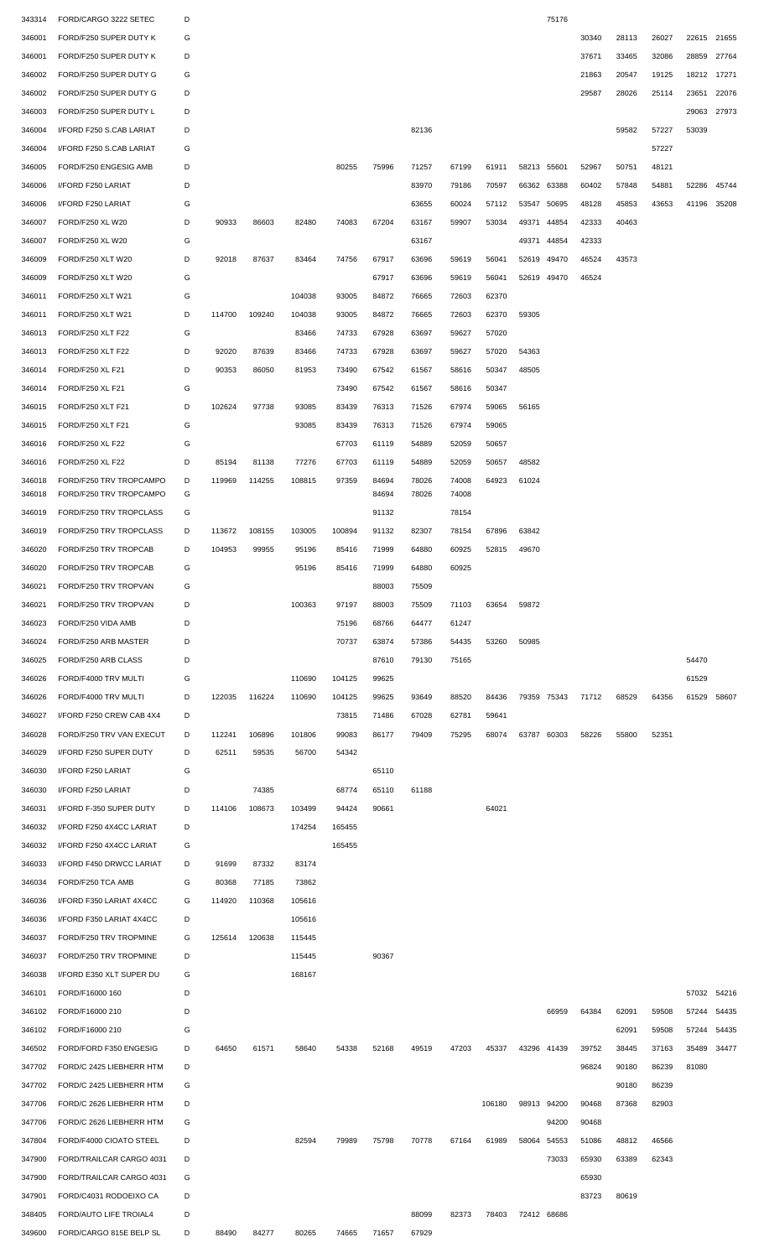| 343314 | FORD/CARGO 3222 SETEC    | D |        |        |        |        |       |       |       |        |             | 75176       |       |       |       |       |       |
|--------|--------------------------|---|--------|--------|--------|--------|-------|-------|-------|--------|-------------|-------------|-------|-------|-------|-------|-------|
| 346001 | FORD/F250 SUPER DUTY K   | G |        |        |        |        |       |       |       |        |             |             | 30340 | 28113 | 26027 | 22615 | 21655 |
| 346001 | FORD/F250 SUPER DUTY K   | D |        |        |        |        |       |       |       |        |             |             | 37671 | 33465 | 32086 | 28859 | 27764 |
| 346002 | FORD/F250 SUPER DUTY G   | G |        |        |        |        |       |       |       |        |             |             | 21863 | 20547 | 19125 | 18212 | 17271 |
| 346002 | FORD/F250 SUPER DUTY G   | D |        |        |        |        |       |       |       |        |             |             | 29587 | 28026 | 25114 | 23651 | 22076 |
|        |                          |   |        |        |        |        |       |       |       |        |             |             |       |       |       |       |       |
| 346003 | FORD/F250 SUPER DUTY L   | D |        |        |        |        |       |       |       |        |             |             |       |       |       | 29063 | 27973 |
| 346004 | I/FORD F250 S.CAB LARIAT | D |        |        |        |        |       | 82136 |       |        |             |             |       | 59582 | 57227 | 53039 |       |
| 346004 | I/FORD F250 S.CAB LARIAT | G |        |        |        |        |       |       |       |        |             |             |       |       | 57227 |       |       |
| 346005 | FORD/F250 ENGESIG AMB    | D |        |        |        | 80255  | 75996 | 71257 | 67199 | 61911  | 58213 55601 |             | 52967 | 50751 | 48121 |       |       |
| 346006 | I/FORD F250 LARIAT       | D |        |        |        |        |       | 83970 | 79186 | 70597  | 66362 63388 |             | 60402 | 57848 | 54881 | 52286 | 45744 |
| 346006 | I/FORD F250 LARIAT       | G |        |        |        |        |       | 63655 | 60024 | 57112  | 53547       | 50695       | 48128 | 45853 | 43653 | 41196 | 35208 |
| 346007 | FORD/F250 XL W20         | D | 90933  | 86603  | 82480  | 74083  | 67204 | 63167 | 59907 | 53034  | 49371       | 44854       | 42333 | 40463 |       |       |       |
| 346007 | FORD/F250 XL W20         | G |        |        |        |        |       | 63167 |       |        | 49371       | 44854       | 42333 |       |       |       |       |
|        |                          |   |        |        |        |        |       |       |       |        |             |             |       |       |       |       |       |
| 346009 | FORD/F250 XLT W20        | D | 92018  | 87637  | 83464  | 74756  | 67917 | 63696 | 59619 | 56041  | 52619       | 49470       | 46524 | 43573 |       |       |       |
| 346009 | FORD/F250 XLT W20        | G |        |        |        |        | 67917 | 63696 | 59619 | 56041  | 52619 49470 |             | 46524 |       |       |       |       |
| 346011 | FORD/F250 XLT W21        | G |        |        | 104038 | 93005  | 84872 | 76665 | 72603 | 62370  |             |             |       |       |       |       |       |
| 346011 | FORD/F250 XLT W21        | D | 114700 | 109240 | 104038 | 93005  | 84872 | 76665 | 72603 | 62370  | 59305       |             |       |       |       |       |       |
| 346013 | FORD/F250 XLT F22        | G |        |        | 83466  | 74733  | 67928 | 63697 | 59627 | 57020  |             |             |       |       |       |       |       |
| 346013 | FORD/F250 XLT F22        | D | 92020  | 87639  | 83466  | 74733  | 67928 | 63697 | 59627 | 57020  | 54363       |             |       |       |       |       |       |
| 346014 | FORD/F250 XL F21         | D | 90353  | 86050  | 81953  | 73490  | 67542 | 61567 | 58616 | 50347  | 48505       |             |       |       |       |       |       |
| 346014 | FORD/F250 XL F21         | G |        |        |        | 73490  | 67542 | 61567 | 58616 | 50347  |             |             |       |       |       |       |       |
|        |                          | D |        |        | 93085  | 83439  | 76313 |       |       |        |             |             |       |       |       |       |       |
| 346015 | FORD/F250 XLT F21        |   | 102624 | 97738  |        |        |       | 71526 | 67974 | 59065  | 56165       |             |       |       |       |       |       |
| 346015 | FORD/F250 XLT F21        | G |        |        | 93085  | 83439  | 76313 | 71526 | 67974 | 59065  |             |             |       |       |       |       |       |
| 346016 | FORD/F250 XL F22         | G |        |        |        | 67703  | 61119 | 54889 | 52059 | 50657  |             |             |       |       |       |       |       |
| 346016 | FORD/F250 XL F22         | D | 85194  | 81138  | 77276  | 67703  | 61119 | 54889 | 52059 | 50657  | 48582       |             |       |       |       |       |       |
| 346018 | FORD/F250 TRV TROPCAMPO  | D | 119969 | 114255 | 108815 | 97359  | 84694 | 78026 | 74008 | 64923  | 61024       |             |       |       |       |       |       |
| 346018 | FORD/F250 TRV TROPCAMPO  | G |        |        |        |        | 84694 | 78026 | 74008 |        |             |             |       |       |       |       |       |
| 346019 | FORD/F250 TRV TROPCLASS  | G |        |        |        |        | 91132 |       | 78154 |        |             |             |       |       |       |       |       |
| 346019 | FORD/F250 TRV TROPCLASS  | D | 113672 | 108155 | 103005 | 100894 | 91132 | 82307 | 78154 | 67896  | 63842       |             |       |       |       |       |       |
| 346020 | FORD/F250 TRV TROPCAB    | D | 104953 | 99955  | 95196  | 85416  | 71999 | 64880 | 60925 | 52815  | 49670       |             |       |       |       |       |       |
| 346020 | FORD/F250 TRV TROPCAB    | G |        |        | 95196  | 85416  | 71999 | 64880 | 60925 |        |             |             |       |       |       |       |       |
| 346021 | FORD/F250 TRV TROPVAN    | G |        |        |        |        | 88003 | 75509 |       |        |             |             |       |       |       |       |       |
|        |                          |   |        |        |        |        |       |       |       |        |             |             |       |       |       |       |       |
| 346021 | FORD/F250 TRV TROPVAN    | D |        |        | 100363 | 97197  | 88003 | 75509 | 71103 | 63654  | 59872       |             |       |       |       |       |       |
| 346023 | FORD/F250 VIDA AMB       | D |        |        |        | 75196  | 68766 | 64477 | 61247 |        |             |             |       |       |       |       |       |
| 346024 | FORD/F250 ARB MASTER     | D |        |        |        | 70737  | 63874 | 57386 | 54435 | 53260  | 50985       |             |       |       |       |       |       |
| 346025 | FORD/F250 ARB CLASS      | D |        |        |        |        | 87610 | 79130 | 75165 |        |             |             |       |       |       | 54470 |       |
| 346026 | FORD/F4000 TRV MULTI     | G |        |        | 110690 | 104125 | 99625 |       |       |        |             |             |       |       |       | 61529 |       |
| 346026 | FORD/F4000 TRV MULTI     | D | 122035 | 116224 | 110690 | 104125 | 99625 | 93649 | 88520 | 84436  |             | 79359 75343 | 71712 | 68529 | 64356 | 61529 | 58607 |
| 346027 | I/FORD F250 CREW CAB 4X4 |   |        |        |        |        |       |       | 62781 |        |             |             |       |       |       |       |       |
|        |                          | D |        |        |        | 73815  | 71486 | 67028 |       | 59641  |             |             |       |       |       |       |       |
|        | FORD/F250 TRV VAN EXECUT | D |        |        |        |        |       |       |       |        |             |             |       |       |       |       |       |
| 346028 |                          |   | 112241 | 106896 | 101806 | 99083  | 86177 | 79409 | 75295 | 68074  | 63787 60303 |             | 58226 | 55800 | 52351 |       |       |
| 346029 | I/FORD F250 SUPER DUTY   | D | 62511  | 59535  | 56700  | 54342  |       |       |       |        |             |             |       |       |       |       |       |
| 346030 | I/FORD F250 LARIAT       | G |        |        |        |        | 65110 |       |       |        |             |             |       |       |       |       |       |
| 346030 | I/FORD F250 LARIAT       | D |        | 74385  |        | 68774  | 65110 | 61188 |       |        |             |             |       |       |       |       |       |
| 346031 | I/FORD F-350 SUPER DUTY  | D | 114106 | 108673 | 103499 | 94424  | 90661 |       |       | 64021  |             |             |       |       |       |       |       |
| 346032 | I/FORD F250 4X4CC LARIAT | D |        |        | 174254 | 165455 |       |       |       |        |             |             |       |       |       |       |       |
| 346032 | I/FORD F250 4X4CC LARIAT | G |        |        |        | 165455 |       |       |       |        |             |             |       |       |       |       |       |
| 346033 | I/FORD F450 DRWCC LARIAT | D | 91699  | 87332  | 83174  |        |       |       |       |        |             |             |       |       |       |       |       |
| 346034 | FORD/F250 TCA AMB        | G | 80368  | 77185  | 73862  |        |       |       |       |        |             |             |       |       |       |       |       |
| 346036 | I/FORD F350 LARIAT 4X4CC | G | 114920 | 110368 | 105616 |        |       |       |       |        |             |             |       |       |       |       |       |
|        |                          | D |        |        |        |        |       |       |       |        |             |             |       |       |       |       |       |
| 346036 | I/FORD F350 LARIAT 4X4CC |   |        |        | 105616 |        |       |       |       |        |             |             |       |       |       |       |       |
| 346037 | FORD/F250 TRV TROPMINE   | G | 125614 | 120638 | 115445 |        |       |       |       |        |             |             |       |       |       |       |       |
| 346037 | FORD/F250 TRV TROPMINE   | D |        |        | 115445 |        | 90367 |       |       |        |             |             |       |       |       |       |       |
| 346038 | I/FORD E350 XLT SUPER DU | G |        |        | 168167 |        |       |       |       |        |             |             |       |       |       |       |       |
| 346101 | FORD/F16000 160          | D |        |        |        |        |       |       |       |        |             |             |       |       |       | 57032 | 54216 |
| 346102 | FORD/F16000 210          | D |        |        |        |        |       |       |       |        |             | 66959       | 64384 | 62091 | 59508 | 57244 | 54435 |
| 346102 | FORD/F16000 210          | G |        |        |        |        |       |       |       |        |             |             |       | 62091 | 59508 | 57244 | 54435 |
| 346502 | FORD/FORD F350 ENGESIG   | D | 64650  | 61571  | 58640  | 54338  | 52168 | 49519 | 47203 | 45337  | 43296 41439 |             | 39752 | 38445 | 37163 | 35489 | 34477 |
| 347702 | FORD/C 2425 LIEBHERR HTM | D |        |        |        |        |       |       |       |        |             |             | 96824 | 90180 | 86239 | 81080 |       |
| 347702 |                          | G |        |        |        |        |       |       |       |        |             |             |       |       |       |       |       |
|        | FORD/C 2425 LIEBHERR HTM |   |        |        |        |        |       |       |       |        |             |             |       | 90180 | 86239 |       |       |
| 347706 | FORD/C 2626 LIEBHERR HTM | D |        |        |        |        |       |       |       | 106180 | 98913       | 94200       | 90468 | 87368 | 82903 |       |       |
| 347706 | FORD/C 2626 LIEBHERR HTM | G |        |        |        |        |       |       |       |        |             | 94200       | 90468 |       |       |       |       |
| 347804 | FORD/F4000 CIOATO STEEL  | D |        |        | 82594  | 79989  | 75798 | 70778 | 67164 | 61989  | 58064 54553 |             | 51086 | 48812 | 46566 |       |       |
| 347900 | FORD/TRAILCAR CARGO 4031 | D |        |        |        |        |       |       |       |        |             | 73033       | 65930 | 63389 | 62343 |       |       |
| 347900 | FORD/TRAILCAR CARGO 4031 | G |        |        |        |        |       |       |       |        |             |             | 65930 |       |       |       |       |
| 347901 | FORD/C4031 RODOEIXO CA   | D |        |        |        |        |       |       |       |        |             |             | 83723 | 80619 |       |       |       |
| 348405 | FORD/AUTO LIFE TROIAL4   | D |        |        |        |        |       | 88099 | 82373 | 78403  | 72412 68686 |             |       |       |       |       |       |
| 349600 | FORD/CARGO 815E BELP SL  | D | 88490  | 84277  | 80265  | 74665  | 71657 | 67929 |       |        |             |             |       |       |       |       |       |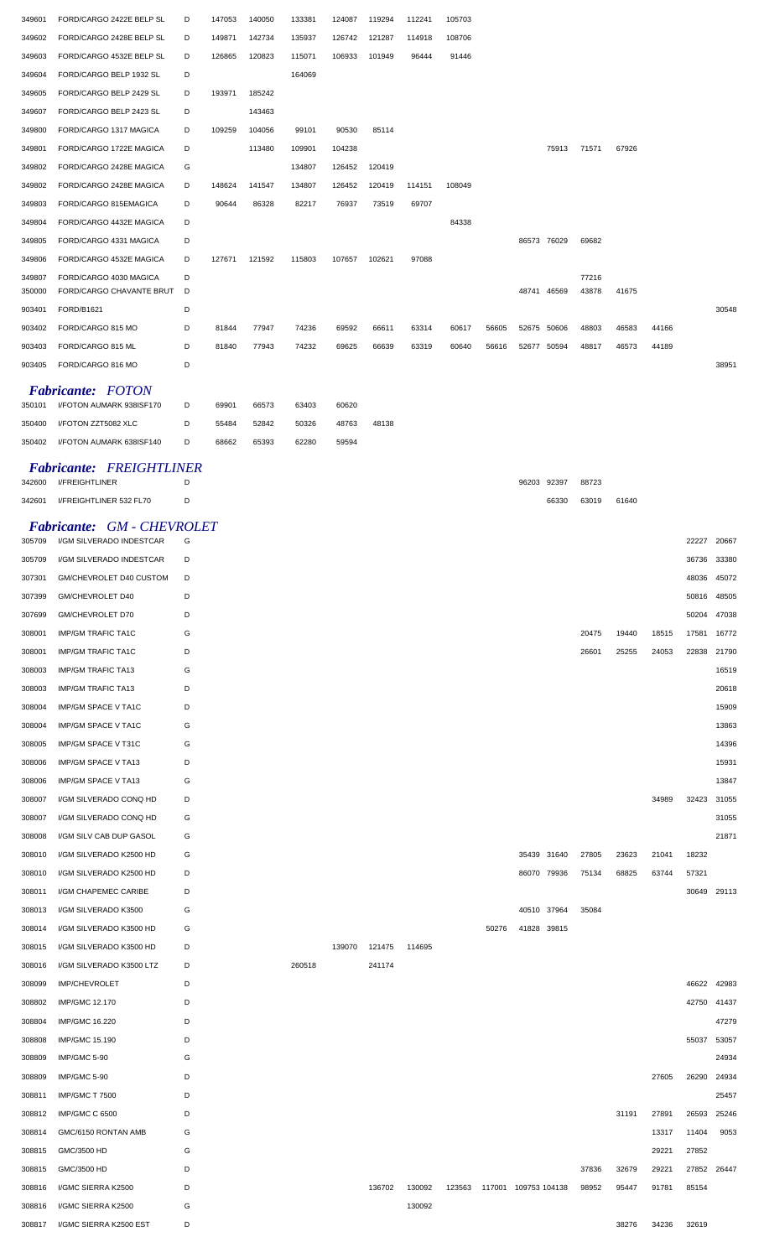| 349601 | FORD/CARGO 2422E BELP SL | D | 147053 | 140050 | 133381 | 124087 | 119294 | 112241 | 105703 |       |             |       |       |       |       |
|--------|--------------------------|---|--------|--------|--------|--------|--------|--------|--------|-------|-------------|-------|-------|-------|-------|
| 349602 | FORD/CARGO 2428E BELP SL | D | 149871 | 142734 | 135937 | 126742 | 121287 | 114918 | 108706 |       |             |       |       |       |       |
| 349603 | FORD/CARGO 4532E BELP SL | D | 126865 | 120823 | 115071 | 106933 | 101949 | 96444  | 91446  |       |             |       |       |       |       |
| 349604 | FORD/CARGO BELP 1932 SL  | D |        |        | 164069 |        |        |        |        |       |             |       |       |       |       |
| 349605 | FORD/CARGO BELP 2429 SL  | D | 193971 | 185242 |        |        |        |        |        |       |             |       |       |       |       |
| 349607 | FORD/CARGO BELP 2423 SL  | D |        | 143463 |        |        |        |        |        |       |             |       |       |       |       |
| 349800 | FORD/CARGO 1317 MAGICA   | D | 109259 | 104056 | 99101  | 90530  | 85114  |        |        |       |             |       |       |       |       |
| 349801 | FORD/CARGO 1722E MAGICA  | D |        | 113480 | 109901 | 104238 |        |        |        |       | 75913       | 71571 | 67926 |       |       |
| 349802 | FORD/CARGO 2428E MAGICA  | G |        |        | 134807 | 126452 | 120419 |        |        |       |             |       |       |       |       |
| 349802 | FORD/CARGO 2428E MAGICA  | D | 148624 | 141547 | 134807 | 126452 | 120419 | 114151 | 108049 |       |             |       |       |       |       |
| 349803 | FORD/CARGO 815EMAGICA    | D | 90644  | 86328  | 82217  | 76937  | 73519  | 69707  |        |       |             |       |       |       |       |
| 349804 | FORD/CARGO 4432E MAGICA  | D |        |        |        |        |        |        | 84338  |       |             |       |       |       |       |
| 349805 | FORD/CARGO 4331 MAGICA   | D |        |        |        |        |        |        |        |       | 86573 76029 | 69682 |       |       |       |
| 349806 | FORD/CARGO 4532E MAGICA  | D | 127671 | 121592 | 115803 | 107657 | 102621 | 97088  |        |       |             |       |       |       |       |
| 349807 | FORD/CARGO 4030 MAGICA   | D |        |        |        |        |        |        |        |       |             | 77216 |       |       |       |
| 350000 | FORD/CARGO CHAVANTE BRUT | D |        |        |        |        |        |        |        |       | 48741 46569 | 43878 | 41675 |       |       |
| 903401 | FORD/B1621               | D |        |        |        |        |        |        |        |       |             |       |       |       | 30548 |
| 903402 | FORD/CARGO 815 MO        | D | 81844  | 77947  | 74236  | 69592  | 66611  | 63314  | 60617  | 56605 | 52675 50606 | 48803 | 46583 | 44166 |       |
| 903403 | FORD/CARGO 815 ML        | D | 81840  | 77943  | 74232  | 69625  | 66639  | 63319  | 60640  | 56616 | 52677 50594 | 48817 | 46573 | 44189 |       |
| 903405 | FORD/CARGO 816 MO        | D |        |        |        |        |        |        |        |       |             |       |       |       | 38951 |
|        | <b>Fabricante:</b> FOTON |   |        |        |        |        |        |        |        |       |             |       |       |       |       |

| 350101 | I/FOTON AUMARK 938ISF170 |   | 69901 | 66573 | 63403 | 60620 |       |
|--------|--------------------------|---|-------|-------|-------|-------|-------|
| 350400 | I/FOTON ZZT5082 XLC      | D | 55484 | 52842 | 50326 | 48763 | 48138 |
| 350402 | I/FOTON AUMARK 638ISF140 | D | 68662 | 65393 | 62280 | 59594 |       |

## *Fabricante: FREIGHTLINER*

| 342600 | I/FREIGHTLINER                    | D |        |        |        |        |       | 96203       | 92397       | 88723 |       |       |       |       |
|--------|-----------------------------------|---|--------|--------|--------|--------|-------|-------------|-------------|-------|-------|-------|-------|-------|
| 342601 | I/FREIGHTLINER 532 FL70           | D |        |        |        |        |       |             | 66330       | 63019 | 61640 |       |       |       |
|        | <b>Fabricante: GM - CHEVROLET</b> |   |        |        |        |        |       |             |             |       |       |       |       |       |
| 305709 | I/GM SILVERADO INDESTCAR          | G |        |        |        |        |       |             |             |       |       |       | 22227 | 20667 |
| 305709 | I/GM SILVERADO INDESTCAR          | D |        |        |        |        |       |             |             |       |       |       | 36736 | 33380 |
| 307301 | GM/CHEVROLET D40 CUSTOM           | D |        |        |        |        |       |             |             |       |       |       | 48036 | 45072 |
| 307399 | GM/CHEVROLET D40                  | D |        |        |        |        |       |             |             |       |       |       | 50816 | 48505 |
| 307699 | GM/CHEVROLET D70                  | D |        |        |        |        |       |             |             |       |       |       | 50204 | 47038 |
| 308001 | <b>IMP/GM TRAFIC TA1C</b>         | G |        |        |        |        |       |             |             | 20475 | 19440 | 18515 | 17581 | 16772 |
| 308001 | <b>IMP/GM TRAFIC TA1C</b>         | D |        |        |        |        |       |             |             | 26601 | 25255 | 24053 | 22838 | 21790 |
| 308003 | <b>IMP/GM TRAFIC TA13</b>         | G |        |        |        |        |       |             |             |       |       |       |       | 16519 |
| 308003 | <b>IMP/GM TRAFIC TA13</b>         | D |        |        |        |        |       |             |             |       |       |       |       | 20618 |
| 308004 | IMP/GM SPACE V TA1C               | D |        |        |        |        |       |             |             |       |       |       |       | 15909 |
| 308004 | IMP/GM SPACE V TA1C               | G |        |        |        |        |       |             |             |       |       |       |       | 13863 |
| 308005 | IMP/GM SPACE V T31C               | G |        |        |        |        |       |             |             |       |       |       |       | 14396 |
| 308006 | IMP/GM SPACE V TA13               | D |        |        |        |        |       |             |             |       |       |       |       | 15931 |
| 308006 | IMP/GM SPACE V TA13               | G |        |        |        |        |       |             |             |       |       |       |       | 13847 |
| 308007 | I/GM SILVERADO CONQ HD            | D |        |        |        |        |       |             |             |       |       | 34989 | 32423 | 31055 |
| 308007 | I/GM SILVERADO CONQ HD            | G |        |        |        |        |       |             |             |       |       |       |       | 31055 |
| 308008 | I/GM SILV CAB DUP GASOL           | G |        |        |        |        |       |             |             |       |       |       |       | 21871 |
| 308010 | I/GM SILVERADO K2500 HD           | G |        |        |        |        |       |             | 35439 31640 | 27805 | 23623 | 21041 | 18232 |       |
| 308010 | I/GM SILVERADO K2500 HD           | D |        |        |        |        |       | 86070 79936 |             | 75134 | 68825 | 63744 | 57321 |       |
| 308011 | I/GM CHAPEMEC CARIBE              | D |        |        |        |        |       |             |             |       |       |       | 30649 | 29113 |
| 308013 | I/GM SILVERADO K3500              | G |        |        |        |        |       |             | 40510 37964 | 35084 |       |       |       |       |
| 308014 | I/GM SILVERADO K3500 HD           | G |        |        |        |        | 50276 | 41828 39815 |             |       |       |       |       |       |
| 308015 | I/GM SILVERADO K3500 HD           | D |        | 139070 | 121475 | 114695 |       |             |             |       |       |       |       |       |
| 308016 | I/GM SILVERADO K3500 LTZ          | D | 260518 |        | 241174 |        |       |             |             |       |       |       |       |       |
| 308099 | <b>IMP/CHEVROLET</b>              | D |        |        |        |        |       |             |             |       |       |       | 46622 | 42983 |
| 308802 | IMP/GMC 12.170                    | D |        |        |        |        |       |             |             |       |       |       | 42750 | 41437 |
| 308804 | <b>IMP/GMC 16.220</b>             | D |        |        |        |        |       |             |             |       |       |       |       | 47279 |
| 308808 | IMP/GMC 15.190                    | D |        |        |        |        |       |             |             |       |       |       | 55037 | 53057 |
| 308809 | IMP/GMC 5-90                      | G |        |        |        |        |       |             |             |       |       |       |       | 24934 |

| 308808 | IMP/GMC 15.190      | D |        |        |        |        |               |       |       |       | 55037       | 53057 |
|--------|---------------------|---|--------|--------|--------|--------|---------------|-------|-------|-------|-------------|-------|
| 308809 | IMP/GMC 5-90        | G |        |        |        |        |               |       |       |       |             | 24934 |
| 308809 | IMP/GMC 5-90        | D |        |        |        |        |               |       |       | 27605 | 26290       | 24934 |
| 308811 | IMP/GMC T 7500      | D |        |        |        |        |               |       |       |       |             | 25457 |
| 308812 | IMP/GMC C 6500      | D |        |        |        |        |               |       | 31191 | 27891 | 26593       | 25246 |
| 308814 | GMC/6150 RONTAN AMB | G |        |        |        |        |               |       |       | 13317 | 11404       | 9053  |
| 308815 | GMC/3500 HD         | G |        |        |        |        |               |       |       | 29221 | 27852       |       |
| 308815 | GMC/3500 HD         | D |        |        |        |        |               | 37836 | 32679 | 29221 | 27852 26447 |       |
| 308816 | I/GMC SIERRA K2500  | D | 136702 | 130092 | 123563 | 117001 | 109753 104138 | 98952 | 95447 | 91781 | 85154       |       |
| 308816 | I/GMC SIERRA K2500  | G |        | 130092 |        |        |               |       |       |       |             |       |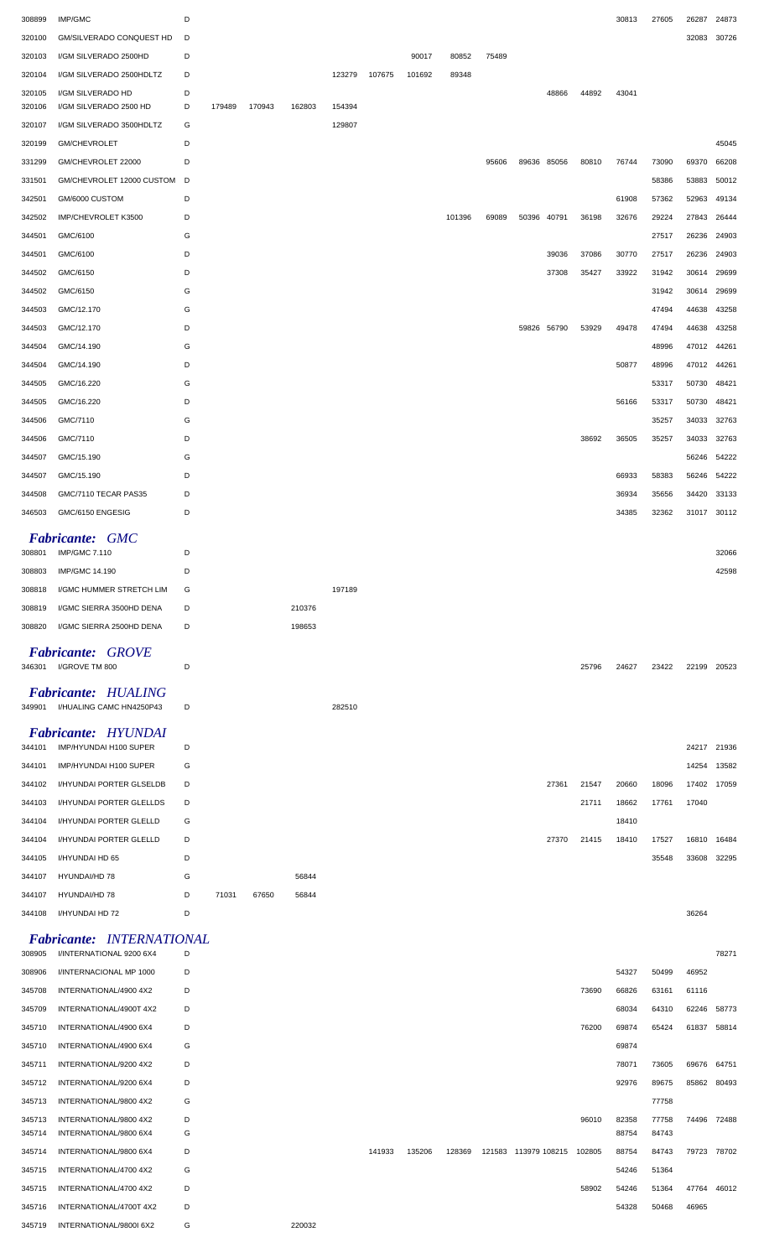| 308899 | IMP/GMC                                                      | D |        |        |        |        |        |        |        |       |       |             |       | 30813 | 27605 | 26287       | 24873       |
|--------|--------------------------------------------------------------|---|--------|--------|--------|--------|--------|--------|--------|-------|-------|-------------|-------|-------|-------|-------------|-------------|
| 320100 | <b>GM/SILVERADO CONQUEST HD</b>                              | D |        |        |        |        |        |        |        |       |       |             |       |       |       | 32083       | 30726       |
| 320103 | I/GM SILVERADO 2500HD                                        | D |        |        |        |        |        | 90017  | 80852  | 75489 |       |             |       |       |       |             |             |
| 320104 | I/GM SILVERADO 2500HDLTZ                                     | D |        |        |        | 123279 | 107675 | 101692 | 89348  |       |       |             |       |       |       |             |             |
| 320105 | I/GM SILVERADO HD                                            | D |        |        |        |        |        |        |        |       |       | 48866       | 44892 | 43041 |       |             |             |
| 320106 | I/GM SILVERADO 2500 HD                                       | D | 179489 | 170943 | 162803 | 154394 |        |        |        |       |       |             |       |       |       |             |             |
| 320107 | I/GM SILVERADO 3500HDLTZ                                     | G |        |        |        | 129807 |        |        |        |       |       |             |       |       |       |             |             |
| 320199 | GM/CHEVROLET                                                 | D |        |        |        |        |        |        |        |       |       |             |       |       |       |             | 45045       |
| 331299 | GM/CHEVROLET 22000                                           | D |        |        |        |        |        |        |        | 95606 |       | 89636 85056 | 80810 | 76744 | 73090 | 69370       | 66208       |
| 331501 | GM/CHEVROLET 12000 CUSTOM                                    | D |        |        |        |        |        |        |        |       |       |             |       |       | 58386 | 53883       | 50012       |
| 342501 | GM/6000 CUSTOM                                               | D |        |        |        |        |        |        |        |       |       |             |       | 61908 | 57362 | 52963       | 49134       |
| 342502 | IMP/CHEVROLET K3500                                          | D |        |        |        |        |        |        | 101396 | 69089 | 50396 | 40791       | 36198 | 32676 | 29224 | 27843       | 26444       |
| 344501 | GMC/6100                                                     | G |        |        |        |        |        |        |        |       |       |             |       |       | 27517 | 26236       | 24903       |
| 344501 | GMC/6100                                                     | D |        |        |        |        |        |        |        |       |       | 39036       | 37086 | 30770 | 27517 | 26236       | 24903       |
| 344502 | GMC/6150                                                     | D |        |        |        |        |        |        |        |       |       | 37308       | 35427 | 33922 | 31942 | 30614       | 29699       |
| 344502 | GMC/6150                                                     | G |        |        |        |        |        |        |        |       |       |             |       |       | 31942 | 30614       | 29699       |
| 344503 | GMC/12.170                                                   | G |        |        |        |        |        |        |        |       |       |             |       |       | 47494 | 44638       | 43258       |
| 344503 | GMC/12.170                                                   | D |        |        |        |        |        |        |        |       |       | 59826 56790 | 53929 | 49478 | 47494 | 44638       | 43258       |
| 344504 | GMC/14.190                                                   | G |        |        |        |        |        |        |        |       |       |             |       |       | 48996 | 47012       | 44261       |
| 344504 | GMC/14.190                                                   | D |        |        |        |        |        |        |        |       |       |             |       | 50877 | 48996 | 47012       | 44261       |
| 344505 | GMC/16.220                                                   | G |        |        |        |        |        |        |        |       |       |             |       |       | 53317 | 50730       | 48421       |
| 344505 | GMC/16.220                                                   | D |        |        |        |        |        |        |        |       |       |             |       | 56166 | 53317 | 50730       | 48421       |
| 344506 | GMC/7110                                                     | G |        |        |        |        |        |        |        |       |       |             |       |       | 35257 | 34033       | 32763       |
| 344506 | GMC/7110                                                     | D |        |        |        |        |        |        |        |       |       |             | 38692 | 36505 | 35257 | 34033       | 32763       |
| 344507 | GMC/15.190                                                   | G |        |        |        |        |        |        |        |       |       |             |       |       |       | 56246       | 54222       |
| 344507 | GMC/15.190                                                   | D |        |        |        |        |        |        |        |       |       |             |       | 66933 | 58383 | 56246       | 54222       |
| 344508 | GMC/7110 TECAR PAS35                                         | D |        |        |        |        |        |        |        |       |       |             |       | 36934 | 35656 | 34420       | 33133       |
| 346503 | GMC/6150 ENGESIG                                             | D |        |        |        |        |        |        |        |       |       |             |       | 34385 | 32362 | 31017       | 30112       |
|        | <b>Fabricante: GMC</b>                                       |   |        |        |        |        |        |        |        |       |       |             |       |       |       |             |             |
| 308801 | <b>IMP/GMC 7.110</b>                                         | D |        |        |        |        |        |        |        |       |       |             |       |       |       |             | 32066       |
| 308803 | IMP/GMC 14.190                                               | D |        |        |        |        |        |        |        |       |       |             |       |       |       |             | 42598       |
| 308818 | I/GMC HUMMER STRETCH LIM                                     | G |        |        |        | 197189 |        |        |        |       |       |             |       |       |       |             |             |
| 308819 | I/GMC SIERRA 3500HD DENA                                     | D |        |        | 210376 |        |        |        |        |       |       |             |       |       |       |             |             |
| 308820 | I/GMC SIERRA 2500HD DENA                                     | D |        |        | 198653 |        |        |        |        |       |       |             |       |       |       |             |             |
|        |                                                              |   |        |        |        |        |        |        |        |       |       |             |       |       |       |             |             |
| 346301 | <b>Fabricante: GROVE</b><br>I/GROVE TM 800                   | D |        |        |        |        |        |        |        |       |       |             | 25796 | 24627 | 23422 | 22199 20523 |             |
|        |                                                              |   |        |        |        |        |        |        |        |       |       |             |       |       |       |             |             |
|        | Fabricante: HUALING                                          |   |        |        |        |        |        |        |        |       |       |             |       |       |       |             |             |
|        | 349901 I/HUALING CAMC HN4250P43                              | D |        |        |        | 282510 |        |        |        |       |       |             |       |       |       |             |             |
|        | Fabricante: HYUNDAI                                          |   |        |        |        |        |        |        |        |       |       |             |       |       |       |             |             |
| 344101 | IMP/HYUNDAI H100 SUPER                                       | D |        |        |        |        |        |        |        |       |       |             |       |       |       | 24217       | 21936       |
| 344101 | IMP/HYUNDAI H100 SUPER                                       | G |        |        |        |        |        |        |        |       |       |             |       |       |       | 14254       | 13582       |
| 344102 | I/HYUNDAI PORTER GLSELDB                                     | D |        |        |        |        |        |        |        |       |       | 27361       | 21547 | 20660 | 18096 | 17402       | 17059       |
| 344103 | I/HYUNDAI PORTER GLELLDS                                     | D |        |        |        |        |        |        |        |       |       |             | 21711 | 18662 | 17761 | 17040       |             |
| 344104 | I/HYUNDAI PORTER GLELLD                                      | G |        |        |        |        |        |        |        |       |       |             |       | 18410 |       |             |             |
| 344104 | I/HYUNDAI PORTER GLELLD                                      | D |        |        |        |        |        |        |        |       |       | 27370       | 21415 | 18410 | 17527 | 16810       | 16484       |
| 344105 | I/HYUNDAI HD 65                                              | D |        |        |        |        |        |        |        |       |       |             |       |       | 35548 | 33608       | 32295       |
| 344107 | HYUNDAI/HD 78                                                | G |        |        | 56844  |        |        |        |        |       |       |             |       |       |       |             |             |
| 344107 | HYUNDAI/HD 78                                                | D | 71031  | 67650  | 56844  |        |        |        |        |       |       |             |       |       |       |             |             |
| 344108 | I/HYUNDAI HD 72                                              | D |        |        |        |        |        |        |        |       |       |             |       |       |       | 36264       |             |
| 308905 | <b>Fabricante: INTERNATIONAL</b><br>I/INTERNATIONAL 9200 6X4 | D |        |        |        |        |        |        |        |       |       |             |       |       |       |             | 78271       |
| 308906 | I/INTERNACIONAL MP 1000                                      | D |        |        |        |        |        |        |        |       |       |             |       | 54327 | 50499 | 46952       |             |
| 345708 | INTERNATIONAL/4900 4X2                                       | D |        |        |        |        |        |        |        |       |       |             | 73690 | 66826 | 63161 | 61116       |             |
| 345709 | INTERNATIONAL/4900T 4X2                                      | D |        |        |        |        |        |        |        |       |       |             |       | 68034 | 64310 | 62246       | 58773       |
| 345710 | INTERNATIONAL/4900 6X4                                       | D |        |        |        |        |        |        |        |       |       |             | 76200 | 69874 | 65424 | 61837       | 58814       |
| 345710 | INTERNATIONAL/4900 6X4                                       | G |        |        |        |        |        |        |        |       |       |             |       | 69874 |       |             |             |
| 345711 | INTERNATIONAL/9200 4X2                                       | D |        |        |        |        |        |        |        |       |       |             |       | 78071 | 73605 |             | 69676 64751 |

INTERNATIONAL/9200 6X4 D 92976 89675 85862 80493

INTERNATIONAL/9800 4X2 D 96010 82358 77758 74496 72488

INTERNATIONAL/9800 6X4 D 141933 135206 128369 121583 113979 108215 102805 88754 84743 79723 78702

 INTERNATIONAL/4700 4X2 D 58902 54246 51364 47764 46012 345716 INTERNATIONAL/4700T 4X2 D

INTERNATIONAL/9800 4X2 G 77758

INTERNATIONAL/9800 6X4 G 88754 84743

INTERNATIONAL/4700 4X2 G 54246 51364

INTERNATIONAL/9800I 6X2 G 220032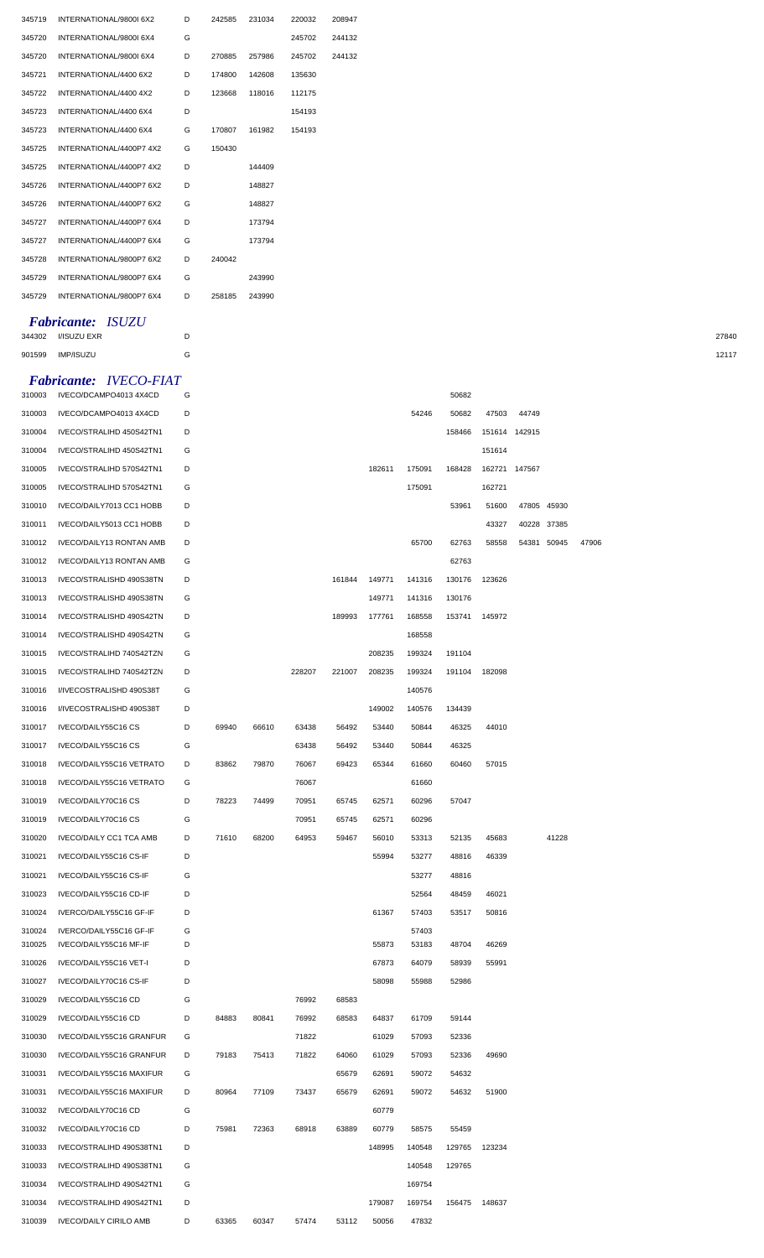| 345719 | INTERNATIONAL/9800L6X2   | D | 242585 | 231034 | 220032 | 208947 |
|--------|--------------------------|---|--------|--------|--------|--------|
| 345720 | INTERNATIONAL/9800I 6X4  | G |        |        | 245702 | 244132 |
| 345720 | INTERNATIONAL/9800L6X4   | D | 270885 | 257986 | 245702 | 244132 |
| 345721 | INTERNATIONAL/4400 6X2   | D | 174800 | 142608 | 135630 |        |
| 345722 | INTERNATIONAL/4400 4X2   | D | 123668 | 118016 | 112175 |        |
| 345723 | INTERNATIONAL/4400 6X4   | D |        |        | 154193 |        |
| 345723 | INTERNATIONAL/4400 6X4   | G | 170807 | 161982 | 154193 |        |
| 345725 | INTERNATIONAL/4400P7 4X2 | G | 150430 |        |        |        |
| 345725 | INTERNATIONAL/4400P7 4X2 | D |        | 144409 |        |        |
| 345726 | INTERNATIONAL/4400P7 6X2 | D |        | 148827 |        |        |
| 345726 | INTERNATIONAL/4400P7 6X2 | G |        | 148827 |        |        |
| 345727 | INTERNATIONAL/4400P7 6X4 | D |        | 173794 |        |        |
| 345727 | INTERNATIONAL/4400P7 6X4 | G |        | 173794 |        |        |
| 345728 | INTERNATIONAL/9800P7 6X2 | D | 240042 |        |        |        |
| 345729 | INTERNATIONAL/9800P7 6X4 | G |        | 243990 |        |        |
| 345729 | INTERNATIONAL/9800P7 6X4 | D | 258185 | 243990 |        |        |
|        |                          |   |        |        |        |        |

## *Fabricante: ISUZU*

I/ISUZU EXR D 27840

## *Fabricante: IVECO-FIAT*

| 310003 | IVECO/DCAMPO4013 4X4CD          | G |       |       |        |        |        |        | 50682  |               |               |             |       |
|--------|---------------------------------|---|-------|-------|--------|--------|--------|--------|--------|---------------|---------------|-------------|-------|
| 310003 | IVECO/DCAMPO4013 4X4CD          | D |       |       |        |        |        | 54246  | 50682  | 47503         | 44749         |             |       |
| 310004 | IVECO/STRALIHD 450S42TN1        | D |       |       |        |        |        |        | 158466 |               | 151614 142915 |             |       |
| 310004 | IVECO/STRALIHD 450S42TN1        | G |       |       |        |        |        |        |        | 151614        |               |             |       |
| 310005 | IVECO/STRALIHD 570S42TN1        | D |       |       |        |        | 182611 | 175091 | 168428 |               | 162721 147567 |             |       |
| 310005 | IVECO/STRALIHD 570S42TN1        | G |       |       |        |        |        | 175091 |        | 162721        |               |             |       |
| 310010 | IVECO/DAILY7013 CC1 HOBB        | D |       |       |        |        |        |        | 53961  | 51600         |               | 47805 45930 |       |
| 310011 | IVECO/DAILY5013 CC1 HOBB        | D |       |       |        |        |        |        |        | 43327         |               | 40228 37385 |       |
| 310012 | <b>IVECO/DAILY13 RONTAN AMB</b> | D |       |       |        |        |        | 65700  | 62763  | 58558         |               | 54381 50945 | 47906 |
| 310012 | IVECO/DAILY13 RONTAN AMB        | G |       |       |        |        |        |        | 62763  |               |               |             |       |
| 310013 | IVECO/STRALISHD 490S38TN        | D |       |       |        | 161844 | 149771 | 141316 | 130176 | 123626        |               |             |       |
| 310013 | IVECO/STRALISHD 490S38TN        | G |       |       |        |        | 149771 | 141316 | 130176 |               |               |             |       |
| 310014 | IVECO/STRALISHD 490S42TN        | D |       |       |        | 189993 | 177761 | 168558 | 153741 | 145972        |               |             |       |
| 310014 | IVECO/STRALISHD 490S42TN        | G |       |       |        |        |        | 168558 |        |               |               |             |       |
| 310015 | IVECO/STRALIHD 740S42TZN        | G |       |       |        |        | 208235 | 199324 | 191104 |               |               |             |       |
| 310015 | IVECO/STRALIHD 740S42TZN        | D |       |       | 228207 | 221007 | 208235 | 199324 | 191104 | 182098        |               |             |       |
| 310016 | I/IVECOSTRALISHD 490S38T        | G |       |       |        |        |        | 140576 |        |               |               |             |       |
| 310016 | I/IVECOSTRALISHD 490S38T        | D |       |       |        |        | 149002 | 140576 | 134439 |               |               |             |       |
| 310017 | IVECO/DAILY55C16 CS             | D | 69940 | 66610 | 63438  | 56492  | 53440  | 50844  | 46325  | 44010         |               |             |       |
| 310017 | IVECO/DAILY55C16 CS             | G |       |       | 63438  | 56492  | 53440  | 50844  | 46325  |               |               |             |       |
| 310018 | IVECO/DAILY55C16 VETRATO        | D | 83862 | 79870 | 76067  | 69423  | 65344  | 61660  | 60460  | 57015         |               |             |       |
| 310018 | IVECO/DAILY55C16 VETRATO        | G |       |       | 76067  |        |        | 61660  |        |               |               |             |       |
| 310019 | IVECO/DAILY70C16 CS             | D | 78223 | 74499 | 70951  | 65745  | 62571  | 60296  | 57047  |               |               |             |       |
| 310019 | IVECO/DAILY70C16 CS             | G |       |       | 70951  | 65745  | 62571  | 60296  |        |               |               |             |       |
| 310020 | IVECO/DAILY CC1 TCA AMB         | D | 71610 | 68200 | 64953  | 59467  | 56010  | 53313  | 52135  | 45683         |               | 41228       |       |
| 310021 | IVECO/DAILY55C16 CS-IF          | D |       |       |        |        | 55994  | 53277  | 48816  | 46339         |               |             |       |
| 310021 | IVECO/DAILY55C16 CS-IF          | G |       |       |        |        |        | 53277  | 48816  |               |               |             |       |
| 310023 | IVECO/DAILY55C16 CD-IF          | D |       |       |        |        |        | 52564  | 48459  | 46021         |               |             |       |
| 310024 | IVERCO/DAILY55C16 GF-IF         | D |       |       |        |        | 61367  | 57403  | 53517  | 50816         |               |             |       |
| 310024 | IVERCO/DAILY55C16 GF-IF         | G |       |       |        |        |        | 57403  |        |               |               |             |       |
| 310025 | IVECO/DAILY55C16 MF-IF          | D |       |       |        |        | 55873  | 53183  | 48704  | 46269         |               |             |       |
| 310026 | IVECO/DAILY55C16 VET-I          | D |       |       |        |        | 67873  | 64079  | 58939  | 55991         |               |             |       |
| 310027 | IVECO/DAILY70C16 CS-IF          | D |       |       |        |        | 58098  | 55988  | 52986  |               |               |             |       |
| 310029 | IVECO/DAILY55C16 CD             | G |       |       | 76992  | 68583  |        |        |        |               |               |             |       |
| 310029 | IVECO/DAILY55C16 CD             | D | 84883 | 80841 | 76992  | 68583  | 64837  | 61709  | 59144  |               |               |             |       |
| 310030 | IVECO/DAILY55C16 GRANFUR        | G |       |       | 71822  |        | 61029  | 57093  | 52336  |               |               |             |       |
| 310030 | IVECO/DAILY55C16 GRANFUR        | D | 79183 | 75413 | 71822  | 64060  | 61029  | 57093  | 52336  | 49690         |               |             |       |
| 310031 | IVECO/DAILY55C16 MAXIFUR        | G |       |       |        | 65679  | 62691  | 59072  | 54632  |               |               |             |       |
| 310031 | IVECO/DAILY55C16 MAXIFUR        | D | 80964 | 77109 | 73437  | 65679  | 62691  | 59072  | 54632  | 51900         |               |             |       |
| 310032 | IVECO/DAILY70C16 CD             | G |       |       |        |        | 60779  |        |        |               |               |             |       |
| 310032 | IVECO/DAILY70C16 CD             | D | 75981 | 72363 | 68918  | 63889  | 60779  | 58575  | 55459  |               |               |             |       |
| 310033 | IVECO/STRALIHD 490S38TN1        | D |       |       |        |        | 148995 | 140548 | 129765 | 123234        |               |             |       |
| 310033 | IVECO/STRALIHD 490S38TN1        | G |       |       |        |        |        | 140548 | 129765 |               |               |             |       |
| 310034 | IVECO/STRALIHD 490S42TN1        | G |       |       |        |        |        | 169754 |        |               |               |             |       |
| 310034 | IVECO/STRALIHD 490S42TN1        | D |       |       |        |        | 179087 | 169754 |        | 156475 148637 |               |             |       |
| 310039 | <b>IVECO/DAILY CIRILO AMB</b>   | D | 63365 | 60347 | 57474  | 53112  | 50056  | 47832  |        |               |               |             |       |

IMP/ISUZU G 12117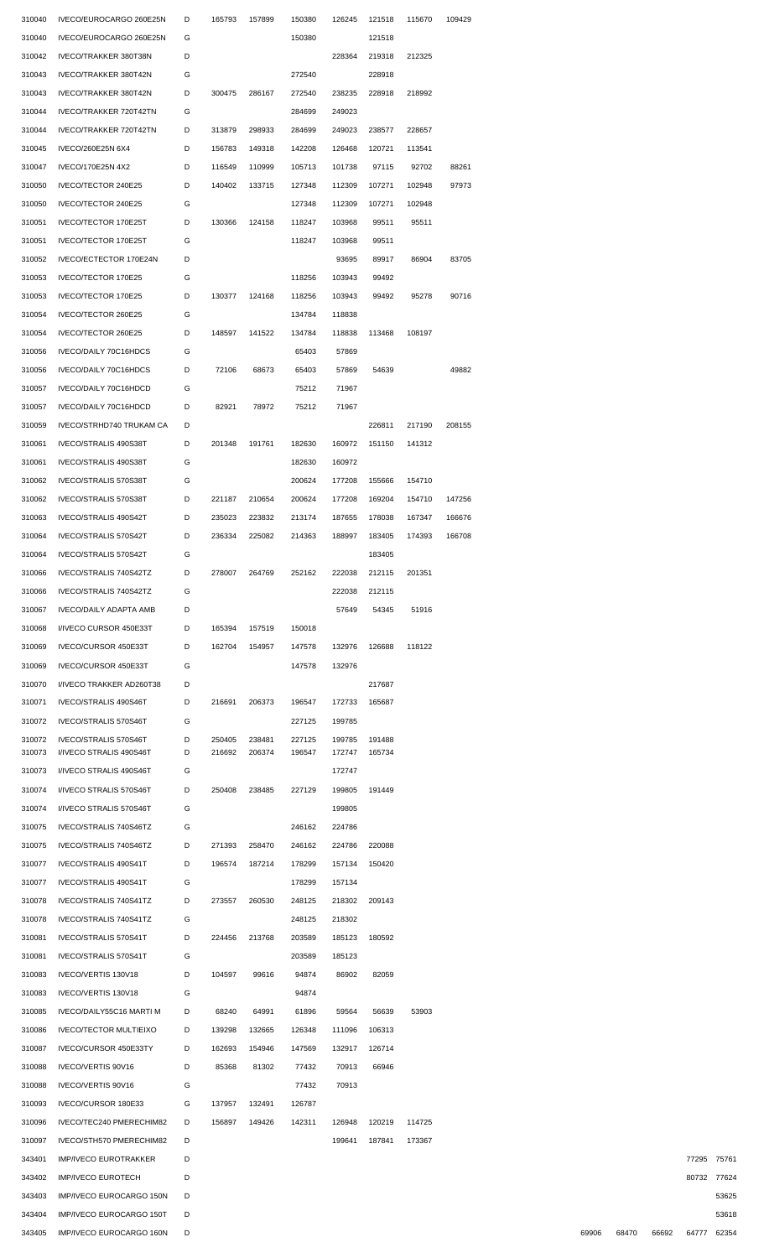| 310040 | IVECO/EUROCARGO 260E25N       | D | 165793 | 157899 | 150380 | 126245 | 121518               | 115670 | 109429 |
|--------|-------------------------------|---|--------|--------|--------|--------|----------------------|--------|--------|
| 310040 | IVECO/EUROCARGO 260E25N       | G |        |        | 150380 |        | 121518               |        |        |
| 310042 | IVECO/TRAKKER 380T38N         | D |        |        |        | 228364 | 219318               | 212325 |        |
| 310043 | IVECO/TRAKKER 380T42N         | G |        |        | 272540 |        | 228918               |        |        |
|        |                               |   |        |        |        |        |                      |        |        |
| 310043 | IVECO/TRAKKER 380T42N         | D | 300475 | 286167 | 272540 | 238235 | 228918               | 218992 |        |
| 310044 | IVECO/TRAKKER 720T42TN        | G |        |        | 284699 | 249023 |                      |        |        |
| 310044 | IVECO/TRAKKER 720T42TN        | D | 313879 | 298933 | 284699 | 249023 | 238577               | 228657 |        |
| 310045 | IVECO/260E25N 6X4             | D | 156783 | 149318 | 142208 | 126468 | 120721               | 113541 |        |
| 310047 | IVECO/170E25N 4X2             | D | 116549 | 110999 | 105713 | 101738 | 97115                | 92702  | 88261  |
| 310050 | IVECO/TECTOR 240E25           | D | 140402 | 133715 | 127348 | 112309 | 107271               | 102948 | 97973  |
|        |                               |   |        |        |        |        |                      |        |        |
| 310050 | IVECO/TECTOR 240E25           | G |        |        | 127348 | 112309 | 107271               | 102948 |        |
| 310051 | IVECO/TECTOR 170E25T          | D | 130366 | 124158 | 118247 | 103968 | 99511                | 95511  |        |
| 310051 | IVECO/TECTOR 170E25T          | G |        |        | 118247 | 103968 | 99511                |        |        |
| 310052 | IVECO/ECTECTOR 170E24N        | D |        |        |        | 93695  | 89917                | 86904  | 83705  |
| 310053 | IVECO/TECTOR 170E25           | G |        |        | 118256 | 103943 | 99492                |        |        |
|        |                               |   |        |        |        |        |                      |        |        |
| 310053 | IVECO/TECTOR 170E25           | D | 130377 | 124168 | 118256 | 103943 | 99492                | 95278  | 90716  |
| 310054 | IVECO/TECTOR 260E25           | G |        |        | 134784 | 118838 |                      |        |        |
| 310054 | IVECO/TECTOR 260E25           | D | 148597 | 141522 | 134784 | 118838 | 113468               | 108197 |        |
| 310056 | IVECO/DAILY 70C16HDCS         | G |        |        | 65403  | 57869  |                      |        |        |
| 310056 | IVECO/DAILY 70C16HDCS         | D | 72106  | 68673  | 65403  | 57869  | 54639                |        | 49882  |
|        |                               |   |        |        |        |        |                      |        |        |
| 310057 | IVECO/DAILY 70C16HDCD         | G |        |        | 75212  | 71967  |                      |        |        |
| 310057 | IVECO/DAILY 70C16HDCD         | D | 82921  | 78972  | 75212  | 71967  |                      |        |        |
| 310059 | IVECO/STRHD740 TRUKAM CA      | D |        |        |        |        | 226811               | 217190 | 208155 |
| 310061 | IVECO/STRALIS 490S38T         | D | 201348 | 191761 | 182630 | 160972 | 151150               | 141312 |        |
| 310061 | IVECO/STRALIS 490S38T         | G |        |        | 182630 | 160972 |                      |        |        |
|        |                               |   |        |        |        |        |                      |        |        |
| 310062 | IVECO/STRALIS 570S38T         | G |        |        | 200624 | 177208 | 155666               | 154710 |        |
| 310062 | IVECO/STRALIS 570S38T         | D | 221187 | 210654 | 200624 | 177208 | 169204               | 154710 | 147256 |
| 310063 | IVECO/STRALIS 490S42T         | D | 235023 | 223832 | 213174 | 187655 | 178038               | 167347 | 166676 |
| 310064 | IVECO/STRALIS 570S42T         | D | 236334 | 225082 | 214363 | 188997 | 183405               | 174393 | 166708 |
| 310064 | IVECO/STRALIS 570S42T         | G |        |        |        |        | 183405               |        |        |
|        |                               |   |        |        |        |        |                      |        |        |
|        | 310066 IVECO/STRALIS 740S42TZ | D | 278007 | 264769 | 252162 | 222038 | 212115               | 201351 |        |
| 310066 | IVECO/STRALIS 740S42TZ        | G |        |        |        | 222038 | 212115               |        |        |
| 310067 | <b>IVECO/DAILY ADAPTA AMB</b> | D |        |        |        | 57649  | 54345                | 51916  |        |
| 310068 | I/IVECO CURSOR 450E33T        | D | 165394 | 157519 | 150018 |        |                      |        |        |
| 310069 | IVECO/CURSOR 450E33T          | D | 162704 | 154957 | 147578 | 132976 | 126688               | 118122 |        |
|        |                               |   |        |        |        |        |                      |        |        |
| 310069 | IVECO/CURSOR 450E33T          | G |        |        | 147578 | 132976 |                      |        |        |
| 310070 | I/IVECO TRAKKER AD260T38      | D |        |        |        |        | 217687               |        |        |
| 310071 | IVECO/STRALIS 490S46T         | D | 216691 | 206373 | 196547 | 172733 | 165687               |        |        |
| 310072 | IVECO/STRALIS 570S46T         | G |        |        | 227125 | 199785 |                      |        |        |
| 310072 | IVECO/STRALIS 570S46T         | D | 250405 | 238481 | 227125 | 199785 | 191488               |        |        |
| 310073 | I/IVECO STRALIS 490S46T       | D | 216692 | 206374 | 196547 | 172747 | 165734               |        |        |
| 310073 | I/IVECO STRALIS 490S46T       | G |        |        |        | 172747 |                      |        |        |
|        |                               |   |        |        |        |        |                      |        |        |
| 310074 | I/IVECO STRALIS 570S46T       | D | 250408 | 238485 | 227129 | 199805 | 191449               |        |        |
| 310074 | I/IVECO STRALIS 570S46T       | G |        |        |        | 199805 |                      |        |        |
| 310075 | IVECO/STRALIS 740S46TZ        | G |        |        | 246162 | 224786 |                      |        |        |
| 310075 | IVECO/STRALIS 740S46TZ        | D | 271393 | 258470 | 246162 | 224786 | 220088               |        |        |
| 310077 | IVECO/STRALIS 490S41T         | D | 196574 | 187214 | 178299 | 157134 | 150420               |        |        |
|        |                               |   |        |        |        |        |                      |        |        |
| 310077 | IVECO/STRALIS 490S41T         | G |        |        | 178299 | 157134 |                      |        |        |
| 310078 | IVECO/STRALIS 740S41TZ        | D | 273557 | 260530 | 248125 | 218302 | 209143               |        |        |
| 310078 | IVECO/STRALIS 740S41TZ        | G |        |        | 248125 | 218302 |                      |        |        |
| 310081 | IVECO/STRALIS 570S41T         | D | 224456 | 213768 | 203589 | 185123 | 180592               |        |        |
|        |                               |   |        |        |        |        |                      |        |        |
| 310081 | IVECO/STRALIS 570S41T         | G |        |        | 203589 | 185123 |                      |        |        |
| 310083 | IVECO/VERTIS 130V18           | D | 104597 | 99616  | 94874  | 86902  | 82059                |        |        |
| 310083 | IVECO/VERTIS 130V18           | G |        |        | 94874  |        |                      |        |        |
| 310085 | IVECO/DAILY55C16 MARTI M      | D | 68240  | 64991  | 61896  | 59564  | 56639                | 53903  |        |
| 310086 | <b>IVECO/TECTOR MULTIEIXO</b> | D | 139298 | 132665 | 126348 | 111096 | 106313               |        |        |
| 310087 | IVECO/CURSOR 450E33TY         | D | 162693 | 154946 | 147569 | 132917 | 126714               |        |        |
|        |                               |   |        |        |        |        |                      |        |        |
| 310088 | IVECO/VERTIS 90V16            | D | 85368  | 81302  | 77432  | 70913  | 66946                |        |        |
| 310088 | IVECO/VERTIS 90V16            | G |        |        | 77432  | 70913  |                      |        |        |
| 310093 | IVECO/CURSOR 180E33           | G | 137957 | 132491 | 126787 |        |                      |        |        |
| 310096 | IVECO/TEC240 PMERECHIM82      | D | 156897 | 149426 | 142311 | 126948 | 120219               | 114725 |        |
| 310097 | IVECO/STH570 PMERECHIM82      | D |        |        |        |        | 199641 187841 173367 |        |        |
|        |                               |   |        |        |        |        |                      |        |        |
| 343401 | <b>IMP/IVECO EUROTRAKKER</b>  | D |        |        |        |        |                      |        |        |
| 343402 | <b>IMP/IVECO EUROTECH</b>     | D |        |        |        |        |                      |        |        |
| 343403 | IMP/IVECO EUROCARGO 150N      | D |        |        |        |        |                      |        |        |
| 343404 | IMP/IVECO EUROCARGO 150T      | D |        |        |        |        |                      |        |        |
|        |                               |   |        |        |        |        |                      |        |        |

IMP/IVECO EUROCARGO 160N D 69906 68470 66692 64777 62354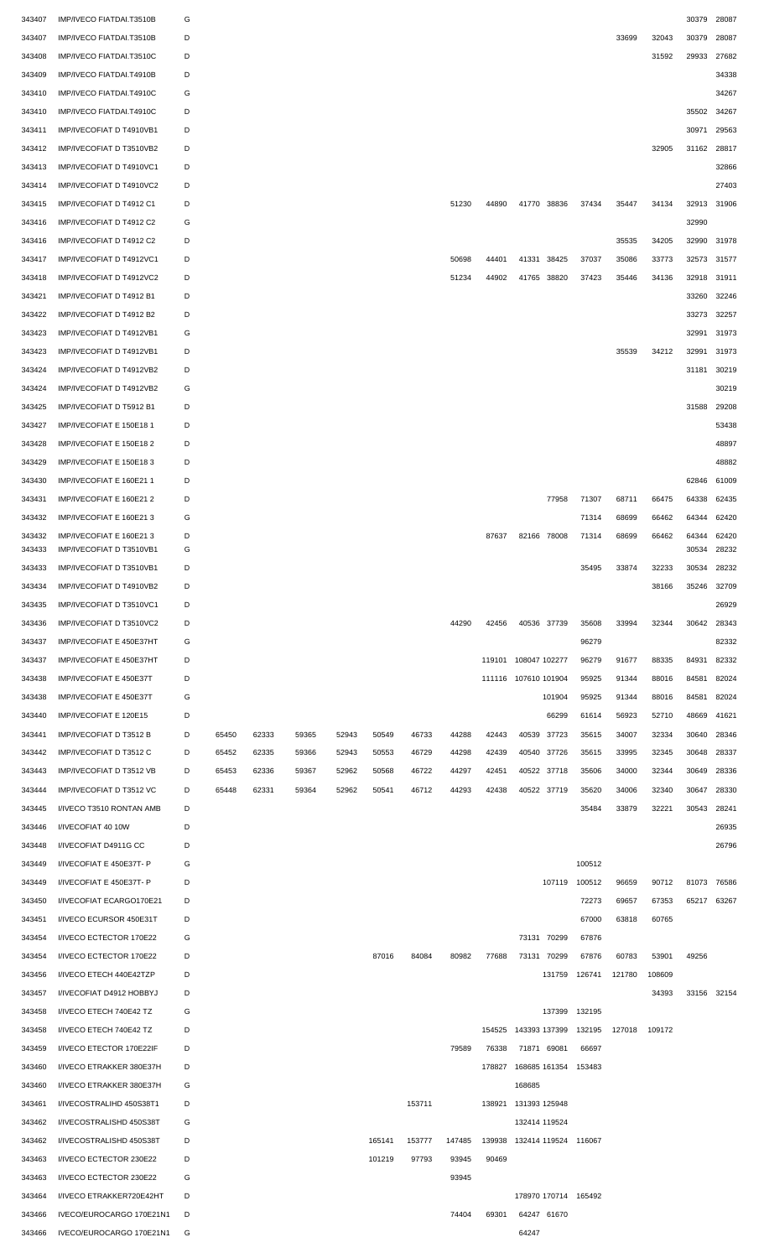| 343407 | IMP/IVECO FIATDAI.T3510B | G |       |       |       |       |        |        |        |                             |                      |             |                      |        |        | 30379       | 28087 |
|--------|--------------------------|---|-------|-------|-------|-------|--------|--------|--------|-----------------------------|----------------------|-------------|----------------------|--------|--------|-------------|-------|
| 343407 | IMP/IVECO FIATDAI.T3510B | D |       |       |       |       |        |        |        |                             |                      |             |                      | 33699  | 32043  | 30379       | 28087 |
| 343408 | IMP/IVECO FIATDAI.T3510C | D |       |       |       |       |        |        |        |                             |                      |             |                      |        | 31592  | 29933       | 27682 |
| 343409 | IMP/IVECO FIATDAI.T4910B | D |       |       |       |       |        |        |        |                             |                      |             |                      |        |        |             | 34338 |
|        |                          |   |       |       |       |       |        |        |        |                             |                      |             |                      |        |        |             |       |
| 343410 | IMP/IVECO FIATDAI.T4910C | G |       |       |       |       |        |        |        |                             |                      |             |                      |        |        |             | 34267 |
| 343410 | IMP/IVECO FIATDAI.T4910C | D |       |       |       |       |        |        |        |                             |                      |             |                      |        |        | 35502       | 34267 |
| 343411 | IMP/IVECOFIAT D T4910VB1 | D |       |       |       |       |        |        |        |                             |                      |             |                      |        |        | 30971       | 29563 |
| 343412 | IMP/IVECOFIAT D T3510VB2 | D |       |       |       |       |        |        |        |                             |                      |             |                      |        | 32905  | 31162       | 28817 |
| 343413 | IMP/IVECOFIAT D T4910VC1 | D |       |       |       |       |        |        |        |                             |                      |             |                      |        |        |             | 32866 |
| 343414 | IMP/IVECOFIAT D T4910VC2 | D |       |       |       |       |        |        |        |                             |                      |             |                      |        |        |             | 27403 |
| 343415 | IMP/IVECOFIAT D T4912 C1 | D |       |       |       |       |        |        | 51230  | 44890                       |                      | 41770 38836 | 37434                | 35447  | 34134  | 32913       | 31906 |
|        |                          |   |       |       |       |       |        |        |        |                             |                      |             |                      |        |        |             |       |
| 343416 | IMP/IVECOFIAT D T4912 C2 | G |       |       |       |       |        |        |        |                             |                      |             |                      |        |        | 32990       |       |
| 343416 | IMP/IVECOFIAT D T4912 C2 | D |       |       |       |       |        |        |        |                             |                      |             |                      | 35535  | 34205  | 32990       | 31978 |
| 343417 | IMP/IVECOFIAT D T4912VC1 | D |       |       |       |       |        |        | 50698  | 44401                       |                      | 41331 38425 | 37037                | 35086  | 33773  | 32573       | 31577 |
| 343418 | IMP/IVECOFIAT D T4912VC2 | D |       |       |       |       |        |        | 51234  | 44902                       |                      | 41765 38820 | 37423                | 35446  | 34136  | 32918       | 31911 |
| 343421 | IMP/IVECOFIAT D T4912 B1 | D |       |       |       |       |        |        |        |                             |                      |             |                      |        |        | 33260       | 32246 |
| 343422 | IMP/IVECOFIAT D T4912 B2 | D |       |       |       |       |        |        |        |                             |                      |             |                      |        |        | 33273       | 32257 |
| 343423 | IMP/IVECOFIAT D T4912VB1 | G |       |       |       |       |        |        |        |                             |                      |             |                      |        |        | 32991       | 31973 |
| 343423 | IMP/IVECOFIAT D T4912VB1 | D |       |       |       |       |        |        |        |                             |                      |             |                      | 35539  | 34212  | 32991       | 31973 |
|        |                          |   |       |       |       |       |        |        |        |                             |                      |             |                      |        |        |             |       |
| 343424 | IMP/IVECOFIAT D T4912VB2 | D |       |       |       |       |        |        |        |                             |                      |             |                      |        |        | 31181       | 30219 |
| 343424 | IMP/IVECOFIAT D T4912VB2 | G |       |       |       |       |        |        |        |                             |                      |             |                      |        |        |             | 30219 |
| 343425 | IMP/IVECOFIAT D T5912 B1 | D |       |       |       |       |        |        |        |                             |                      |             |                      |        |        | 31588       | 29208 |
| 343427 | IMP/IVECOFIAT E 150E18 1 | D |       |       |       |       |        |        |        |                             |                      |             |                      |        |        |             | 53438 |
| 343428 | IMP/IVECOFIAT E 150E18 2 | D |       |       |       |       |        |        |        |                             |                      |             |                      |        |        |             | 48897 |
| 343429 | IMP/IVECOFIAT E 150E183  | D |       |       |       |       |        |        |        |                             |                      |             |                      |        |        |             | 48882 |
| 343430 | IMP/IVECOFIAT E 160E21 1 | D |       |       |       |       |        |        |        |                             |                      |             |                      |        |        | 62846       | 61009 |
|        |                          |   |       |       |       |       |        |        |        |                             |                      |             |                      |        |        |             |       |
| 343431 | IMP/IVECOFIAT E 160E21 2 | D |       |       |       |       |        |        |        |                             |                      | 77958       | 71307                | 68711  | 66475  | 64338       | 62435 |
| 343432 | IMP/IVECOFIAT E 160E21 3 | G |       |       |       |       |        |        |        |                             |                      |             | 71314                | 68699  | 66462  | 64344       | 62420 |
| 343432 | IMP/IVECOFIAT E 160E213  | D |       |       |       |       |        |        |        | 87637                       |                      | 82166 78008 | 71314                | 68699  | 66462  | 64344       | 62420 |
| 343433 | IMP/IVECOFIAT D T3510VB1 | G |       |       |       |       |        |        |        |                             |                      |             |                      |        |        | 30534       | 28232 |
| 343433 | IMP/IVECOFIAT D T3510VB1 | D |       |       |       |       |        |        |        |                             |                      |             | 35495                | 33874  | 32233  | 30534       | 28232 |
| 343434 | IMP/IVECOFIAT D T4910VB2 | D |       |       |       |       |        |        |        |                             |                      |             |                      |        | 38166  | 35246       | 32709 |
| 343435 | IMP/IVECOFIAT D T3510VC1 | D |       |       |       |       |        |        |        |                             |                      |             |                      |        |        |             | 26929 |
| 343436 | IMP/IVECOFIAT D T3510VC2 | D |       |       |       |       |        |        | 44290  | 42456                       |                      | 40536 37739 | 35608                | 33994  | 32344  | 30642       | 28343 |
| 343437 | IMP/IVECOFIAT E 450E37HT | G |       |       |       |       |        |        |        |                             |                      |             | 96279                |        |        |             | 82332 |
| 343437 | IMP/IVECOFIAT E 450E37HT | D |       |       |       |       |        |        |        | 119101                      | 108047 102277        |             | 96279                | 91677  | 88335  | 84931       | 82332 |
|        |                          |   |       |       |       |       |        |        |        |                             |                      |             |                      |        |        |             |       |
| 343438 | IMP/IVECOFIAT E 450E37T  | D |       |       |       |       |        |        |        |                             | 111116 107610 101904 |             | 95925                | 91344  | 88016  | 84581       | 82024 |
| 343438 | IMP/IVECOFIAT E 450E37T  | G |       |       |       |       |        |        |        |                             |                      | 101904      | 95925                | 91344  | 88016  | 84581       | 82024 |
| 343440 | IMP/IVECOFIAT E 120E15   | D |       |       |       |       |        |        |        |                             |                      | 66299       | 61614                | 56923  | 52710  | 48669       | 41621 |
| 343441 | IMP/IVECOFIAT D T3512 B  | D | 65450 | 62333 | 59365 | 52943 | 50549  | 46733  | 44288  | 42443                       | 40539                | 37723       | 35615                | 34007  | 32334  | 30640       | 28346 |
| 343442 | IMP/IVECOFIAT D T3512 C  | D | 65452 | 62335 | 59366 | 52943 | 50553  | 46729  | 44298  | 42439                       | 40540                | 37726       | 35615                | 33995  | 32345  | 30648       | 28337 |
| 343443 | IMP/IVECOFIAT D T3512 VB | D | 65453 | 62336 | 59367 | 52962 | 50568  | 46722  | 44297  | 42451                       |                      | 40522 37718 | 35606                | 34000  | 32344  | 30649       | 28336 |
| 343444 | IMP/IVECOFIAT D T3512 VC | D | 65448 | 62331 | 59364 | 52962 | 50541  | 46712  | 44293  | 42438                       |                      | 40522 37719 | 35620                | 34006  | 32340  | 30647       | 28330 |
|        |                          |   |       |       |       |       |        |        |        |                             |                      |             |                      |        |        |             |       |
| 343445 | I/IVECO T3510 RONTAN AMB | D |       |       |       |       |        |        |        |                             |                      |             | 35484                | 33879  | 32221  | 30543       | 28241 |
| 343446 | I/IVECOFIAT 40 10W       | D |       |       |       |       |        |        |        |                             |                      |             |                      |        |        |             | 26935 |
| 343448 | I/IVECOFIAT D4911G CC    | D |       |       |       |       |        |        |        |                             |                      |             |                      |        |        |             | 26796 |
| 343449 | I/IVECOFIAT E 450E37T- P | G |       |       |       |       |        |        |        |                             |                      |             | 100512               |        |        |             |       |
| 343449 | I/IVECOFIAT E 450E37T- P | D |       |       |       |       |        |        |        |                             |                      | 107119      | 100512               | 96659  | 90712  | 81073       | 76586 |
| 343450 | I/IVECOFIAT ECARGO170E21 | D |       |       |       |       |        |        |        |                             |                      |             | 72273                | 69657  | 67353  | 65217 63267 |       |
| 343451 | I/IVECO ECURSOR 450E31T  | D |       |       |       |       |        |        |        |                             |                      |             | 67000                | 63818  | 60765  |             |       |
|        |                          |   |       |       |       |       |        |        |        |                             |                      |             |                      |        |        |             |       |
| 343454 | I/IVECO ECTECTOR 170E22  | G |       |       |       |       |        |        |        |                             |                      | 73131 70299 | 67876                |        |        |             |       |
| 343454 | I/IVECO ECTECTOR 170E22  | D |       |       |       |       | 87016  | 84084  | 80982  | 77688                       |                      | 73131 70299 | 67876                | 60783  | 53901  | 49256       |       |
| 343456 | I/IVECO ETECH 440E42TZP  | D |       |       |       |       |        |        |        |                             |                      |             | 131759 126741        | 121780 | 108609 |             |       |
| 343457 | I/IVECOFIAT D4912 HOBBYJ | D |       |       |       |       |        |        |        |                             |                      |             |                      |        | 34393  | 33156 32154 |       |
| 343458 | I/IVECO ETECH 740E42 TZ  | G |       |       |       |       |        |        |        |                             |                      | 137399      | 132195               |        |        |             |       |
| 343458 | I/IVECO ETECH 740E42 TZ  | D |       |       |       |       |        |        |        | 154525                      | 143393 137399        |             | 132195               | 127018 | 109172 |             |       |
| 343459 | I/IVECO ETECTOR 170E22IF | D |       |       |       |       |        |        | 79589  | 76338                       |                      | 71871 69081 | 66697                |        |        |             |       |
|        |                          |   |       |       |       |       |        |        |        |                             |                      |             |                      |        |        |             |       |
| 343460 | I/IVECO ETRAKKER 380E37H | D |       |       |       |       |        |        |        | 178827                      |                      |             | 168685 161354 153483 |        |        |             |       |
| 343460 | I/IVECO ETRAKKER 380E37H | G |       |       |       |       |        |        |        |                             | 168685               |             |                      |        |        |             |       |
| 343461 | I/IVECOSTRALIHD 450S38T1 | D |       |       |       |       |        | 153711 |        |                             | 138921 131393 125948 |             |                      |        |        |             |       |
| 343462 | I/IVECOSTRALISHD 450S38T | G |       |       |       |       |        |        |        |                             | 132414 119524        |             |                      |        |        |             |       |
| 343462 | I/IVECOSTRALISHD 450S38T | D |       |       |       |       | 165141 | 153777 | 147485 | 139938 132414 119524 116067 |                      |             |                      |        |        |             |       |
| 343463 | I/IVECO ECTECTOR 230E22  | D |       |       |       |       | 101219 | 97793  | 93945  | 90469                       |                      |             |                      |        |        |             |       |
| 343463 | I/IVECO ECTECTOR 230E22  | G |       |       |       |       |        |        | 93945  |                             |                      |             |                      |        |        |             |       |
| 343464 | I/IVECO ETRAKKER720E42HT | D |       |       |       |       |        |        |        |                             |                      |             | 178970 170714 165492 |        |        |             |       |
|        |                          |   |       |       |       |       |        |        |        |                             |                      |             |                      |        |        |             |       |
| 343466 | IVECO/EUROCARGO 170E21N1 | D |       |       |       |       |        |        | 74404  | 69301                       |                      | 64247 61670 |                      |        |        |             |       |
| 343466 | IVECO/EUROCARGO 170E21N1 | G |       |       |       |       |        |        |        |                             | 64247                |             |                      |        |        |             |       |
|        |                          |   |       |       |       |       |        |        |        |                             |                      |             |                      |        |        |             |       |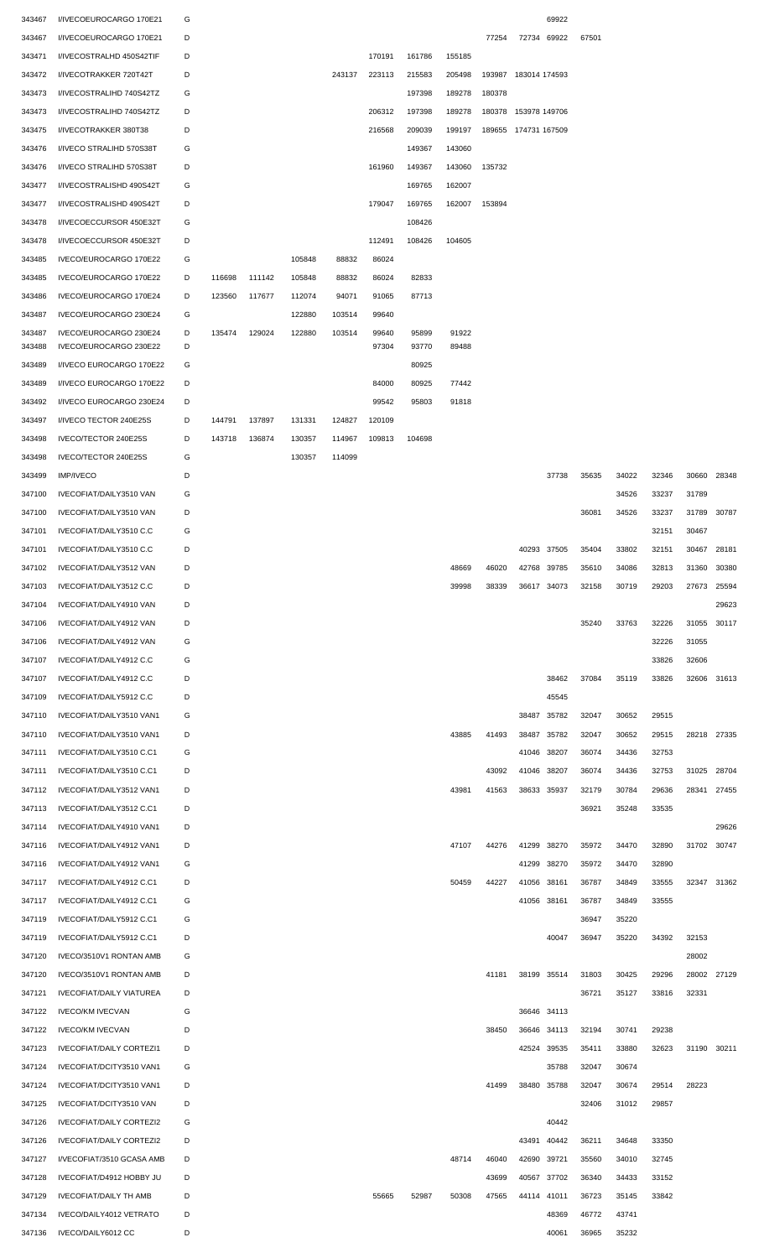| 343467           | I/IVECOEUROCARGO 170E21                     | G      |        |        |        |        |        |        |        |        |                      | 69922       |       |                |                |                |             |
|------------------|---------------------------------------------|--------|--------|--------|--------|--------|--------|--------|--------|--------|----------------------|-------------|-------|----------------|----------------|----------------|-------------|
| 343467           | I/IVECOEUROCARGO 170E21                     | D      |        |        |        |        |        |        |        | 77254  |                      | 72734 69922 | 67501 |                |                |                |             |
| 343471           | I/IVECOSTRALHD 450S42TIF                    | D      |        |        |        |        | 170191 | 161786 | 155185 |        |                      |             |       |                |                |                |             |
| 343472           | <b>I/IVECOTRAKKER 720T42T</b>               | D      |        |        |        | 243137 | 223113 | 215583 | 205498 |        | 193987 183014 174593 |             |       |                |                |                |             |
| 343473           | I/IVECOSTRALIHD 740S42TZ                    | G      |        |        |        |        |        | 197398 | 189278 | 180378 |                      |             |       |                |                |                |             |
| 343473           | I/IVECOSTRALIHD 740S42TZ                    | D      |        |        |        |        | 206312 | 197398 | 189278 |        | 180378 153978 149706 |             |       |                |                |                |             |
| 343475           | I/IVECOTRAKKER 380T38                       | D      |        |        |        |        | 216568 | 209039 | 199197 |        | 189655 174731 167509 |             |       |                |                |                |             |
| 343476           | I/IVECO STRALIHD 570S38T                    | G      |        |        |        |        |        | 149367 | 143060 |        |                      |             |       |                |                |                |             |
| 343476           | I/IVECO STRALIHD 570S38T                    | D      |        |        |        |        | 161960 | 149367 | 143060 | 135732 |                      |             |       |                |                |                |             |
| 343477           | I/IVECOSTRALISHD 490S42T                    | G      |        |        |        |        |        | 169765 | 162007 |        |                      |             |       |                |                |                |             |
| 343477           | I/IVECOSTRALISHD 490S42T                    | D      |        |        |        |        | 179047 | 169765 | 162007 | 153894 |                      |             |       |                |                |                |             |
| 343478           | I/IVECOECCURSOR 450E32T                     | G      |        |        |        |        |        | 108426 |        |        |                      |             |       |                |                |                |             |
| 343478           | I/IVECOECCURSOR 450E32T                     | D      |        |        |        |        | 112491 | 108426 | 104605 |        |                      |             |       |                |                |                |             |
| 343485           | IVECO/EUROCARGO 170E22                      | G      |        |        | 105848 | 88832  | 86024  |        |        |        |                      |             |       |                |                |                |             |
| 343485           | IVECO/EUROCARGO 170E22                      | D      | 116698 | 111142 | 105848 | 88832  | 86024  | 82833  |        |        |                      |             |       |                |                |                |             |
| 343486           | IVECO/EUROCARGO 170E24                      | D      | 123560 | 117677 | 112074 | 94071  | 91065  | 87713  |        |        |                      |             |       |                |                |                |             |
| 343487           | IVECO/EUROCARGO 230E24                      | G      |        |        | 122880 | 103514 | 99640  |        |        |        |                      |             |       |                |                |                |             |
| 343487           | IVECO/EUROCARGO 230E24                      | D      | 135474 | 129024 | 122880 | 103514 | 99640  | 95899  | 91922  |        |                      |             |       |                |                |                |             |
| 343488           | IVECO/EUROCARGO 230E22                      | D      |        |        |        |        | 97304  | 93770  | 89488  |        |                      |             |       |                |                |                |             |
| 343489           | I/IVECO EUROCARGO 170E22                    | G<br>D |        |        |        |        |        | 80925  |        |        |                      |             |       |                |                |                |             |
| 343489           | I/IVECO EUROCARGO 170E22                    |        |        |        |        |        | 84000  | 80925  | 77442  |        |                      |             |       |                |                |                |             |
| 343492           | I/IVECO EUROCARGO 230E24                    | D      |        |        |        |        | 99542  | 95803  | 91818  |        |                      |             |       |                |                |                |             |
| 343497           | I/IVECO TECTOR 240E25S                      | D<br>D | 144791 | 137897 | 131331 | 124827 | 120109 |        |        |        |                      |             |       |                |                |                |             |
| 343498           | IVECO/TECTOR 240E25S                        | G      | 143718 | 136874 | 130357 | 114967 | 109813 | 104698 |        |        |                      |             |       |                |                |                |             |
| 343498           | IVECO/TECTOR 240E25S                        | D      |        |        | 130357 | 114099 |        |        |        |        |                      |             |       |                |                |                |             |
| 343499<br>347100 | <b>IMP/IVECO</b><br>IVECOFIAT/DAILY3510 VAN | G      |        |        |        |        |        |        |        |        |                      | 37738       | 35635 | 34022<br>34526 | 32346<br>33237 | 30660<br>31789 | 28348       |
| 347100           | IVECOFIAT/DAILY3510 VAN                     | D      |        |        |        |        |        |        |        |        |                      |             | 36081 | 34526          | 33237          | 31789          | 30787       |
| 347101           | IVECOFIAT/DAILY3510 C.C                     | G      |        |        |        |        |        |        |        |        |                      |             |       |                | 32151          | 30467          |             |
| 347101           | IVECOFIAT/DAILY3510 C.C                     | D      |        |        |        |        |        |        |        |        |                      | 40293 37505 | 35404 | 33802          | 32151          | 30467          | 28181       |
| 347102           | IVECOFIAT/DAILY3512 VAN                     | D      |        |        |        |        |        |        | 48669  | 46020  |                      | 42768 39785 | 35610 | 34086          | 32813          | 31360          | 30380       |
| 347103           | IVECOFIAT/DAILY3512 C.C                     | D      |        |        |        |        |        |        | 39998  | 38339  |                      | 36617 34073 | 32158 | 30719          | 29203          | 27673          | 25594       |
| 347104           | IVECOFIAT/DAILY4910 VAN                     | D      |        |        |        |        |        |        |        |        |                      |             |       |                |                |                | 29623       |
| 347106           | <b>IVECOFIAT/DAILY4912 VAN</b>              | D      |        |        |        |        |        |        |        |        |                      |             | 35240 | 33763          | 32226          | 31055          | 30117       |
| 347106           | <b>IVECOFIAT/DAILY4912 VAN</b>              | G      |        |        |        |        |        |        |        |        |                      |             |       |                | 32226          | 31055          |             |
| 347107           | IVECOFIAT/DAILY4912 C.C                     | G      |        |        |        |        |        |        |        |        |                      |             |       |                | 33826          | 32606          |             |
| 347107           | IVECOFIAT/DAILY4912 C.C                     | D      |        |        |        |        |        |        |        |        |                      | 38462       | 37084 | 35119          | 33826          | 32606          | 31613       |
| 347109           | IVECOFIAT/DAILY5912 C.C                     | D      |        |        |        |        |        |        |        |        |                      | 45545       |       |                |                |                |             |
| 347110           | IVECOFIAT/DAILY3510 VAN1                    | G      |        |        |        |        |        |        |        |        | 38487 35782          |             | 32047 | 30652          | 29515          |                |             |
| 347110           | IVECOFIAT/DAILY3510 VAN1                    | D      |        |        |        |        |        |        | 43885  | 41493  | 38487                | 35782       | 32047 | 30652          | 29515          | 28218          | 27335       |
| 347111           | IVECOFIAT/DAILY3510 C.C1                    | G      |        |        |        |        |        |        |        |        | 41046                | 38207       | 36074 | 34436          | 32753          |                |             |
| 347111           | IVECOFIAT/DAILY3510 C.C1                    | D      |        |        |        |        |        |        |        | 43092  | 41046 38207          |             | 36074 | 34436          | 32753          | 31025          | 28704       |
| 347112           | IVECOFIAT/DAILY3512 VAN1                    | D      |        |        |        |        |        |        | 43981  | 41563  | 38633 35937          |             | 32179 | 30784          | 29636          | 28341          | 27455       |
| 347113           | IVECOFIAT/DAILY3512 C.C1                    | D      |        |        |        |        |        |        |        |        |                      |             | 36921 | 35248          | 33535          |                |             |
| 347114           | IVECOFIAT/DAILY4910 VAN1                    | D      |        |        |        |        |        |        |        |        |                      |             |       |                |                |                | 29626       |
| 347116           | IVECOFIAT/DAILY4912 VAN1                    | D      |        |        |        |        |        |        | 47107  | 44276  | 41299                | 38270       | 35972 | 34470          | 32890          | 31702          | 30747       |
| 347116           | IVECOFIAT/DAILY4912 VAN1                    | G      |        |        |        |        |        |        |        |        |                      | 41299 38270 | 35972 | 34470          | 32890          |                |             |
| 347117           | IVECOFIAT/DAILY4912 C.C1                    | D      |        |        |        |        |        |        | 50459  | 44227  | 41056 38161          |             | 36787 | 34849          | 33555          |                | 32347 31362 |
| 347117           | IVECOFIAT/DAILY4912 C.C1                    | G      |        |        |        |        |        |        |        |        | 41056 38161          |             | 36787 | 34849          | 33555          |                |             |
| 347119           | IVECOFIAT/DAILY5912 C.C1                    | G      |        |        |        |        |        |        |        |        |                      |             | 36947 | 35220          |                |                |             |
| 347119           | IVECOFIAT/DAILY5912 C.C1                    | D      |        |        |        |        |        |        |        |        |                      | 40047       | 36947 | 35220          | 34392          | 32153          |             |
| 347120           | IVECO/3510V1 RONTAN AMB                     | G      |        |        |        |        |        |        |        |        |                      |             |       |                |                | 28002          |             |
| 347120           | IVECO/3510V1 RONTAN AMB                     | D      |        |        |        |        |        |        |        | 41181  | 38199 35514          |             | 31803 | 30425          | 29296          | 28002          | 27129       |
| 347121           | <b>IVECOFIAT/DAILY VIATUREA</b>             | D      |        |        |        |        |        |        |        |        |                      |             | 36721 | 35127          | 33816          | 32331          |             |
| 347122           | <b>IVECO/KM IVECVAN</b>                     | G      |        |        |        |        |        |        |        |        | 36646 34113          |             |       |                |                |                |             |
| 347122           | <b>IVECO/KM IVECVAN</b>                     | D      |        |        |        |        |        |        |        | 38450  |                      | 36646 34113 | 32194 | 30741          | 29238          |                |             |
| 347123           | <b>IVECOFIAT/DAILY CORTEZI1</b>             | D      |        |        |        |        |        |        |        |        | 42524                | 39535       | 35411 | 33880          | 32623          | 31190          | 30211       |
| 347124           | IVECOFIAT/DCITY3510 VAN1                    | G      |        |        |        |        |        |        |        |        |                      | 35788       | 32047 | 30674          |                |                |             |
| 347124           | IVECOFIAT/DCITY3510 VAN1                    | D      |        |        |        |        |        |        |        | 41499  |                      | 38480 35788 | 32047 | 30674          | 29514          | 28223          |             |
| 347125           | IVECOFIAT/DCITY3510 VAN                     | D      |        |        |        |        |        |        |        |        |                      |             | 32406 | 31012          | 29857          |                |             |
| 347126           | <b>IVECOFIAT/DAILY CORTEZI2</b>             | G      |        |        |        |        |        |        |        |        |                      | 40442       |       |                |                |                |             |
| 347126           | <b>IVECOFIAT/DAILY CORTEZI2</b>             | D      |        |        |        |        |        |        |        |        |                      | 43491 40442 | 36211 | 34648          | 33350          |                |             |
| 347127           | I/VECOFIAT/3510 GCASA AMB                   | D      |        |        |        |        |        |        | 48714  | 46040  | 42690 39721          |             | 35560 | 34010          | 32745          |                |             |
| 347128           | IVECOFIAT/D4912 HOBBY JU                    | D      |        |        |        |        |        |        |        | 43699  |                      | 40567 37702 | 36340 | 34433          | 33152          |                |             |
| 347129           | <b>IVECOFIAT/DAILY TH AMB</b>               | D      |        |        |        |        | 55665  | 52987  | 50308  | 47565  | 44114 41011          |             | 36723 | 35145          | 33842          |                |             |
| 347134           | IVECO/DAILY4012 VETRATO                     | D      |        |        |        |        |        |        |        |        |                      | 48369       | 46772 | 43741          |                |                |             |
| 347136           | IVECO/DAILY6012 CC                          | D      |        |        |        |        |        |        |        |        |                      | 40061       | 36965 | 35232          |                |                |             |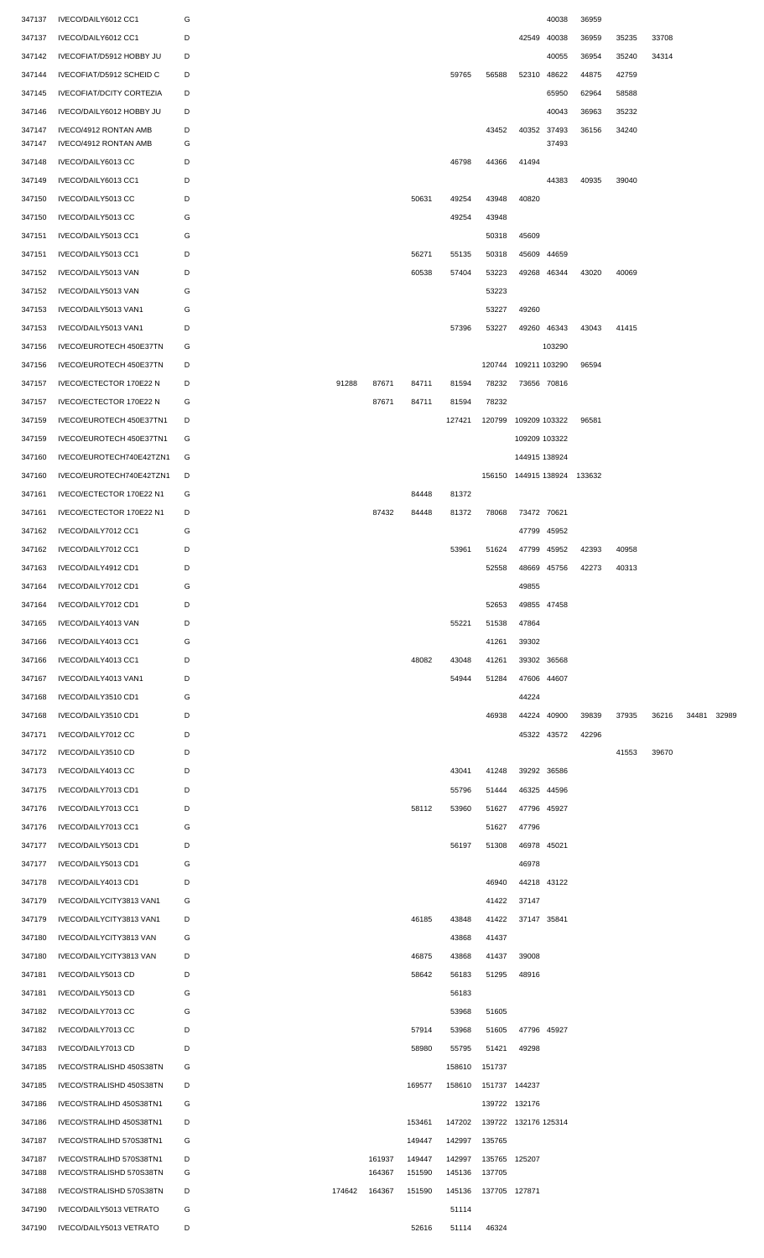| 347137 | IVECO/DAILY6012 CC1             | G |        |        |        |        |               |                             | 40038       | 36959 |       |       |       |       |
|--------|---------------------------------|---|--------|--------|--------|--------|---------------|-----------------------------|-------------|-------|-------|-------|-------|-------|
| 347137 | IVECO/DAILY6012 CC1             | D |        |        |        |        |               |                             | 42549 40038 | 36959 | 35235 | 33708 |       |       |
| 347142 | IVECOFIAT/D5912 HOBBY JU        | D |        |        |        |        |               |                             | 40055       | 36954 | 35240 | 34314 |       |       |
| 347144 | IVECOFIAT/D5912 SCHEID C        | D |        |        |        | 59765  | 56588         |                             | 52310 48622 | 44875 | 42759 |       |       |       |
| 347145 | <b>IVECOFIAT/DCITY CORTEZIA</b> | D |        |        |        |        |               |                             | 65950       | 62964 | 58588 |       |       |       |
| 347146 | IVECO/DAILY6012 HOBBY JU        | D |        |        |        |        |               |                             | 40043       | 36963 | 35232 |       |       |       |
| 347147 | IVECO/4912 RONTAN AMB           | D |        |        |        |        | 43452         |                             | 40352 37493 | 36156 | 34240 |       |       |       |
| 347147 | IVECO/4912 RONTAN AMB           | G |        |        |        |        |               |                             | 37493       |       |       |       |       |       |
| 347148 | IVECO/DAILY6013 CC              | D |        |        |        | 46798  | 44366         | 41494                       |             |       |       |       |       |       |
| 347149 | IVECO/DAILY6013 CC1             | D |        |        |        |        |               |                             | 44383       | 40935 | 39040 |       |       |       |
| 347150 | IVECO/DAILY5013 CC              | D |        |        | 50631  | 49254  | 43948         | 40820                       |             |       |       |       |       |       |
| 347150 | IVECO/DAILY5013 CC              | G |        |        |        | 49254  | 43948         |                             |             |       |       |       |       |       |
| 347151 | IVECO/DAILY5013 CC1             | G |        |        |        |        | 50318         | 45609                       |             |       |       |       |       |       |
| 347151 | IVECO/DAILY5013 CC1             | D |        |        | 56271  | 55135  | 50318         |                             | 45609 44659 |       |       |       |       |       |
| 347152 | IVECO/DAILY5013 VAN             | D |        |        | 60538  | 57404  | 53223         |                             | 49268 46344 | 43020 | 40069 |       |       |       |
| 347152 | IVECO/DAILY5013 VAN             | G |        |        |        |        | 53223         |                             |             |       |       |       |       |       |
| 347153 | IVECO/DAILY5013 VAN1            | G |        |        |        |        | 53227         | 49260                       |             |       |       |       |       |       |
| 347153 | IVECO/DAILY5013 VAN1            | D |        |        |        | 57396  | 53227         |                             | 49260 46343 | 43043 | 41415 |       |       |       |
| 347156 | IVECO/EUROTECH 450E37TN         | G |        |        |        |        |               |                             | 103290      |       |       |       |       |       |
| 347156 | IVECO/EUROTECH 450E37TN         | D |        |        |        |        | 120744        | 109211 103290               |             | 96594 |       |       |       |       |
| 347157 | IVECO/ECTECTOR 170E22 N         | D | 91288  | 87671  | 84711  | 81594  | 78232         |                             | 73656 70816 |       |       |       |       |       |
| 347157 | IVECO/ECTECTOR 170E22 N         | G |        | 87671  | 84711  | 81594  | 78232         |                             |             |       |       |       |       |       |
| 347159 | IVECO/EUROTECH 450E37TN1        | D |        |        |        | 127421 | 120799        | 109209 103322               |             | 96581 |       |       |       |       |
| 347159 | IVECO/EUROTECH 450E37TN1        | G |        |        |        |        |               | 109209 103322               |             |       |       |       |       |       |
| 347160 | IVECO/EUROTECH740E42TZN1        | G |        |        |        |        |               | 144915 138924               |             |       |       |       |       |       |
| 347160 | IVECO/EUROTECH740E42TZN1        | D |        |        |        |        |               | 156150 144915 138924 133632 |             |       |       |       |       |       |
| 347161 | IVECO/ECTECTOR 170E22 N1        | G |        |        | 84448  | 81372  |               |                             |             |       |       |       |       |       |
| 347161 | IVECO/ECTECTOR 170E22 N1        | D |        | 87432  | 84448  | 81372  | 78068         | 73472 70621                 |             |       |       |       |       |       |
| 347162 | IVECO/DAILY7012 CC1             | G |        |        |        |        |               |                             | 47799 45952 |       |       |       |       |       |
| 347162 | IVECO/DAILY7012 CC1             | D |        |        |        | 53961  | 51624         |                             | 47799 45952 | 42393 | 40958 |       |       |       |
| 347163 | IVECO/DAILY4912 CD1             | D |        |        |        |        | 52558         |                             | 48669 45756 | 42273 | 40313 |       |       |       |
| 347164 | IVECO/DAILY7012 CD1             | G |        |        |        |        |               | 49855                       |             |       |       |       |       |       |
| 347164 | IVECO/DAILY7012 CD1             | D |        |        |        |        | 52653         |                             | 49855 47458 |       |       |       |       |       |
| 347165 | IVECO/DAILY4013 VAN             | D |        |        |        | 55221  | 51538         | 47864                       |             |       |       |       |       |       |
| 347166 | IVECO/DAILY4013 CC1             | G |        |        |        |        | 41261         | 39302                       |             |       |       |       |       |       |
| 347166 | IVECO/DAILY4013 CC1             | D |        |        | 48082  | 43048  | 41261         |                             | 39302 36568 |       |       |       |       |       |
| 347167 | IVECO/DAILY4013 VAN1            | D |        |        |        | 54944  | 51284         |                             | 47606 44607 |       |       |       |       |       |
| 347168 | IVECO/DAILY3510 CD1             | G |        |        |        |        |               | 44224                       |             |       |       |       |       |       |
| 347168 | IVECO/DAILY3510 CD1             | D |        |        |        |        | 46938         |                             | 44224 40900 | 39839 | 37935 | 36216 | 34481 | 32989 |
| 347171 | IVECO/DAILY7012 CC              | D |        |        |        |        |               |                             | 45322 43572 | 42296 |       |       |       |       |
| 347172 | IVECO/DAILY3510 CD              | D |        |        |        |        |               |                             |             |       | 41553 | 39670 |       |       |
| 347173 | IVECO/DAILY4013 CC              | D |        |        |        | 43041  | 41248         |                             | 39292 36586 |       |       |       |       |       |
| 347175 | IVECO/DAILY7013 CD1             | D |        |        |        | 55796  | 51444         |                             | 46325 44596 |       |       |       |       |       |
| 347176 | IVECO/DAILY7013 CC1             | D |        |        | 58112  | 53960  | 51627         | 47796 45927                 |             |       |       |       |       |       |
| 347176 | IVECO/DAILY7013 CC1             | G |        |        |        |        | 51627         | 47796                       |             |       |       |       |       |       |
| 347177 | IVECO/DAILY5013 CD1             | D |        |        |        | 56197  | 51308         | 46978 45021                 |             |       |       |       |       |       |
| 347177 | IVECO/DAILY5013 CD1             | G |        |        |        |        |               | 46978                       |             |       |       |       |       |       |
| 347178 | IVECO/DAILY4013 CD1             | D |        |        |        |        | 46940         |                             | 44218 43122 |       |       |       |       |       |
| 347179 | IVECO/DAILYCITY3813 VAN1        | G |        |        |        |        | 41422         | 37147                       |             |       |       |       |       |       |
| 347179 | IVECO/DAILYCITY3813 VAN1        | D |        |        | 46185  | 43848  | 41422         | 37147 35841                 |             |       |       |       |       |       |
| 347180 | IVECO/DAILYCITY3813 VAN         | G |        |        |        | 43868  | 41437         |                             |             |       |       |       |       |       |
| 347180 | IVECO/DAILYCITY3813 VAN         | D |        |        | 46875  | 43868  | 41437         | 39008                       |             |       |       |       |       |       |
| 347181 | IVECO/DAILY5013 CD              | D |        |        | 58642  | 56183  | 51295         | 48916                       |             |       |       |       |       |       |
| 347181 | IVECO/DAILY5013 CD              | G |        |        |        | 56183  |               |                             |             |       |       |       |       |       |
| 347182 | IVECO/DAILY7013 CC              | G |        |        |        | 53968  | 51605         |                             |             |       |       |       |       |       |
| 347182 | IVECO/DAILY7013 CC              | D |        |        | 57914  | 53968  | 51605         |                             | 47796 45927 |       |       |       |       |       |
| 347183 | IVECO/DAILY7013 CD              | D |        |        | 58980  | 55795  | 51421         | 49298                       |             |       |       |       |       |       |
| 347185 | IVECO/STRALISHD 450S38TN        | G |        |        |        | 158610 | 151737        |                             |             |       |       |       |       |       |
| 347185 | IVECO/STRALISHD 450S38TN        | D |        |        | 169577 | 158610 |               | 151737 144237               |             |       |       |       |       |       |
| 347186 | IVECO/STRALIHD 450S38TN1        | G |        |        |        |        |               | 139722 132176               |             |       |       |       |       |       |
| 347186 | IVECO/STRALIHD 450S38TN1        | D |        |        | 153461 | 147202 |               | 139722 132176 125314        |             |       |       |       |       |       |
| 347187 | IVECO/STRALIHD 570S38TN1        | G |        |        | 149447 |        | 142997 135765 |                             |             |       |       |       |       |       |
| 347187 | IVECO/STRALIHD 570S38TN1        | D |        | 161937 | 149447 | 142997 |               | 135765 125207               |             |       |       |       |       |       |
| 347188 | IVECO/STRALISHD 570S38TN        | G |        | 164367 | 151590 | 145136 | 137705        |                             |             |       |       |       |       |       |
| 347188 | IVECO/STRALISHD 570S38TN        | D | 174642 | 164367 | 151590 | 145136 | 137705 127871 |                             |             |       |       |       |       |       |
| 347190 | IVECO/DAILY5013 VETRATO         | G |        |        |        | 51114  |               |                             |             |       |       |       |       |       |
| 347190 | IVECO/DAILY5013 VETRATO         | D |        |        | 52616  | 51114  | 46324         |                             |             |       |       |       |       |       |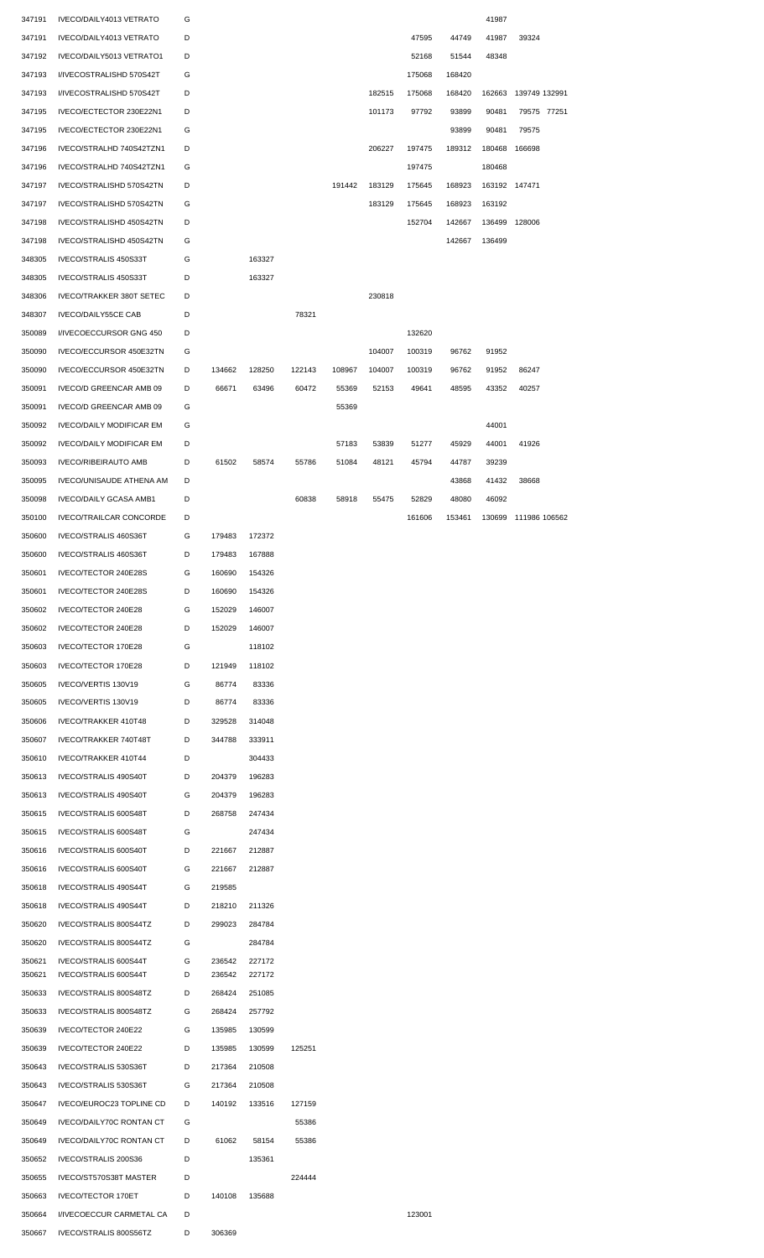| 347191 | IVECO/DAILY4013 VETRATO         | G |        |        |        |        |        |        |        | 41987  |                      |  |
|--------|---------------------------------|---|--------|--------|--------|--------|--------|--------|--------|--------|----------------------|--|
| 347191 | IVECO/DAILY4013 VETRATO         | D |        |        |        |        |        | 47595  | 44749  | 41987  | 39324                |  |
| 347192 | IVECO/DAILY5013 VETRATO1        | D |        |        |        |        |        | 52168  | 51544  | 48348  |                      |  |
| 347193 | I/IVECOSTRALISHD 570S42T        | G |        |        |        |        |        | 175068 | 168420 |        |                      |  |
| 347193 | I/IVECOSTRALISHD 570S42T        | D |        |        |        |        | 182515 | 175068 | 168420 | 162663 | 139749 132991        |  |
| 347195 | IVECO/ECTECTOR 230E22N1         | D |        |        |        |        | 101173 | 97792  | 93899  | 90481  | 79575 77251          |  |
| 347195 | IVECO/ECTECTOR 230E22N1         | G |        |        |        |        |        |        | 93899  | 90481  | 79575                |  |
|        |                                 | D |        |        |        |        |        |        |        | 180468 |                      |  |
| 347196 | IVECO/STRALHD 740S42TZN1        |   |        |        |        |        | 206227 | 197475 | 189312 |        | 166698               |  |
| 347196 | IVECO/STRALHD 740S42TZN1        | G |        |        |        |        |        | 197475 |        | 180468 |                      |  |
| 347197 | IVECO/STRALISHD 570S42TN        | D |        |        |        | 191442 | 183129 | 175645 | 168923 |        | 163192 147471        |  |
| 347197 | IVECO/STRALISHD 570S42TN        | G |        |        |        |        | 183129 | 175645 | 168923 | 163192 |                      |  |
| 347198 | IVECO/STRALISHD 450S42TN        | D |        |        |        |        |        | 152704 | 142667 | 136499 | 128006               |  |
| 347198 | IVECO/STRALISHD 450S42TN        | G |        |        |        |        |        |        | 142667 | 136499 |                      |  |
| 348305 | IVECO/STRALIS 450S33T           | G |        | 163327 |        |        |        |        |        |        |                      |  |
| 348305 | IVECO/STRALIS 450S33T           | D |        | 163327 |        |        |        |        |        |        |                      |  |
| 348306 | <b>IVECO/TRAKKER 380T SETEC</b> | D |        |        |        |        | 230818 |        |        |        |                      |  |
| 348307 | <b>IVECO/DAILY55CE CAB</b>      | D |        |        | 78321  |        |        |        |        |        |                      |  |
|        |                                 | D |        |        |        |        |        |        |        |        |                      |  |
| 350089 | I/IVECOECCURSOR GNG 450         |   |        |        |        |        |        | 132620 |        |        |                      |  |
| 350090 | IVECO/ECCURSOR 450E32TN         | G |        |        |        |        | 104007 | 100319 | 96762  | 91952  |                      |  |
| 350090 | IVECO/ECCURSOR 450E32TN         | D | 134662 | 128250 | 122143 | 108967 | 104007 | 100319 | 96762  | 91952  | 86247                |  |
| 350091 | IVECO/D GREENCAR AMB 09         | D | 66671  | 63496  | 60472  | 55369  | 52153  | 49641  | 48595  | 43352  | 40257                |  |
| 350091 | IVECO/D GREENCAR AMB 09         | G |        |        |        | 55369  |        |        |        |        |                      |  |
| 350092 | <b>IVECO/DAILY MODIFICAR EM</b> | G |        |        |        |        |        |        |        | 44001  |                      |  |
| 350092 | <b>IVECO/DAILY MODIFICAR EM</b> | D |        |        |        | 57183  | 53839  | 51277  | 45929  | 44001  | 41926                |  |
| 350093 | <b>IVECO/RIBEIRAUTO AMB</b>     | D | 61502  | 58574  | 55786  | 51084  | 48121  | 45794  | 44787  | 39239  |                      |  |
| 350095 | IVECO/UNISAUDE ATHENA AM        | D |        |        |        |        |        |        | 43868  | 41432  | 38668                |  |
| 350098 | IVECO/DAILY GCASA AMB1          | D |        |        | 60838  | 58918  | 55475  | 52829  | 48080  | 46092  |                      |  |
| 350100 | <b>IVECO/TRAILCAR CONCORDE</b>  | D |        |        |        |        |        | 161606 |        |        | 130699 111986 106562 |  |
|        |                                 |   |        |        |        |        |        |        | 153461 |        |                      |  |
| 350600 | IVECO/STRALIS 460S36T           | G | 179483 | 172372 |        |        |        |        |        |        |                      |  |
| 350600 | IVECO/STRALIS 460S36T           | D | 179483 | 167888 |        |        |        |        |        |        |                      |  |
| 350601 | IVECO/TECTOR 240E28S            | G | 160690 | 154326 |        |        |        |        |        |        |                      |  |
| 350601 | IVECO/TECTOR 240E28S            | D | 160690 | 154326 |        |        |        |        |        |        |                      |  |
| 350602 | IVECO/TECTOR 240E28             | G | 152029 | 146007 |        |        |        |        |        |        |                      |  |
| 350602 | IVECO/TECTOR 240E28             | D | 152029 | 146007 |        |        |        |        |        |        |                      |  |
| 350603 | IVECO/TECTOR 170E28             | G |        | 118102 |        |        |        |        |        |        |                      |  |
| 350603 | IVECO/TECTOR 170E28             | D | 121949 | 118102 |        |        |        |        |        |        |                      |  |
| 350605 | IVECO/VERTIS 130V19             | G | 86774  | 83336  |        |        |        |        |        |        |                      |  |
| 350605 | IVECO/VERTIS 130V19             | D | 86774  | 83336  |        |        |        |        |        |        |                      |  |
|        |                                 |   |        |        |        |        |        |        |        |        |                      |  |
| 350606 | IVECO/TRAKKER 410T48            | D | 329528 | 314048 |        |        |        |        |        |        |                      |  |
| 350607 | IVECO/TRAKKER 740T48T           | D | 344788 | 333911 |        |        |        |        |        |        |                      |  |
| 350610 | IVECO/TRAKKER 410T44            | D |        | 304433 |        |        |        |        |        |        |                      |  |
| 350613 | IVECO/STRALIS 490S40T           | D | 204379 | 196283 |        |        |        |        |        |        |                      |  |
| 350613 | IVECO/STRALIS 490S40T           | G | 204379 | 196283 |        |        |        |        |        |        |                      |  |
| 350615 | IVECO/STRALIS 600S48T           | D | 268758 | 247434 |        |        |        |        |        |        |                      |  |
| 350615 | IVECO/STRALIS 600S48T           | G |        | 247434 |        |        |        |        |        |        |                      |  |
| 350616 | IVECO/STRALIS 600S40T           | D | 221667 | 212887 |        |        |        |        |        |        |                      |  |
| 350616 | IVECO/STRALIS 600S40T           | G | 221667 | 212887 |        |        |        |        |        |        |                      |  |
| 350618 | IVECO/STRALIS 490S44T           | G | 219585 |        |        |        |        |        |        |        |                      |  |
|        |                                 |   |        |        |        |        |        |        |        |        |                      |  |
| 350618 | IVECO/STRALIS 490S44T           | D | 218210 | 211326 |        |        |        |        |        |        |                      |  |
| 350620 | IVECO/STRALIS 800S44TZ          | D | 299023 | 284784 |        |        |        |        |        |        |                      |  |
| 350620 | IVECO/STRALIS 800S44TZ          | G |        | 284784 |        |        |        |        |        |        |                      |  |
| 350621 | IVECO/STRALIS 600S44T           | G | 236542 | 227172 |        |        |        |        |        |        |                      |  |
| 350621 | IVECO/STRALIS 600S44T           | D | 236542 | 227172 |        |        |        |        |        |        |                      |  |
| 350633 | IVECO/STRALIS 800S48TZ          | D | 268424 | 251085 |        |        |        |        |        |        |                      |  |
| 350633 | IVECO/STRALIS 800S48TZ          | G | 268424 | 257792 |        |        |        |        |        |        |                      |  |
| 350639 | IVECO/TECTOR 240E22             | G | 135985 | 130599 |        |        |        |        |        |        |                      |  |
| 350639 | IVECO/TECTOR 240E22             | D | 135985 | 130599 | 125251 |        |        |        |        |        |                      |  |
| 350643 | IVECO/STRALIS 530S36T           | D | 217364 | 210508 |        |        |        |        |        |        |                      |  |
| 350643 | IVECO/STRALIS 530S36T           | G | 217364 | 210508 |        |        |        |        |        |        |                      |  |
| 350647 | IVECO/EUROC23 TOPLINE CD        | D | 140192 | 133516 | 127159 |        |        |        |        |        |                      |  |
|        |                                 |   |        |        |        |        |        |        |        |        |                      |  |
| 350649 | IVECO/DAILY70C RONTAN CT        | G |        |        | 55386  |        |        |        |        |        |                      |  |
| 350649 | IVECO/DAILY70C RONTAN CT        | D | 61062  | 58154  | 55386  |        |        |        |        |        |                      |  |
| 350652 | IVECO/STRALIS 200S36            | D |        | 135361 |        |        |        |        |        |        |                      |  |
| 350655 | IVECO/ST570S38T MASTER          | D |        |        | 224444 |        |        |        |        |        |                      |  |
| 350663 | <b>IVECO/TECTOR 170ET</b>       | D | 140108 | 135688 |        |        |        |        |        |        |                      |  |
| 350664 | I/IVECOECCUR CARMETAL CA        | D |        |        |        |        |        | 123001 |        |        |                      |  |
| 350667 | IVECO/STRALIS 800S56TZ          | D | 306369 |        |        |        |        |        |        |        |                      |  |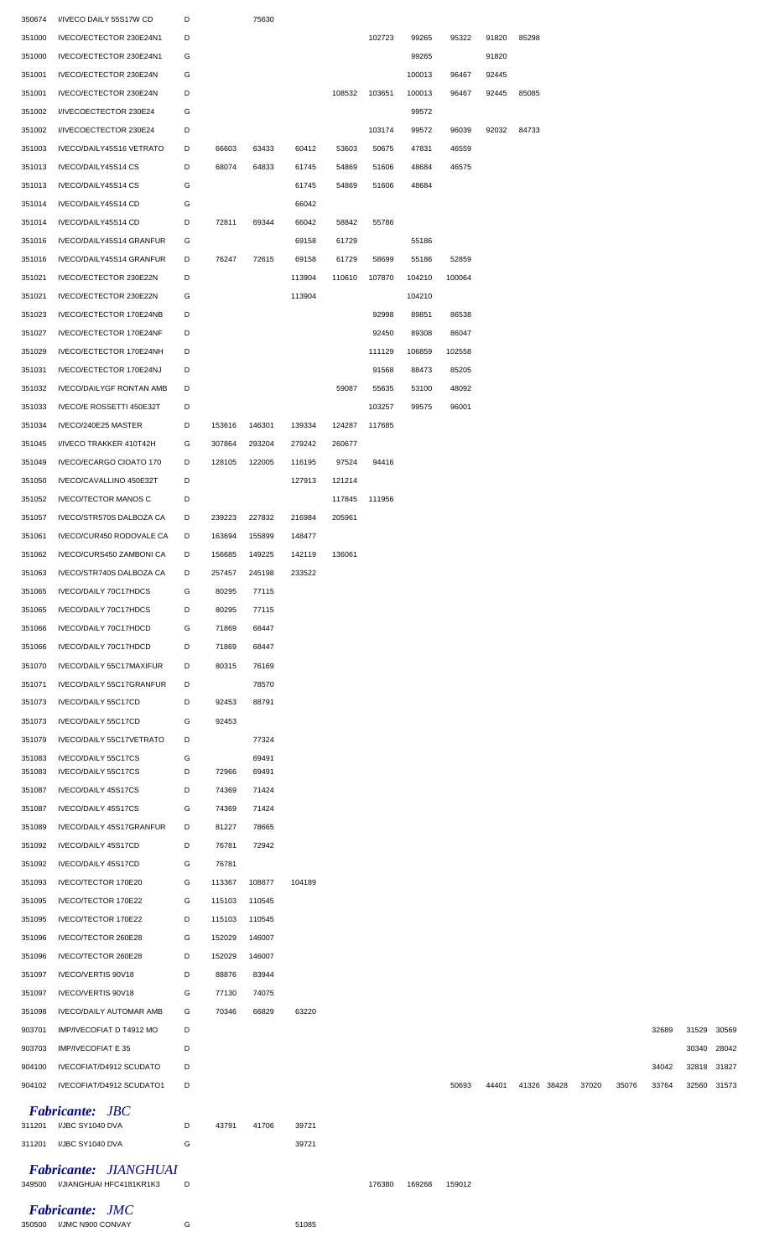| 350674 | I/IVECO DAILY 55S17W CD                           | D |        | 75630  |        |        |        |        |        |       |             |       |       |       |       |             |
|--------|---------------------------------------------------|---|--------|--------|--------|--------|--------|--------|--------|-------|-------------|-------|-------|-------|-------|-------------|
| 351000 | IVECO/ECTECTOR 230E24N1                           | D |        |        |        |        | 102723 | 99265  | 95322  | 91820 | 85298       |       |       |       |       |             |
| 351000 | IVECO/ECTECTOR 230E24N1                           | G |        |        |        |        |        | 99265  |        | 91820 |             |       |       |       |       |             |
| 351001 | IVECO/ECTECTOR 230E24N                            | G |        |        |        |        |        | 100013 | 96467  | 92445 |             |       |       |       |       |             |
| 351001 | IVECO/ECTECTOR 230E24N                            | D |        |        |        | 108532 | 103651 | 100013 | 96467  | 92445 | 85085       |       |       |       |       |             |
| 351002 | I/IVECOECTECTOR 230E24                            | G |        |        |        |        |        | 99572  |        |       |             |       |       |       |       |             |
| 351002 | I/IVECOECTECTOR 230E24                            | D |        |        |        |        | 103174 | 99572  | 96039  | 92032 | 84733       |       |       |       |       |             |
| 351003 | IVECO/DAILY45S16 VETRATO                          | D | 66603  | 63433  | 60412  | 53603  | 50675  | 47831  | 46559  |       |             |       |       |       |       |             |
| 351013 | IVECO/DAILY45S14 CS                               | D | 68074  | 64833  | 61745  | 54869  | 51606  | 48684  | 46575  |       |             |       |       |       |       |             |
| 351013 | IVECO/DAILY45S14 CS                               | G |        |        | 61745  | 54869  | 51606  | 48684  |        |       |             |       |       |       |       |             |
| 351014 | IVECO/DAILY45S14 CD                               | G |        |        | 66042  |        |        |        |        |       |             |       |       |       |       |             |
| 351014 | IVECO/DAILY45S14 CD                               | D | 72811  | 69344  | 66042  | 58842  | 55786  |        |        |       |             |       |       |       |       |             |
| 351016 | IVECO/DAILY45S14 GRANFUR                          | G |        |        | 69158  | 61729  |        | 55186  |        |       |             |       |       |       |       |             |
| 351016 | IVECO/DAILY45S14 GRANFUR                          | D | 76247  | 72615  | 69158  | 61729  | 58699  | 55186  | 52859  |       |             |       |       |       |       |             |
| 351021 | IVECO/ECTECTOR 230E22N                            | D |        |        | 113904 | 110610 | 107870 | 104210 | 100064 |       |             |       |       |       |       |             |
| 351021 | IVECO/ECTECTOR 230E22N                            | G |        |        | 113904 |        |        | 104210 |        |       |             |       |       |       |       |             |
| 351023 | IVECO/ECTECTOR 170E24NB                           | D |        |        |        |        | 92998  | 89851  | 86538  |       |             |       |       |       |       |             |
| 351027 | IVECO/ECTECTOR 170E24NF                           | D |        |        |        |        | 92450  | 89308  | 86047  |       |             |       |       |       |       |             |
| 351029 | IVECO/ECTECTOR 170E24NH                           | D |        |        |        |        | 111129 | 106859 | 102558 |       |             |       |       |       |       |             |
| 351031 | IVECO/ECTECTOR 170E24NJ                           | D |        |        |        |        | 91568  | 88473  | 85205  |       |             |       |       |       |       |             |
| 351032 | <b>IVECO/DAILYGF RONTAN AMB</b>                   | D |        |        |        | 59087  | 55635  | 53100  | 48092  |       |             |       |       |       |       |             |
|        |                                                   |   |        |        |        |        | 103257 |        | 96001  |       |             |       |       |       |       |             |
| 351033 | IVECO/E ROSSETTI 450E32T                          | D |        |        |        |        |        | 99575  |        |       |             |       |       |       |       |             |
| 351034 | IVECO/240E25 MASTER                               | D | 153616 | 146301 | 139334 | 124287 | 117685 |        |        |       |             |       |       |       |       |             |
| 351045 | I/IVECO TRAKKER 410T42H                           | G | 307864 | 293204 | 279242 | 260677 |        |        |        |       |             |       |       |       |       |             |
| 351049 | IVECO/ECARGO CIOATO 170                           | D | 128105 | 122005 | 116195 | 97524  | 94416  |        |        |       |             |       |       |       |       |             |
| 351050 | IVECO/CAVALLINO 450E32T                           | D |        |        | 127913 | 121214 |        |        |        |       |             |       |       |       |       |             |
| 351052 | <b>IVECO/TECTOR MANOS C</b>                       | D |        |        |        | 117845 | 111956 |        |        |       |             |       |       |       |       |             |
| 351057 | IVECO/STR570S DALBOZA CA                          | D | 239223 | 227832 | 216984 | 205961 |        |        |        |       |             |       |       |       |       |             |
| 351061 | IVECO/CUR450 RODOVALE CA                          | D | 163694 | 155899 | 148477 |        |        |        |        |       |             |       |       |       |       |             |
| 351062 | IVECO/CURS450 ZAMBONI CA                          | D | 156685 | 149225 | 142119 | 136061 |        |        |        |       |             |       |       |       |       |             |
|        | 351063 IVECO/STR740S DALBOZA CA                   | D | 257457 | 245198 | 233522 |        |        |        |        |       |             |       |       |       |       |             |
| 351065 | IVECO/DAILY 70C17HDCS                             | G | 80295  | 77115  |        |        |        |        |        |       |             |       |       |       |       |             |
| 351065 | IVECO/DAILY 70C17HDCS                             | D | 80295  | 77115  |        |        |        |        |        |       |             |       |       |       |       |             |
| 351066 | IVECO/DAILY 70C17HDCD                             | G | 71869  | 68447  |        |        |        |        |        |       |             |       |       |       |       |             |
| 351066 | IVECO/DAILY 70C17HDCD                             | D | 71869  | 68447  |        |        |        |        |        |       |             |       |       |       |       |             |
| 351070 | IVECO/DAILY 55C17MAXIFUR                          | D | 80315  | 76169  |        |        |        |        |        |       |             |       |       |       |       |             |
| 351071 | IVECO/DAILY 55C17GRANFUR                          | D |        | 78570  |        |        |        |        |        |       |             |       |       |       |       |             |
| 351073 | IVECO/DAILY 55C17CD                               | D | 92453  | 88791  |        |        |        |        |        |       |             |       |       |       |       |             |
| 351073 | IVECO/DAILY 55C17CD                               | G | 92453  |        |        |        |        |        |        |       |             |       |       |       |       |             |
| 351079 | IVECO/DAILY 55C17VETRATO                          | D |        | 77324  |        |        |        |        |        |       |             |       |       |       |       |             |
| 351083 | IVECO/DAILY 55C17CS                               | G |        | 69491  |        |        |        |        |        |       |             |       |       |       |       |             |
| 351083 | IVECO/DAILY 55C17CS                               | D | 72966  | 69491  |        |        |        |        |        |       |             |       |       |       |       |             |
| 351087 | IVECO/DAILY 45S17CS                               | D | 74369  | 71424  |        |        |        |        |        |       |             |       |       |       |       |             |
| 351087 | IVECO/DAILY 45S17CS                               | G | 74369  | 71424  |        |        |        |        |        |       |             |       |       |       |       |             |
| 351089 | IVECO/DAILY 45S17GRANFUR                          | D | 81227  | 78665  |        |        |        |        |        |       |             |       |       |       |       |             |
| 351092 | IVECO/DAILY 45S17CD                               | D | 76781  | 72942  |        |        |        |        |        |       |             |       |       |       |       |             |
| 351092 | IVECO/DAILY 45S17CD                               | G | 76781  |        |        |        |        |        |        |       |             |       |       |       |       |             |
| 351093 | IVECO/TECTOR 170E20                               | G | 113367 | 108877 | 104189 |        |        |        |        |       |             |       |       |       |       |             |
| 351095 | IVECO/TECTOR 170E22                               | G | 115103 | 110545 |        |        |        |        |        |       |             |       |       |       |       |             |
| 351095 | IVECO/TECTOR 170E22                               | D | 115103 | 110545 |        |        |        |        |        |       |             |       |       |       |       |             |
| 351096 | IVECO/TECTOR 260E28                               | G | 152029 | 146007 |        |        |        |        |        |       |             |       |       |       |       |             |
| 351096 | IVECO/TECTOR 260E28                               | D | 152029 | 146007 |        |        |        |        |        |       |             |       |       |       |       |             |
| 351097 | IVECO/VERTIS 90V18                                | D | 88876  | 83944  |        |        |        |        |        |       |             |       |       |       |       |             |
| 351097 | IVECO/VERTIS 90V18                                | G | 77130  | 74075  |        |        |        |        |        |       |             |       |       |       |       |             |
| 351098 | <b>IVECO/DAILY AUTOMAR AMB</b>                    | G | 70346  | 66829  | 63220  |        |        |        |        |       |             |       |       |       |       |             |
| 903701 | IMP/IVECOFIAT D T4912 MO                          | D |        |        |        |        |        |        |        |       |             |       |       | 32689 | 31529 | 30569       |
| 903703 | IMP/IVECOFIAT E 35                                | D |        |        |        |        |        |        |        |       |             |       |       |       | 30340 | 28042       |
| 904100 | IVECOFIAT/D4912 SCUDATO                           | D |        |        |        |        |        |        |        |       |             |       |       | 34042 | 32818 | 31827       |
| 904102 | IVECOFIAT/D4912 SCUDATO1                          | D |        |        |        |        |        |        | 50693  | 44401 | 41326 38428 | 37020 | 35076 | 33764 |       | 32560 31573 |
|        |                                                   |   |        |        |        |        |        |        |        |       |             |       |       |       |       |             |
|        | <b>Fabricante: JBC</b><br>311201 I/JBC SY1040 DVA | D | 43791  | 41706  | 39721  |        |        |        |        |       |             |       |       |       |       |             |
| 311201 | I/JBC SY1040 DVA                                  | G |        |        | 39721  |        |        |        |        |       |             |       |       |       |       |             |
|        |                                                   |   |        |        |        |        |        |        |        |       |             |       |       |       |       |             |
|        | Fabricante: JIANGHUAI                             |   |        |        |        |        |        |        |        |       |             |       |       |       |       |             |
| 349500 | I/JIANGHUAI HFC4181KR1K3                          | D |        |        |        |        | 176380 | 169268 | 159012 |       |             |       |       |       |       |             |
|        | <b>Fabricante: JMC</b>                            |   |        |        |        |        |        |        |        |       |             |       |       |       |       |             |

I/JMC N900 CONVAY G 51085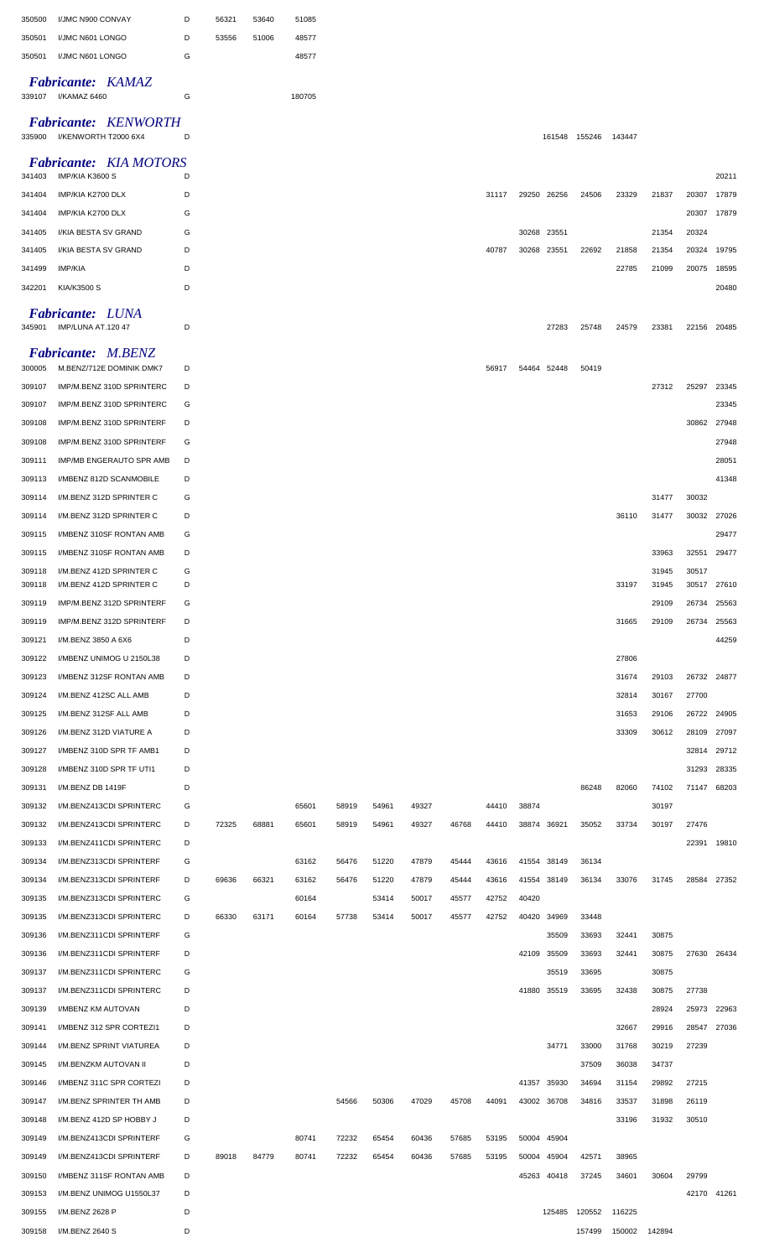| 350500 | I/JMC N900 CONVAY                                   | D | 56321 | 53640 | 51085  |       |       |       |       |       |       |             |                      |               |       |       |             |
|--------|-----------------------------------------------------|---|-------|-------|--------|-------|-------|-------|-------|-------|-------|-------------|----------------------|---------------|-------|-------|-------------|
| 350501 | I/JMC N601 LONGO                                    | D | 53556 | 51006 | 48577  |       |       |       |       |       |       |             |                      |               |       |       |             |
| 350501 | I/JMC N601 LONGO                                    | G |       |       | 48577  |       |       |       |       |       |       |             |                      |               |       |       |             |
| 339107 | <b>Fabricante: KAMAZ</b><br>I/KAMAZ 6460            | G |       |       | 180705 |       |       |       |       |       |       |             |                      |               |       |       |             |
|        |                                                     |   |       |       |        |       |       |       |       |       |       |             |                      |               |       |       |             |
| 335900 | <b>Fabricante: KENWORTH</b><br>I/KENWORTH T2000 6X4 | D |       |       |        |       |       |       |       |       |       |             | 161548 155246        | 143447        |       |       |             |
| 341403 | <b>Fabricante: KIA MOTORS</b><br>IMP/KIA K3600 S    | D |       |       |        |       |       |       |       |       |       |             |                      |               |       |       | 20211       |
| 341404 | IMP/KIA K2700 DLX                                   | D |       |       |        |       |       |       |       | 31117 |       | 29250 26256 | 24506                | 23329         | 21837 | 20307 | 17879       |
| 341404 | IMP/KIA K2700 DLX                                   | G |       |       |        |       |       |       |       |       |       |             |                      |               |       | 20307 | 17879       |
| 341405 | I/KIA BESTA SV GRAND                                | G |       |       |        |       |       |       |       |       |       | 30268 23551 |                      |               | 21354 | 20324 |             |
| 341405 | I/KIA BESTA SV GRAND                                | D |       |       |        |       |       |       |       | 40787 | 30268 | 23551       | 22692                | 21858         | 21354 | 20324 | 19795       |
| 341499 | IMP/KIA                                             | D |       |       |        |       |       |       |       |       |       |             |                      | 22785         | 21099 | 20075 | 18595       |
| 342201 | KIA/K3500 S                                         | D |       |       |        |       |       |       |       |       |       |             |                      |               |       |       | 20480       |
|        |                                                     |   |       |       |        |       |       |       |       |       |       |             |                      |               |       |       |             |
| 345901 | <b>Fabricante: LUNA</b><br>IMP/LUNA AT.120 47       | D |       |       |        |       |       |       |       |       |       | 27283       | 25748                | 24579         | 23381 | 22156 | 20485       |
|        | Fabricante: M.BENZ                                  |   |       |       |        |       |       |       |       |       |       |             |                      |               |       |       |             |
| 300005 | M.BENZ/712E DOMINIK DMK7                            | D |       |       |        |       |       |       |       | 56917 |       | 54464 52448 | 50419                |               |       |       |             |
| 309107 | IMP/M.BENZ 310D SPRINTERC                           | D |       |       |        |       |       |       |       |       |       |             |                      |               | 27312 | 25297 | 23345       |
| 309107 | IMP/M.BENZ 310D SPRINTERC                           | G |       |       |        |       |       |       |       |       |       |             |                      |               |       |       | 23345       |
| 309108 | IMP/M.BENZ 310D SPRINTERF                           | D |       |       |        |       |       |       |       |       |       |             |                      |               |       | 30862 | 27948       |
| 309108 | IMP/M.BENZ 310D SPRINTERF                           | G |       |       |        |       |       |       |       |       |       |             |                      |               |       |       | 27948       |
| 309111 | IMP/MB ENGERAUTO SPR AMB                            | D |       |       |        |       |       |       |       |       |       |             |                      |               |       |       | 28051       |
| 309113 | I/MBENZ 812D SCANMOBILE                             | D |       |       |        |       |       |       |       |       |       |             |                      |               |       |       | 41348       |
| 309114 | I/M.BENZ 312D SPRINTER C                            | G |       |       |        |       |       |       |       |       |       |             |                      |               | 31477 | 30032 |             |
| 309114 | I/M.BENZ 312D SPRINTER C                            | D |       |       |        |       |       |       |       |       |       |             |                      | 36110         | 31477 | 30032 | 27026       |
| 309115 | I/MBENZ 310SF RONTAN AMB                            | G |       |       |        |       |       |       |       |       |       |             |                      |               |       |       | 29477       |
| 309115 | I/MBENZ 310SF RONTAN AMB                            | D |       |       |        |       |       |       |       |       |       |             |                      |               | 33963 | 32551 | 29477       |
| 309118 | I/M.BENZ 412D SPRINTER C                            | G |       |       |        |       |       |       |       |       |       |             |                      |               | 31945 | 30517 |             |
| 309118 | I/M.BENZ 412D SPRINTER C                            | D |       |       |        |       |       |       |       |       |       |             |                      | 33197         | 31945 | 30517 | 27610       |
| 309119 | IMP/M.BENZ 312D SPRINTERF                           | G |       |       |        |       |       |       |       |       |       |             |                      |               | 29109 | 26734 | 25563       |
| 309119 | IMP/M.BENZ 312D SPRINTERF                           | D |       |       |        |       |       |       |       |       |       |             |                      | 31665         | 29109 | 26734 | 25563       |
| 309121 | I/M.BENZ 3850 A 6X6                                 | D |       |       |        |       |       |       |       |       |       |             |                      |               |       |       | 44259       |
| 309122 | I/MBENZ UNIMOG U 2150L38                            | D |       |       |        |       |       |       |       |       |       |             |                      | 27806         |       |       |             |
| 309123 | I/MBENZ 312SF RONTAN AMB                            | D |       |       |        |       |       |       |       |       |       |             |                      | 31674         | 29103 |       | 26732 24877 |
| 309124 | I/M.BENZ 412SC ALL AMB                              | D |       |       |        |       |       |       |       |       |       |             |                      | 32814         | 30167 | 27700 |             |
| 309125 | I/M.BENZ 312SF ALL AMB                              | D |       |       |        |       |       |       |       |       |       |             |                      | 31653         | 29106 | 26722 | 24905       |
| 309126 | I/M.BENZ 312D VIATURE A                             | D |       |       |        |       |       |       |       |       |       |             |                      | 33309         | 30612 | 28109 | 27097       |
| 309127 | I/MBENZ 310D SPR TF AMB1                            | D |       |       |        |       |       |       |       |       |       |             |                      |               |       | 32814 | 29712       |
| 309128 | I/MBENZ 310D SPR TF UTI1                            | D |       |       |        |       |       |       |       |       |       |             |                      |               |       | 31293 | 28335       |
| 309131 | I/M.BENZ DB 1419F                                   | D |       |       |        |       |       |       |       |       |       |             | 86248                | 82060         | 74102 | 71147 | 68203       |
| 309132 | I/M.BENZ413CDI SPRINTERC                            | G |       |       | 65601  | 58919 | 54961 | 49327 |       | 44410 | 38874 |             |                      |               | 30197 |       |             |
| 309132 | I/M.BENZ413CDI SPRINTERC                            | D | 72325 | 68881 | 65601  | 58919 | 54961 | 49327 | 46768 | 44410 |       | 38874 36921 | 35052                | 33734         | 30197 | 27476 |             |
| 309133 | I/M.BENZ411CDI SPRINTERC                            | D |       |       |        |       |       |       |       |       |       |             |                      |               |       | 22391 | 19810       |
| 309134 | I/M.BENZ313CDI SPRINTERF                            | G |       |       | 63162  | 56476 | 51220 | 47879 | 45444 | 43616 |       | 41554 38149 | 36134                |               |       |       |             |
| 309134 | I/M.BENZ313CDI SPRINTERF                            | D | 69636 | 66321 | 63162  | 56476 | 51220 | 47879 | 45444 | 43616 |       | 41554 38149 | 36134                | 33076         | 31745 |       | 28584 27352 |
| 309135 | I/M.BENZ313CDI SPRINTERC                            | G |       |       | 60164  |       | 53414 | 50017 | 45577 | 42752 | 40420 |             |                      |               |       |       |             |
| 309135 | I/M.BENZ313CDI SPRINTERC                            | D | 66330 | 63171 | 60164  | 57738 | 53414 | 50017 | 45577 | 42752 | 40420 | 34969       | 33448                |               |       |       |             |
| 309136 | I/M.BENZ311CDI SPRINTERF                            | G |       |       |        |       |       |       |       |       |       | 35509       | 33693                | 32441         | 30875 |       |             |
| 309136 | I/M.BENZ311CDI SPRINTERF                            | D |       |       |        |       |       |       |       |       |       | 42109 35509 | 33693                | 32441         | 30875 |       | 27630 26434 |
| 309137 | I/M.BENZ311CDI SPRINTERC                            | G |       |       |        |       |       |       |       |       |       | 35519       | 33695                |               | 30875 |       |             |
| 309137 | I/M.BENZ311CDI SPRINTERC                            | D |       |       |        |       |       |       |       |       |       | 41880 35519 | 33695                | 32438         | 30875 | 27738 |             |
| 309139 | I/MBENZ KM AUTOVAN                                  | D |       |       |        |       |       |       |       |       |       |             |                      |               | 28924 | 25973 | 22963       |
| 309141 | I/MBENZ 312 SPR CORTEZI1                            | D |       |       |        |       |       |       |       |       |       |             |                      | 32667         | 29916 | 28547 | 27036       |
| 309144 | I/M.BENZ SPRINT VIATUREA                            | D |       |       |        |       |       |       |       |       |       | 34771       | 33000                | 31768         | 30219 | 27239 |             |
| 309145 | I/M.BENZKM AUTOVAN II                               | D |       |       |        |       |       |       |       |       |       |             | 37509                | 36038         | 34737 |       |             |
| 309146 | I/MBENZ 311C SPR CORTEZI                            | D |       |       |        |       |       |       |       |       |       | 41357 35930 | 34694                | 31154         | 29892 | 27215 |             |
| 309147 | I/M.BENZ SPRINTER TH AMB                            | D |       |       |        | 54566 | 50306 | 47029 | 45708 | 44091 |       | 43002 36708 | 34816                | 33537         | 31898 | 26119 |             |
| 309148 | I/M.BENZ 412D SP HOBBY J                            | D |       |       |        |       |       |       |       |       |       |             |                      | 33196         | 31932 | 30510 |             |
| 309149 | I/M.BENZ413CDI SPRINTERF                            | G |       |       | 80741  | 72232 | 65454 | 60436 | 57685 | 53195 |       | 50004 45904 |                      |               |       |       |             |
| 309149 | I/M.BENZ413CDI SPRINTERF                            | D | 89018 | 84779 | 80741  | 72232 | 65454 | 60436 | 57685 | 53195 |       | 50004 45904 | 42571                | 38965         |       |       |             |
| 309150 | I/MBENZ 311SF RONTAN AMB                            | D |       |       |        |       |       |       |       |       |       | 45263 40418 | 37245                | 34601         | 30604 | 29799 |             |
| 309153 | I/M.BENZ UNIMOG U1550L37                            | D |       |       |        |       |       |       |       |       |       |             |                      |               |       |       | 42170 41261 |
| 309155 | I/M.BENZ 2628 P                                     | D |       |       |        |       |       |       |       |       |       |             | 125485 120552 116225 |               |       |       |             |
| 309158 | I/M.BENZ 2640 S                                     | D |       |       |        |       |       |       |       |       |       |             | 157499               | 150002 142894 |       |       |             |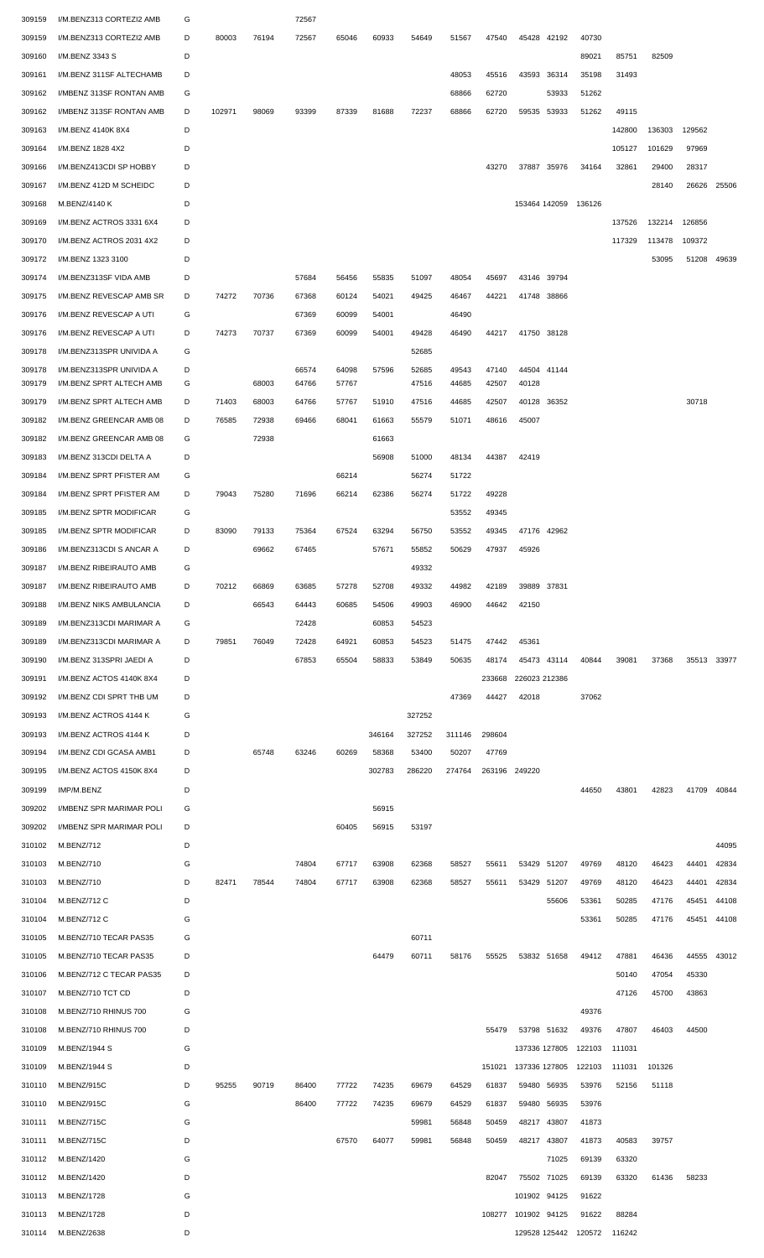| 309159 | I/M.BENZ313 CORTEZI2 AMB | G |        |       | 72567 |       |        |        |        |               |                     |             |                             |        |        |             |       |
|--------|--------------------------|---|--------|-------|-------|-------|--------|--------|--------|---------------|---------------------|-------------|-----------------------------|--------|--------|-------------|-------|
| 309159 | I/M.BENZ313 CORTEZI2 AMB | D | 80003  | 76194 | 72567 | 65046 | 60933  | 54649  | 51567  | 47540         |                     | 45428 42192 | 40730                       |        |        |             |       |
| 309160 | I/M.BENZ 3343 S          | D |        |       |       |       |        |        |        |               |                     |             | 89021                       | 85751  | 82509  |             |       |
|        |                          |   |        |       |       |       |        |        |        |               |                     |             |                             |        |        |             |       |
| 309161 | I/M.BENZ 311SF ALTECHAMB | D |        |       |       |       |        |        | 48053  | 45516         | 43593               | 36314       | 35198                       | 31493  |        |             |       |
| 309162 | I/MBENZ 313SF RONTAN AMB | G |        |       |       |       |        |        | 68866  | 62720         |                     | 53933       | 51262                       |        |        |             |       |
| 309162 | I/MBENZ 313SF RONTAN AMB | D | 102971 | 98069 | 93399 | 87339 | 81688  | 72237  | 68866  | 62720         | 59535               | 53933       | 51262                       | 49115  |        |             |       |
| 309163 | I/M.BENZ 4140K 8X4       | D |        |       |       |       |        |        |        |               |                     |             |                             | 142800 | 136303 | 129562      |       |
| 309164 | I/M.BENZ 1828 4X2        | D |        |       |       |       |        |        |        |               |                     |             |                             | 105127 | 101629 | 97969       |       |
| 309166 | I/M.BENZ413CDI SP HOBBY  | D |        |       |       |       |        |        |        | 43270         |                     | 37887 35976 | 34164                       | 32861  | 29400  | 28317       |       |
| 309167 | I/M.BENZ 412D M SCHEIDC  | D |        |       |       |       |        |        |        |               |                     |             |                             |        | 28140  | 26626 25506 |       |
|        |                          |   |        |       |       |       |        |        |        |               |                     |             |                             |        |        |             |       |
| 309168 | M.BENZ/4140 K            | D |        |       |       |       |        |        |        |               |                     |             | 153464 142059 136126        |        |        |             |       |
| 309169 | I/M.BENZ ACTROS 3331 6X4 | D |        |       |       |       |        |        |        |               |                     |             |                             | 137526 | 132214 | 126856      |       |
| 309170 | I/M.BENZ ACTROS 2031 4X2 | D |        |       |       |       |        |        |        |               |                     |             |                             | 117329 | 113478 | 109372      |       |
| 309172 | I/M.BENZ 1323 3100       | D |        |       |       |       |        |        |        |               |                     |             |                             |        | 53095  | 51208       | 49639 |
| 309174 | I/M.BENZ313SF VIDA AMB   | D |        |       | 57684 | 56456 | 55835  | 51097  | 48054  | 45697         | 43146 39794         |             |                             |        |        |             |       |
| 309175 | I/M.BENZ REVESCAP AMB SR | D | 74272  | 70736 | 67368 | 60124 | 54021  | 49425  | 46467  | 44221         | 41748 38866         |             |                             |        |        |             |       |
| 309176 | I/M.BENZ REVESCAP A UTI  | G |        |       | 67369 | 60099 | 54001  |        | 46490  |               |                     |             |                             |        |        |             |       |
|        |                          |   |        |       |       |       |        |        |        |               |                     |             |                             |        |        |             |       |
| 309176 | I/M.BENZ REVESCAP A UTI  | D | 74273  | 70737 | 67369 | 60099 | 54001  | 49428  | 46490  | 44217         |                     | 41750 38128 |                             |        |        |             |       |
| 309178 | I/M.BENZ313SPR UNIVIDA A | G |        |       |       |       |        | 52685  |        |               |                     |             |                             |        |        |             |       |
| 309178 | I/M.BENZ313SPR UNIVIDA A | D |        |       | 66574 | 64098 | 57596  | 52685  | 49543  | 47140         | 44504 41144         |             |                             |        |        |             |       |
| 309179 | I/M.BENZ SPRT ALTECH AMB | G |        | 68003 | 64766 | 57767 |        | 47516  | 44685  | 42507         | 40128               |             |                             |        |        |             |       |
| 309179 | I/M.BENZ SPRT ALTECH AMB | D | 71403  | 68003 | 64766 | 57767 | 51910  | 47516  | 44685  | 42507         | 40128               | 36352       |                             |        |        | 30718       |       |
| 309182 | I/M.BENZ GREENCAR AMB 08 | D | 76585  | 72938 | 69466 | 68041 | 61663  | 55579  | 51071  | 48616         | 45007               |             |                             |        |        |             |       |
| 309182 | I/M.BENZ GREENCAR AMB 08 | G |        | 72938 |       |       | 61663  |        |        |               |                     |             |                             |        |        |             |       |
| 309183 | I/M.BENZ 313CDI DELTA A  | D |        |       |       |       | 56908  | 51000  | 48134  | 44387         | 42419               |             |                             |        |        |             |       |
| 309184 | I/M.BENZ SPRT PFISTER AM | G |        |       |       | 66214 |        | 56274  | 51722  |               |                     |             |                             |        |        |             |       |
|        |                          |   |        |       |       |       |        |        |        |               |                     |             |                             |        |        |             |       |
| 309184 | I/M.BENZ SPRT PFISTER AM | D | 79043  | 75280 | 71696 | 66214 | 62386  | 56274  | 51722  | 49228         |                     |             |                             |        |        |             |       |
| 309185 | I/M.BENZ SPTR MODIFICAR  | G |        |       |       |       |        |        | 53552  | 49345         |                     |             |                             |        |        |             |       |
| 309185 | I/M.BENZ SPTR MODIFICAR  | D | 83090  | 79133 | 75364 | 67524 | 63294  | 56750  | 53552  | 49345         |                     | 47176 42962 |                             |        |        |             |       |
| 309186 | I/M.BENZ313CDI S ANCAR A | D |        | 69662 | 67465 |       | 57671  | 55852  | 50629  | 47937         | 45926               |             |                             |        |        |             |       |
| 309187 | I/M.BENZ RIBEIRAUTO AMB  | G |        |       |       |       |        | 49332  |        |               |                     |             |                             |        |        |             |       |
| 309187 | I/M.BENZ RIBEIRAUTO AMB  | D | 70212  | 66869 | 63685 | 57278 | 52708  | 49332  | 44982  | 42189         | 39889               | 37831       |                             |        |        |             |       |
|        |                          | D |        |       |       |       | 54506  | 49903  | 46900  |               |                     |             |                             |        |        |             |       |
| 309188 | I/M.BENZ NIKS AMBULANCIA |   |        | 66543 | 64443 | 60685 |        |        |        | 44642         | 42150               |             |                             |        |        |             |       |
| 309189 | I/M.BENZ313CDI MARIMAR A | G |        |       | 72428 |       | 60853  | 54523  |        |               |                     |             |                             |        |        |             |       |
| 309189 | I/M.BENZ313CDI MARIMAR A | D | 79851  | 76049 | 72428 | 64921 | 60853  | 54523  | 51475  | 47442         | 45361               |             |                             |        |        |             |       |
| 309190 | I/M.BENZ 313SPRI JAEDI A | D |        |       | 67853 | 65504 | 58833  | 53849  | 50635  | 48174         | 45473 43114         |             | 40844                       | 39081  | 37368  | 35513       | 33977 |
| 309191 | I/M.BENZ ACTOS 4140K 8X4 | D |        |       |       |       |        |        |        | 233668        | 226023 212386       |             |                             |        |        |             |       |
| 309192 | I/M.BENZ CDI SPRT THB UM | D |        |       |       |       |        |        | 47369  | 44427         | 42018               |             | 37062                       |        |        |             |       |
| 309193 | I/M.BENZ ACTROS 4144 K   | G |        |       |       |       |        | 327252 |        |               |                     |             |                             |        |        |             |       |
|        |                          |   |        |       |       |       |        |        |        |               |                     |             |                             |        |        |             |       |
| 309193 | I/M.BENZ ACTROS 4144 K   | D |        |       |       |       | 346164 | 327252 | 311146 | 298604        |                     |             |                             |        |        |             |       |
| 309194 | I/M.BENZ CDI GCASA AMB1  | D |        | 65748 | 63246 | 60269 | 58368  | 53400  | 50207  | 47769         |                     |             |                             |        |        |             |       |
| 309195 | I/M.BENZ ACTOS 4150K 8X4 | D |        |       |       |       | 302783 | 286220 | 274764 | 263196 249220 |                     |             |                             |        |        |             |       |
| 309199 | IMP/M.BENZ               | D |        |       |       |       |        |        |        |               |                     |             | 44650                       | 43801  | 42823  | 41709       | 40844 |
| 309202 | I/MBENZ SPR MARIMAR POLI | G |        |       |       |       | 56915  |        |        |               |                     |             |                             |        |        |             |       |
| 309202 | I/MBENZ SPR MARIMAR POLI | D |        |       |       | 60405 | 56915  | 53197  |        |               |                     |             |                             |        |        |             |       |
| 310102 | M.BENZ/712               | D |        |       |       |       |        |        |        |               |                     |             |                             |        |        |             | 44095 |
|        |                          |   |        |       |       |       |        |        |        |               |                     |             |                             |        |        |             |       |
| 310103 | M.BENZ/710               | G |        |       | 74804 | 67717 | 63908  | 62368  | 58527  | 55611         | 53429               | 51207       | 49769                       | 48120  | 46423  | 44401       | 42834 |
| 310103 | M.BENZ/710               | D | 82471  | 78544 | 74804 | 67717 | 63908  | 62368  | 58527  | 55611         | 53429               | 51207       | 49769                       | 48120  | 46423  | 44401       | 42834 |
| 310104 | M.BENZ/712 C             | D |        |       |       |       |        |        |        |               |                     | 55606       | 53361                       | 50285  | 47176  | 45451       | 44108 |
| 310104 | M.BENZ/712 C             | G |        |       |       |       |        |        |        |               |                     |             | 53361                       | 50285  | 47176  | 45451       | 44108 |
| 310105 | M.BENZ/710 TECAR PAS35   | G |        |       |       |       |        | 60711  |        |               |                     |             |                             |        |        |             |       |
| 310105 | M.BENZ/710 TECAR PAS35   | D |        |       |       |       | 64479  | 60711  | 58176  | 55525         |                     | 53832 51658 | 49412                       | 47881  | 46436  | 44555       | 43012 |
| 310106 | M.BENZ/712 C TECAR PAS35 | D |        |       |       |       |        |        |        |               |                     |             |                             | 50140  | 47054  | 45330       |       |
|        |                          |   |        |       |       |       |        |        |        |               |                     |             |                             |        |        |             |       |
| 310107 | M.BENZ/710 TCT CD        | D |        |       |       |       |        |        |        |               |                     |             |                             | 47126  | 45700  | 43863       |       |
| 310108 | M.BENZ/710 RHINUS 700    | G |        |       |       |       |        |        |        |               |                     |             | 49376                       |        |        |             |       |
| 310108 | M.BENZ/710 RHINUS 700    | D |        |       |       |       |        |        |        | 55479         | 53798 51632         |             | 49376                       | 47807  | 46403  | 44500       |       |
| 310109 | M.BENZ/1944 S            | G |        |       |       |       |        |        |        |               | 137336 127805       |             | 122103                      | 111031 |        |             |       |
| 310109 | M.BENZ/1944 S            | D |        |       |       |       |        |        |        | 151021        | 137336 127805       |             | 122103                      | 111031 | 101326 |             |       |
| 310110 | M.BENZ/915C              | D | 95255  | 90719 | 86400 | 77722 | 74235  | 69679  | 64529  | 61837         | 59480               | 56935       | 53976                       | 52156  | 51118  |             |       |
|        |                          |   |        |       |       |       |        |        |        |               |                     |             |                             |        |        |             |       |
| 310110 | M.BENZ/915C              | G |        |       | 86400 | 77722 | 74235  | 69679  | 64529  | 61837         | 59480               | 56935       | 53976                       |        |        |             |       |
| 310111 | M.BENZ/715C              | G |        |       |       |       |        | 59981  | 56848  | 50459         |                     | 48217 43807 | 41873                       |        |        |             |       |
|        | 310111 M.BENZ/715C       | D |        |       |       | 67570 | 64077  | 59981  | 56848  | 50459         | 48217 43807         |             | 41873                       | 40583  | 39757  |             |       |
|        | 310112 M.BENZ/1420       | G |        |       |       |       |        |        |        |               |                     | 71025       | 69139                       | 63320  |        |             |       |
|        | 310112 M.BENZ/1420       | D |        |       |       |       |        |        |        |               | 82047 75502 71025   |             | 69139                       | 63320  | 61436  | 58233       |       |
| 310113 | M.BENZ/1728              | G |        |       |       |       |        |        |        |               | 101902 94125        |             | 91622                       |        |        |             |       |
|        | 310113 M.BENZ/1728       | D |        |       |       |       |        |        |        |               | 108277 101902 94125 |             | 91622                       | 88284  |        |             |       |
|        |                          |   |        |       |       |       |        |        |        |               |                     |             |                             |        |        |             |       |
|        | 310114 M.BENZ/2638       | D |        |       |       |       |        |        |        |               |                     |             | 129528 125442 120572 116242 |        |        |             |       |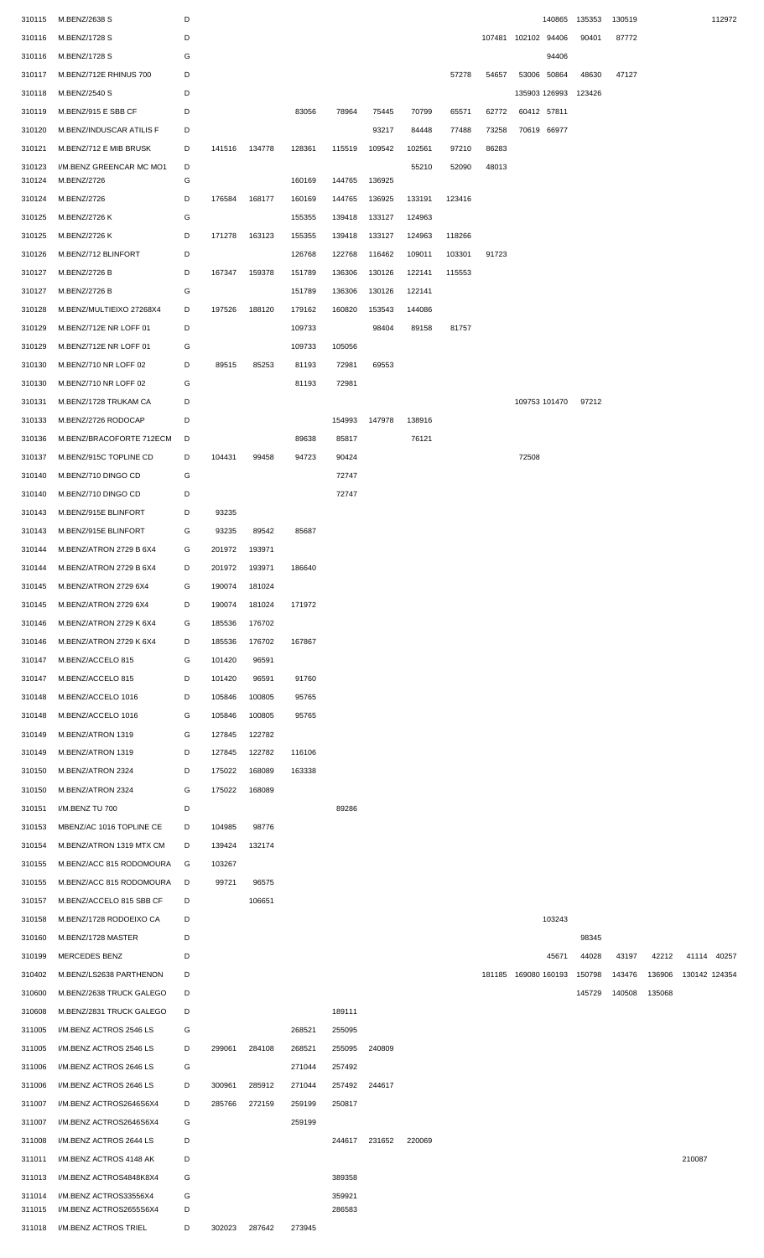| 310115           | M.BENZ/2638 S                           | D      |        |        |        |        |        |        |        |       | 140865               | 135353 | 130519 |        | 112972        |
|------------------|-----------------------------------------|--------|--------|--------|--------|--------|--------|--------|--------|-------|----------------------|--------|--------|--------|---------------|
| 310116           | M.BENZ/1728 S                           | D      |        |        |        |        |        |        |        |       | 107481 102102 94406  | 90401  | 87772  |        |               |
| 310116           | M.BENZ/1728 S                           | G      |        |        |        |        |        |        |        |       | 94406                |        |        |        |               |
| 310117           | M.BENZ/712E RHINUS 700                  | D      |        |        |        |        |        |        | 57278  | 54657 | 53006 50864          | 48630  | 47127  |        |               |
| 310118           | M.BENZ/2540 S                           | D      |        |        |        |        |        |        |        |       | 135903 126993        | 123426 |        |        |               |
| 310119           | M.BENZ/915 E SBB CF                     | D      |        |        | 83056  | 78964  | 75445  | 70799  | 65571  | 62772 | 60412 57811          |        |        |        |               |
|                  |                                         |        |        |        |        |        |        |        |        |       |                      |        |        |        |               |
| 310120           | M.BENZ/INDUSCAR ATILIS F                | D      |        |        |        |        | 93217  | 84448  | 77488  | 73258 | 70619 66977          |        |        |        |               |
| 310121           | M.BENZ/712 E MIB BRUSK                  | D      | 141516 | 134778 | 128361 | 115519 | 109542 | 102561 | 97210  | 86283 |                      |        |        |        |               |
| 310123<br>310124 | I/M.BENZ GREENCAR MC MO1<br>M.BENZ/2726 | D<br>G |        |        | 160169 | 144765 | 136925 | 55210  | 52090  | 48013 |                      |        |        |        |               |
|                  |                                         | D      |        |        |        |        |        |        |        |       |                      |        |        |        |               |
| 310124           | M.BENZ/2726                             |        | 176584 | 168177 | 160169 | 144765 | 136925 | 133191 | 123416 |       |                      |        |        |        |               |
| 310125           | M.BENZ/2726 K                           | G      |        |        | 155355 | 139418 | 133127 | 124963 |        |       |                      |        |        |        |               |
| 310125           | M.BENZ/2726 K                           | D      | 171278 | 163123 | 155355 | 139418 | 133127 | 124963 | 118266 |       |                      |        |        |        |               |
| 310126           | M.BENZ/712 BLINFORT                     | D      |        |        | 126768 | 122768 | 116462 | 109011 | 103301 | 91723 |                      |        |        |        |               |
| 310127           | M.BENZ/2726 B                           | D      | 167347 | 159378 | 151789 | 136306 | 130126 | 122141 | 115553 |       |                      |        |        |        |               |
| 310127           | M.BENZ/2726 B                           | G      |        |        | 151789 | 136306 | 130126 | 122141 |        |       |                      |        |        |        |               |
| 310128           | M.BENZ/MULTIEIXO 27268X4                | D      | 197526 | 188120 | 179162 | 160820 | 153543 | 144086 |        |       |                      |        |        |        |               |
| 310129           | M.BENZ/712E NR LOFF 01                  | D      |        |        | 109733 |        | 98404  | 89158  | 81757  |       |                      |        |        |        |               |
| 310129           | M.BENZ/712E NR LOFF 01                  | G      |        |        | 109733 | 105056 |        |        |        |       |                      |        |        |        |               |
| 310130           | M.BENZ/710 NR LOFF 02                   | D      | 89515  | 85253  | 81193  | 72981  | 69553  |        |        |       |                      |        |        |        |               |
| 310130           | M.BENZ/710 NR LOFF 02                   | G      |        |        | 81193  | 72981  |        |        |        |       |                      |        |        |        |               |
| 310131           | M.BENZ/1728 TRUKAM CA                   | D      |        |        |        |        |        |        |        |       | 109753 101470        | 97212  |        |        |               |
| 310133           | M.BENZ/2726 RODOCAP                     | D      |        |        |        | 154993 | 147978 | 138916 |        |       |                      |        |        |        |               |
| 310136           | M.BENZ/BRACOFORTE 712ECM                | D      |        |        | 89638  | 85817  |        | 76121  |        |       |                      |        |        |        |               |
| 310137           | M.BENZ/915C TOPLINE CD                  | D      | 104431 | 99458  | 94723  | 90424  |        |        |        |       | 72508                |        |        |        |               |
|                  |                                         |        |        |        |        |        |        |        |        |       |                      |        |        |        |               |
| 310140           | M.BENZ/710 DINGO CD                     | G      |        |        |        | 72747  |        |        |        |       |                      |        |        |        |               |
| 310140           | M.BENZ/710 DINGO CD                     | D      |        |        |        | 72747  |        |        |        |       |                      |        |        |        |               |
| 310143           | M.BENZ/915E BLINFORT                    | D      | 93235  |        |        |        |        |        |        |       |                      |        |        |        |               |
| 310143           | M.BENZ/915E BLINFORT                    | G      | 93235  | 89542  | 85687  |        |        |        |        |       |                      |        |        |        |               |
| 310144           | M.BENZ/ATRON 2729 B 6X4                 | G      | 201972 | 193971 |        |        |        |        |        |       |                      |        |        |        |               |
| 310144           | M.BENZ/ATRON 2729 B 6X4                 | D      | 201972 | 193971 | 186640 |        |        |        |        |       |                      |        |        |        |               |
| 310145           | M.BENZ/ATRON 2729 6X4                   | G      | 190074 | 181024 |        |        |        |        |        |       |                      |        |        |        |               |
| 310145           | M.BENZ/ATRON 2729 6X4                   | D      | 190074 | 181024 | 171972 |        |        |        |        |       |                      |        |        |        |               |
| 310146           | M.BENZ/ATRON 2729 K 6X4                 | G      | 185536 | 176702 |        |        |        |        |        |       |                      |        |        |        |               |
| 310146           | M.BENZ/ATRON 2729 K 6X4                 | D      | 185536 | 176702 | 167867 |        |        |        |        |       |                      |        |        |        |               |
| 310147           | M.BENZ/ACCELO 815                       | G      | 101420 | 96591  |        |        |        |        |        |       |                      |        |        |        |               |
| 310147           | M.BENZ/ACCELO 815                       | D      | 101420 | 96591  | 91760  |        |        |        |        |       |                      |        |        |        |               |
| 310148           | M.BENZ/ACCELO 1016                      | D      | 105846 | 100805 | 95765  |        |        |        |        |       |                      |        |        |        |               |
| 310148           | M.BENZ/ACCELO 1016                      | G      | 105846 | 100805 | 95765  |        |        |        |        |       |                      |        |        |        |               |
| 310149           | M.BENZ/ATRON 1319                       | G      | 127845 | 122782 |        |        |        |        |        |       |                      |        |        |        |               |
| 310149           | M.BENZ/ATRON 1319                       | D      | 127845 | 122782 | 116106 |        |        |        |        |       |                      |        |        |        |               |
| 310150           | M.BENZ/ATRON 2324                       | D      | 175022 | 168089 | 163338 |        |        |        |        |       |                      |        |        |        |               |
|                  |                                         |        |        |        |        |        |        |        |        |       |                      |        |        |        |               |
| 310150           | M.BENZ/ATRON 2324                       | G      | 175022 | 168089 |        |        |        |        |        |       |                      |        |        |        |               |
| 310151           | I/M.BENZ TU 700                         | D      |        |        |        | 89286  |        |        |        |       |                      |        |        |        |               |
| 310153           | MBENZ/AC 1016 TOPLINE CE                | D      | 104985 | 98776  |        |        |        |        |        |       |                      |        |        |        |               |
| 310154           | M.BENZ/ATRON 1319 MTX CM                | D      | 139424 | 132174 |        |        |        |        |        |       |                      |        |        |        |               |
| 310155           | M.BENZ/ACC 815 RODOMOURA                | G      | 103267 |        |        |        |        |        |        |       |                      |        |        |        |               |
| 310155           | M.BENZ/ACC 815 RODOMOURA                | D      | 99721  | 96575  |        |        |        |        |        |       |                      |        |        |        |               |
| 310157           | M.BENZ/ACCELO 815 SBB CF                | D      |        | 106651 |        |        |        |        |        |       |                      |        |        |        |               |
| 310158           | M.BENZ/1728 RODOEIXO CA                 | D      |        |        |        |        |        |        |        |       | 103243               |        |        |        |               |
| 310160           | M.BENZ/1728 MASTER                      | D      |        |        |        |        |        |        |        |       |                      | 98345  |        |        |               |
| 310199           | MERCEDES BENZ                           | D      |        |        |        |        |        |        |        |       | 45671                | 44028  | 43197  | 42212  | 41114 40257   |
| 310402           | M.BENZ/LS2638 PARTHENON                 | D      |        |        |        |        |        |        |        |       | 181185 169080 160193 | 150798 | 143476 | 136906 | 130142 124354 |
| 310600           | M.BENZ/2638 TRUCK GALEGO                | D      |        |        |        |        |        |        |        |       |                      | 145729 | 140508 | 135068 |               |
| 310608           | M.BENZ/2831 TRUCK GALEGO                | D      |        |        |        | 189111 |        |        |        |       |                      |        |        |        |               |
| 311005           | I/M.BENZ ACTROS 2546 LS                 | G      |        |        | 268521 | 255095 |        |        |        |       |                      |        |        |        |               |
|                  |                                         |        |        |        |        |        |        |        |        |       |                      |        |        |        |               |
| 311005           | I/M.BENZ ACTROS 2546 LS                 | D      | 299061 | 284108 | 268521 | 255095 | 240809 |        |        |       |                      |        |        |        |               |
| 311006           | I/M.BENZ ACTROS 2646 LS                 | G      |        |        | 271044 | 257492 |        |        |        |       |                      |        |        |        |               |
| 311006           | I/M.BENZ ACTROS 2646 LS                 | D      | 300961 | 285912 | 271044 | 257492 | 244617 |        |        |       |                      |        |        |        |               |
| 311007           | I/M.BENZ ACTROS2646S6X4                 | D      | 285766 | 272159 | 259199 | 250817 |        |        |        |       |                      |        |        |        |               |
| 311007           | I/M.BENZ ACTROS2646S6X4                 | G      |        |        | 259199 |        |        |        |        |       |                      |        |        |        |               |
| 311008           | I/M.BENZ ACTROS 2644 LS                 | D      |        |        |        | 244617 | 231652 | 220069 |        |       |                      |        |        |        |               |
| 311011           | I/M.BENZ ACTROS 4148 AK                 | D      |        |        |        |        |        |        |        |       |                      |        |        |        | 210087        |
| 311013           | I/M.BENZ ACTROS4848K8X4                 | G      |        |        |        | 389358 |        |        |        |       |                      |        |        |        |               |
| 311014           | I/M.BENZ ACTROS33556X4                  | G      |        |        |        | 359921 |        |        |        |       |                      |        |        |        |               |
| 311015           | I/M.BENZ ACTROS2655S6X4                 | D      |        |        |        | 286583 |        |        |        |       |                      |        |        |        |               |
| 311018           | I/M.BENZ ACTROS TRIEL                   | D      | 302023 | 287642 | 273945 |        |        |        |        |       |                      |        |        |        |               |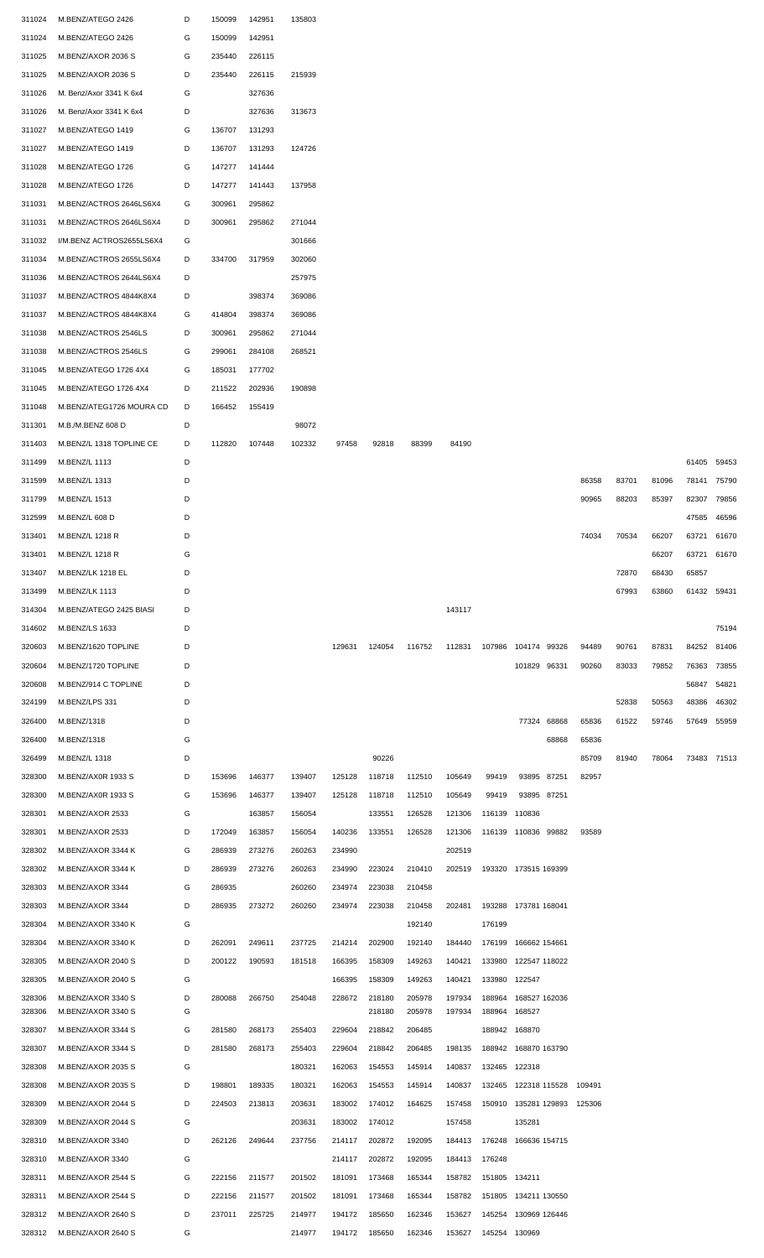| 311024 | M.BENZ/ATEGO 2426        | D | 150099 | 142951 | 135803 |               |        |        |               |                             |                      |             |        |       |       |             |       |
|--------|--------------------------|---|--------|--------|--------|---------------|--------|--------|---------------|-----------------------------|----------------------|-------------|--------|-------|-------|-------------|-------|
| 311024 | M.BENZ/ATEGO 2426        | G | 150099 | 142951 |        |               |        |        |               |                             |                      |             |        |       |       |             |       |
| 311025 | M.BENZ/AXOR 2036 S       | G | 235440 | 226115 |        |               |        |        |               |                             |                      |             |        |       |       |             |       |
| 311025 | M.BENZ/AXOR 2036 S       | D | 235440 | 226115 | 215939 |               |        |        |               |                             |                      |             |        |       |       |             |       |
| 311026 | M. Benz/Axor 3341 K 6x4  | G |        | 327636 |        |               |        |        |               |                             |                      |             |        |       |       |             |       |
| 311026 | M. Benz/Axor 3341 K 6x4  | D |        | 327636 | 313673 |               |        |        |               |                             |                      |             |        |       |       |             |       |
|        |                          |   |        |        |        |               |        |        |               |                             |                      |             |        |       |       |             |       |
| 311027 | M.BENZ/ATEGO 1419        | G | 136707 | 131293 |        |               |        |        |               |                             |                      |             |        |       |       |             |       |
| 311027 | M.BENZ/ATEGO 1419        | D | 136707 | 131293 | 124726 |               |        |        |               |                             |                      |             |        |       |       |             |       |
| 311028 | M.BENZ/ATEGO 1726        | G | 147277 | 141444 |        |               |        |        |               |                             |                      |             |        |       |       |             |       |
| 311028 | M.BENZ/ATEGO 1726        | D | 147277 | 141443 | 137958 |               |        |        |               |                             |                      |             |        |       |       |             |       |
| 311031 | M.BENZ/ACTROS 2646LS6X4  | G | 300961 | 295862 |        |               |        |        |               |                             |                      |             |        |       |       |             |       |
| 311031 | M.BENZ/ACTROS 2646LS6X4  | D | 300961 | 295862 | 271044 |               |        |        |               |                             |                      |             |        |       |       |             |       |
| 311032 | I/M.BENZ ACTROS2655LS6X4 | G |        |        | 301666 |               |        |        |               |                             |                      |             |        |       |       |             |       |
| 311034 | M.BENZ/ACTROS 2655LS6X4  | D | 334700 | 317959 | 302060 |               |        |        |               |                             |                      |             |        |       |       |             |       |
|        |                          |   |        |        |        |               |        |        |               |                             |                      |             |        |       |       |             |       |
| 311036 | M.BENZ/ACTROS 2644LS6X4  | D |        |        | 257975 |               |        |        |               |                             |                      |             |        |       |       |             |       |
| 311037 | M.BENZ/ACTROS 4844K8X4   | D |        | 398374 | 369086 |               |        |        |               |                             |                      |             |        |       |       |             |       |
| 311037 | M.BENZ/ACTROS 4844K8X4   | G | 414804 | 398374 | 369086 |               |        |        |               |                             |                      |             |        |       |       |             |       |
| 311038 | M.BENZ/ACTROS 2546LS     | D | 300961 | 295862 | 271044 |               |        |        |               |                             |                      |             |        |       |       |             |       |
| 311038 | M.BENZ/ACTROS 2546LS     | G | 299061 | 284108 | 268521 |               |        |        |               |                             |                      |             |        |       |       |             |       |
| 311045 | M.BENZ/ATEGO 1726 4X4    | G | 185031 | 177702 |        |               |        |        |               |                             |                      |             |        |       |       |             |       |
| 311045 | M.BENZ/ATEGO 1726 4X4    | D | 211522 | 202936 | 190898 |               |        |        |               |                             |                      |             |        |       |       |             |       |
| 311048 | M.BENZ/ATEG1726 MOURA CD | D | 166452 | 155419 |        |               |        |        |               |                             |                      |             |        |       |       |             |       |
| 311301 | M.B./M.BENZ 608 D        | D |        |        | 98072  |               |        |        |               |                             |                      |             |        |       |       |             |       |
|        | M.BENZ/L 1318 TOPLINE CE | D | 112820 |        | 102332 | 97458         | 92818  | 88399  | 84190         |                             |                      |             |        |       |       |             |       |
| 311403 |                          |   |        | 107448 |        |               |        |        |               |                             |                      |             |        |       |       |             |       |
| 311499 | M.BENZ/L 1113            | D |        |        |        |               |        |        |               |                             |                      |             |        |       |       | 61405       | 59453 |
| 311599 | M.BENZ/L 1313            | D |        |        |        |               |        |        |               |                             |                      |             | 86358  | 83701 | 81096 | 78141       | 75790 |
| 311799 | M.BENZ/L 1513            | D |        |        |        |               |        |        |               |                             |                      |             | 90965  | 88203 | 85397 | 82307       | 79856 |
| 312599 | M.BENZ/L 608 D           | D |        |        |        |               |        |        |               |                             |                      |             |        |       |       | 47585       | 46596 |
| 313401 | M.BENZ/L 1218 R          | D |        |        |        |               |        |        |               |                             |                      |             | 74034  | 70534 | 66207 | 63721       | 61670 |
| 313401 | M.BENZ/L 1218 R          | G |        |        |        |               |        |        |               |                             |                      |             |        |       | 66207 | 63721       | 61670 |
| 313407 | M.BENZ/LK 1218 EL        | D |        |        |        |               |        |        |               |                             |                      |             |        | 72870 | 68430 | 65857       |       |
| 313499 | M.BENZ/LK 1113           | D |        |        |        |               |        |        |               |                             |                      |             |        | 67993 | 63860 | 61432       | 59431 |
|        |                          |   |        |        |        |               |        |        |               |                             |                      |             |        |       |       |             |       |
| 314304 | M.BENZ/ATEGO 2425 BIASI  | D |        |        |        |               |        |        | 143117        |                             |                      |             |        |       |       |             |       |
| 314602 | M.BENZ/LS 1633           | D |        |        |        |               |        |        |               |                             |                      |             |        |       |       |             | 75194 |
| 320603 | M.BENZ/1620 TOPLINE      | D |        |        |        | 129631        | 124054 | 116752 | 112831        | 107986                      | 104174 99326         |             | 94489  | 90761 | 87831 | 84252       | 81406 |
| 320604 | M.BENZ/1720 TOPLINE      | D |        |        |        |               |        |        |               |                             | 101829 96331         |             | 90260  | 83033 | 79852 | 76363       | 73855 |
| 320608 | M.BENZ/914 C TOPLINE     | D |        |        |        |               |        |        |               |                             |                      |             |        |       |       | 56847       | 54821 |
| 324199 | M.BENZ/LPS 331           | D |        |        |        |               |        |        |               |                             |                      |             |        | 52838 | 50563 | 48386       | 46302 |
| 326400 | M.BENZ/1318              | D |        |        |        |               |        |        |               |                             |                      | 77324 68868 | 65836  | 61522 | 59746 | 57649       | 55959 |
| 326400 | M.BENZ/1318              | G |        |        |        |               |        |        |               |                             |                      | 68868       | 65836  |       |       |             |       |
| 326499 | M.BENZ/L 1318            | D |        |        |        |               | 90226  |        |               |                             |                      |             | 85709  | 81940 | 78064 | 73483 71513 |       |
|        |                          |   |        |        |        |               |        |        |               |                             |                      |             |        |       |       |             |       |
| 328300 | M.BENZ/AX0R 1933 S       | D | 153696 | 146377 | 139407 | 125128        | 118718 | 112510 | 105649        | 99419                       |                      | 93895 87251 | 82957  |       |       |             |       |
| 328300 | M.BENZ/AX0R 1933 S       | G | 153696 | 146377 | 139407 | 125128        | 118718 | 112510 | 105649        | 99419                       | 93895 87251          |             |        |       |       |             |       |
| 328301 | M.BENZ/AXOR 2533         | G |        | 163857 | 156054 |               | 133551 | 126528 | 121306        | 116139 110836               |                      |             |        |       |       |             |       |
| 328301 | M.BENZ/AXOR 2533         | D | 172049 | 163857 | 156054 | 140236        | 133551 | 126528 | 121306        | 116139 110836 99882         |                      |             | 93589  |       |       |             |       |
| 328302 | M.BENZ/AXOR 3344 K       | G | 286939 | 273276 | 260263 | 234990        |        |        | 202519        |                             |                      |             |        |       |       |             |       |
| 328302 | M.BENZ/AXOR 3344 K       | D | 286939 | 273276 | 260263 | 234990        | 223024 | 210410 | 202519        | 193320 173515 169399        |                      |             |        |       |       |             |       |
| 328303 | M.BENZ/AXOR 3344         | G | 286935 |        | 260260 | 234974        | 223038 | 210458 |               |                             |                      |             |        |       |       |             |       |
| 328303 | M.BENZ/AXOR 3344         | D | 286935 | 273272 | 260260 | 234974        | 223038 | 210458 | 202481        | 193288 173781 168041        |                      |             |        |       |       |             |       |
| 328304 | M.BENZ/AXOR 3340 K       | G |        |        |        |               |        | 192140 |               | 176199                      |                      |             |        |       |       |             |       |
|        |                          |   |        |        |        |               |        |        |               |                             |                      |             |        |       |       |             |       |
| 328304 | M.BENZ/AXOR 3340 K       | D | 262091 | 249611 | 237725 | 214214        | 202900 | 192140 | 184440        | 176199 166662 154661        |                      |             |        |       |       |             |       |
| 328305 | M.BENZ/AXOR 2040 S       | D | 200122 | 190593 | 181518 | 166395        | 158309 | 149263 | 140421        |                             | 133980 122547 118022 |             |        |       |       |             |       |
| 328305 | M.BENZ/AXOR 2040 S       | G |        |        |        | 166395        | 158309 | 149263 | 140421        | 133980 122547               |                      |             |        |       |       |             |       |
| 328306 | M.BENZ/AXOR 3340 S       | D | 280088 | 266750 | 254048 | 228672        | 218180 | 205978 | 197934        | 188964                      | 168527 162036        |             |        |       |       |             |       |
| 328306 | M.BENZ/AXOR 3340 S       | G |        |        |        |               | 218180 | 205978 | 197934        | 188964                      | 168527               |             |        |       |       |             |       |
| 328307 | M.BENZ/AXOR 3344 S       | G | 281580 | 268173 | 255403 | 229604        | 218842 | 206485 |               | 188942 168870               |                      |             |        |       |       |             |       |
| 328307 | M.BENZ/AXOR 3344 S       | D | 281580 | 268173 | 255403 | 229604        | 218842 | 206485 | 198135        |                             | 188942 168870 163790 |             |        |       |       |             |       |
| 328308 | M.BENZ/AXOR 2035 S       | G |        |        | 180321 | 162063        | 154553 | 145914 | 140837        | 132465 122318               |                      |             |        |       |       |             |       |
| 328308 | M.BENZ/AXOR 2035 S       | D | 198801 | 189335 | 180321 | 162063        | 154553 | 145914 | 140837        | 132465 122318 115528        |                      |             | 109491 |       |       |             |       |
| 328309 | M.BENZ/AXOR 2044 S       | D | 224503 | 213813 | 203631 | 183002        | 174012 | 164625 | 157458        | 150910 135281 129893        |                      |             | 125306 |       |       |             |       |
| 328309 | M.BENZ/AXOR 2044 S       | G |        |        | 203631 | 183002        | 174012 |        | 157458        |                             | 135281               |             |        |       |       |             |       |
|        | M.BENZ/AXOR 3340         | D |        |        |        |               |        |        |               |                             |                      |             |        |       |       |             |       |
| 328310 |                          |   | 262126 | 249644 | 237756 | 214117        | 202872 | 192095 |               | 184413 176248 166636 154715 |                      |             |        |       |       |             |       |
| 328310 | M.BENZ/AXOR 3340         | G |        |        |        | 214117        | 202872 | 192095 | 184413 176248 |                             |                      |             |        |       |       |             |       |
| 328311 | M.BENZ/AXOR 2544 S       | G | 222156 | 211577 | 201502 | 181091        | 173468 | 165344 |               | 158782 151805 134211        |                      |             |        |       |       |             |       |
| 328311 | M.BENZ/AXOR 2544 S       | D | 222156 | 211577 | 201502 | 181091        | 173468 | 165344 | 158782        | 151805 134211 130550        |                      |             |        |       |       |             |       |
| 328312 | M.BENZ/AXOR 2640 S       | D | 237011 | 225725 | 214977 | 194172        | 185650 | 162346 | 153627        | 145254 130969 126446        |                      |             |        |       |       |             |       |
| 328312 | M.BENZ/AXOR 2640 S       | G |        |        | 214977 | 194172 185650 |        | 162346 | 153627        | 145254 130969               |                      |             |        |       |       |             |       |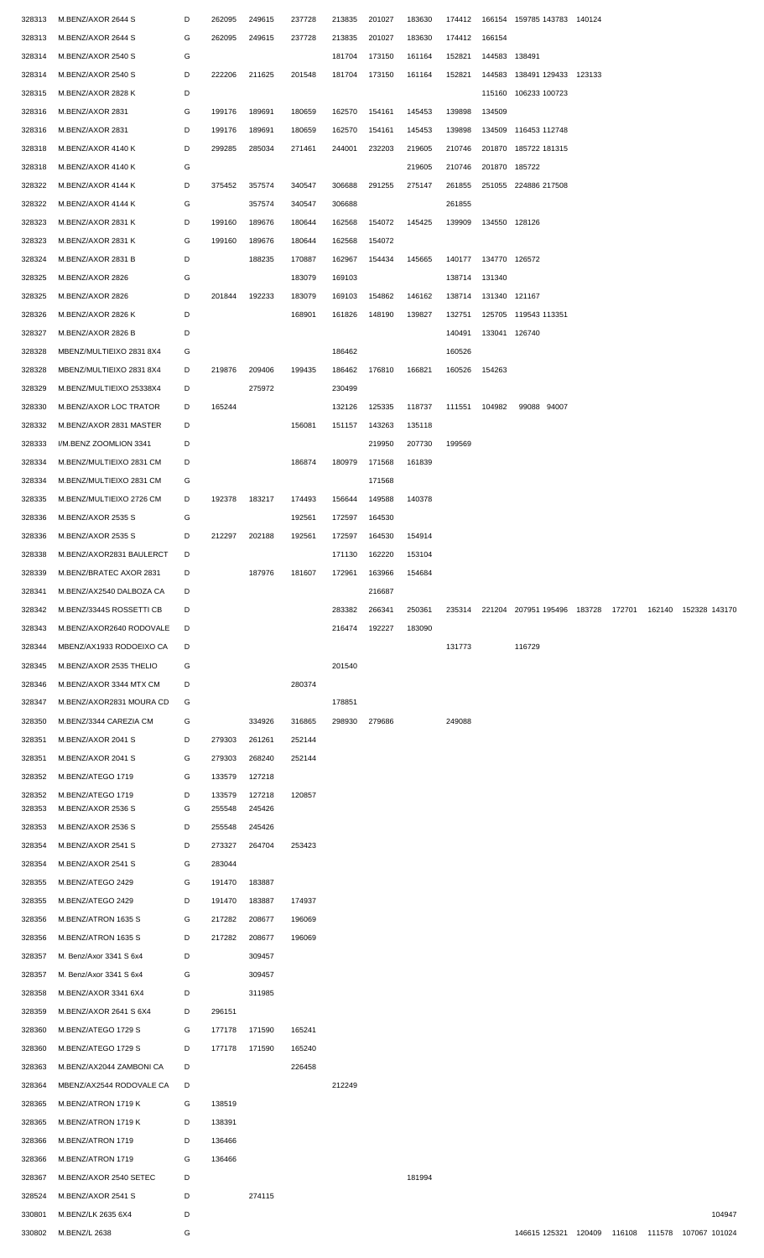| 328313 | M.BENZ/AXOR 2644 S       | D | 262095 | 249615 | 237728 | 213835 | 201027 | 183630 | 174412 |               | 166154 159785 143783 140124 |        |        |               |        |
|--------|--------------------------|---|--------|--------|--------|--------|--------|--------|--------|---------------|-----------------------------|--------|--------|---------------|--------|
|        |                          |   |        |        |        |        |        |        |        |               |                             |        |        |               |        |
| 328313 | M.BENZ/AXOR 2644 S       | G | 262095 | 249615 | 237728 | 213835 | 201027 | 183630 | 174412 | 166154        |                             |        |        |               |        |
| 328314 | M.BENZ/AXOR 2540 S       | G |        |        |        | 181704 | 173150 | 161164 | 152821 | 144583        | 138491                      |        |        |               |        |
| 328314 | M.BENZ/AXOR 2540 S       | D | 222206 | 211625 | 201548 | 181704 | 173150 | 161164 | 152821 |               | 144583 138491 129433 123133 |        |        |               |        |
| 328315 | M.BENZ/AXOR 2828 K       | D |        |        |        |        |        |        |        |               | 115160 106233 100723        |        |        |               |        |
| 328316 | M.BENZ/AXOR 2831         | G | 199176 | 189691 | 180659 | 162570 | 154161 | 145453 | 139898 | 134509        |                             |        |        |               |        |
| 328316 | M.BENZ/AXOR 2831         | D | 199176 | 189691 | 180659 | 162570 | 154161 | 145453 | 139898 |               | 134509 116453 112748        |        |        |               |        |
|        |                          |   |        |        |        |        |        |        |        |               |                             |        |        |               |        |
| 328318 | M.BENZ/AXOR 4140 K       | D | 299285 | 285034 | 271461 | 244001 | 232203 | 219605 | 210746 |               | 201870 185722 181315        |        |        |               |        |
| 328318 | M.BENZ/AXOR 4140 K       | G |        |        |        |        |        | 219605 | 210746 | 201870        | 185722                      |        |        |               |        |
| 328322 | M.BENZ/AXOR 4144 K       | D | 375452 | 357574 | 340547 | 306688 | 291255 | 275147 | 261855 |               | 251055 224886 217508        |        |        |               |        |
| 328322 | M.BENZ/AXOR 4144 K       | G |        | 357574 | 340547 | 306688 |        |        | 261855 |               |                             |        |        |               |        |
| 328323 | M.BENZ/AXOR 2831 K       | D | 199160 | 189676 | 180644 | 162568 | 154072 | 145425 | 139909 |               | 134550 128126               |        |        |               |        |
| 328323 | M.BENZ/AXOR 2831 K       | G | 199160 | 189676 | 180644 | 162568 | 154072 |        |        |               |                             |        |        |               |        |
| 328324 | M.BENZ/AXOR 2831 B       | D |        | 188235 | 170887 | 162967 | 154434 |        | 140177 | 134770 126572 |                             |        |        |               |        |
|        |                          |   |        |        |        |        |        | 145665 |        |               |                             |        |        |               |        |
| 328325 | M.BENZ/AXOR 2826         | G |        |        | 183079 | 169103 |        |        | 138714 | 131340        |                             |        |        |               |        |
| 328325 | M.BENZ/AXOR 2826         | D | 201844 | 192233 | 183079 | 169103 | 154862 | 146162 | 138714 |               | 131340 121167               |        |        |               |        |
| 328326 | M.BENZ/AXOR 2826 K       | D |        |        | 168901 | 161826 | 148190 | 139827 | 132751 |               | 125705 119543 113351        |        |        |               |        |
| 328327 | M.BENZ/AXOR 2826 B       | D |        |        |        |        |        |        | 140491 |               | 133041 126740               |        |        |               |        |
| 328328 | MBENZ/MULTIEIXO 2831 8X4 | G |        |        |        | 186462 |        |        | 160526 |               |                             |        |        |               |        |
| 328328 | MBENZ/MULTIEIXO 2831 8X4 | D | 219876 | 209406 | 199435 | 186462 | 176810 | 166821 | 160526 | 154263        |                             |        |        |               |        |
|        |                          |   |        |        |        |        |        |        |        |               |                             |        |        |               |        |
| 328329 | M.BENZ/MULTIEIXO 25338X4 | D |        | 275972 |        | 230499 |        |        |        |               |                             |        |        |               |        |
| 328330 | M.BENZ/AXOR LOC TRATOR   | D | 165244 |        |        | 132126 | 125335 | 118737 | 111551 | 104982        | 99088 94007                 |        |        |               |        |
| 328332 | M.BENZ/AXOR 2831 MASTER  | D |        |        | 156081 | 151157 | 143263 | 135118 |        |               |                             |        |        |               |        |
| 328333 | I/M.BENZ ZOOMLION 3341   | D |        |        |        |        | 219950 | 207730 | 199569 |               |                             |        |        |               |        |
| 328334 | M.BENZ/MULTIEIXO 2831 CM | D |        |        | 186874 | 180979 | 171568 | 161839 |        |               |                             |        |        |               |        |
| 328334 | M.BENZ/MULTIEIXO 2831 CM | G |        |        |        |        | 171568 |        |        |               |                             |        |        |               |        |
|        |                          |   |        |        |        |        |        |        |        |               |                             |        |        |               |        |
| 328335 | M.BENZ/MULTIEIXO 2726 CM | D | 192378 | 183217 | 174493 | 156644 | 149588 | 140378 |        |               |                             |        |        |               |        |
| 328336 | M.BENZ/AXOR 2535 S       | G |        |        | 192561 | 172597 | 164530 |        |        |               |                             |        |        |               |        |
| 328336 | M.BENZ/AXOR 2535 S       | D | 212297 | 202188 | 192561 | 172597 | 164530 | 154914 |        |               |                             |        |        |               |        |
| 328338 | M.BENZ/AXOR2831 BAULERCT | D |        |        |        | 171130 | 162220 | 153104 |        |               |                             |        |        |               |        |
| 328339 | M.BENZ/BRATEC AXOR 2831  | D |        | 187976 | 181607 | 172961 | 163966 | 154684 |        |               |                             |        |        |               |        |
| 328341 | M.BENZ/AX2540 DALBOZA CA | D |        |        |        |        | 216687 |        |        |               |                             |        |        |               |        |
| 328342 | M.BENZ/3344S ROSSETTI CB | D |        |        |        | 283382 | 266341 | 250361 | 235314 |               | 221204 207951 195496 183728 | 172701 | 162140 | 152328 143170 |        |
|        | M.BENZ/AXOR2640 RODOVALE |   |        |        |        |        |        |        |        |               |                             |        |        |               |        |
| 328343 |                          | D |        |        |        | 216474 | 192227 | 183090 |        |               |                             |        |        |               |        |
| 328344 | MBENZ/AX1933 RODOEIXO CA | D |        |        |        |        |        |        | 131773 |               | 116729                      |        |        |               |        |
| 328345 | M.BENZ/AXOR 2535 THELIO  | G |        |        |        | 201540 |        |        |        |               |                             |        |        |               |        |
| 328346 | M.BENZ/AXOR 3344 MTX CM  | D |        |        | 280374 |        |        |        |        |               |                             |        |        |               |        |
| 328347 | M.BENZ/AXOR2831 MOURA CD | G |        |        |        | 178851 |        |        |        |               |                             |        |        |               |        |
| 328350 | M.BENZ/3344 CAREZIA CM   | G |        | 334926 | 316865 | 298930 | 279686 |        | 249088 |               |                             |        |        |               |        |
| 328351 | M.BENZ/AXOR 2041 S       | D | 279303 | 261261 | 252144 |        |        |        |        |               |                             |        |        |               |        |
|        |                          |   |        |        |        |        |        |        |        |               |                             |        |        |               |        |
| 328351 | M.BENZ/AXOR 2041 S       | G | 279303 | 268240 | 252144 |        |        |        |        |               |                             |        |        |               |        |
| 328352 | M.BENZ/ATEGO 1719        | G | 133579 | 127218 |        |        |        |        |        |               |                             |        |        |               |        |
| 328352 | M.BENZ/ATEGO 1719        | D | 133579 | 127218 | 120857 |        |        |        |        |               |                             |        |        |               |        |
| 328353 | M.BENZ/AXOR 2536 S       | G | 255548 | 245426 |        |        |        |        |        |               |                             |        |        |               |        |
| 328353 | M.BENZ/AXOR 2536 S       | D | 255548 | 245426 |        |        |        |        |        |               |                             |        |        |               |        |
| 328354 | M.BENZ/AXOR 2541 S       | D | 273327 | 264704 | 253423 |        |        |        |        |               |                             |        |        |               |        |
| 328354 | M.BENZ/AXOR 2541 S       | G | 283044 |        |        |        |        |        |        |               |                             |        |        |               |        |
| 328355 | M.BENZ/ATEGO 2429        | G | 191470 | 183887 |        |        |        |        |        |               |                             |        |        |               |        |
| 328355 | M.BENZ/ATEGO 2429        | D | 191470 | 183887 | 174937 |        |        |        |        |               |                             |        |        |               |        |
|        |                          |   |        |        |        |        |        |        |        |               |                             |        |        |               |        |
| 328356 | M.BENZ/ATRON 1635 S      | G | 217282 | 208677 | 196069 |        |        |        |        |               |                             |        |        |               |        |
| 328356 | M.BENZ/ATRON 1635 S      | D | 217282 | 208677 | 196069 |        |        |        |        |               |                             |        |        |               |        |
| 328357 | M. Benz/Axor 3341 S 6x4  | D |        | 309457 |        |        |        |        |        |               |                             |        |        |               |        |
| 328357 | M. Benz/Axor 3341 S 6x4  | G |        | 309457 |        |        |        |        |        |               |                             |        |        |               |        |
| 328358 | M.BENZ/AXOR 3341 6X4     | D |        | 311985 |        |        |        |        |        |               |                             |        |        |               |        |
| 328359 | M.BENZ/AXOR 2641 S 6X4   | D | 296151 |        |        |        |        |        |        |               |                             |        |        |               |        |
| 328360 | M.BENZ/ATEGO 1729 S      | G | 177178 | 171590 | 165241 |        |        |        |        |               |                             |        |        |               |        |
|        |                          |   |        |        |        |        |        |        |        |               |                             |        |        |               |        |
| 328360 | M.BENZ/ATEGO 1729 S      | D | 177178 | 171590 | 165240 |        |        |        |        |               |                             |        |        |               |        |
| 328363 | M.BENZ/AX2044 ZAMBONI CA | D |        |        | 226458 |        |        |        |        |               |                             |        |        |               |        |
| 328364 | MBENZ/AX2544 RODOVALE CA | D |        |        |        | 212249 |        |        |        |               |                             |        |        |               |        |
| 328365 | M.BENZ/ATRON 1719 K      | G | 138519 |        |        |        |        |        |        |               |                             |        |        |               |        |
| 328365 | M.BENZ/ATRON 1719 K      | D | 138391 |        |        |        |        |        |        |               |                             |        |        |               |        |
| 328366 | M.BENZ/ATRON 1719        | D | 136466 |        |        |        |        |        |        |               |                             |        |        |               |        |
| 328366 | M.BENZ/ATRON 1719        | G | 136466 |        |        |        |        |        |        |               |                             |        |        |               |        |
|        | M.BENZ/AXOR 2540 SETEC   |   |        |        |        |        |        |        |        |               |                             |        |        |               |        |
| 328367 |                          | D |        |        |        |        |        | 181994 |        |               |                             |        |        |               |        |
|        |                          |   |        |        |        |        |        |        |        |               |                             |        |        |               |        |
| 328524 | M.BENZ/AXOR 2541 S       | D |        | 274115 |        |        |        |        |        |               |                             |        |        |               |        |
| 330801 | M.BENZ/LK 2635 6X4       | D |        |        |        |        |        |        |        |               |                             |        |        |               | 104947 |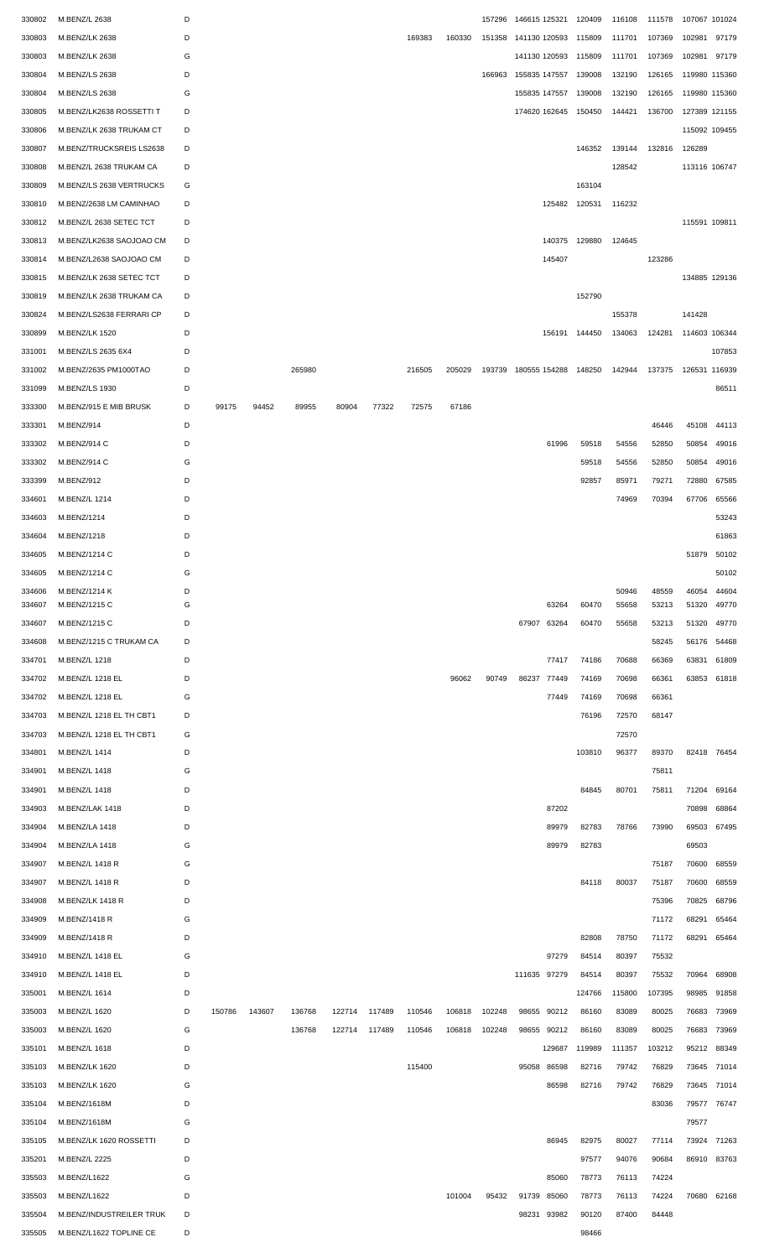| 330802           | M.BENZ/L 2638                  | D      |        |        |        |        |        |        |        | 157296 | 146615 125321        |               | 120409 | 116108         | 111578         | 107067 101024  |                |
|------------------|--------------------------------|--------|--------|--------|--------|--------|--------|--------|--------|--------|----------------------|---------------|--------|----------------|----------------|----------------|----------------|
| 330803           | M.BENZ/LK 2638                 | D      |        |        |        |        |        | 169383 | 160330 | 151358 | 141130 120593        |               | 115809 | 111701         | 107369         | 102981         | 97179          |
| 330803           | M.BENZ/LK 2638                 | G      |        |        |        |        |        |        |        |        | 141130 120593        |               | 115809 | 111701         | 107369         | 102981 97179   |                |
| 330804           | <b>M.BENZ/LS 2638</b>          | D      |        |        |        |        |        |        |        | 166963 | 155835 147557        |               | 139008 | 132190         | 126165         | 119980 115360  |                |
| 330804           | M.BENZ/LS 2638                 | G      |        |        |        |        |        |        |        |        | 155835 147557        |               | 139008 | 132190         | 126165         | 119980 115360  |                |
| 330805           | M.BENZ/LK2638 ROSSETTI T       | D      |        |        |        |        |        |        |        |        | 174620 162645        |               | 150450 | 144421         | 136700         | 127389 121155  |                |
| 330806           | M.BENZ/LK 2638 TRUKAM CT       | D      |        |        |        |        |        |        |        |        |                      |               |        |                |                | 115092 109455  |                |
| 330807           | M.BENZ/TRUCKSREIS LS2638       | D      |        |        |        |        |        |        |        |        |                      |               | 146352 | 139144         | 132816         | 126289         |                |
| 330808           | M.BENZ/L 2638 TRUKAM CA        | D      |        |        |        |        |        |        |        |        |                      |               |        | 128542         |                | 113116 106747  |                |
| 330809           | M.BENZ/LS 2638 VERTRUCKS       | G      |        |        |        |        |        |        |        |        |                      |               | 163104 |                |                |                |                |
| 330810           | M.BENZ/2638 LM CAMINHAO        | D      |        |        |        |        |        |        |        |        |                      | 125482 120531 |        | 116232         |                |                |                |
| 330812           | M.BENZ/L 2638 SETEC TCT        | D      |        |        |        |        |        |        |        |        |                      |               |        |                |                | 115591 109811  |                |
| 330813           | M.BENZ/LK2638 SAOJOAO CM       | D      |        |        |        |        |        |        |        |        |                      | 140375        | 129880 | 124645         |                |                |                |
| 330814           | M.BENZ/L2638 SAOJOAO CM        | D      |        |        |        |        |        |        |        |        |                      | 145407        |        |                | 123286         |                |                |
| 330815           | M.BENZ/LK 2638 SETEC TCT       | D      |        |        |        |        |        |        |        |        |                      |               |        |                |                | 134885 129136  |                |
| 330819           | M.BENZ/LK 2638 TRUKAM CA       | D      |        |        |        |        |        |        |        |        |                      |               | 152790 |                |                |                |                |
| 330824           | M.BENZ/LS2638 FERRARI CP       | D      |        |        |        |        |        |        |        |        |                      |               |        | 155378         |                | 141428         |                |
| 330899           | M.BENZ/LK 1520                 | D      |        |        |        |        |        |        |        |        |                      | 156191 144450 |        | 134063         | 124281         | 114603 106344  |                |
| 331001           | M.BENZ/LS 2635 6X4             | D      |        |        |        |        |        |        |        |        |                      |               |        |                |                |                | 107853         |
| 331002           | M.BENZ/2635 PM1000TAO          | D      |        |        | 265980 |        |        | 216505 | 205029 |        | 193739 180555 154288 |               | 148250 | 142944         | 137375         | 126531 116939  |                |
| 331099           | M.BENZ/LS 1930                 | D      |        |        |        |        |        |        |        |        |                      |               |        |                |                |                | 86511          |
| 333300           | M.BENZ/915 E MIB BRUSK         | D      | 99175  | 94452  | 89955  | 80904  | 77322  | 72575  | 67186  |        |                      |               |        |                |                |                |                |
| 333301           | M.BENZ/914                     | D      |        |        |        |        |        |        |        |        |                      |               |        |                | 46446          | 45108          | 44113          |
| 333302           | M.BENZ/914 C                   | D      |        |        |        |        |        |        |        |        |                      | 61996         | 59518  | 54556          | 52850          | 50854          | 49016          |
| 333302           | M.BENZ/914 C                   | G      |        |        |        |        |        |        |        |        |                      |               | 59518  | 54556          | 52850          | 50854          | 49016          |
| 333399           | M.BENZ/912                     | D      |        |        |        |        |        |        |        |        |                      |               | 92857  | 85971          | 79271          | 72880          | 67585          |
| 334601           | M.BENZ/L 1214                  | D      |        |        |        |        |        |        |        |        |                      |               |        | 74969          | 70394          | 67706          | 65566          |
| 334603           | M.BENZ/1214                    | D      |        |        |        |        |        |        |        |        |                      |               |        |                |                |                | 53243          |
|                  |                                | D      |        |        |        |        |        |        |        |        |                      |               |        |                |                |                | 61863          |
| 334604           | M.BENZ/1218                    | D      |        |        |        |        |        |        |        |        |                      |               |        |                |                |                |                |
| 334605           | M.BENZ/1214 C                  |        |        |        |        |        |        |        |        |        |                      |               |        |                |                | 51879          | 50102          |
| 334605           | M.BENZ/1214 C                  | G      |        |        |        |        |        |        |        |        |                      |               |        |                |                |                | 50102          |
| 334606<br>334607 | M.BENZ/1214 K<br>M.BENZ/1215 C | D<br>G |        |        |        |        |        |        |        |        |                      | 63264         | 60470  | 50946<br>55658 | 48559<br>53213 | 46054<br>51320 | 44604<br>49770 |
| 334607           | M.BENZ/1215 C                  | D      |        |        |        |        |        |        |        |        | 67907                | 63264         | 60470  | 55658          | 53213          | 51320          | 49770          |
| 334608           | M.BENZ/1215 C TRUKAM CA        | D      |        |        |        |        |        |        |        |        |                      |               |        |                | 58245          | 56176          | 54468          |
| 334701           | M.BENZ/L 1218                  | D      |        |        |        |        |        |        |        |        |                      | 77417         | 74186  | 70688          | 66369          | 63831          | 61809          |
| 334702           | M.BENZ/L 1218 EL               | D      |        |        |        |        |        |        | 96062  | 90749  | 86237                | 77449         | 74169  | 70698          | 66361          | 63853          | 61818          |
| 334702           | M.BENZ/L 1218 EL               | G      |        |        |        |        |        |        |        |        |                      | 77449         | 74169  | 70698          | 66361          |                |                |
| 334703           | M.BENZ/L 1218 EL TH CBT1       | D      |        |        |        |        |        |        |        |        |                      |               | 76196  | 72570          | 68147          |                |                |
| 334703           | M.BENZ/L 1218 EL TH CBT1       | G      |        |        |        |        |        |        |        |        |                      |               |        | 72570          |                |                |                |
| 334801           | M.BENZ/L 1414                  | D      |        |        |        |        |        |        |        |        |                      |               | 103810 | 96377          | 89370          |                | 82418 76454    |
| 334901           | M.BENZ/L 1418                  | G      |        |        |        |        |        |        |        |        |                      |               |        |                | 75811          |                |                |
| 334901           | M.BENZ/L 1418                  | D      |        |        |        |        |        |        |        |        |                      |               | 84845  | 80701          | 75811          |                | 71204 69164    |
| 334903           | M.BENZ/LAK 1418                | D      |        |        |        |        |        |        |        |        |                      | 87202         |        |                |                | 70898          | 68864          |
| 334904           | M.BENZ/LA 1418                 | D      |        |        |        |        |        |        |        |        |                      | 89979         | 82783  | 78766          | 73990          | 69503          | 67495          |
|                  | M.BENZ/LA 1418                 | G      |        |        |        |        |        |        |        |        |                      | 89979         | 82783  |                |                | 69503          |                |
| 334904           |                                |        |        |        |        |        |        |        |        |        |                      |               |        |                |                |                |                |
| 334907           | M.BENZ/L 1418 R                | G      |        |        |        |        |        |        |        |        |                      |               |        |                | 75187          | 70600          | 68559          |
| 334907           | M.BENZ/L 1418 R                | D      |        |        |        |        |        |        |        |        |                      |               | 84118  | 80037          | 75187          | 70600          | 68559          |
| 334908           | M.BENZ/LK 1418 R               | D      |        |        |        |        |        |        |        |        |                      |               |        |                | 75396          | 70825          | 68796          |
| 334909           | M.BENZ/1418 R                  | G      |        |        |        |        |        |        |        |        |                      |               |        |                | 71172          | 68291          | 65464          |
| 334909           | M.BENZ/1418 R                  | D      |        |        |        |        |        |        |        |        |                      |               | 82808  | 78750          | 71172          | 68291          | 65464          |
| 334910           | M.BENZ/L 1418 EL               | G      |        |        |        |        |        |        |        |        |                      | 97279         | 84514  | 80397          | 75532          |                |                |
| 334910           | M.BENZ/L 1418 EL               | D      |        |        |        |        |        |        |        |        | 111635 97279         |               | 84514  | 80397          | 75532          | 70964          | 68908          |
| 335001           | M.BENZ/L 1614                  | D      |        |        |        |        |        |        |        |        |                      |               | 124766 | 115800         | 107395         | 98985          | 91858          |
| 335003           | M.BENZ/L 1620                  | D      | 150786 | 143607 | 136768 | 122714 | 117489 | 110546 | 106818 | 102248 | 98655                | 90212         | 86160  | 83089          | 80025          | 76683          | 73969          |
| 335003           | M.BENZ/L 1620                  | G      |        |        | 136768 | 122714 | 117489 | 110546 | 106818 | 102248 | 98655 90212          |               | 86160  | 83089          | 80025          | 76683          | 73969          |
| 335101           | M.BENZ/L 1618                  | D      |        |        |        |        |        |        |        |        |                      | 129687        | 119989 | 111357         | 103212         | 95212          | 88349          |
| 335103           | M.BENZ/LK 1620                 | D      |        |        |        |        |        | 115400 |        |        | 95058 86598          |               | 82716  | 79742          | 76829          | 73645          | 71014          |
| 335103           | M.BENZ/LK 1620                 | G      |        |        |        |        |        |        |        |        |                      | 86598         | 82716  | 79742          | 76829          | 73645          | 71014          |
| 335104           | M.BENZ/1618M                   | D      |        |        |        |        |        |        |        |        |                      |               |        |                | 83036          | 79577          | 76747          |
| 335104           | M.BENZ/1618M                   | G      |        |        |        |        |        |        |        |        |                      |               |        |                |                | 79577          |                |
| 335105           | M.BENZ/LK 1620 ROSSETTI        | D      |        |        |        |        |        |        |        |        |                      | 86945         | 82975  | 80027          | 77114          |                | 73924 71263    |
| 335201           | M.BENZ/L 2225                  | D      |        |        |        |        |        |        |        |        |                      |               | 97577  | 94076          | 90684          | 86910          | 83763          |
| 335503           | M.BENZ/L1622                   | G      |        |        |        |        |        |        |        |        |                      | 85060         | 78773  | 76113          | 74224          |                |                |
| 335503           | M.BENZ/L1622                   | D      |        |        |        |        |        |        | 101004 | 95432  | 91739 85060          |               | 78773  | 76113          | 74224          |                | 70680 62168    |
| 335504           | M.BENZ/INDUSTREILER TRUK       | D      |        |        |        |        |        |        |        |        | 98231 93982          |               | 90120  | 87400          | 84448          |                |                |
| 335505           | M.BENZ/L1622 TOPLINE CE        | D      |        |        |        |        |        |        |        |        |                      |               | 98466  |                |                |                |                |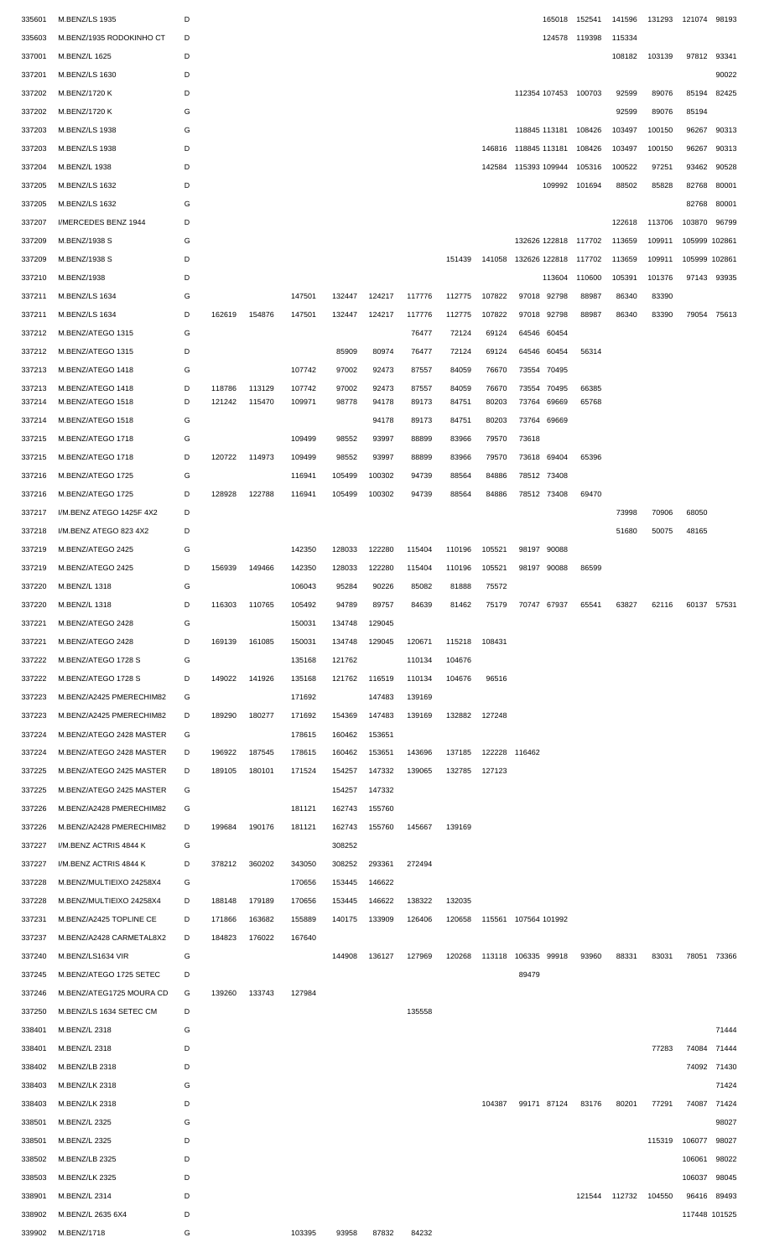| 335601           | M.BENZ/LS 1935           | D |        |                  |                  |        |        |        |        |                |                      | 165018 | 152541               |                      | 141596 131293 121074 98193 |                     |             |
|------------------|--------------------------|---|--------|------------------|------------------|--------|--------|--------|--------|----------------|----------------------|--------|----------------------|----------------------|----------------------------|---------------------|-------------|
| 335603           | M.BENZ/1935 RODOKINHO CT | D |        |                  |                  |        |        |        |        |                |                      |        | 124578 119398        | 115334               |                            |                     |             |
|                  | M.BENZ/L 1625            |   |        |                  |                  |        |        |        |        |                |                      |        |                      |                      |                            |                     |             |
| 337001           |                          | D |        |                  |                  |        |        |        |        |                |                      |        |                      | 108182               | 103139                     | 97812               | 93341       |
| 337201           | M.BENZ/LS 1630           | D |        |                  |                  |        |        |        |        |                |                      |        |                      |                      |                            |                     | 90022       |
| 337202           | M.BENZ/1720 K            | D |        |                  |                  |        |        |        |        |                |                      |        | 112354 107453 100703 | 92599                | 89076                      | 85194               | 82425       |
| 337202           | M.BENZ/1720 K            | G |        |                  |                  |        |        |        |        |                |                      |        |                      | 92599                | 89076                      | 85194               |             |
| 337203           | M.BENZ/LS 1938           | G |        |                  |                  |        |        |        |        |                | 118845 113181        |        | 108426               | 103497               | 100150                     | 96267               | 90313       |
| 337203           | M.BENZ/LS 1938           | D |        |                  |                  |        |        |        |        |                | 146816 118845 113181 |        | 108426               | 103497               | 100150                     | 96267               | 90313       |
|                  |                          |   |        |                  |                  |        |        |        |        |                |                      |        |                      |                      |                            |                     |             |
| 337204           | M.BENZ/L 1938            | D |        |                  |                  |        |        |        |        |                | 142584 115393 109944 |        | 105316               | 100522               | 97251                      | 93462               | 90528       |
| 337205           | <b>M.BENZ/LS 1632</b>    | D |        |                  |                  |        |        |        |        |                |                      |        | 109992 101694        | 88502                | 85828                      | 82768               | 80001       |
| 337205           | M.BENZ/LS 1632           | G |        |                  |                  |        |        |        |        |                |                      |        |                      |                      |                            | 82768               | 80001       |
| 337207           | I/MERCEDES BENZ 1944     | D |        |                  |                  |        |        |        |        |                |                      |        |                      | 122618               | 113706                     | 103870              | 96799       |
| 337209           | M.BENZ/1938 S            | G |        |                  |                  |        |        |        |        |                |                      |        | 132626 122818 117702 | 113659               | 109911                     | 105999 102861       |             |
| 337209           | M.BENZ/1938 S            | D |        |                  |                  |        |        |        | 151439 |                | 141058 132626 122818 |        | 117702               | 113659               | 109911                     | 105999 102861       |             |
|                  |                          |   |        |                  |                  |        |        |        |        |                |                      |        |                      |                      |                            |                     |             |
| 337210           | M.BENZ/1938              | D |        |                  |                  |        |        |        |        |                |                      | 113604 | 110600               | 105391               | 101376                     |                     | 97143 93935 |
| 337211           | M.BENZ/LS 1634           | G |        |                  | 147501           | 132447 | 124217 | 117776 | 112775 | 107822         | 97018 92798          |        | 88987                | 86340                | 83390                      |                     |             |
| 337211           | M.BENZ/LS 1634           | D | 162619 | 154876           | 147501           | 132447 | 124217 | 117776 | 112775 | 107822         | 97018 92798          |        | 88987                | 86340                | 83390                      |                     | 79054 75613 |
| 337212           | M.BENZ/ATEGO 1315        | G |        |                  |                  |        |        | 76477  | 72124  | 69124          | 64546 60454          |        |                      |                      |                            |                     |             |
| 337212           | M.BENZ/ATEGO 1315        | D |        |                  |                  | 85909  | 80974  | 76477  | 72124  | 69124          | 64546                | 60454  | 56314                |                      |                            |                     |             |
| 337213           | M.BENZ/ATEGO 1418        | G |        |                  | 107742           | 97002  | 92473  | 87557  | 84059  | 76670          | 73554 70495          |        |                      |                      |                            |                     |             |
|                  | M.BENZ/ATEGO 1418        | D | 118786 |                  |                  | 97002  | 92473  | 87557  | 84059  |                |                      | 70495  | 66385                |                      |                            |                     |             |
| 337213<br>337214 | M.BENZ/ATEGO 1518        | D | 121242 | 113129<br>115470 | 107742<br>109971 | 98778  | 94178  | 89173  | 84751  | 76670<br>80203 | 73554<br>73764       | 69669  | 65768                |                      |                            |                     |             |
| 337214           | M.BENZ/ATEGO 1518        | G |        |                  |                  |        | 94178  | 89173  | 84751  | 80203          | 73764 69669          |        |                      |                      |                            |                     |             |
|                  |                          |   |        |                  |                  |        |        |        |        |                |                      |        |                      |                      |                            |                     |             |
| 337215           | M.BENZ/ATEGO 1718        | G |        |                  | 109499           | 98552  | 93997  | 88899  | 83966  | 79570          | 73618                |        |                      |                      |                            |                     |             |
| 337215           | M.BENZ/ATEGO 1718        | D | 120722 | 114973           | 109499           | 98552  | 93997  | 88899  | 83966  | 79570          | 73618 69404          |        | 65396                |                      |                            |                     |             |
| 337216           | M.BENZ/ATEGO 1725        | G |        |                  | 116941           | 105499 | 100302 | 94739  | 88564  | 84886          | 78512 73408          |        |                      |                      |                            |                     |             |
| 337216           | M.BENZ/ATEGO 1725        | D | 128928 | 122788           | 116941           | 105499 | 100302 | 94739  | 88564  | 84886          | 78512 73408          |        | 69470                |                      |                            |                     |             |
| 337217           | I/M.BENZ ATEGO 1425F 4X2 | D |        |                  |                  |        |        |        |        |                |                      |        |                      | 73998                | 70906                      | 68050               |             |
| 337218           | I/M.BENZ ATEGO 823 4X2   | D |        |                  |                  |        |        |        |        |                |                      |        |                      | 51680                | 50075                      | 48165               |             |
|                  |                          |   |        |                  |                  |        |        |        |        |                |                      |        |                      |                      |                            |                     |             |
| 337219           | M.BENZ/ATEGO 2425        | G |        |                  | 142350           | 128033 | 122280 | 115404 | 110196 | 105521         | 98197 90088          |        |                      |                      |                            |                     |             |
| 337219           | M.BENZ/ATEGO 2425        | D | 156939 | 149466           | 142350           | 128033 | 122280 | 115404 | 110196 | 105521         | 98197 90088          |        | 86599                |                      |                            |                     |             |
| 337220           | M.BENZ/L 1318            | G |        |                  | 106043           | 95284  | 90226  | 85082  | 81888  | 75572          |                      |        |                      |                      |                            |                     |             |
| 337220           | M.BENZ/L 1318            | D | 116303 | 110765           | 105492           | 94789  | 89757  | 84639  | 81462  | 75179          | 70747 67937          |        | 65541                | 63827                | 62116                      | 60137 57531         |             |
| 337221           | M.BENZ/ATEGO 2428        | G |        |                  | 150031           | 134748 | 129045 |        |        |                |                      |        |                      |                      |                            |                     |             |
| 337221           | M.BENZ/ATEGO 2428        | D | 169139 | 161085           | 150031           | 134748 | 129045 | 120671 | 115218 | 108431         |                      |        |                      |                      |                            |                     |             |
| 337222           |                          | G |        |                  | 135168           | 121762 |        |        | 104676 |                |                      |        |                      |                      |                            |                     |             |
|                  | M.BENZ/ATEGO 1728 S      |   |        |                  |                  |        |        | 110134 |        |                |                      |        |                      |                      |                            |                     |             |
| 337222           | M.BENZ/ATEGO 1728 S      | D | 149022 | 141926           | 135168           | 121762 | 116519 | 110134 | 104676 | 96516          |                      |        |                      |                      |                            |                     |             |
| 337223           | M.BENZ/A2425 PMERECHIM82 | G |        |                  | 171692           |        | 147483 | 139169 |        |                |                      |        |                      |                      |                            |                     |             |
| 337223           | M.BENZ/A2425 PMERECHIM82 | D | 189290 | 180277           | 171692           | 154369 | 147483 | 139169 | 132882 | 127248         |                      |        |                      |                      |                            |                     |             |
| 337224           | M.BENZ/ATEGO 2428 MASTER | G |        |                  | 178615           | 160462 | 153651 |        |        |                |                      |        |                      |                      |                            |                     |             |
| 337224           | M.BENZ/ATEGO 2428 MASTER | D | 196922 | 187545           | 178615           | 160462 | 153651 | 143696 | 137185 |                | 122228 116462        |        |                      |                      |                            |                     |             |
| 337225           | M.BENZ/ATEGO 2425 MASTER | D | 189105 | 180101           | 171524           | 154257 | 147332 | 139065 | 132785 | 127123         |                      |        |                      |                      |                            |                     |             |
|                  |                          |   |        |                  |                  |        |        |        |        |                |                      |        |                      |                      |                            |                     |             |
| 337225           | M.BENZ/ATEGO 2425 MASTER | G |        |                  |                  | 154257 | 147332 |        |        |                |                      |        |                      |                      |                            |                     |             |
| 337226           | M.BENZ/A2428 PMERECHIM82 | G |        |                  | 181121           | 162743 | 155760 |        |        |                |                      |        |                      |                      |                            |                     |             |
| 337226           | M.BENZ/A2428 PMERECHIM82 | D | 199684 | 190176           | 181121           | 162743 | 155760 | 145667 | 139169 |                |                      |        |                      |                      |                            |                     |             |
| 337227           | I/M.BENZ ACTRIS 4844 K   | G |        |                  |                  | 308252 |        |        |        |                |                      |        |                      |                      |                            |                     |             |
| 337227           | I/M.BENZ ACTRIS 4844 K   | D | 378212 | 360202           | 343050           | 308252 | 293361 | 272494 |        |                |                      |        |                      |                      |                            |                     |             |
| 337228           | M.BENZ/MULTIEIXO 24258X4 | G |        |                  | 170656           | 153445 | 146622 |        |        |                |                      |        |                      |                      |                            |                     |             |
|                  |                          |   |        |                  |                  |        |        |        |        |                |                      |        |                      |                      |                            |                     |             |
| 337228           | M.BENZ/MULTIEIXO 24258X4 | D | 188148 | 179189           | 170656           | 153445 | 146622 | 138322 | 132035 |                |                      |        |                      |                      |                            |                     |             |
| 337231           | M.BENZ/A2425 TOPLINE CE  | D | 171866 | 163682           | 155889           | 140175 | 133909 | 126406 | 120658 |                | 115561 107564 101992 |        |                      |                      |                            |                     |             |
| 337237           | M.BENZ/A2428 CARMETAL8X2 | D | 184823 | 176022           | 167640           |        |        |        |        |                |                      |        |                      |                      |                            |                     |             |
| 337240           | M.BENZ/LS1634 VIR        | G |        |                  |                  | 144908 | 136127 | 127969 | 120268 | 113118         | 106335               | 99918  | 93960                | 88331                | 83031                      | 78051               | 73366       |
| 337245           | M.BENZ/ATEGO 1725 SETEC  | D |        |                  |                  |        |        |        |        |                | 89479                |        |                      |                      |                            |                     |             |
| 337246           | M.BENZ/ATEG1725 MOURA CD | G | 139260 | 133743           | 127984           |        |        |        |        |                |                      |        |                      |                      |                            |                     |             |
| 337250           | M.BENZ/LS 1634 SETEC CM  | D |        |                  |                  |        |        | 135558 |        |                |                      |        |                      |                      |                            |                     |             |
|                  |                          |   |        |                  |                  |        |        |        |        |                |                      |        |                      |                      |                            |                     |             |
| 338401           | M.BENZ/L 2318            | G |        |                  |                  |        |        |        |        |                |                      |        |                      |                      |                            |                     | 71444       |
| 338401           | M.BENZ/L 2318            | D |        |                  |                  |        |        |        |        |                |                      |        |                      |                      | 77283                      | 74084               | 71444       |
| 338402           | M.BENZ/LB 2318           | D |        |                  |                  |        |        |        |        |                |                      |        |                      |                      |                            | 74092               | 71430       |
| 338403           | M.BENZ/LK 2318           | G |        |                  |                  |        |        |        |        |                |                      |        |                      |                      |                            |                     | 71424       |
| 338403           | M.BENZ/LK 2318           | D |        |                  |                  |        |        |        |        | 104387         | 99171 87124          |        | 83176                | 80201                | 77291                      | 74087               | 71424       |
| 338501           | M.BENZ/L 2325            | G |        |                  |                  |        |        |        |        |                |                      |        |                      |                      |                            |                     | 98027       |
| 338501           | M.BENZ/L 2325            | D |        |                  |                  |        |        |        |        |                |                      |        |                      |                      |                            | 115319 106077 98027 |             |
|                  |                          |   |        |                  |                  |        |        |        |        |                |                      |        |                      |                      |                            |                     |             |
| 338502           | M.BENZ/LB 2325           | D |        |                  |                  |        |        |        |        |                |                      |        |                      |                      |                            | 106061 98022        |             |
| 338503           | M.BENZ/LK 2325           | D |        |                  |                  |        |        |        |        |                |                      |        |                      |                      |                            | 106037 98045        |             |
| 338901           | M.BENZ/L 2314            | D |        |                  |                  |        |        |        |        |                |                      |        |                      | 121544 112732 104550 |                            |                     | 96416 89493 |
| 338902           | M.BENZ/L 2635 6X4        | D |        |                  |                  |        |        |        |        |                |                      |        |                      |                      |                            | 117448 101525       |             |
|                  | 339902 M.BENZ/1718       | G |        |                  | 103395           | 93958  | 87832  | 84232  |        |                |                      |        |                      |                      |                            |                     |             |
|                  |                          |   |        |                  |                  |        |        |        |        |                |                      |        |                      |                      |                            |                     |             |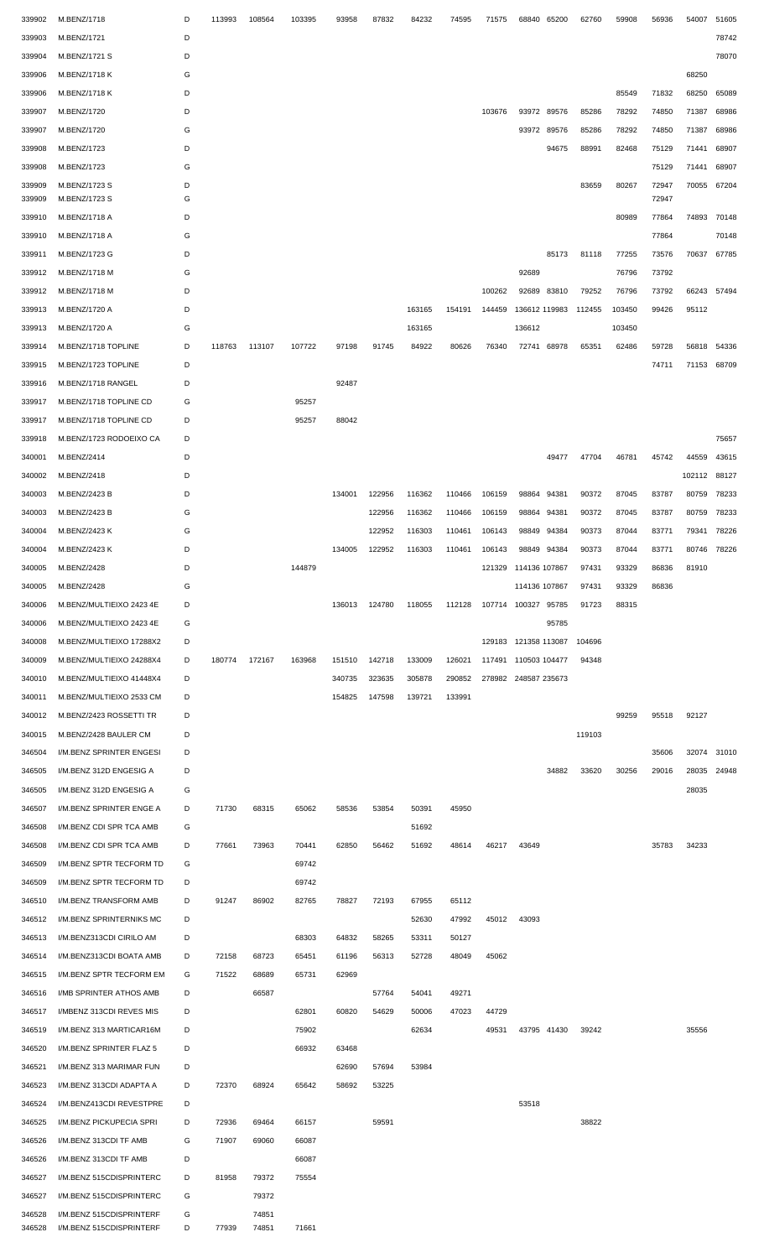| 339902 | M.BENZ/1718              | D | 113993 | 108564 | 103395 | 93958  | 87832  | 84232  | 74595  | 71575  | 68840                | 65200       | 62760  | 59908  | 56936 | 54007  | 51605 |
|--------|--------------------------|---|--------|--------|--------|--------|--------|--------|--------|--------|----------------------|-------------|--------|--------|-------|--------|-------|
| 339903 | M.BENZ/1721              | D |        |        |        |        |        |        |        |        |                      |             |        |        |       |        | 78742 |
| 339904 | M.BENZ/1721 S            | D |        |        |        |        |        |        |        |        |                      |             |        |        |       |        | 78070 |
| 339906 | M.BENZ/1718 K            | G |        |        |        |        |        |        |        |        |                      |             |        |        |       | 68250  |       |
| 339906 | M.BENZ/1718 K            | D |        |        |        |        |        |        |        |        |                      |             |        | 85549  | 71832 | 68250  | 65089 |
|        |                          |   |        |        |        |        |        |        |        |        |                      |             |        |        |       |        |       |
| 339907 | M.BENZ/1720              | D |        |        |        |        |        |        |        | 103676 |                      | 93972 89576 | 85286  | 78292  | 74850 | 71387  | 68986 |
| 339907 | M.BENZ/1720              | G |        |        |        |        |        |        |        |        | 93972                | 89576       | 85286  | 78292  | 74850 | 71387  | 68986 |
| 339908 | M.BENZ/1723              | D |        |        |        |        |        |        |        |        |                      | 94675       | 88991  | 82468  | 75129 | 71441  | 68907 |
| 339908 | M.BENZ/1723              | G |        |        |        |        |        |        |        |        |                      |             |        |        | 75129 | 71441  | 68907 |
| 339909 | M.BENZ/1723 S            | D |        |        |        |        |        |        |        |        |                      |             | 83659  | 80267  | 72947 | 70055  | 67204 |
| 339909 | M.BENZ/1723 S            | G |        |        |        |        |        |        |        |        |                      |             |        |        | 72947 |        |       |
| 339910 | M.BENZ/1718 A            | D |        |        |        |        |        |        |        |        |                      |             |        | 80989  | 77864 | 74893  | 70148 |
| 339910 | M.BENZ/1718 A            | G |        |        |        |        |        |        |        |        |                      |             |        |        | 77864 |        | 70148 |
| 339911 | M.BENZ/1723 G            | D |        |        |        |        |        |        |        |        |                      | 85173       | 81118  | 77255  | 73576 | 70637  | 67785 |
| 339912 | M.BENZ/1718 M            | G |        |        |        |        |        |        |        |        | 92689                |             |        | 76796  | 73792 |        |       |
| 339912 | M.BENZ/1718 M            | D |        |        |        |        |        |        |        | 100262 |                      | 92689 83810 | 79252  | 76796  | 73792 | 66243  | 57494 |
|        |                          |   |        |        |        |        |        |        |        |        |                      |             |        |        |       |        |       |
| 339913 | M.BENZ/1720 A            | D |        |        |        |        |        | 163165 | 154191 | 144459 | 136612 119983        |             | 112455 | 103450 | 99426 | 95112  |       |
| 339913 | M.BENZ/1720 A            | G |        |        |        |        |        | 163165 |        |        | 136612               |             |        | 103450 |       |        |       |
| 339914 | M.BENZ/1718 TOPLINE      | D | 118763 | 113107 | 107722 | 97198  | 91745  | 84922  | 80626  | 76340  |                      | 72741 68978 | 65351  | 62486  | 59728 | 56818  | 54336 |
| 339915 | M.BENZ/1723 TOPLINE      | D |        |        |        |        |        |        |        |        |                      |             |        |        | 74711 | 71153  | 68709 |
| 339916 | M.BENZ/1718 RANGEL       | D |        |        |        | 92487  |        |        |        |        |                      |             |        |        |       |        |       |
| 339917 | M.BENZ/1718 TOPLINE CD   | G |        |        | 95257  |        |        |        |        |        |                      |             |        |        |       |        |       |
| 339917 | M.BENZ/1718 TOPLINE CD   | D |        |        | 95257  | 88042  |        |        |        |        |                      |             |        |        |       |        |       |
| 339918 | M.BENZ/1723 RODOEIXO CA  | D |        |        |        |        |        |        |        |        |                      |             |        |        |       |        | 75657 |
|        |                          |   |        |        |        |        |        |        |        |        |                      |             |        |        |       |        |       |
| 340001 | M.BENZ/2414              | D |        |        |        |        |        |        |        |        |                      | 49477       | 47704  | 46781  | 45742 | 44559  | 43615 |
| 340002 | M.BENZ/2418              | D |        |        |        |        |        |        |        |        |                      |             |        |        |       | 102112 | 88127 |
| 340003 | M.BENZ/2423 B            | D |        |        |        | 134001 | 122956 | 116362 | 110466 | 106159 | 98864                | 94381       | 90372  | 87045  | 83787 | 80759  | 78233 |
| 340003 | M.BENZ/2423 B            | G |        |        |        |        | 122956 | 116362 | 110466 | 106159 | 98864                | 94381       | 90372  | 87045  | 83787 | 80759  | 78233 |
| 340004 | M.BENZ/2423 K            | G |        |        |        |        | 122952 | 116303 | 110461 | 106143 | 98849                | 94384       | 90373  | 87044  | 83771 | 79341  | 78226 |
| 340004 | M.BENZ/2423 K            | D |        |        |        | 134005 | 122952 | 116303 | 110461 | 106143 | 98849                | 94384       | 90373  | 87044  | 83771 | 80746  | 78226 |
| 340005 | M.BENZ/2428              | D |        |        | 144879 |        |        |        |        | 121329 | 114136 107867        |             | 97431  | 93329  | 86836 | 81910  |       |
| 340005 | M.BENZ/2428              | G |        |        |        |        |        |        |        |        | 114136 107867        |             | 97431  | 93329  | 86836 |        |       |
|        |                          | D |        |        |        |        |        |        |        |        |                      |             | 91723  |        |       |        |       |
| 340006 | M.BENZ/MULTIEIXO 2423 4E |   |        |        |        | 136013 | 124780 | 118055 | 112128 |        | 107714 100327 95785  |             |        | 88315  |       |        |       |
| 340006 | M.BENZ/MULTIEIXO 2423 4E | G |        |        |        |        |        |        |        |        |                      | 95785       |        |        |       |        |       |
| 340008 | M.BENZ/MULTIEIXO 17288X2 | D |        |        |        |        |        |        |        |        | 129183 121358 113087 |             | 104696 |        |       |        |       |
| 340009 | M.BENZ/MULTIEIXO 24288X4 | D | 180774 | 172167 | 163968 | 151510 | 142718 | 133009 | 126021 | 117491 | 110503 104477        |             | 94348  |        |       |        |       |
| 340010 | M.BENZ/MULTIEIXO 41448X4 | D |        |        |        | 340735 | 323635 | 305878 | 290852 |        | 278982 248587 235673 |             |        |        |       |        |       |
| 340011 | M.BENZ/MULTIEIXO 2533 CM | D |        |        |        | 154825 | 147598 | 139721 | 133991 |        |                      |             |        |        |       |        |       |
| 340012 | M.BENZ/2423 ROSSETTI TR  | D |        |        |        |        |        |        |        |        |                      |             |        | 99259  | 95518 | 92127  |       |
| 340015 | M.BENZ/2428 BAULER CM    | D |        |        |        |        |        |        |        |        |                      |             | 119103 |        |       |        |       |
| 346504 | I/M.BENZ SPRINTER ENGESI | D |        |        |        |        |        |        |        |        |                      |             |        |        | 35606 | 32074  | 31010 |
|        |                          |   |        |        |        |        |        |        |        |        |                      |             |        |        |       |        |       |
| 346505 | I/M.BENZ 312D ENGESIG A  | D |        |        |        |        |        |        |        |        |                      | 34882       | 33620  | 30256  | 29016 | 28035  | 24948 |
| 346505 | I/M.BENZ 312D ENGESIG A  | G |        |        |        |        |        |        |        |        |                      |             |        |        |       | 28035  |       |
| 346507 | I/M.BENZ SPRINTER ENGE A | D | 71730  | 68315  | 65062  | 58536  | 53854  | 50391  | 45950  |        |                      |             |        |        |       |        |       |
| 346508 | I/M.BENZ CDI SPR TCA AMB | G |        |        |        |        |        | 51692  |        |        |                      |             |        |        |       |        |       |
| 346508 | I/M.BENZ CDI SPR TCA AMB | D | 77661  | 73963  | 70441  | 62850  | 56462  | 51692  | 48614  | 46217  | 43649                |             |        |        | 35783 | 34233  |       |
| 346509 | I/M.BENZ SPTR TECFORM TD | G |        |        | 69742  |        |        |        |        |        |                      |             |        |        |       |        |       |
| 346509 | I/M.BENZ SPTR TECFORM TD | D |        |        | 69742  |        |        |        |        |        |                      |             |        |        |       |        |       |
| 346510 | I/M.BENZ TRANSFORM AMB   | D | 91247  | 86902  | 82765  | 78827  | 72193  | 67955  | 65112  |        |                      |             |        |        |       |        |       |
| 346512 | I/M.BENZ SPRINTERNIKS MC | D |        |        |        |        |        | 52630  | 47992  | 45012  | 43093                |             |        |        |       |        |       |
|        |                          |   |        |        |        |        |        |        |        |        |                      |             |        |        |       |        |       |
| 346513 | I/M.BENZ313CDI CIRILO AM | D |        |        | 68303  | 64832  | 58265  | 53311  | 50127  |        |                      |             |        |        |       |        |       |
| 346514 | I/M.BENZ313CDI BOATA AMB | D | 72158  | 68723  | 65451  | 61196  | 56313  | 52728  | 48049  | 45062  |                      |             |        |        |       |        |       |
| 346515 | I/M.BENZ SPTR TECFORM EM | G | 71522  | 68689  | 65731  | 62969  |        |        |        |        |                      |             |        |        |       |        |       |
| 346516 | I/MB SPRINTER ATHOS AMB  | D |        | 66587  |        |        | 57764  | 54041  | 49271  |        |                      |             |        |        |       |        |       |
| 346517 | I/MBENZ 313CDI REVES MIS | D |        |        | 62801  | 60820  | 54629  | 50006  | 47023  | 44729  |                      |             |        |        |       |        |       |
| 346519 | I/M.BENZ 313 MARTICAR16M | D |        |        | 75902  |        |        | 62634  |        | 49531  |                      | 43795 41430 | 39242  |        |       | 35556  |       |
| 346520 | I/M.BENZ SPRINTER FLAZ 5 | D |        |        | 66932  | 63468  |        |        |        |        |                      |             |        |        |       |        |       |
| 346521 | I/M.BENZ 313 MARIMAR FUN | D |        |        |        | 62690  | 57694  | 53984  |        |        |                      |             |        |        |       |        |       |
| 346523 | I/M.BENZ 313CDI ADAPTA A | D | 72370  | 68924  | 65642  | 58692  | 53225  |        |        |        |                      |             |        |        |       |        |       |
|        |                          | D |        |        |        |        |        |        |        |        | 53518                |             |        |        |       |        |       |
| 346524 | I/M.BENZ413CDI REVESTPRE |   |        |        |        |        |        |        |        |        |                      |             |        |        |       |        |       |
| 346525 | I/M.BENZ PICKUPECIA SPRI | D | 72936  | 69464  | 66157  |        | 59591  |        |        |        |                      |             | 38822  |        |       |        |       |
| 346526 | I/M.BENZ 313CDI TF AMB   | G | 71907  | 69060  | 66087  |        |        |        |        |        |                      |             |        |        |       |        |       |
| 346526 | I/M.BENZ 313CDI TF AMB   | D |        |        | 66087  |        |        |        |        |        |                      |             |        |        |       |        |       |
| 346527 | I/M.BENZ 515CDISPRINTERC | D | 81958  | 79372  | 75554  |        |        |        |        |        |                      |             |        |        |       |        |       |
| 346527 | I/M.BENZ 515CDISPRINTERC | G |        | 79372  |        |        |        |        |        |        |                      |             |        |        |       |        |       |
| 346528 | I/M.BENZ 515CDISPRINTERF | G |        | 74851  |        |        |        |        |        |        |                      |             |        |        |       |        |       |
| 346528 | I/M.BENZ 515CDISPRINTERF | D | 77939  | 74851  | 71661  |        |        |        |        |        |                      |             |        |        |       |        |       |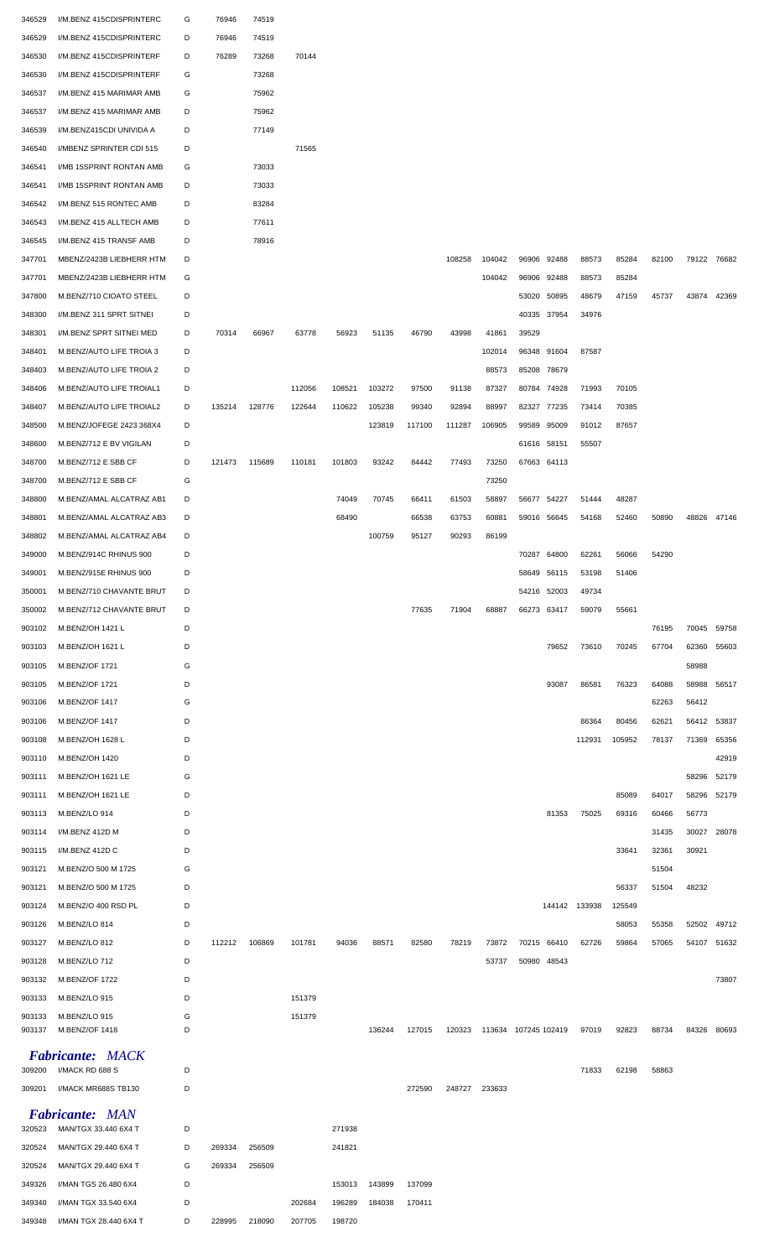| 346529 | I/M.BENZ 415CDISPRINTERC                             | G | 76946  | 74519  |        |        |        |        |        |                      |       |                            |        |        |       |             |       |
|--------|------------------------------------------------------|---|--------|--------|--------|--------|--------|--------|--------|----------------------|-------|----------------------------|--------|--------|-------|-------------|-------|
| 346529 | I/M.BENZ 415CDISPRINTERC                             | D | 76946  | 74519  |        |        |        |        |        |                      |       |                            |        |        |       |             |       |
| 346530 | I/M.BENZ 415CDISPRINTERF                             | D | 76289  | 73268  | 70144  |        |        |        |        |                      |       |                            |        |        |       |             |       |
| 346530 | I/M.BENZ 415CDISPRINTERF                             | G |        | 73268  |        |        |        |        |        |                      |       |                            |        |        |       |             |       |
| 346537 | I/M.BENZ 415 MARIMAR AMB                             | G |        | 75962  |        |        |        |        |        |                      |       |                            |        |        |       |             |       |
| 346537 | I/M.BENZ 415 MARIMAR AMB                             | D |        | 75962  |        |        |        |        |        |                      |       |                            |        |        |       |             |       |
| 346539 | I/M.BENZ415CDI UNIVIDA A                             | D |        | 77149  |        |        |        |        |        |                      |       |                            |        |        |       |             |       |
| 346540 | I/MBENZ SPRINTER CDI 515                             | D |        |        | 71565  |        |        |        |        |                      |       |                            |        |        |       |             |       |
| 346541 | I/MB 15SPRINT RONTAN AMB                             | G |        | 73033  |        |        |        |        |        |                      |       |                            |        |        |       |             |       |
| 346541 | I/MB 15SPRINT RONTAN AMB                             | D |        | 73033  |        |        |        |        |        |                      |       |                            |        |        |       |             |       |
| 346542 | I/M.BENZ 515 RONTEC AMB                              | D |        | 83284  |        |        |        |        |        |                      |       |                            |        |        |       |             |       |
| 346543 | I/M.BENZ 415 ALLTECH AMB                             | D |        | 77611  |        |        |        |        |        |                      |       |                            |        |        |       |             |       |
| 346545 | I/M.BENZ 415 TRANSF AMB                              | D |        | 78916  |        |        |        |        |        |                      |       |                            |        |        |       |             |       |
| 347701 | MBENZ/2423B LIEBHERR HTM                             | D |        |        |        |        |        |        | 108258 | 104042               |       | 96906 92488                | 88573  | 85284  | 82100 | 79122 76682 |       |
| 347701 | MBENZ/2423B LIEBHERR HTM                             | G |        |        |        |        |        |        |        | 104042               |       | 96906 92488                | 88573  | 85284  |       |             |       |
| 347800 | M.BENZ/710 CIOATO STEEL                              | D |        |        |        |        |        |        |        |                      |       | 53020 50895                | 48679  | 47159  | 45737 | 43874       | 42369 |
| 348300 | I/M.BENZ 311 SPRT SITNEI                             | D |        |        |        |        |        |        |        |                      |       | 40335 37954                | 34976  |        |       |             |       |
| 348301 | I/M.BENZ SPRT SITNEI MED                             | D | 70314  | 66967  | 63778  | 56923  | 51135  | 46790  | 43998  | 41861                | 39529 |                            |        |        |       |             |       |
|        | M.BENZ/AUTO LIFE TROIA 3                             | D |        |        |        |        |        |        |        | 102014               |       | 96348 91604                | 87587  |        |       |             |       |
| 348401 |                                                      | D |        |        |        |        |        |        |        |                      |       |                            |        |        |       |             |       |
| 348403 | M.BENZ/AUTO LIFE TROIA 2<br>M.BENZ/AUTO LIFE TROIAL1 | D |        |        | 112056 | 108521 | 103272 | 97500  | 91138  | 88573<br>87327       |       | 85208 78679<br>80784 74928 | 71993  | 70105  |       |             |       |
| 348406 | M.BENZ/AUTO LIFE TROIAL2                             | D | 135214 | 128776 | 122644 |        | 105238 | 99340  | 92894  | 88997                |       | 82327 77235                | 73414  | 70385  |       |             |       |
| 348407 |                                                      | D |        |        |        | 110622 |        |        |        |                      |       | 99589 95009                | 91012  |        |       |             |       |
| 348500 | M.BENZ/JOFEGE 2423 368X4                             |   |        |        |        |        | 123819 | 117100 | 111287 | 106905               |       |                            |        | 87657  |       |             |       |
| 348600 | M.BENZ/712 E BV VIGILAN                              | D |        |        |        |        |        |        |        |                      |       | 61616 58151                | 55507  |        |       |             |       |
| 348700 | M.BENZ/712 E SBB CF                                  | D | 121473 | 115689 | 110181 | 101803 | 93242  | 84442  | 77493  | 73250                |       | 67663 64113                |        |        |       |             |       |
| 348700 | M.BENZ/712 E SBB CF                                  | G |        |        |        |        |        |        |        | 73250                |       |                            |        |        |       |             |       |
| 348800 | M.BENZ/AMAL ALCATRAZ AB1                             | D |        |        |        | 74049  | 70745  | 66411  | 61503  | 58897                |       | 56677 54227                | 51444  | 48287  |       |             |       |
| 348801 | M.BENZ/AMAL ALCATRAZ AB3                             | D |        |        |        | 68490  |        | 66538  | 63753  | 60881                |       | 59016 56645                | 54168  | 52460  | 50890 | 48826       | 47146 |
| 348802 | M.BENZ/AMAL ALCATRAZ AB4                             | D |        |        |        |        | 100759 | 95127  | 90293  | 86199                |       |                            |        |        |       |             |       |
| 349000 | M.BENZ/914C RHINUS 900                               | D |        |        |        |        |        |        |        |                      |       | 70287 64800                | 62261  | 56066  | 54290 |             |       |
| 349001 | M.BENZ/915E RHINUS 900                               |   |        |        |        |        |        |        |        |                      |       | 58649 56115                | 53198  | 51406  |       |             |       |
| 350001 | M.BENZ/710 CHAVANTE BRUT                             | D |        |        |        |        |        |        |        |                      |       | 54216 52003                | 49734  |        |       |             |       |
| 350002 | M.BENZ/712 CHAVANTE BRUT                             | D |        |        |        |        |        | 77635  | 71904  | 68887                |       | 66273 63417                | 59079  | 55661  |       |             |       |
|        |                                                      |   |        |        |        |        |        |        |        |                      |       |                            |        |        |       |             |       |
| 903102 | M.BENZ/OH 1421 L                                     | D |        |        |        |        |        |        |        |                      |       |                            |        |        | 76195 | 70045       | 59758 |
| 903103 | M.BENZ/OH 1621 L                                     | D |        |        |        |        |        |        |        |                      |       | 79652                      | 73610  | 70245  | 67704 | 62360       | 55603 |
| 903105 | M.BENZ/OF 1721                                       | G |        |        |        |        |        |        |        |                      |       |                            |        |        |       | 58988       |       |
| 903105 | M.BENZ/OF 1721                                       | D |        |        |        |        |        |        |        |                      |       | 93087                      | 86581  | 76323  | 64088 | 58988       | 56517 |
| 903106 | M.BENZ/OF 1417                                       | G |        |        |        |        |        |        |        |                      |       |                            |        |        | 62263 | 56412       |       |
| 903106 | M.BENZ/OF 1417                                       | D |        |        |        |        |        |        |        |                      |       |                            | 86364  | 80456  | 62621 | 56412       | 53837 |
| 903108 | M.BENZ/OH 1628 L                                     | D |        |        |        |        |        |        |        |                      |       |                            | 112931 | 105952 | 78137 | 71369       | 65356 |
| 903110 | M.BENZ/OH 1420                                       | D |        |        |        |        |        |        |        |                      |       |                            |        |        |       |             | 42919 |
| 903111 | M.BENZ/OH 1621 LE                                    | G |        |        |        |        |        |        |        |                      |       |                            |        |        |       | 58296       | 52179 |
| 903111 | M.BENZ/OH 1621 LE                                    | D |        |        |        |        |        |        |        |                      |       |                            |        | 85089  | 64017 | 58296       | 52179 |
| 903113 | M.BENZ/LO 914                                        | D |        |        |        |        |        |        |        |                      |       | 81353                      | 75025  | 69316  | 60466 | 56773       |       |
| 903114 | I/M.BENZ 412D M                                      | D |        |        |        |        |        |        |        |                      |       |                            |        |        | 31435 | 30027       | 28078 |
| 903115 | I/M.BENZ 412D C                                      | D |        |        |        |        |        |        |        |                      |       |                            |        | 33641  | 32361 | 30921       |       |
| 903121 | M.BENZ/O 500 M 1725                                  | G |        |        |        |        |        |        |        |                      |       |                            |        |        | 51504 |             |       |
| 903121 | M.BENZ/O 500 M 1725                                  | D |        |        |        |        |        |        |        |                      |       |                            |        | 56337  | 51504 | 48232       |       |
| 903124 | M.BENZ/O 400 RSD PL                                  | D |        |        |        |        |        |        |        |                      |       | 144142 133938              |        | 125549 |       |             |       |
| 903126 | M.BENZ/LO 814                                        | D |        |        |        |        |        |        |        |                      |       |                            |        | 58053  | 55358 | 52502       | 49712 |
| 903127 | M.BENZ/LO 812                                        | D | 112212 | 106869 | 101781 | 94036  | 88571  | 82580  | 78219  | 73872                |       | 70215 66410                | 62726  | 59864  | 57065 | 54107 51632 |       |
| 903128 | M.BENZ/LO 712                                        | D |        |        |        |        |        |        |        | 53737                |       | 50980 48543                |        |        |       |             |       |
| 903132 | <b>M.BENZ/OF 1722</b>                                | D |        |        |        |        |        |        |        |                      |       |                            |        |        |       |             | 73807 |
| 903133 | M.BENZ/LO 915                                        | D |        |        | 151379 |        |        |        |        |                      |       |                            |        |        |       |             |       |
| 903133 | M.BENZ/LO 915                                        | G |        |        | 151379 |        |        |        |        |                      |       |                            |        |        |       |             |       |
| 903137 | M.BENZ/OF 1418                                       | D |        |        |        |        | 136244 | 127015 | 120323 | 113634 107245 102419 |       |                            | 97019  | 92823  | 88734 | 84326       | 80693 |
|        | <b>Fabricante: MACK</b>                              |   |        |        |        |        |        |        |        |                      |       |                            |        |        |       |             |       |
| 309200 | I/MACK RD 688 S                                      | D |        |        |        |        |        |        |        |                      |       |                            | 71833  | 62198  | 58863 |             |       |
| 309201 | I/MACK MR688S TB130                                  | D |        |        |        |        |        | 272590 | 248727 | 233633               |       |                            |        |        |       |             |       |
|        | <b>Fabricante: MAN</b>                               |   |        |        |        |        |        |        |        |                      |       |                            |        |        |       |             |       |
| 320523 | MAN/TGX 33.440 6X4 T                                 | D |        |        |        | 271938 |        |        |        |                      |       |                            |        |        |       |             |       |
| 320524 | MAN/TGX 29.440 6X4 T                                 | D | 269334 | 256509 |        | 241821 |        |        |        |                      |       |                            |        |        |       |             |       |
| 320524 | MAN/TGX 29.440 6X4 T                                 | G | 269334 | 256509 |        |        |        |        |        |                      |       |                            |        |        |       |             |       |
| 349326 | I/MAN TGS 26.480 6X4                                 | D |        |        |        | 153013 | 143899 | 137099 |        |                      |       |                            |        |        |       |             |       |
| 349340 | I/MAN TGX 33.540 6X4                                 | D |        |        | 202684 | 196289 | 184038 | 170411 |        |                      |       |                            |        |        |       |             |       |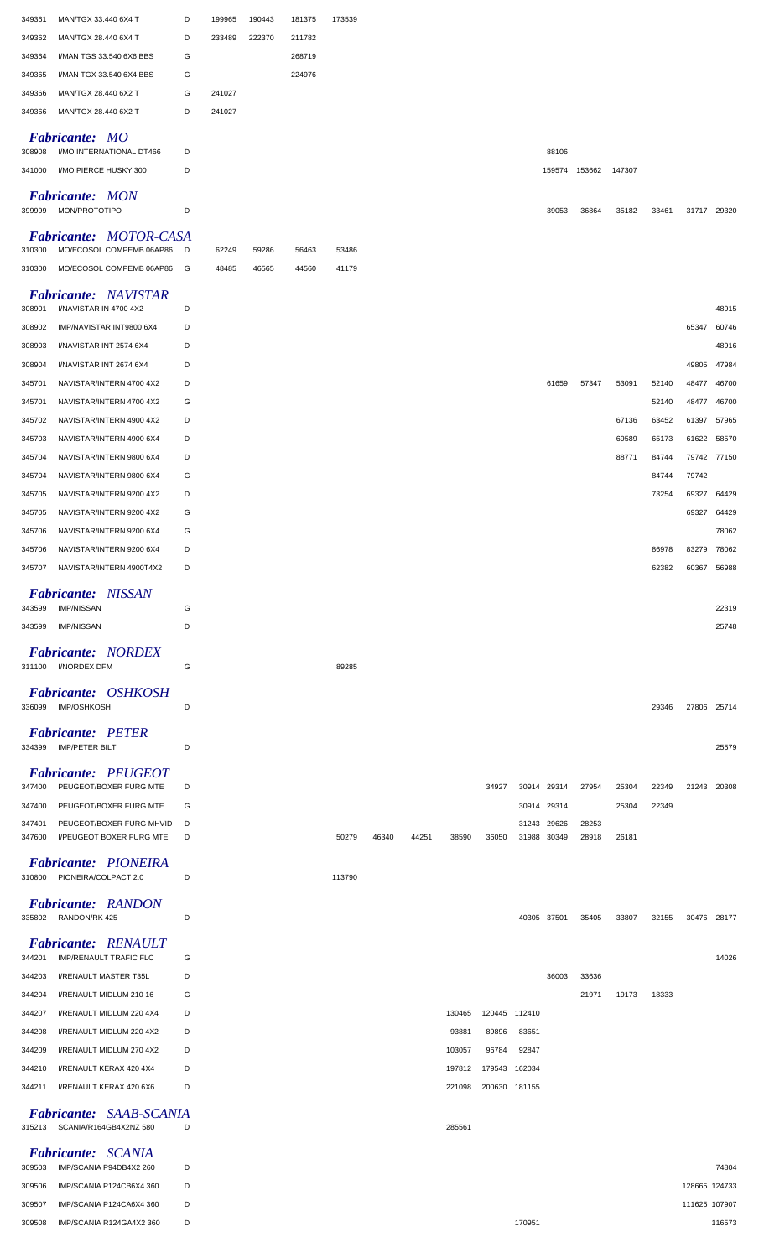| 349361<br>MAN/TGX 33.440 6X4 T                                        | D | 199965 | 190443 | 181375 | 173539 |       |       |        |               |        |             |               |        |       |               |        |
|-----------------------------------------------------------------------|---|--------|--------|--------|--------|-------|-------|--------|---------------|--------|-------------|---------------|--------|-------|---------------|--------|
| 349362<br>MAN/TGX 28.440 6X4 T                                        | D | 233489 | 222370 | 211782 |        |       |       |        |               |        |             |               |        |       |               |        |
| 349364<br>I/MAN TGS 33.540 6X6 BBS                                    | G |        |        | 268719 |        |       |       |        |               |        |             |               |        |       |               |        |
| I/MAN TGX 33.540 6X4 BBS<br>349365                                    | G |        |        | 224976 |        |       |       |        |               |        |             |               |        |       |               |        |
| 349366<br>MAN/TGX 28.440 6X2 T                                        | G | 241027 |        |        |        |       |       |        |               |        |             |               |        |       |               |        |
| MAN/TGX 28.440 6X2 T<br>349366                                        | D | 241027 |        |        |        |       |       |        |               |        |             |               |        |       |               |        |
| <b>Fabricante: MO</b>                                                 |   |        |        |        |        |       |       |        |               |        |             |               |        |       |               |        |
| I/MO INTERNATIONAL DT466<br>308908                                    | D |        |        |        |        |       |       |        |               |        | 88106       |               |        |       |               |        |
| I/MO PIERCE HUSKY 300<br>341000                                       | D |        |        |        |        |       |       |        |               |        |             | 159574 153662 | 147307 |       |               |        |
| <b>Fabricante: MON</b><br>MON/PROTOTIPO<br>399999                     | D |        |        |        |        |       |       |        |               |        | 39053       | 36864         | 35182  | 33461 | 31717 29320   |        |
| <b>Fabricante: MOTOR-CASA</b><br>MO/ECOSOL COMPEMB 06AP86<br>310300   | D | 62249  | 59286  | 56463  | 53486  |       |       |        |               |        |             |               |        |       |               |        |
| MO/ECOSOL COMPEMB 06AP86<br>310300                                    | G | 48485  | 46565  | 44560  | 41179  |       |       |        |               |        |             |               |        |       |               |        |
| <b>Fabricante: NAVISTAR</b>                                           |   |        |        |        |        |       |       |        |               |        |             |               |        |       |               |        |
| I/NAVISTAR IN 4700 4X2<br>308901                                      | D |        |        |        |        |       |       |        |               |        |             |               |        |       |               | 48915  |
| 308902<br>IMP/NAVISTAR INT9800 6X4                                    | D |        |        |        |        |       |       |        |               |        |             |               |        |       | 65347         | 60746  |
| 308903<br>I/NAVISTAR INT 2574 6X4                                     | D |        |        |        |        |       |       |        |               |        |             |               |        |       |               | 48916  |
| 308904<br>I/NAVISTAR INT 2674 6X4                                     | D |        |        |        |        |       |       |        |               |        |             |               |        |       | 49805         | 47984  |
| NAVISTAR/INTERN 4700 4X2<br>345701                                    | D |        |        |        |        |       |       |        |               |        | 61659       | 57347         | 53091  | 52140 | 48477         | 46700  |
| NAVISTAR/INTERN 4700 4X2<br>345701                                    | G |        |        |        |        |       |       |        |               |        |             |               |        | 52140 | 48477         | 46700  |
| NAVISTAR/INTERN 4900 4X2<br>345702                                    | D |        |        |        |        |       |       |        |               |        |             |               | 67136  | 63452 | 61397         | 57965  |
| NAVISTAR/INTERN 4900 6X4<br>345703                                    | D |        |        |        |        |       |       |        |               |        |             |               | 69589  | 65173 | 61622         | 58570  |
| NAVISTAR/INTERN 9800 6X4<br>345704                                    | D |        |        |        |        |       |       |        |               |        |             |               | 88771  | 84744 | 79742 77150   |        |
| 345704<br>NAVISTAR/INTERN 9800 6X4                                    | G |        |        |        |        |       |       |        |               |        |             |               |        | 84744 | 79742         |        |
| NAVISTAR/INTERN 9200 4X2<br>345705                                    | D |        |        |        |        |       |       |        |               |        |             |               |        | 73254 | 69327         | 64429  |
| 345705<br>NAVISTAR/INTERN 9200 4X2                                    | G |        |        |        |        |       |       |        |               |        |             |               |        |       | 69327         | 64429  |
| 345706<br>NAVISTAR/INTERN 9200 6X4                                    | G |        |        |        |        |       |       |        |               |        |             |               |        |       |               | 78062  |
| 345706<br>NAVISTAR/INTERN 9200 6X4                                    | D |        |        |        |        |       |       |        |               |        |             |               |        | 86978 | 83279 78062   |        |
| NAVISTAR/INTERN 4900T4X2<br>345707                                    |   |        |        |        |        |       |       |        |               |        |             |               |        | 62382 | 60367         | 56988  |
| <b>Fabricante: NISSAN</b>                                             |   |        |        |        |        |       |       |        |               |        |             |               |        |       |               |        |
| <b>IMP/NISSAN</b><br>343599                                           | G |        |        |        |        |       |       |        |               |        |             |               |        |       |               | 22319  |
| <b>IMP/NISSAN</b><br>343599                                           | D |        |        |        |        |       |       |        |               |        |             |               |        |       |               | 25748  |
| <b>Fabricante: NORDEX</b><br>311100 I/NORDEX DFM                      | G |        |        |        | 89285  |       |       |        |               |        |             |               |        |       |               |        |
| Fabricante: OSHKOSH                                                   |   |        |        |        |        |       |       |        |               |        |             |               |        |       |               |        |
| IMP/OSHKOSH<br>336099                                                 | D |        |        |        |        |       |       |        |               |        |             |               |        | 29346 | 27806 25714   |        |
|                                                                       |   |        |        |        |        |       |       |        |               |        |             |               |        |       |               |        |
| <b>Fabricante: PETER</b><br>334399 IMP/PETER BILT                     | D |        |        |        |        |       |       |        |               |        |             |               |        |       |               | 25579  |
|                                                                       |   |        |        |        |        |       |       |        |               |        |             |               |        |       |               |        |
| <b>Fabricante: PEUGEOT</b><br>PEUGEOT/BOXER FURG MTE<br>347400        | D |        |        |        |        |       |       |        | 34927         |        | 30914 29314 | 27954         | 25304  | 22349 | 21243 20308   |        |
| PEUGEOT/BOXER FURG MTE<br>347400                                      | G |        |        |        |        |       |       |        |               |        | 30914 29314 |               | 25304  | 22349 |               |        |
| PEUGEOT/BOXER FURG MHVID<br>347401                                    | D |        |        |        |        |       |       |        |               |        | 31243 29626 | 28253         |        |       |               |        |
| I/PEUGEOT BOXER FURG MTE<br>347600                                    | D |        |        |        | 50279  | 46340 | 44251 | 38590  | 36050         |        | 31988 30349 | 28918         | 26181  |       |               |        |
| <b>Fabricante: PIONEIRA</b>                                           |   |        |        |        |        |       |       |        |               |        |             |               |        |       |               |        |
| 310800 PIONEIRA/COLPACT 2.0                                           | D |        |        |        | 113790 |       |       |        |               |        |             |               |        |       |               |        |
|                                                                       |   |        |        |        |        |       |       |        |               |        |             |               |        |       |               |        |
| <b>Fabricante: RANDON</b><br>335802<br>RANDON/RK 425                  | D |        |        |        |        |       |       |        |               |        | 40305 37501 | 35405         | 33807  | 32155 | 30476 28177   |        |
|                                                                       |   |        |        |        |        |       |       |        |               |        |             |               |        |       |               |        |
| <b>Fabricante: RENAULT</b><br><b>IMP/RENAULT TRAFIC FLC</b><br>344201 | G |        |        |        |        |       |       |        |               |        |             |               |        |       |               | 14026  |
| 344203<br>I/RENAULT MASTER T35L                                       | D |        |        |        |        |       |       |        |               |        | 36003       | 33636         |        |       |               |        |
| 344204<br>I/RENAULT MIDLUM 210 16                                     | G |        |        |        |        |       |       |        |               |        |             | 21971         | 19173  | 18333 |               |        |
| 344207<br>I/RENAULT MIDLUM 220 4X4                                    | D |        |        |        |        |       |       | 130465 | 120445 112410 |        |             |               |        |       |               |        |
| 344208<br>I/RENAULT MIDLUM 220 4X2                                    | D |        |        |        |        |       |       | 93881  | 89896         | 83651  |             |               |        |       |               |        |
| 344209<br>I/RENAULT MIDLUM 270 4X2                                    | D |        |        |        |        |       |       | 103057 | 96784         | 92847  |             |               |        |       |               |        |
| 344210<br>I/RENAULT KERAX 420 4X4                                     | D |        |        |        |        |       |       | 197812 | 179543 162034 |        |             |               |        |       |               |        |
| 344211<br>I/RENAULT KERAX 420 6X6                                     | D |        |        |        |        |       |       | 221098 | 200630 181155 |        |             |               |        |       |               |        |
|                                                                       |   |        |        |        |        |       |       |        |               |        |             |               |        |       |               |        |
| Fabricante: SAAB-SCANIA<br>315213 SCANIA/R164GB4X2NZ 580              |   |        |        |        |        |       |       | 285561 |               |        |             |               |        |       |               |        |
| Fabricante: SCANIA                                                    |   |        |        |        |        |       |       |        |               |        |             |               |        |       |               |        |
| 309503<br>IMP/SCANIA P94DB4X2 260                                     | D |        |        |        |        |       |       |        |               |        |             |               |        |       |               | 74804  |
| 309506<br>IMP/SCANIA P124CB6X4 360                                    | D |        |        |        |        |       |       |        |               |        |             |               |        |       | 128665 124733 |        |
| 309507<br>IMP/SCANIA P124CA6X4 360                                    | D |        |        |        |        |       |       |        |               |        |             |               |        |       | 111625 107907 |        |
|                                                                       |   |        |        |        |        |       |       |        |               | 170951 |             |               |        |       |               | 116573 |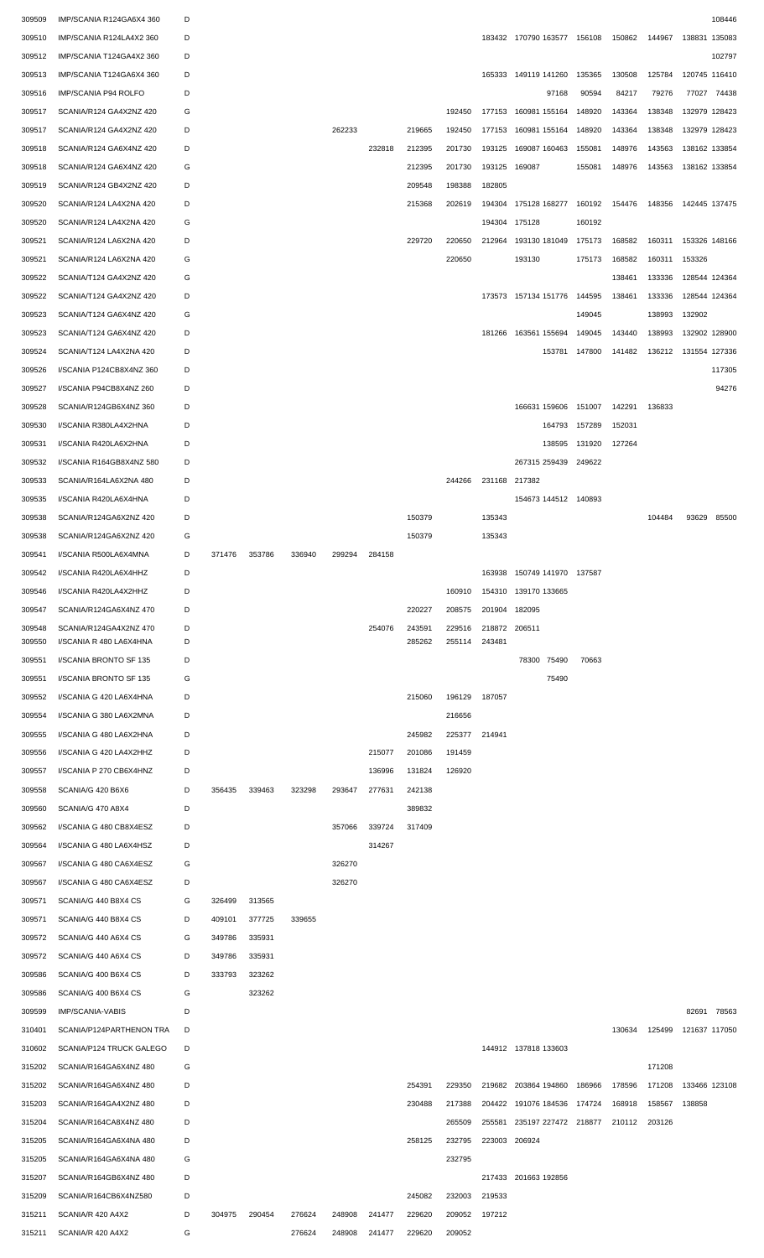| 309509           | IMP/SCANIA R124GA6X4 360                          | D      |        |        |        |        |        |                  |                  |                         |                             |        |               |        |               | 108446      |
|------------------|---------------------------------------------------|--------|--------|--------|--------|--------|--------|------------------|------------------|-------------------------|-----------------------------|--------|---------------|--------|---------------|-------------|
| 309510           | IMP/SCANIA R124LA4X2 360                          | D      |        |        |        |        |        |                  |                  |                         | 183432 170790 163577 156108 |        | 150862 144967 |        | 138831 135083 |             |
| 309512           | IMP/SCANIA T124GA4X2 360                          | D      |        |        |        |        |        |                  |                  |                         |                             |        |               |        |               | 102797      |
| 309513           | IMP/SCANIA T124GA6X4 360                          | D      |        |        |        |        |        |                  |                  |                         | 165333 149119 141260        | 135365 | 130508        | 125784 | 120745 116410 |             |
|                  |                                                   |        |        |        |        |        |        |                  |                  |                         |                             |        |               |        |               |             |
| 309516           | IMP/SCANIA P94 ROLFO                              | D      |        |        |        |        |        |                  |                  |                         | 97168                       | 90594  | 84217         | 79276  | 77027 74438   |             |
| 309517           | SCANIA/R124 GA4X2NZ 420                           | G      |        |        |        |        |        |                  | 192450           |                         | 177153 160981 155164        | 148920 | 143364        | 138348 | 132979 128423 |             |
| 309517           | SCANIA/R124 GA4X2NZ 420                           | D      |        |        |        | 262233 |        | 219665           | 192450           | 177153                  | 160981 155164               | 148920 | 143364        | 138348 | 132979 128423 |             |
| 309518           | SCANIA/R124 GA6X4NZ 420                           | D      |        |        |        |        | 232818 | 212395           | 201730           | 193125                  | 169087 160463               | 155081 | 148976        | 143563 | 138162 133854 |             |
| 309518           | SCANIA/R124 GA6X4NZ 420                           | G      |        |        |        |        |        | 212395           | 201730           | 193125                  | 169087                      | 155081 | 148976        | 143563 | 138162 133854 |             |
| 309519           | SCANIA/R124 GB4X2NZ 420                           | D      |        |        |        |        |        | 209548           | 198388           | 182805                  |                             |        |               |        |               |             |
| 309520           | SCANIA/R124 LA4X2NA 420                           | D      |        |        |        |        |        | 215368           | 202619           |                         | 194304 175128 168277        | 160192 | 154476        | 148356 | 142445 137475 |             |
|                  |                                                   | G      |        |        |        |        |        |                  |                  |                         |                             |        |               |        |               |             |
| 309520           | SCANIA/R124 LA4X2NA 420                           |        |        |        |        |        |        |                  |                  | 194304 175128           |                             | 160192 |               |        |               |             |
| 309521           | SCANIA/R124 LA6X2NA 420                           | D      |        |        |        |        |        | 229720           | 220650           |                         | 212964 193130 181049        | 175173 | 168582        | 160311 | 153326 148166 |             |
| 309521           | SCANIA/R124 LA6X2NA 420                           | G      |        |        |        |        |        |                  | 220650           |                         | 193130                      | 175173 | 168582        | 160311 | 153326        |             |
| 309522           | SCANIA/T124 GA4X2NZ 420                           | G      |        |        |        |        |        |                  |                  |                         |                             |        | 138461        | 133336 | 128544 124364 |             |
| 309522           | SCANIA/T124 GA4X2NZ 420                           | D      |        |        |        |        |        |                  |                  |                         | 173573 157134 151776        | 144595 | 138461        | 133336 | 128544 124364 |             |
| 309523           | SCANIA/T124 GA6X4NZ 420                           | G      |        |        |        |        |        |                  |                  |                         |                             | 149045 |               | 138993 | 132902        |             |
| 309523           | SCANIA/T124 GA6X4NZ 420                           | D      |        |        |        |        |        |                  |                  |                         | 181266 163561 155694        | 149045 | 143440        | 138993 | 132902 128900 |             |
| 309524           | SCANIA/T124 LA4X2NA 420                           | D      |        |        |        |        |        |                  |                  |                         | 153781 147800               |        | 141482        | 136212 | 131554 127336 |             |
|                  |                                                   |        |        |        |        |        |        |                  |                  |                         |                             |        |               |        |               |             |
| 309526           | I/SCANIA P124CB8X4NZ 360                          | D      |        |        |        |        |        |                  |                  |                         |                             |        |               |        |               | 117305      |
| 309527           | I/SCANIA P94CB8X4NZ 260                           | D      |        |        |        |        |        |                  |                  |                         |                             |        |               |        |               | 94276       |
| 309528           | SCANIA/R124GB6X4NZ 360                            | D      |        |        |        |        |        |                  |                  |                         | 166631 159606               | 151007 | 142291        | 136833 |               |             |
| 309530           | I/SCANIA R380LA4X2HNA                             | D      |        |        |        |        |        |                  |                  |                         | 164793                      | 157289 | 152031        |        |               |             |
| 309531           | I/SCANIA R420LA6X2HNA                             | D      |        |        |        |        |        |                  |                  |                         | 138595                      | 131920 | 127264        |        |               |             |
| 309532           | I/SCANIA R164GB8X4NZ 580                          | D      |        |        |        |        |        |                  |                  |                         | 267315 259439               | 249622 |               |        |               |             |
| 309533           | SCANIA/R164LA6X2NA 480                            | D      |        |        |        |        |        |                  | 244266           | 231168 217382           |                             |        |               |        |               |             |
|                  |                                                   |        |        |        |        |        |        |                  |                  |                         |                             |        |               |        |               |             |
| 309535           | I/SCANIA R420LA6X4HNA                             | D      |        |        |        |        |        |                  |                  |                         | 154673 144512 140893        |        |               |        |               |             |
| 309538           | SCANIA/R124GA6X2NZ 420                            | D      |        |        |        |        |        | 150379           |                  | 135343                  |                             |        |               | 104484 | 93629         | 85500       |
| 309538           | SCANIA/R124GA6X2NZ 420                            | G      |        |        |        |        |        | 150379           |                  | 135343                  |                             |        |               |        |               |             |
| 309541           | I/SCANIA R500LA6X4MNA                             | D      | 371476 | 353786 | 336940 | 299294 | 284158 |                  |                  |                         |                             |        |               |        |               |             |
| 309542           | I/SCANIA R420LA6X4HHZ                             | D      |        |        |        |        |        |                  |                  |                         | 163938 150749 141970 137587 |        |               |        |               |             |
| 309546           | I/SCANIA R420LA4X2HHZ                             | D      |        |        |        |        |        |                  | 160910           |                         | 154310 139170 133665        |        |               |        |               |             |
| 309547           | SCANIA/R124GA6X4NZ 470                            | D      |        |        |        |        |        | 220227           | 208575           | 201904                  | 182095                      |        |               |        |               |             |
|                  |                                                   |        |        |        |        |        |        |                  |                  |                         |                             |        |               |        |               |             |
| 309548<br>309550 | SCANIA/R124GA4X2NZ 470<br>I/SCANIA R 480 LA6X4HNA | D<br>D |        |        |        |        | 254076 | 243591<br>285262 | 229516<br>255114 | 218872 206511<br>243481 |                             |        |               |        |               |             |
|                  |                                                   |        |        |        |        |        |        |                  |                  |                         |                             |        |               |        |               |             |
| 309551           | I/SCANIA BRONTO SF 135                            | D      |        |        |        |        |        |                  |                  |                         | 78300 75490                 | 70663  |               |        |               |             |
| 309551           | I/SCANIA BRONTO SF 135                            | G      |        |        |        |        |        |                  |                  |                         | 75490                       |        |               |        |               |             |
| 309552           | I/SCANIA G 420 LA6X4HNA                           | D      |        |        |        |        |        | 215060           | 196129           | 187057                  |                             |        |               |        |               |             |
| 309554           | I/SCANIA G 380 LA6X2MNA                           | D      |        |        |        |        |        |                  | 216656           |                         |                             |        |               |        |               |             |
| 309555           | I/SCANIA G 480 LA6X2HNA                           | D      |        |        |        |        |        | 245982           | 225377           | 214941                  |                             |        |               |        |               |             |
| 309556           | I/SCANIA G 420 LA4X2HHZ                           | D      |        |        |        |        | 215077 | 201086           | 191459           |                         |                             |        |               |        |               |             |
| 309557           | I/SCANIA P 270 CB6X4HNZ                           | D      |        |        |        |        | 136996 | 131824           | 126920           |                         |                             |        |               |        |               |             |
|                  |                                                   |        |        |        |        |        |        |                  |                  |                         |                             |        |               |        |               |             |
| 309558           | SCANIA/G 420 B6X6                                 | D      | 356435 | 339463 | 323298 | 293647 | 277631 | 242138           |                  |                         |                             |        |               |        |               |             |
| 309560           | SCANIA/G 470 A8X4                                 | D      |        |        |        |        |        | 389832           |                  |                         |                             |        |               |        |               |             |
| 309562           | I/SCANIA G 480 CB8X4ESZ                           | D      |        |        |        | 357066 | 339724 | 317409           |                  |                         |                             |        |               |        |               |             |
| 309564           | I/SCANIA G 480 LA6X4HSZ                           | D      |        |        |        |        | 314267 |                  |                  |                         |                             |        |               |        |               |             |
| 309567           | I/SCANIA G 480 CA6X4ESZ                           | G      |        |        |        | 326270 |        |                  |                  |                         |                             |        |               |        |               |             |
| 309567           | I/SCANIA G 480 CA6X4ESZ                           | D      |        |        |        | 326270 |        |                  |                  |                         |                             |        |               |        |               |             |
| 309571           | SCANIA/G 440 B8X4 CS                              | G      | 326499 | 313565 |        |        |        |                  |                  |                         |                             |        |               |        |               |             |
| 309571           | SCANIA/G 440 B8X4 CS                              | D      | 409101 | 377725 | 339655 |        |        |                  |                  |                         |                             |        |               |        |               |             |
|                  |                                                   |        |        |        |        |        |        |                  |                  |                         |                             |        |               |        |               |             |
| 309572           | SCANIA/G 440 A6X4 CS                              | G      | 349786 | 335931 |        |        |        |                  |                  |                         |                             |        |               |        |               |             |
| 309572           | SCANIA/G 440 A6X4 CS                              | D      | 349786 | 335931 |        |        |        |                  |                  |                         |                             |        |               |        |               |             |
| 309586           | SCANIA/G 400 B6X4 CS                              | D      | 333793 | 323262 |        |        |        |                  |                  |                         |                             |        |               |        |               |             |
| 309586           | SCANIA/G 400 B6X4 CS                              | G      |        | 323262 |        |        |        |                  |                  |                         |                             |        |               |        |               |             |
| 309599           | IMP/SCANIA-VABIS                                  | D      |        |        |        |        |        |                  |                  |                         |                             |        |               |        |               | 82691 78563 |
| 310401           | SCANIA/P124PARTHENON TRA                          | D      |        |        |        |        |        |                  |                  |                         |                             |        | 130634        | 125499 | 121637 117050 |             |
| 310602           | SCANIA/P124 TRUCK GALEGO                          | D      |        |        |        |        |        |                  |                  |                         | 144912 137818 133603        |        |               |        |               |             |
|                  |                                                   |        |        |        |        |        |        |                  |                  |                         |                             |        |               |        |               |             |
| 315202           | SCANIA/R164GA6X4NZ 480                            | G      |        |        |        |        |        |                  |                  |                         |                             |        |               | 171208 |               |             |
| 315202           | SCANIA/R164GA6X4NZ 480                            | D      |        |        |        |        |        | 254391           | 229350           | 219682                  | 203864 194860               | 186966 | 178596        | 171208 | 133466 123108 |             |
| 315203           | SCANIA/R164GA4X2NZ 480                            | D      |        |        |        |        |        | 230488           | 217388           |                         | 204422 191076 184536        | 174724 | 168918        | 158567 | 138858        |             |
| 315204           | SCANIA/R164CA8X4NZ 480                            | D      |        |        |        |        |        |                  | 265509           |                         | 255581 235197 227472 218877 |        | 210112        | 203126 |               |             |
| 315205           | SCANIA/R164GA6X4NA 480                            | D      |        |        |        |        |        | 258125           |                  | 232795 223003 206924    |                             |        |               |        |               |             |
| 315205           | SCANIA/R164GA6X4NA 480                            | G      |        |        |        |        |        |                  | 232795           |                         |                             |        |               |        |               |             |
| 315207           | SCANIA/R164GB6X4NZ 480                            | D      |        |        |        |        |        |                  |                  |                         | 217433 201663 192856        |        |               |        |               |             |
|                  |                                                   |        |        |        |        |        |        |                  |                  |                         |                             |        |               |        |               |             |
| 315209           | SCANIA/R164CB6X4NZ580                             | D      |        |        |        |        |        | 245082           | 232003           | 219533                  |                             |        |               |        |               |             |
| 315211           | SCANIA/R 420 A4X2                                 | D      | 304975 | 290454 | 276624 | 248908 | 241477 | 229620           | 209052           | 197212                  |                             |        |               |        |               |             |
| 315211           | SCANIA/R 420 A4X2                                 | G      |        |        | 276624 | 248908 | 241477 | 229620           | 209052           |                         |                             |        |               |        |               |             |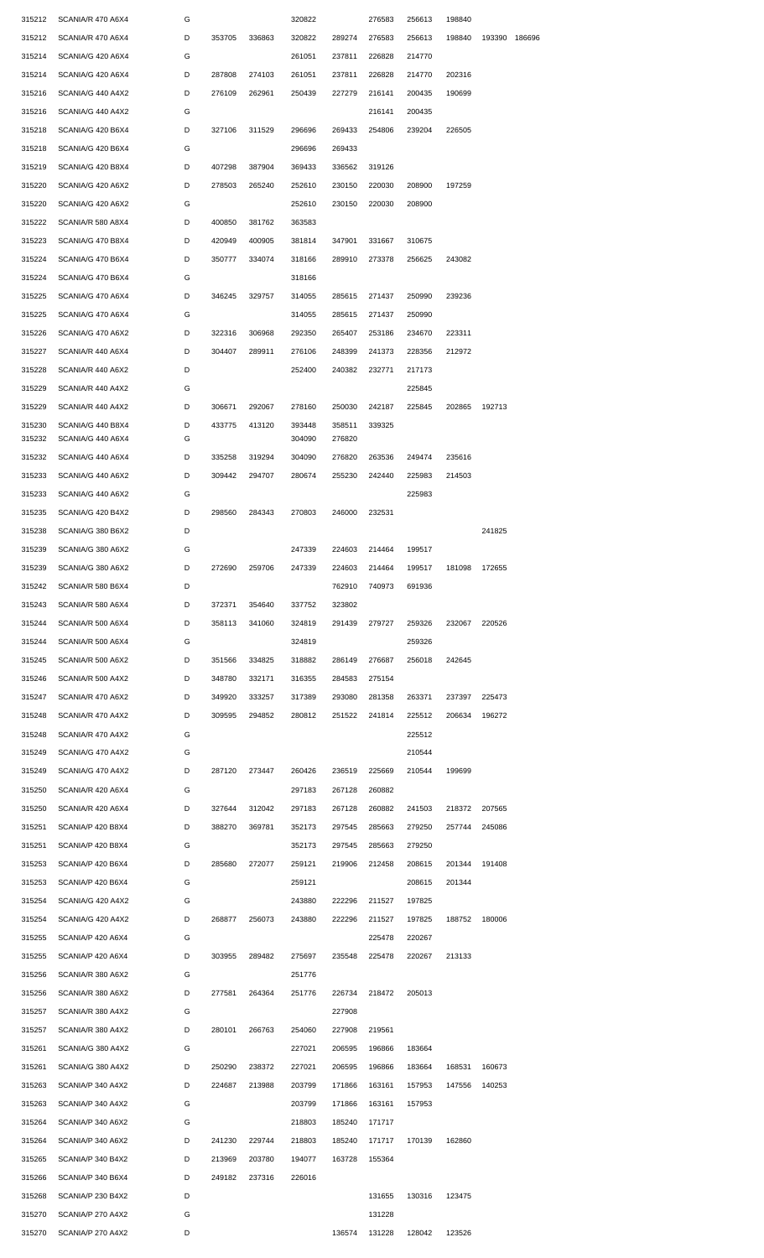| 315212 | SCANIA/R 470 A6X4 | G |        |        | 320822 |        | 276583 | 256613 | 198840 |               |  |
|--------|-------------------|---|--------|--------|--------|--------|--------|--------|--------|---------------|--|
| 315212 | SCANIA/R 470 A6X4 | D | 353705 | 336863 | 320822 | 289274 | 276583 | 256613 | 198840 | 193390 186696 |  |
| 315214 | SCANIA/G 420 A6X4 | G |        |        | 261051 | 237811 | 226828 | 214770 |        |               |  |
| 315214 | SCANIA/G 420 A6X4 | D | 287808 | 274103 | 261051 | 237811 | 226828 | 214770 | 202316 |               |  |
| 315216 | SCANIA/G 440 A4X2 | D | 276109 | 262961 | 250439 | 227279 | 216141 | 200435 | 190699 |               |  |
|        |                   |   |        |        |        |        |        |        |        |               |  |
| 315216 | SCANIA/G 440 A4X2 | G |        |        |        |        | 216141 | 200435 |        |               |  |
| 315218 | SCANIA/G 420 B6X4 | D | 327106 | 311529 | 296696 | 269433 | 254806 | 239204 | 226505 |               |  |
| 315218 | SCANIA/G 420 B6X4 | G |        |        | 296696 | 269433 |        |        |        |               |  |
| 315219 | SCANIA/G 420 B8X4 | D | 407298 | 387904 | 369433 | 336562 | 319126 |        |        |               |  |
| 315220 | SCANIA/G 420 A6X2 | D | 278503 | 265240 | 252610 | 230150 | 220030 | 208900 | 197259 |               |  |
| 315220 | SCANIA/G 420 A6X2 | G |        |        | 252610 | 230150 | 220030 | 208900 |        |               |  |
| 315222 | SCANIA/R 580 A8X4 | D | 400850 | 381762 | 363583 |        |        |        |        |               |  |
| 315223 | SCANIA/G 470 B8X4 | D | 420949 | 400905 | 381814 | 347901 | 331667 | 310675 |        |               |  |
| 315224 | SCANIA/G 470 B6X4 | D | 350777 | 334074 | 318166 | 289910 | 273378 | 256625 | 243082 |               |  |
| 315224 | SCANIA/G 470 B6X4 | G |        |        | 318166 |        |        |        |        |               |  |
| 315225 | SCANIA/G 470 A6X4 | D | 346245 | 329757 | 314055 | 285615 | 271437 | 250990 | 239236 |               |  |
| 315225 | SCANIA/G 470 A6X4 | G |        |        | 314055 | 285615 | 271437 | 250990 |        |               |  |
|        |                   |   |        |        |        |        |        |        |        |               |  |
| 315226 | SCANIA/G 470 A6X2 | D | 322316 | 306968 | 292350 | 265407 | 253186 | 234670 | 223311 |               |  |
| 315227 | SCANIA/R 440 A6X4 | D | 304407 | 289911 | 276106 | 248399 | 241373 | 228356 | 212972 |               |  |
| 315228 | SCANIA/R 440 A6X2 | D |        |        | 252400 | 240382 | 232771 | 217173 |        |               |  |
| 315229 | SCANIA/R 440 A4X2 | G |        |        |        |        |        | 225845 |        |               |  |
| 315229 | SCANIA/R 440 A4X2 | D | 306671 | 292067 | 278160 | 250030 | 242187 | 225845 |        | 202865 192713 |  |
| 315230 | SCANIA/G 440 B8X4 | D | 433775 | 413120 | 393448 | 358511 | 339325 |        |        |               |  |
| 315232 | SCANIA/G 440 A6X4 | G |        |        | 304090 | 276820 |        |        |        |               |  |
| 315232 | SCANIA/G 440 A6X4 | D | 335258 | 319294 | 304090 | 276820 | 263536 | 249474 | 235616 |               |  |
| 315233 | SCANIA/G 440 A6X2 | D | 309442 | 294707 | 280674 | 255230 | 242440 | 225983 | 214503 |               |  |
| 315233 | SCANIA/G 440 A6X2 | G |        |        |        |        |        | 225983 |        |               |  |
| 315235 | SCANIA/G 420 B4X2 | D | 298560 | 284343 | 270803 | 246000 | 232531 |        |        |               |  |
| 315238 | SCANIA/G 380 B6X2 | D |        |        |        |        |        |        |        | 241825        |  |
| 315239 | SCANIA/G 380 A6X2 | G |        |        | 247339 | 224603 | 214464 | 199517 |        |               |  |
| 315239 | SCANIA/G 380 A6X2 | D | 272690 | 259706 | 247339 | 224603 | 214464 | 199517 |        | 181098 172655 |  |
| 315242 | SCANIA/R 580 B6X4 | D |        |        |        | 762910 | 740973 | 691936 |        |               |  |
| 315243 | SCANIA/R 580 A6X4 | D | 372371 | 354640 | 337752 | 323802 |        |        |        |               |  |
| 315244 | SCANIA/R 500 A6X4 | D | 358113 | 341060 | 324819 | 291439 | 279727 | 259326 | 232067 | 220526        |  |
|        |                   |   |        |        |        |        |        |        |        |               |  |
| 315244 | SCANIA/R 500 A6X4 | G |        |        | 324819 |        |        | 259326 |        |               |  |
| 315245 | SCANIA/R 500 A6X2 | D | 351566 | 334825 | 318882 | 286149 | 276687 | 256018 | 242645 |               |  |
| 315246 | SCANIA/R 500 A4X2 | D | 348780 | 332171 | 316355 | 284583 | 275154 |        |        |               |  |
| 315247 | SCANIA/R 470 A6X2 | D | 349920 | 333257 | 317389 | 293080 | 281358 | 263371 | 237397 | 225473        |  |
| 315248 | SCANIA/R 470 A4X2 | D | 309595 | 294852 | 280812 | 251522 | 241814 | 225512 | 206634 | 196272        |  |
| 315248 | SCANIA/R 470 A4X2 | G |        |        |        |        |        | 225512 |        |               |  |
| 315249 | SCANIA/G 470 A4X2 | G |        |        |        |        |        | 210544 |        |               |  |
| 315249 | SCANIA/G 470 A4X2 | D | 287120 | 273447 | 260426 | 236519 | 225669 | 210544 | 199699 |               |  |
| 315250 | SCANIA/R 420 A6X4 | G |        |        | 297183 | 267128 | 260882 |        |        |               |  |
| 315250 | SCANIA/R 420 A6X4 | D | 327644 | 312042 | 297183 | 267128 | 260882 | 241503 | 218372 | 207565        |  |
| 315251 | SCANIA/P 420 B8X4 | D | 388270 | 369781 | 352173 | 297545 | 285663 | 279250 |        | 257744 245086 |  |
| 315251 | SCANIA/P 420 B8X4 | G |        |        | 352173 | 297545 | 285663 | 279250 |        |               |  |
| 315253 | SCANIA/P 420 B6X4 | D | 285680 | 272077 | 259121 | 219906 | 212458 | 208615 |        | 201344 191408 |  |
| 315253 | SCANIA/P 420 B6X4 | G |        |        | 259121 |        |        | 208615 | 201344 |               |  |
|        |                   |   |        |        |        |        |        |        |        |               |  |
| 315254 | SCANIA/G 420 A4X2 | G |        |        | 243880 | 222296 | 211527 | 197825 |        |               |  |
| 315254 | SCANIA/G 420 A4X2 | D | 268877 | 256073 | 243880 | 222296 | 211527 | 197825 |        | 188752 180006 |  |
| 315255 | SCANIA/P 420 A6X4 | G |        |        |        |        | 225478 | 220267 |        |               |  |
| 315255 | SCANIA/P 420 A6X4 | D | 303955 | 289482 | 275697 | 235548 | 225478 | 220267 | 213133 |               |  |
| 315256 | SCANIA/R 380 A6X2 | G |        |        | 251776 |        |        |        |        |               |  |
| 315256 | SCANIA/R 380 A6X2 | D | 277581 | 264364 | 251776 | 226734 | 218472 | 205013 |        |               |  |
| 315257 | SCANIA/R 380 A4X2 | G |        |        |        | 227908 |        |        |        |               |  |
| 315257 | SCANIA/R 380 A4X2 | D | 280101 | 266763 | 254060 | 227908 | 219561 |        |        |               |  |
| 315261 | SCANIA/G 380 A4X2 | G |        |        | 227021 | 206595 | 196866 | 183664 |        |               |  |
| 315261 | SCANIA/G 380 A4X2 | D | 250290 | 238372 | 227021 | 206595 | 196866 | 183664 | 168531 | 160673        |  |
| 315263 | SCANIA/P 340 A4X2 | D | 224687 | 213988 | 203799 | 171866 | 163161 | 157953 | 147556 | 140253        |  |
| 315263 | SCANIA/P 340 A4X2 | G |        |        | 203799 | 171866 | 163161 | 157953 |        |               |  |
| 315264 | SCANIA/P 340 A6X2 | G |        |        | 218803 | 185240 | 171717 |        |        |               |  |
|        |                   |   |        |        |        |        |        |        |        |               |  |
| 315264 | SCANIA/P 340 A6X2 | D | 241230 | 229744 | 218803 | 185240 | 171717 | 170139 | 162860 |               |  |
| 315265 | SCANIA/P 340 B4X2 | D | 213969 | 203780 | 194077 | 163728 | 155364 |        |        |               |  |
| 315266 | SCANIA/P 340 B6X4 | D | 249182 | 237316 | 226016 |        |        |        |        |               |  |
| 315268 | SCANIA/P 230 B4X2 | D |        |        |        |        | 131655 | 130316 | 123475 |               |  |
| 315270 | SCANIA/P 270 A4X2 | G |        |        |        |        | 131228 |        |        |               |  |
| 315270 | SCANIA/P 270 A4X2 | D |        |        |        | 136574 | 131228 | 128042 | 123526 |               |  |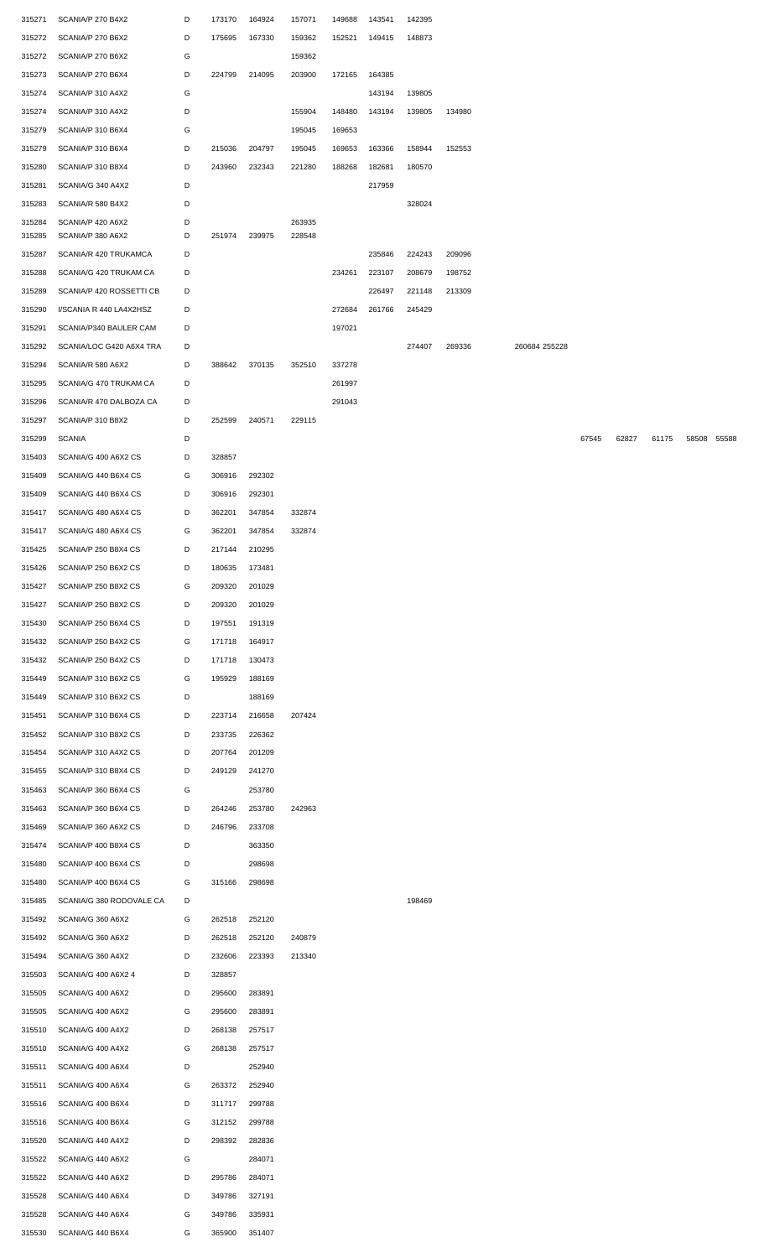| 315271 | SCANIA/P 270 B4X2        | D | 173170 | 164924 | 157071 | 149688 | 143541 | 142395 |        |               |       |       |       |             |  |
|--------|--------------------------|---|--------|--------|--------|--------|--------|--------|--------|---------------|-------|-------|-------|-------------|--|
| 315272 | SCANIA/P 270 B6X2        | D | 175695 | 167330 | 159362 | 152521 | 149415 | 148873 |        |               |       |       |       |             |  |
| 315272 | SCANIA/P 270 B6X2        | G |        |        | 159362 |        |        |        |        |               |       |       |       |             |  |
| 315273 | SCANIA/P 270 B6X4        | D | 224799 | 214095 | 203900 | 172165 | 164385 |        |        |               |       |       |       |             |  |
| 315274 | SCANIA/P 310 A4X2        | G |        |        |        |        | 143194 | 139805 |        |               |       |       |       |             |  |
|        |                          |   |        |        |        |        |        |        |        |               |       |       |       |             |  |
| 315274 | SCANIA/P 310 A4X2        | D |        |        | 155904 | 148480 | 143194 | 139805 | 134980 |               |       |       |       |             |  |
| 315279 | SCANIA/P 310 B6X4        | G |        |        | 195045 | 169653 |        |        |        |               |       |       |       |             |  |
| 315279 | SCANIA/P 310 B6X4        | D | 215036 | 204797 | 195045 | 169653 | 163366 | 158944 | 152553 |               |       |       |       |             |  |
| 315280 | SCANIA/P 310 B8X4        | D | 243960 | 232343 | 221280 | 188268 | 182681 | 180570 |        |               |       |       |       |             |  |
| 315281 | SCANIA/G 340 A4X2        | D |        |        |        |        | 217959 |        |        |               |       |       |       |             |  |
| 315283 | SCANIA/R 580 B4X2        | D |        |        |        |        |        | 328024 |        |               |       |       |       |             |  |
| 315284 | SCANIA/P 420 A6X2        | D |        |        | 263935 |        |        |        |        |               |       |       |       |             |  |
| 315285 | SCANIA/P 380 A6X2        | D | 251974 | 239975 | 228548 |        |        |        |        |               |       |       |       |             |  |
| 315287 | SCANIA/R 420 TRUKAMCA    | D |        |        |        |        | 235846 | 224243 | 209096 |               |       |       |       |             |  |
| 315288 | SCANIA/G 420 TRUKAM CA   | D |        |        |        | 234261 | 223107 | 208679 | 198752 |               |       |       |       |             |  |
|        |                          |   |        |        |        |        |        |        |        |               |       |       |       |             |  |
| 315289 | SCANIA/P 420 ROSSETTI CB | D |        |        |        |        | 226497 | 221148 | 213309 |               |       |       |       |             |  |
| 315290 | I/SCANIA R 440 LA4X2HSZ  | D |        |        |        | 272684 | 261766 | 245429 |        |               |       |       |       |             |  |
| 315291 | SCANIA/P340 BAULER CAM   | D |        |        |        | 197021 |        |        |        |               |       |       |       |             |  |
| 315292 | SCANIA/LOC G420 A6X4 TRA | D |        |        |        |        |        | 274407 | 269336 | 260684 255228 |       |       |       |             |  |
| 315294 | SCANIA/R 580 A6X2        | D | 388642 | 370135 | 352510 | 337278 |        |        |        |               |       |       |       |             |  |
| 315295 | SCANIA/G 470 TRUKAM CA   | D |        |        |        | 261997 |        |        |        |               |       |       |       |             |  |
| 315296 | SCANIA/R 470 DALBOZA CA  | D |        |        |        | 291043 |        |        |        |               |       |       |       |             |  |
| 315297 | SCANIA/P 310 B8X2        | D | 252599 | 240571 | 229115 |        |        |        |        |               |       |       |       |             |  |
|        |                          |   |        |        |        |        |        |        |        |               |       |       |       |             |  |
| 315299 | <b>SCANIA</b>            | D |        |        |        |        |        |        |        |               | 67545 | 62827 | 61175 | 58508 55588 |  |
| 315403 | SCANIA/G 400 A6X2 CS     | D | 328857 |        |        |        |        |        |        |               |       |       |       |             |  |
| 315409 | SCANIA/G 440 B6X4 CS     | G | 306916 | 292302 |        |        |        |        |        |               |       |       |       |             |  |
| 315409 | SCANIA/G 440 B6X4 CS     | D | 306916 | 292301 |        |        |        |        |        |               |       |       |       |             |  |
| 315417 | SCANIA/G 480 A6X4 CS     | D | 362201 | 347854 | 332874 |        |        |        |        |               |       |       |       |             |  |
| 315417 | SCANIA/G 480 A6X4 CS     | G | 362201 | 347854 | 332874 |        |        |        |        |               |       |       |       |             |  |
| 315425 | SCANIA/P 250 B8X4 CS     | D | 217144 | 210295 |        |        |        |        |        |               |       |       |       |             |  |
| 315426 | SCANIA/P 250 B6X2 CS     | D | 180635 | 173481 |        |        |        |        |        |               |       |       |       |             |  |
|        |                          |   |        |        |        |        |        |        |        |               |       |       |       |             |  |
| 315427 | SCANIA/P 250 B8X2 CS     | G | 209320 | 201029 |        |        |        |        |        |               |       |       |       |             |  |
| 315427 | SCANIA/P 250 B8X2 CS     | D | 209320 | 201029 |        |        |        |        |        |               |       |       |       |             |  |
| 315430 | SCANIA/P 250 B6X4 CS     | D | 197551 | 191319 |        |        |        |        |        |               |       |       |       |             |  |
| 315432 | SCANIA/P 250 B4X2 CS     | G | 171718 | 164917 |        |        |        |        |        |               |       |       |       |             |  |
| 315432 | SCANIA/P 250 B4X2 CS     | D | 171718 | 130473 |        |        |        |        |        |               |       |       |       |             |  |
| 315449 | SCANIA/P 310 B6X2 CS     | G | 195929 | 188169 |        |        |        |        |        |               |       |       |       |             |  |
| 315449 | SCANIA/P 310 B6X2 CS     | D |        | 188169 |        |        |        |        |        |               |       |       |       |             |  |
| 315451 | SCANIA/P 310 B6X4 CS     | D | 223714 | 216658 | 207424 |        |        |        |        |               |       |       |       |             |  |
|        | SCANIA/P 310 B8X2 CS     | D | 233735 | 226362 |        |        |        |        |        |               |       |       |       |             |  |
| 315452 |                          |   |        |        |        |        |        |        |        |               |       |       |       |             |  |
| 315454 | SCANIA/P 310 A4X2 CS     | D | 207764 | 201209 |        |        |        |        |        |               |       |       |       |             |  |
| 315455 | SCANIA/P 310 B8X4 CS     | D | 249129 | 241270 |        |        |        |        |        |               |       |       |       |             |  |
| 315463 | SCANIA/P 360 B6X4 CS     | G |        | 253780 |        |        |        |        |        |               |       |       |       |             |  |
| 315463 | SCANIA/P 360 B6X4 CS     | D | 264246 | 253780 | 242963 |        |        |        |        |               |       |       |       |             |  |
| 315469 | SCANIA/P 360 A6X2 CS     | D | 246796 | 233708 |        |        |        |        |        |               |       |       |       |             |  |
| 315474 | SCANIA/P 400 B8X4 CS     | D |        | 363350 |        |        |        |        |        |               |       |       |       |             |  |
| 315480 | SCANIA/P 400 B6X4 CS     | D |        | 298698 |        |        |        |        |        |               |       |       |       |             |  |
| 315480 | SCANIA/P 400 B6X4 CS     | G | 315166 | 298698 |        |        |        |        |        |               |       |       |       |             |  |
| 315485 | SCANIA/G 380 RODOVALE CA | D |        |        |        |        |        | 198469 |        |               |       |       |       |             |  |
|        |                          |   |        |        |        |        |        |        |        |               |       |       |       |             |  |
| 315492 | SCANIA/G 360 A6X2        | G | 262518 | 252120 |        |        |        |        |        |               |       |       |       |             |  |
| 315492 | SCANIA/G 360 A6X2        | D | 262518 | 252120 | 240879 |        |        |        |        |               |       |       |       |             |  |
| 315494 | SCANIA/G 360 A4X2        | D | 232606 | 223393 | 213340 |        |        |        |        |               |       |       |       |             |  |
| 315503 | SCANIA/G 400 A6X2 4      | D | 328857 |        |        |        |        |        |        |               |       |       |       |             |  |
| 315505 | SCANIA/G 400 A6X2        | D | 295600 | 283891 |        |        |        |        |        |               |       |       |       |             |  |
| 315505 | SCANIA/G 400 A6X2        | G | 295600 | 283891 |        |        |        |        |        |               |       |       |       |             |  |
| 315510 | SCANIA/G 400 A4X2        | D | 268138 | 257517 |        |        |        |        |        |               |       |       |       |             |  |
| 315510 | SCANIA/G 400 A4X2        | G | 268138 | 257517 |        |        |        |        |        |               |       |       |       |             |  |
|        |                          |   |        |        |        |        |        |        |        |               |       |       |       |             |  |
| 315511 | SCANIA/G 400 A6X4        | D |        | 252940 |        |        |        |        |        |               |       |       |       |             |  |
| 315511 | SCANIA/G 400 A6X4        | G | 263372 | 252940 |        |        |        |        |        |               |       |       |       |             |  |
| 315516 | SCANIA/G 400 B6X4        | D | 311717 | 299788 |        |        |        |        |        |               |       |       |       |             |  |
| 315516 | SCANIA/G 400 B6X4        | G | 312152 | 299788 |        |        |        |        |        |               |       |       |       |             |  |
| 315520 | SCANIA/G 440 A4X2        | D | 298392 | 282836 |        |        |        |        |        |               |       |       |       |             |  |
| 315522 | SCANIA/G 440 A6X2        | G |        | 284071 |        |        |        |        |        |               |       |       |       |             |  |
| 315522 | SCANIA/G 440 A6X2        | D | 295786 | 284071 |        |        |        |        |        |               |       |       |       |             |  |
| 315528 | SCANIA/G 440 A6X4        | D | 349786 | 327191 |        |        |        |        |        |               |       |       |       |             |  |
| 315528 | SCANIA/G 440 A6X4        | G | 349786 | 335931 |        |        |        |        |        |               |       |       |       |             |  |
|        |                          |   |        |        |        |        |        |        |        |               |       |       |       |             |  |
| 315530 | SCANIA/G 440 B6X4        | G | 365900 | 351407 |        |        |        |        |        |               |       |       |       |             |  |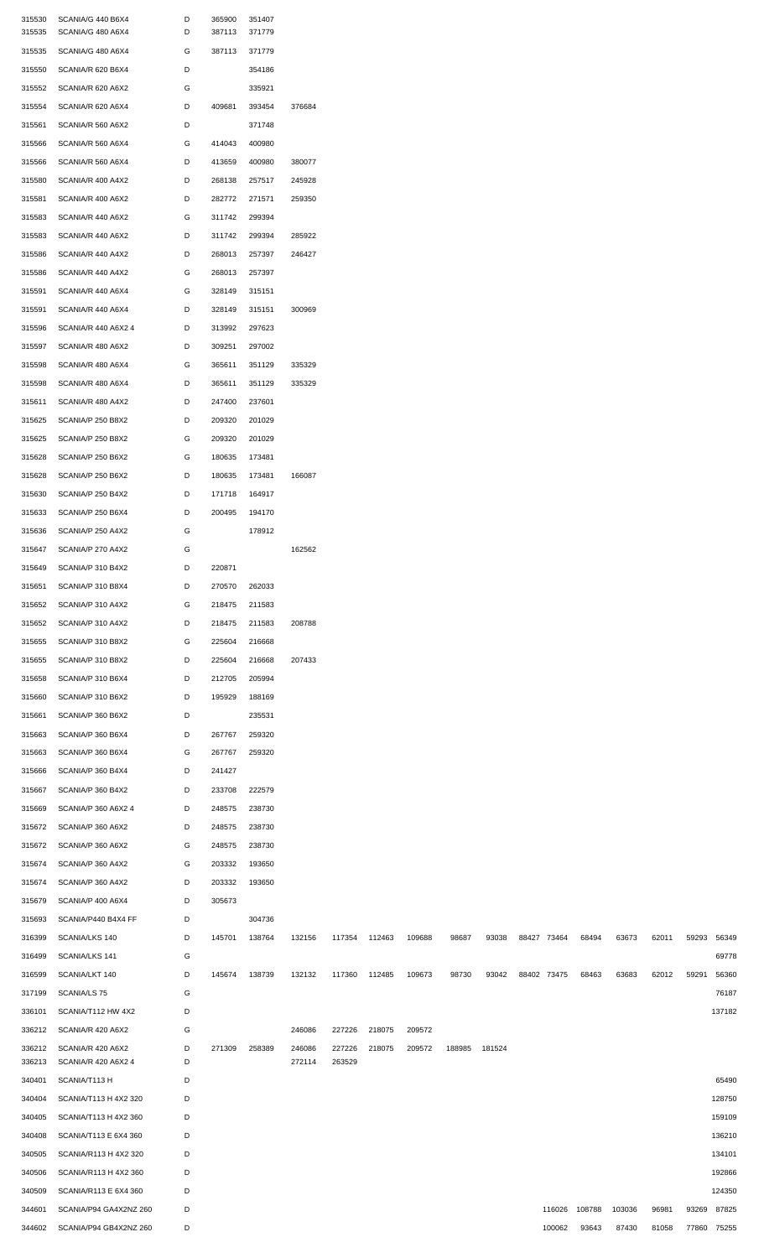| 315530 | SCANIA/G 440 B6X4        | D | 365900 | 351407 |        |               |        |        |        |        |               |       |        |       |             |        |
|--------|--------------------------|---|--------|--------|--------|---------------|--------|--------|--------|--------|---------------|-------|--------|-------|-------------|--------|
| 315535 | SCANIA/G 480 A6X4        | D | 387113 | 371779 |        |               |        |        |        |        |               |       |        |       |             |        |
| 315535 | SCANIA/G 480 A6X4        | G | 387113 | 371779 |        |               |        |        |        |        |               |       |        |       |             |        |
| 315550 | SCANIA/R 620 B6X4        | D |        | 354186 |        |               |        |        |        |        |               |       |        |       |             |        |
| 315552 | SCANIA/R 620 A6X2        | G |        | 335921 |        |               |        |        |        |        |               |       |        |       |             |        |
|        |                          |   |        |        |        |               |        |        |        |        |               |       |        |       |             |        |
| 315554 | SCANIA/R 620 A6X4        | D | 409681 | 393454 | 376684 |               |        |        |        |        |               |       |        |       |             |        |
| 315561 | SCANIA/R 560 A6X2        | D |        | 371748 |        |               |        |        |        |        |               |       |        |       |             |        |
| 315566 | SCANIA/R 560 A6X4        | G | 414043 | 400980 |        |               |        |        |        |        |               |       |        |       |             |        |
| 315566 | SCANIA/R 560 A6X4        | D | 413659 | 400980 | 380077 |               |        |        |        |        |               |       |        |       |             |        |
| 315580 | SCANIA/R 400 A4X2        | D | 268138 | 257517 | 245928 |               |        |        |        |        |               |       |        |       |             |        |
|        |                          |   |        |        |        |               |        |        |        |        |               |       |        |       |             |        |
| 315581 | SCANIA/R 400 A6X2        | D | 282772 | 271571 | 259350 |               |        |        |        |        |               |       |        |       |             |        |
| 315583 | SCANIA/R 440 A6X2        | G | 311742 | 299394 |        |               |        |        |        |        |               |       |        |       |             |        |
| 315583 | SCANIA/R 440 A6X2        | D | 311742 | 299394 | 285922 |               |        |        |        |        |               |       |        |       |             |        |
| 315586 | SCANIA/R 440 A4X2        | D | 268013 | 257397 | 246427 |               |        |        |        |        |               |       |        |       |             |        |
|        |                          |   |        |        |        |               |        |        |        |        |               |       |        |       |             |        |
| 315586 | SCANIA/R 440 A4X2        | G | 268013 | 257397 |        |               |        |        |        |        |               |       |        |       |             |        |
| 315591 | SCANIA/R 440 A6X4        | G | 328149 | 315151 |        |               |        |        |        |        |               |       |        |       |             |        |
| 315591 | SCANIA/R 440 A6X4        | D | 328149 | 315151 | 300969 |               |        |        |        |        |               |       |        |       |             |        |
| 315596 | SCANIA/R 440 A6X2 4      | D | 313992 | 297623 |        |               |        |        |        |        |               |       |        |       |             |        |
|        |                          |   |        |        |        |               |        |        |        |        |               |       |        |       |             |        |
| 315597 | SCANIA/R 480 A6X2        | D | 309251 | 297002 |        |               |        |        |        |        |               |       |        |       |             |        |
| 315598 | SCANIA/R 480 A6X4        | G | 365611 | 351129 | 335329 |               |        |        |        |        |               |       |        |       |             |        |
| 315598 | SCANIA/R 480 A6X4        | D | 365611 | 351129 | 335329 |               |        |        |        |        |               |       |        |       |             |        |
| 315611 | SCANIA/R 480 A4X2        | D | 247400 | 237601 |        |               |        |        |        |        |               |       |        |       |             |        |
| 315625 | SCANIA/P 250 B8X2        | D | 209320 | 201029 |        |               |        |        |        |        |               |       |        |       |             |        |
|        |                          |   |        |        |        |               |        |        |        |        |               |       |        |       |             |        |
| 315625 | SCANIA/P 250 B8X2        | G | 209320 | 201029 |        |               |        |        |        |        |               |       |        |       |             |        |
| 315628 | SCANIA/P 250 B6X2        | G | 180635 | 173481 |        |               |        |        |        |        |               |       |        |       |             |        |
| 315628 | SCANIA/P 250 B6X2        | D | 180635 | 173481 | 166087 |               |        |        |        |        |               |       |        |       |             |        |
| 315630 | SCANIA/P 250 B4X2        | D | 171718 | 164917 |        |               |        |        |        |        |               |       |        |       |             |        |
|        |                          |   |        |        |        |               |        |        |        |        |               |       |        |       |             |        |
| 315633 | SCANIA/P 250 B6X4        | D | 200495 | 194170 |        |               |        |        |        |        |               |       |        |       |             |        |
| 315636 | SCANIA/P 250 A4X2        | G |        | 178912 |        |               |        |        |        |        |               |       |        |       |             |        |
| 315647 | SCANIA/P 270 A4X2        | G |        |        | 162562 |               |        |        |        |        |               |       |        |       |             |        |
|        | 315649 SCANIA/P 310 B4X2 | D | 220871 |        |        |               |        |        |        |        |               |       |        |       |             |        |
|        |                          |   |        |        |        |               |        |        |        |        |               |       |        |       |             |        |
| 315651 | SCANIA/P 310 B8X4        | D | 270570 | 262033 |        |               |        |        |        |        |               |       |        |       |             |        |
| 315652 | SCANIA/P 310 A4X2        | G | 218475 | 211583 |        |               |        |        |        |        |               |       |        |       |             |        |
| 315652 | SCANIA/P 310 A4X2        | D | 218475 | 211583 | 208788 |               |        |        |        |        |               |       |        |       |             |        |
| 315655 | SCANIA/P 310 B8X2        | G | 225604 | 216668 |        |               |        |        |        |        |               |       |        |       |             |        |
|        |                          |   |        |        |        |               |        |        |        |        |               |       |        |       |             |        |
| 315655 | SCANIA/P 310 B8X2        | D | 225604 | 216668 | 207433 |               |        |        |        |        |               |       |        |       |             |        |
| 315658 | SCANIA/P 310 B6X4        | D | 212705 | 205994 |        |               |        |        |        |        |               |       |        |       |             |        |
| 315660 | SCANIA/P 310 B6X2        | D | 195929 | 188169 |        |               |        |        |        |        |               |       |        |       |             |        |
| 315661 | SCANIA/P 360 B6X2        | D |        | 235531 |        |               |        |        |        |        |               |       |        |       |             |        |
|        | SCANIA/P 360 B6X4        |   |        |        |        |               |        |        |        |        |               |       |        |       |             |        |
| 315663 |                          | D | 267767 | 259320 |        |               |        |        |        |        |               |       |        |       |             |        |
| 315663 | SCANIA/P 360 B6X4        | G | 267767 | 259320 |        |               |        |        |        |        |               |       |        |       |             |        |
| 315666 | SCANIA/P 360 B4X4        | D | 241427 |        |        |               |        |        |        |        |               |       |        |       |             |        |
| 315667 | SCANIA/P 360 B4X2        | D | 233708 | 222579 |        |               |        |        |        |        |               |       |        |       |             |        |
| 315669 | SCANIA/P 360 A6X2 4      | D | 248575 | 238730 |        |               |        |        |        |        |               |       |        |       |             |        |
|        |                          |   |        |        |        |               |        |        |        |        |               |       |        |       |             |        |
| 315672 | SCANIA/P 360 A6X2        | D | 248575 | 238730 |        |               |        |        |        |        |               |       |        |       |             |        |
| 315672 | SCANIA/P 360 A6X2        | G | 248575 | 238730 |        |               |        |        |        |        |               |       |        |       |             |        |
| 315674 | SCANIA/P 360 A4X2        | G | 203332 | 193650 |        |               |        |        |        |        |               |       |        |       |             |        |
| 315674 | SCANIA/P 360 A4X2        | D | 203332 | 193650 |        |               |        |        |        |        |               |       |        |       |             |        |
|        |                          |   |        |        |        |               |        |        |        |        |               |       |        |       |             |        |
| 315679 | SCANIA/P 400 A6X4        | D | 305673 |        |        |               |        |        |        |        |               |       |        |       |             |        |
| 315693 | SCANIA/P440 B4X4 FF      | D |        | 304736 |        |               |        |        |        |        |               |       |        |       |             |        |
| 316399 | SCANIA/LKS 140           | D | 145701 | 138764 | 132156 | 117354 112463 |        | 109688 | 98687  | 93038  | 88427 73464   | 68494 | 63673  | 62011 | 59293       | 56349  |
| 316499 | SCANIA/LKS 141           | G |        |        |        |               |        |        |        |        |               |       |        |       |             | 69778  |
|        |                          |   |        |        |        |               |        |        |        |        |               |       |        |       |             |        |
| 316599 | SCANIA/LKT 140           | D | 145674 | 138739 | 132132 | 117360        | 112485 | 109673 | 98730  | 93042  | 88402 73475   | 68463 | 63683  | 62012 | 59291       | 56360  |
| 317199 | SCANIA/LS 75             | G |        |        |        |               |        |        |        |        |               |       |        |       |             | 76187  |
| 336101 | SCANIA/T112 HW 4X2       | D |        |        |        |               |        |        |        |        |               |       |        |       |             | 137182 |
| 336212 | SCANIA/R 420 A6X2        | G |        |        | 246086 | 227226        | 218075 | 209572 |        |        |               |       |        |       |             |        |
| 336212 | SCANIA/R 420 A6X2        | D | 271309 | 258389 | 246086 | 227226        | 218075 | 209572 | 188985 | 181524 |               |       |        |       |             |        |
| 336213 | SCANIA/R 420 A6X2 4      | D |        |        | 272114 | 263529        |        |        |        |        |               |       |        |       |             |        |
|        |                          |   |        |        |        |               |        |        |        |        |               |       |        |       |             |        |
| 340401 | SCANIA/T113 H            | D |        |        |        |               |        |        |        |        |               |       |        |       |             | 65490  |
| 340404 | SCANIA/T113 H 4X2 320    | D |        |        |        |               |        |        |        |        |               |       |        |       |             | 128750 |
| 340405 | SCANIA/T113 H 4X2 360    | D |        |        |        |               |        |        |        |        |               |       |        |       |             | 159109 |
| 340408 | SCANIA/T113 E 6X4 360    | D |        |        |        |               |        |        |        |        |               |       |        |       |             | 136210 |
| 340505 | SCANIA/R113 H 4X2 320    | D |        |        |        |               |        |        |        |        |               |       |        |       |             | 134101 |
|        |                          |   |        |        |        |               |        |        |        |        |               |       |        |       |             |        |
| 340506 | SCANIA/R113 H 4X2 360    | D |        |        |        |               |        |        |        |        |               |       |        |       |             | 192866 |
| 340509 | SCANIA/R113 E 6X4 360    | D |        |        |        |               |        |        |        |        |               |       |        |       |             | 124350 |
| 344601 | SCANIA/P94 GA4X2NZ 260   | D |        |        |        |               |        |        |        |        | 116026 108788 |       | 103036 | 96981 | 93269       | 87825  |
| 344602 | SCANIA/P94 GB4X2NZ 260   | D |        |        |        |               |        |        |        |        | 100062        | 93643 | 87430  | 81058 | 77860 75255 |        |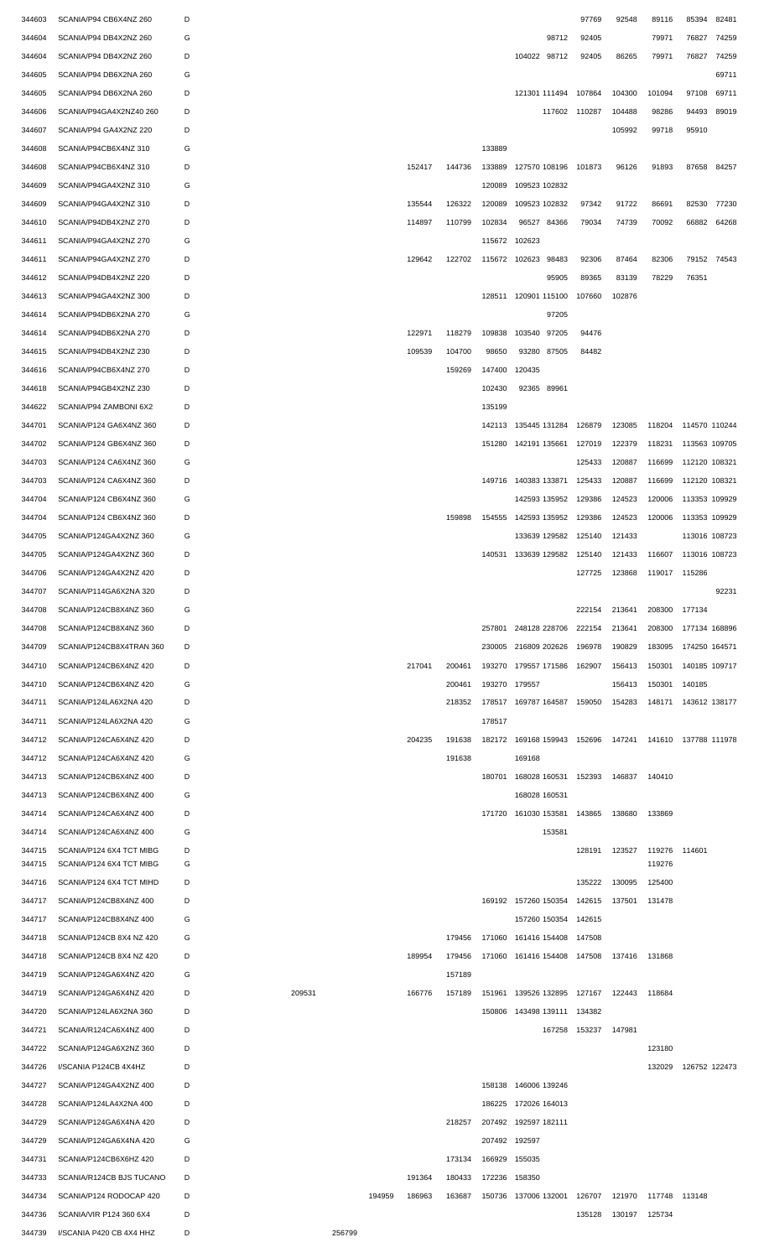| 344603 | SCANIA/P94 CB6X4NZ 260   | D |        |        |        |        |        |               |                                                  | 97769  | 92548                       | 89116  | 85394         | 82481 |
|--------|--------------------------|---|--------|--------|--------|--------|--------|---------------|--------------------------------------------------|--------|-----------------------------|--------|---------------|-------|
| 344604 | SCANIA/P94 DB4X2NZ 260   | G |        |        |        |        |        |               | 98712                                            | 92405  |                             | 79971  | 76827         | 74259 |
| 344604 | SCANIA/P94 DB4X2NZ 260   | D |        |        |        |        |        |               | 104022 98712                                     | 92405  | 86265                       | 79971  | 76827         | 74259 |
| 344605 | SCANIA/P94 DB6X2NA 260   | G |        |        |        |        |        |               |                                                  |        |                             |        |               | 69711 |
| 344605 | SCANIA/P94 DB6X2NA 260   | D |        |        |        |        |        |               | 121301 111494                                    | 107864 | 104300                      | 101094 | 97108 69711   |       |
| 344606 | SCANIA/P94GA4X2NZ40 260  | D |        |        |        |        |        |               | 117602 110287                                    |        | 104488                      | 98286  | 94493 89019   |       |
| 344607 | SCANIA/P94 GA4X2NZ 220   | D |        |        |        |        |        |               |                                                  |        | 105992                      | 99718  | 95910         |       |
| 344608 | SCANIA/P94CB6X4NZ 310    | G |        |        |        |        |        | 133889        |                                                  |        |                             |        |               |       |
| 344608 | SCANIA/P94CB6X4NZ 310    | D |        |        |        | 152417 | 144736 | 133889        | 127570 108196                                    | 101873 | 96126                       | 91893  | 87658 84257   |       |
| 344609 | SCANIA/P94GA4X2NZ 310    | G |        |        |        |        |        | 120089        | 109523 102832                                    |        |                             |        |               |       |
| 344609 | SCANIA/P94GA4X2NZ 310    | D |        |        |        | 135544 | 126322 | 120089        | 109523 102832                                    | 97342  | 91722                       | 86691  | 82530         | 77230 |
| 344610 | SCANIA/P94DB4X2NZ 270    | D |        |        |        | 114897 | 110799 | 102834        | 96527<br>84366                                   | 79034  | 74739                       | 70092  | 66882 64268   |       |
|        |                          |   |        |        |        |        |        |               |                                                  |        |                             |        |               |       |
| 344611 | SCANIA/P94GA4X2NZ 270    | G |        |        |        |        |        | 115672        | 102623                                           |        |                             |        |               |       |
| 344611 | SCANIA/P94GA4X2NZ 270    | D |        |        |        | 129642 | 122702 | 115672        | 102623<br>98483                                  | 92306  | 87464                       | 82306  | 79152 74543   |       |
| 344612 | SCANIA/P94DB4X2NZ 220    | D |        |        |        |        |        |               | 95905                                            | 89365  | 83139                       | 78229  | 76351         |       |
| 344613 | SCANIA/P94GA4X2NZ 300    | D |        |        |        |        |        |               | 128511 120901 115100                             | 107660 | 102876                      |        |               |       |
| 344614 | SCANIA/P94DB6X2NA 270    | G |        |        |        |        |        |               | 97205                                            |        |                             |        |               |       |
| 344614 | SCANIA/P94DB6X2NA 270    | D |        |        |        | 122971 | 118279 | 109838        | 103540<br>97205                                  | 94476  |                             |        |               |       |
| 344615 | SCANIA/P94DB4X2NZ 230    | D |        |        |        | 109539 | 104700 | 98650         | 93280<br>87505                                   | 84482  |                             |        |               |       |
| 344616 | SCANIA/P94CB6X4NZ 270    | D |        |        |        |        | 159269 | 147400        | 120435                                           |        |                             |        |               |       |
| 344618 | SCANIA/P94GB4X2NZ 230    | D |        |        |        |        |        | 102430        | 92365 89961                                      |        |                             |        |               |       |
| 344622 | SCANIA/P94 ZAMBONI 6X2   | D |        |        |        |        |        | 135199        |                                                  |        |                             |        |               |       |
| 344701 | SCANIA/P124 GA6X4NZ 360  | D |        |        |        |        |        | 142113        | 135445 131284                                    | 126879 | 123085                      | 118204 | 114570 110244 |       |
| 344702 | SCANIA/P124 GB6X4NZ 360  | D |        |        |        |        |        | 151280        | 142191 135661                                    | 127019 | 122379                      | 118231 | 113563 109705 |       |
| 344703 | SCANIA/P124 CA6X4NZ 360  | G |        |        |        |        |        |               |                                                  | 125433 | 120887                      | 116699 | 112120 108321 |       |
| 344703 | SCANIA/P124 CA6X4NZ 360  | D |        |        |        |        |        | 149716        | 140383 133871 125433                             |        | 120887                      | 116699 | 112120 108321 |       |
| 344704 | SCANIA/P124 CB6X4NZ 360  | G |        |        |        |        |        |               | 142593 135952                                    | 129386 | 124523                      | 120006 | 113353 109929 |       |
| 344704 | SCANIA/P124 CB6X4NZ 360  | D |        |        |        |        | 159898 | 154555        | 142593 135952                                    | 129386 | 124523                      | 120006 | 113353 109929 |       |
| 344705 | SCANIA/P124GA4X2NZ 360   | G |        |        |        |        |        |               | 133639 129582                                    | 125140 | 121433                      |        | 113016 108723 |       |
| 344705 | SCANIA/P124GA4X2NZ 360   | D |        |        |        |        |        |               | 140531 133639 129582 125140                      |        | 121433                      | 116607 | 113016 108723 |       |
| 344706 | SCANIA/P124GA4X2NZ 420   |   |        |        |        |        |        |               |                                                  |        | 127725 123868 119017 115286 |        |               |       |
| 344707 | SCANIA/P114GA6X2NA 320   | D |        |        |        |        |        |               |                                                  |        |                             |        |               | 92231 |
|        |                          |   |        |        |        |        |        |               |                                                  |        |                             |        |               |       |
| 344708 | SCANIA/P124CB8X4NZ 360   | G |        |        |        |        |        |               |                                                  | 222154 | 213641                      | 208300 | 177134        |       |
| 344708 | SCANIA/P124CB8X4NZ 360   | D |        |        |        |        |        | 257801        | 248128 228706                                    | 222154 | 213641                      | 208300 | 177134 168896 |       |
| 344709 | SCANIA/P124CB8X4TRAN 360 | D |        |        |        |        |        | 230005        | 216809 202626                                    | 196978 | 190829                      | 183095 | 174250 164571 |       |
| 344710 | SCANIA/P124CB6X4NZ 420   | D |        |        |        | 217041 | 200461 | 193270        | 179557 171586                                    | 162907 | 156413                      | 150301 | 140185 109717 |       |
| 344710 | SCANIA/P124CB6X4NZ 420   | G |        |        |        |        | 200461 | 193270        | 179557                                           |        | 156413                      | 150301 | 140185        |       |
| 344711 | SCANIA/P124LA6X2NA 420   | D |        |        |        |        | 218352 |               | 178517 169787 164587                             | 159050 | 154283                      | 148171 | 143612 138177 |       |
| 344711 | SCANIA/P124LA6X2NA 420   | G |        |        |        |        |        | 178517        |                                                  |        |                             |        |               |       |
| 344712 | SCANIA/P124CA6X4NZ 420   | D |        |        |        | 204235 | 191638 | 182172        | 169168 159943 152696                             |        | 147241                      | 141610 | 137788 111978 |       |
| 344712 | SCANIA/P124CA6X4NZ 420   | G |        |        |        |        | 191638 |               | 169168                                           |        |                             |        |               |       |
| 344713 | SCANIA/P124CB6X4NZ 400   | D |        |        |        |        |        | 180701        | 168028 160531                                    | 152393 | 146837                      | 140410 |               |       |
| 344713 | SCANIA/P124CB6X4NZ 400   | G |        |        |        |        |        |               | 168028 160531                                    |        |                             |        |               |       |
| 344714 | SCANIA/P124CA6X4NZ 400   | D |        |        |        |        |        | 171720        | 161030 153581                                    | 143865 | 138680                      | 133869 |               |       |
| 344714 | SCANIA/P124CA6X4NZ 400   | G |        |        |        |        |        |               | 153581                                           |        |                             |        |               |       |
| 344715 | SCANIA/P124 6X4 TCT MIBG | D |        |        |        |        |        |               |                                                  | 128191 | 123527                      | 119276 | 114601        |       |
| 344715 | SCANIA/P124 6X4 TCT MIBG | G |        |        |        |        |        |               |                                                  |        |                             | 119276 |               |       |
| 344716 | SCANIA/P124 6X4 TCT MIHD | D |        |        |        |        |        |               |                                                  | 135222 | 130095                      | 125400 |               |       |
| 344717 | SCANIA/P124CB8X4NZ 400   | D |        |        |        |        |        |               | 169192 157260 150354                             | 142615 | 137501                      | 131478 |               |       |
| 344717 | SCANIA/P124CB8X4NZ 400   | G |        |        |        |        |        |               | 157260 150354 142615                             |        |                             |        |               |       |
| 344718 | SCANIA/P124CB 8X4 NZ 420 | G |        |        |        |        | 179456 | 171060        | 161416 154408                                    | 147508 |                             |        |               |       |
| 344718 | SCANIA/P124CB 8X4 NZ 420 | D |        |        |        | 189954 | 179456 | 171060        | 161416 154408 147508                             |        | 137416                      | 131868 |               |       |
| 344719 | SCANIA/P124GA6X4NZ 420   | G |        |        |        |        | 157189 |               |                                                  |        |                             |        |               |       |
| 344719 | SCANIA/P124GA6X4NZ 420   | D | 209531 |        |        | 166776 | 157189 | 151961        | 139526 132895 127167                             |        | 122443                      | 118684 |               |       |
| 344720 | SCANIA/P124LA6X2NA 360   | D |        |        |        |        |        | 150806        | 143498 139111 134382                             |        |                             |        |               |       |
| 344721 | SCANIA/R124CA6X4NZ 400   | D |        |        |        |        |        |               | 167258                                           | 153237 | 147981                      |        |               |       |
| 344722 | SCANIA/P124GA6X2NZ 360   | D |        |        |        |        |        |               |                                                  |        |                             | 123180 |               |       |
| 344726 | I/SCANIA P124CB 4X4HZ    | D |        |        |        |        |        |               |                                                  |        |                             | 132029 | 126752 122473 |       |
| 344727 | SCANIA/P124GA4X2NZ 400   | D |        |        |        |        |        | 158138        | 146006 139246                                    |        |                             |        |               |       |
| 344728 | SCANIA/P124LA4X2NA 400   | D |        |        |        |        |        | 186225        | 172026 164013                                    |        |                             |        |               |       |
|        | SCANIA/P124GA6X4NA 420   | D |        |        |        |        |        | 207492        | 192597 182111                                    |        |                             |        |               |       |
| 344729 |                          |   |        |        |        |        | 218257 |               |                                                  |        |                             |        |               |       |
| 344729 | SCANIA/P124GA6X4NA 420   | G |        |        |        |        |        | 207492 192597 |                                                  |        |                             |        |               |       |
| 344731 | SCANIA/P124CB6X6HZ 420   | D |        |        |        |        | 173134 | 166929 155035 |                                                  |        |                             |        |               |       |
| 344733 | SCANIA/R124CB BJS TUCANO | D |        |        |        | 191364 | 180433 | 172236 158350 |                                                  |        |                             |        |               |       |
| 344734 | SCANIA/P124 RODOCAP 420  | D |        |        | 194959 | 186963 | 163687 |               | 150736 137006 132001 126707 121970 117748 113148 |        |                             |        |               |       |
| 344736 |                          | D |        |        |        |        |        |               |                                                  |        | 135128 130197 125734        |        |               |       |
| 344739 | SCANIA/VIR P124 360 6X4  | D |        | 256799 |        |        |        |               |                                                  |        |                             |        |               |       |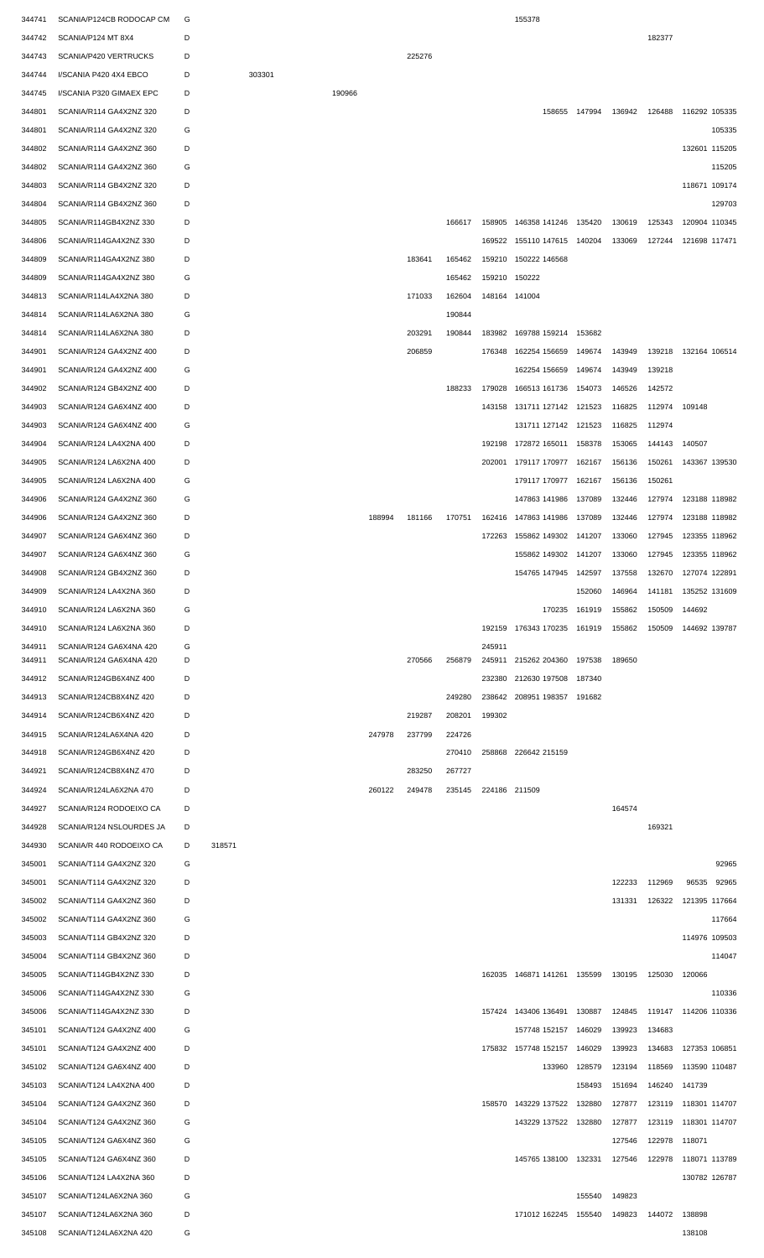| 344741           | SCANIA/P124CB RODOCAP CM                           | G      |        |        |        |        |        |        |               | 155378                      |        |        |        |               |        |
|------------------|----------------------------------------------------|--------|--------|--------|--------|--------|--------|--------|---------------|-----------------------------|--------|--------|--------|---------------|--------|
| 344742           | SCANIA/P124 MT 8X4                                 | D      |        |        |        |        |        |        |               |                             |        |        | 182377 |               |        |
| 344743           | SCANIA/P420 VERTRUCKS                              | D      |        |        |        |        | 225276 |        |               |                             |        |        |        |               |        |
| 344744           | I/SCANIA P420 4X4 EBCO                             | D      |        | 303301 |        |        |        |        |               |                             |        |        |        |               |        |
| 344745           | I/SCANIA P320 GIMAEX EPC                           | D      |        |        | 190966 |        |        |        |               |                             |        |        |        |               |        |
| 344801           | SCANIA/R114 GA4X2NZ 320                            | D      |        |        |        |        |        |        |               | 158655                      | 147994 | 136942 | 126488 | 116292 105335 |        |
| 344801           | SCANIA/R114 GA4X2NZ 320                            | G      |        |        |        |        |        |        |               |                             |        |        |        |               | 105335 |
| 344802           | SCANIA/R114 GA4X2NZ 360                            | D      |        |        |        |        |        |        |               |                             |        |        |        | 132601 115205 |        |
| 344802           | SCANIA/R114 GA4X2NZ 360                            | G      |        |        |        |        |        |        |               |                             |        |        |        |               | 115205 |
| 344803           | SCANIA/R114 GB4X2NZ 320                            | D      |        |        |        |        |        |        |               |                             |        |        |        | 118671 109174 |        |
| 344804           | SCANIA/R114 GB4X2NZ 360                            | D      |        |        |        |        |        |        |               |                             |        |        |        |               | 129703 |
| 344805           | SCANIA/R114GB4X2NZ 330                             | D      |        |        |        |        |        | 166617 | 158905        | 146358 141246               | 135420 | 130619 | 125343 | 120904 110345 |        |
| 344806           | SCANIA/R114GA4X2NZ 330                             | D      |        |        |        |        |        |        | 169522        | 155110 147615               | 140204 | 133069 | 127244 | 121698 117471 |        |
| 344809           | SCANIA/R114GA4X2NZ 380                             | D      |        |        |        |        | 183641 | 165462 | 159210        | 150222 146568               |        |        |        |               |        |
| 344809           | SCANIA/R114GA4X2NZ 380                             | G      |        |        |        |        |        | 165462 | 159210        | 150222                      |        |        |        |               |        |
| 344813           | SCANIA/R114LA4X2NA 380                             | D      |        |        |        |        | 171033 | 162604 | 148164 141004 |                             |        |        |        |               |        |
| 344814           | SCANIA/R114LA6X2NA 380                             | G      |        |        |        |        |        | 190844 |               |                             |        |        |        |               |        |
| 344814           | SCANIA/R114LA6X2NA 380                             | D      |        |        |        |        | 203291 | 190844 | 183982        | 169788 159214               | 153682 |        |        |               |        |
| 344901           | SCANIA/R124 GA4X2NZ 400                            | D      |        |        |        |        | 206859 |        | 176348        | 162254 156659               | 149674 | 143949 | 139218 | 132164 106514 |        |
| 344901           | SCANIA/R124 GA4X2NZ 400                            | G      |        |        |        |        |        |        |               | 162254 156659               | 149674 | 143949 | 139218 |               |        |
| 344902           | SCANIA/R124 GB4X2NZ 400                            | D      |        |        |        |        |        | 188233 | 179028        | 166513 161736               | 154073 | 146526 | 142572 |               |        |
| 344903           | SCANIA/R124 GA6X4NZ 400                            | D      |        |        |        |        |        |        |               | 143158 131711 127142        | 121523 | 116825 | 112974 | 109148        |        |
| 344903           | SCANIA/R124 GA6X4NZ 400                            | G      |        |        |        |        |        |        |               | 131711 127142               | 121523 | 116825 | 112974 |               |        |
| 344904           | SCANIA/R124 LA4X2NA 400                            | D      |        |        |        |        |        |        | 192198        | 172872 165011               | 158378 | 153065 | 144143 | 140507        |        |
| 344905           | SCANIA/R124 LA6X2NA 400                            | D      |        |        |        |        |        |        |               | 202001 179117 170977        | 162167 | 156136 | 150261 | 143367 139530 |        |
| 344905           | SCANIA/R124 LA6X2NA 400                            | G      |        |        |        |        |        |        |               | 179117 170977               | 162167 | 156136 | 150261 |               |        |
| 344906           | SCANIA/R124 GA4X2NZ 360                            | G      |        |        |        |        |        |        |               | 147863 141986               | 137089 | 132446 | 127974 | 123188 118982 |        |
| 344906           | SCANIA/R124 GA4X2NZ 360                            | D      |        |        |        | 188994 | 181166 | 170751 | 162416        | 147863 141986               | 137089 | 132446 | 127974 | 123188 118982 |        |
| 344907           | SCANIA/R124 GA6X4NZ 360                            | D      |        |        |        |        |        |        |               | 172263 155862 149302        | 141207 | 133060 | 127945 | 123355 118962 |        |
| 344907           | SCANIA/R124 GA6X4NZ 360                            | G      |        |        |        |        |        |        |               | 155862 149302               | 141207 | 133060 | 127945 | 123355 118962 |        |
| 344908           | SCANIA/R124 GB4X2NZ 360                            | D      |        |        |        |        |        |        |               | 154765 147945 142597        |        | 137558 | 132670 | 127074 122891 |        |
| 344909           | SCANIA/R124 LA4X2NA 360                            | D      |        |        |        |        |        |        |               |                             | 152060 | 146964 | 141181 | 135252 131609 |        |
| 344910           | SCANIA/R124 LA6X2NA 360                            | G      |        |        |        |        |        |        |               | 170235                      | 161919 | 155862 | 150509 | 144692        |        |
| 344910           | SCANIA/R124 LA6X2NA 360                            | D      |        |        |        |        |        |        | 192159        | 176343 170235               | 161919 | 155862 | 150509 | 144692 139787 |        |
| 344911<br>344911 | SCANIA/R124 GA6X4NA 420<br>SCANIA/R124 GA6X4NA 420 | G<br>D |        |        |        |        | 270566 | 256879 | 245911        | 245911 215262 204360        | 197538 | 189650 |        |               |        |
| 344912           | SCANIA/R124GB6X4NZ 400                             | D      |        |        |        |        |        |        |               | 232380 212630 197508        | 187340 |        |        |               |        |
| 344913           | SCANIA/R124CB8X4NZ 420                             | D      |        |        |        |        |        | 249280 |               | 238642 208951 198357 191682 |        |        |        |               |        |
| 344914           | SCANIA/R124CB6X4NZ 420                             | D      |        |        |        |        | 219287 | 208201 | 199302        |                             |        |        |        |               |        |
| 344915           | SCANIA/R124LA6X4NA 420                             | D      |        |        |        | 247978 | 237799 | 224726 |               |                             |        |        |        |               |        |
| 344918           | SCANIA/R124GB6X4NZ 420                             | D      |        |        |        |        |        | 270410 |               | 258868 226642 215159        |        |        |        |               |        |
| 344921           | SCANIA/R124CB8X4NZ 470                             | D      |        |        |        |        | 283250 | 267727 |               |                             |        |        |        |               |        |
| 344924           | SCANIA/R124LA6X2NA 470                             | D      |        |        |        | 260122 | 249478 | 235145 | 224186 211509 |                             |        |        |        |               |        |
| 344927           | SCANIA/R124 RODOEIXO CA                            | D      |        |        |        |        |        |        |               |                             |        | 164574 |        |               |        |
| 344928           | SCANIA/R124 NSLOURDES JA                           | D      |        |        |        |        |        |        |               |                             |        |        | 169321 |               |        |
| 344930           | SCANIA/R 440 RODOEIXO CA                           | D      | 318571 |        |        |        |        |        |               |                             |        |        |        |               |        |
| 345001           | SCANIA/T114 GA4X2NZ 320                            | G      |        |        |        |        |        |        |               |                             |        |        |        |               | 92965  |
| 345001           | SCANIA/T114 GA4X2NZ 320                            | D      |        |        |        |        |        |        |               |                             |        | 122233 | 112969 | 96535         | 92965  |
| 345002           | SCANIA/T114 GA4X2NZ 360                            | D      |        |        |        |        |        |        |               |                             |        | 131331 | 126322 | 121395 117664 |        |
| 345002           | SCANIA/T114 GA4X2NZ 360                            | G      |        |        |        |        |        |        |               |                             |        |        |        |               | 117664 |
| 345003           | SCANIA/T114 GB4X2NZ 320                            | D      |        |        |        |        |        |        |               |                             |        |        |        | 114976 109503 |        |
| 345004           | SCANIA/T114 GB4X2NZ 360                            | D      |        |        |        |        |        |        |               |                             |        |        |        |               | 114047 |
| 345005           | SCANIA/T114GB4X2NZ 330                             | D      |        |        |        |        |        |        |               | 162035 146871 141261 135599 |        | 130195 | 125030 | 120066        |        |
| 345006           | SCANIA/T114GA4X2NZ 330                             | G      |        |        |        |        |        |        |               |                             |        |        |        |               | 110336 |
| 345006           | SCANIA/T114GA4X2NZ 330                             | D      |        |        |        |        |        |        |               | 157424 143406 136491        | 130887 | 124845 | 119147 | 114206 110336 |        |
| 345101           | SCANIA/T124 GA4X2NZ 400                            | G      |        |        |        |        |        |        |               | 157748 152157               | 146029 | 139923 | 134683 |               |        |
| 345101           | SCANIA/T124 GA4X2NZ 400                            | D      |        |        |        |        |        |        |               | 175832 157748 152157        | 146029 | 139923 | 134683 | 127353 106851 |        |
| 345102           | SCANIA/T124 GA6X4NZ 400                            | D      |        |        |        |        |        |        |               | 133960                      | 128579 | 123194 | 118569 | 113590 110487 |        |
| 345103           | SCANIA/T124 LA4X2NA 400                            | D      |        |        |        |        |        |        |               |                             | 158493 | 151694 | 146240 | 141739        |        |
| 345104           | SCANIA/T124 GA4X2NZ 360                            | D      |        |        |        |        |        |        |               | 158570 143229 137522        | 132880 | 127877 | 123119 | 118301 114707 |        |
| 345104           | SCANIA/T124 GA4X2NZ 360                            | G      |        |        |        |        |        |        |               | 143229 137522               | 132880 | 127877 | 123119 | 118301 114707 |        |
| 345105           | SCANIA/T124 GA6X4NZ 360                            | G      |        |        |        |        |        |        |               |                             |        | 127546 | 122978 | 118071        |        |
| 345105           | SCANIA/T124 GA6X4NZ 360                            | D      |        |        |        |        |        |        |               | 145765 138100 132331        |        | 127546 | 122978 | 118071 113789 |        |
| 345106           | SCANIA/T124 LA4X2NA 360                            | D      |        |        |        |        |        |        |               |                             |        |        |        | 130782 126787 |        |
| 345107           | SCANIA/T124LA6X2NA 360                             | G      |        |        |        |        |        |        |               |                             | 155540 | 149823 |        |               |        |
| 345107           | SCANIA/T124LA6X2NA 360                             | D      |        |        |        |        |        |        |               | 171012 162245 155540        |        | 149823 | 144072 | 138898        |        |
| 345108           | SCANIA/T124LA6X2NA 420                             | G      |        |        |        |        |        |        |               |                             |        |        |        | 138108        |        |
|                  |                                                    |        |        |        |        |        |        |        |               |                             |        |        |        |               |        |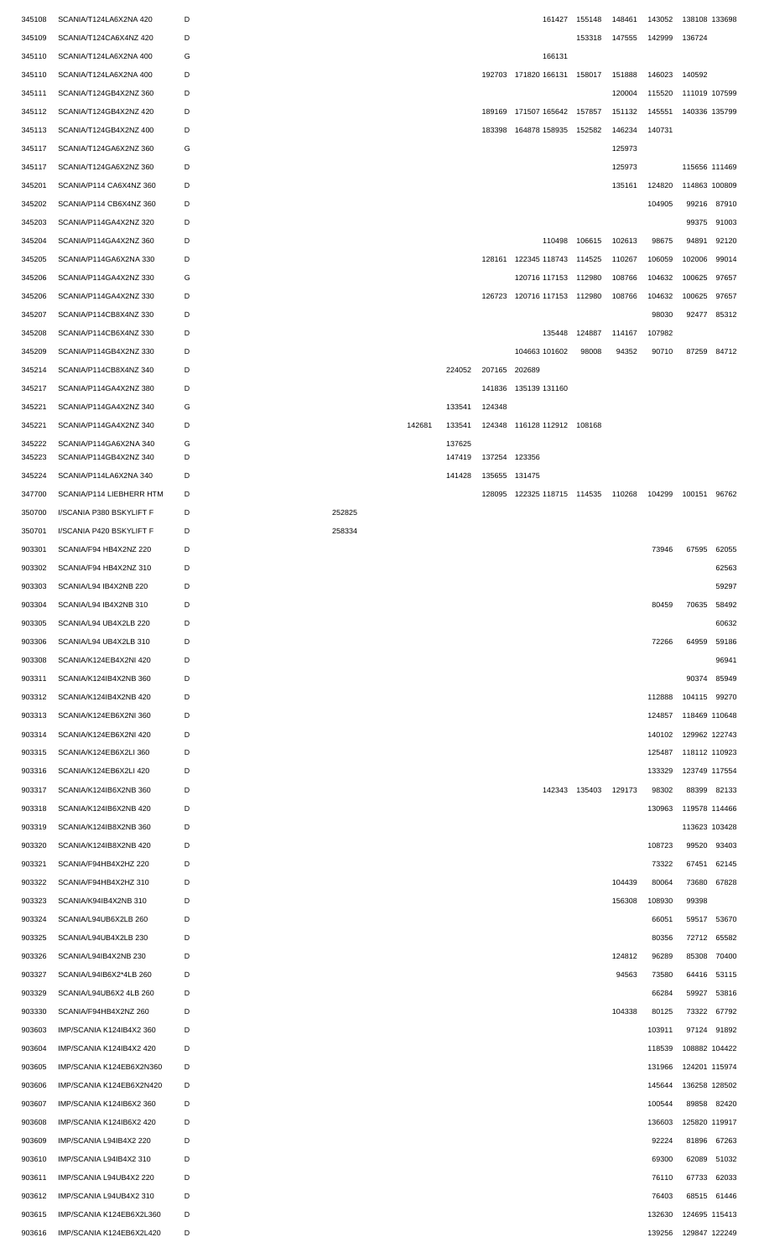| 345108           | SCANIA/T124LA6X2NA 420                           | D      |        |        |                  |               |                                           | 161427 155148 | 148461 | 143052 | 138108 133698 |             |
|------------------|--------------------------------------------------|--------|--------|--------|------------------|---------------|-------------------------------------------|---------------|--------|--------|---------------|-------------|
| 345109           | SCANIA/T124CA6X4NZ 420                           | D      |        |        |                  |               |                                           | 153318        | 147555 | 142999 | 136724        |             |
| 345110           | SCANIA/T124LA6X2NA 400                           | G      |        |        |                  |               | 166131                                    |               |        |        |               |             |
|                  |                                                  |        |        |        |                  |               |                                           |               |        |        |               |             |
| 345110           | SCANIA/T124LA6X2NA 400                           | D      |        |        |                  |               | 192703 171820 166131 158017               |               | 151888 | 146023 | 140592        |             |
| 345111           | SCANIA/T124GB4X2NZ 360                           | D      |        |        |                  |               |                                           |               | 120004 | 115520 | 111019 107599 |             |
| 345112           | SCANIA/T124GB4X2NZ 420                           | D      |        |        |                  |               | 189169 171507 165642                      | 157857        | 151132 | 145551 | 140336 135799 |             |
| 345113           | SCANIA/T124GB4X2NZ 400                           | D      |        |        |                  |               | 183398 164878 158935                      | 152582        | 146234 | 140731 |               |             |
| 345117           | SCANIA/T124GA6X2NZ 360                           | G      |        |        |                  |               |                                           |               | 125973 |        |               |             |
|                  |                                                  |        |        |        |                  |               |                                           |               |        |        |               |             |
| 345117           | SCANIA/T124GA6X2NZ 360                           | D      |        |        |                  |               |                                           |               | 125973 |        | 115656 111469 |             |
| 345201           | SCANIA/P114 CA6X4NZ 360                          | D      |        |        |                  |               |                                           |               | 135161 | 124820 | 114863 100809 |             |
| 345202           | SCANIA/P114 CB6X4NZ 360                          | D      |        |        |                  |               |                                           |               |        | 104905 | 99216         | 87910       |
| 345203           | SCANIA/P114GA4X2NZ 320                           | D      |        |        |                  |               |                                           |               |        |        | 99375         | 91003       |
| 345204           | SCANIA/P114GA4X2NZ 360                           | D      |        |        |                  |               | 110498                                    | 106615        | 102613 | 98675  | 94891         | 92120       |
|                  |                                                  |        |        |        |                  |               |                                           |               |        |        |               |             |
| 345205           | SCANIA/P114GA6X2NA 330                           | D      |        |        |                  |               | 128161 122345 118743 114525               |               | 110267 | 106059 | 102006        | 99014       |
| 345206           | SCANIA/P114GA4X2NZ 330                           | G      |        |        |                  |               | 120716 117153 112980                      |               | 108766 | 104632 | 100625        | 97657       |
| 345206           | SCANIA/P114GA4X2NZ 330                           | D      |        |        |                  |               | 126723 120716 117153 112980               |               | 108766 | 104632 | 100625        | 97657       |
| 345207           | SCANIA/P114CB8X4NZ 330                           | D      |        |        |                  |               |                                           |               |        | 98030  | 92477         | 85312       |
| 345208           | SCANIA/P114CB6X4NZ 330                           | D      |        |        |                  |               | 135448                                    | 124887        | 114167 | 107982 |               |             |
|                  |                                                  |        |        |        |                  |               |                                           |               |        |        |               |             |
| 345209           | SCANIA/P114GB4X2NZ 330                           | D      |        |        |                  |               | 104663 101602                             | 98008         | 94352  | 90710  |               | 87259 84712 |
| 345214           | SCANIA/P114CB8X4NZ 340                           | D      |        |        | 224052           | 207165 202689 |                                           |               |        |        |               |             |
| 345217           | SCANIA/P114GA4X2NZ 380                           | D      |        |        |                  | 141836        | 135139 131160                             |               |        |        |               |             |
| 345221           | SCANIA/P114GA4X2NZ 340                           | G      |        |        | 133541           | 124348        |                                           |               |        |        |               |             |
| 345221           | SCANIA/P114GA4X2NZ 340                           | D      |        | 142681 | 133541           |               | 124348 116128 112912 108168               |               |        |        |               |             |
|                  |                                                  |        |        |        |                  |               |                                           |               |        |        |               |             |
| 345222<br>345223 | SCANIA/P114GA6X2NA 340<br>SCANIA/P114GB4X2NZ 340 | G<br>D |        |        | 137625<br>147419 | 137254 123356 |                                           |               |        |        |               |             |
|                  |                                                  |        |        |        |                  |               |                                           |               |        |        |               |             |
| 345224           | SCANIA/P114LA6X2NA 340                           | D      |        |        | 141428           | 135655 131475 |                                           |               |        |        |               |             |
| 347700           | SCANIA/P114 LIEBHERR HTM                         | D      |        |        |                  |               | 128095 122325 118715 114535 110268 104299 |               |        |        | 100151        | 96762       |
| 350700           | I/SCANIA P380 BSKYLIFT F                         | D      | 252825 |        |                  |               |                                           |               |        |        |               |             |
| 350701           | I/SCANIA P420 BSKYLIFT F                         | D      | 258334 |        |                  |               |                                           |               |        |        |               |             |
| 903301           | SCANIA/F94 HB4X2NZ 220                           | D      |        |        |                  |               |                                           |               |        | 73946  |               | 67595 62055 |
|                  | SCANIA/F94 HB4X2NZ 310                           | D      |        |        |                  |               |                                           |               |        |        |               |             |
| 903302           |                                                  |        |        |        |                  |               |                                           |               |        |        |               | 62563       |
| 903303           | SCANIA/L94 IB4X2NB 220                           | D      |        |        |                  |               |                                           |               |        |        |               | 59297       |
| 903304           | SCANIA/L94 IB4X2NB 310                           | D      |        |        |                  |               |                                           |               |        | 80459  | 70635         | 58492       |
| 903305           | SCANIA/L94 UB4X2LB 220                           | D      |        |        |                  |               |                                           |               |        |        |               | 60632       |
| 903306           | SCANIA/L94 UB4X2LB 310                           | D      |        |        |                  |               |                                           |               |        | 72266  | 64959         | 59186       |
| 903308           | SCANIA/K124EB4X2NI 420                           | D      |        |        |                  |               |                                           |               |        |        |               | 96941       |
| 903311           | SCANIA/K124IB4X2NB 360                           | D      |        |        |                  |               |                                           |               |        |        | 90374         | 85949       |
|                  |                                                  |        |        |        |                  |               |                                           |               |        |        |               |             |
| 903312           | SCANIA/K124IB4X2NB 420                           | D      |        |        |                  |               |                                           |               |        | 112888 | 104115        | 99270       |
| 903313           | SCANIA/K124EB6X2NI 360                           | D      |        |        |                  |               |                                           |               |        | 124857 | 118469 110648 |             |
| 903314           | SCANIA/K124EB6X2NI 420                           | D      |        |        |                  |               |                                           |               |        | 140102 | 129962 122743 |             |
| 903315           | SCANIA/K124EB6X2LI 360                           | D      |        |        |                  |               |                                           |               |        | 125487 | 118112 110923 |             |
| 903316           | SCANIA/K124EB6X2LI 420                           | D      |        |        |                  |               |                                           |               |        | 133329 | 123749 117554 |             |
| 903317           | SCANIA/K124IB6X2NB 360                           | D      |        |        |                  |               |                                           | 142343 135403 | 129173 | 98302  | 88399         | 82133       |
|                  |                                                  |        |        |        |                  |               |                                           |               |        |        |               |             |
| 903318           | SCANIA/K124IB6X2NB 420                           | D      |        |        |                  |               |                                           |               |        | 130963 | 119578 114466 |             |
| 903319           | SCANIA/K124IB8X2NB 360                           | D      |        |        |                  |               |                                           |               |        |        | 113623 103428 |             |
| 903320           | SCANIA/K124IB8X2NB 420                           | D      |        |        |                  |               |                                           |               |        | 108723 | 99520         | 93403       |
| 903321           | SCANIA/F94HB4X2HZ 220                            | D      |        |        |                  |               |                                           |               |        | 73322  | 67451         | 62145       |
| 903322           | SCANIA/F94HB4X2HZ 310                            | D      |        |        |                  |               |                                           |               | 104439 | 80064  | 73680         | 67828       |
|                  |                                                  |        |        |        |                  |               |                                           |               |        |        |               |             |
| 903323           | SCANIA/K94IB4X2NB 310                            | D      |        |        |                  |               |                                           |               | 156308 | 108930 | 99398         |             |
| 903324           | SCANIA/L94UB6X2LB 260                            | D      |        |        |                  |               |                                           |               |        | 66051  | 59517         | 53670       |
| 903325           | SCANIA/L94UB4X2LB 230                            | D      |        |        |                  |               |                                           |               |        | 80356  | 72712         | 65582       |
| 903326           | SCANIA/L94IB4X2NB 230                            | D      |        |        |                  |               |                                           |               | 124812 | 96289  | 85308         | 70400       |
| 903327           | SCANIA/L94IB6X2*4LB 260                          | D      |        |        |                  |               |                                           |               | 94563  | 73580  | 64416         | 53115       |
| 903329           | SCANIA/L94UB6X2 4LB 260                          | D      |        |        |                  |               |                                           |               |        | 66284  | 59927         | 53816       |
|                  |                                                  |        |        |        |                  |               |                                           |               |        |        |               |             |
| 903330           | SCANIA/F94HB4X2NZ 260                            | D      |        |        |                  |               |                                           |               | 104338 | 80125  | 73322         | 67792       |
| 903603           | IMP/SCANIA K124IB4X2 360                         | D      |        |        |                  |               |                                           |               |        | 103911 |               | 97124 91892 |
| 903604           | IMP/SCANIA K124IB4X2 420                         | D      |        |        |                  |               |                                           |               |        | 118539 | 108882 104422 |             |
| 903605           | IMP/SCANIA K124EB6X2N360                         | D      |        |        |                  |               |                                           |               |        | 131966 | 124201 115974 |             |
| 903606           | IMP/SCANIA K124EB6X2N420                         | D      |        |        |                  |               |                                           |               |        | 145644 | 136258 128502 |             |
|                  |                                                  |        |        |        |                  |               |                                           |               |        |        |               |             |
| 903607           | IMP/SCANIA K124IB6X2 360                         | D      |        |        |                  |               |                                           |               |        | 100544 | 89858         | 82420       |
| 903608           | IMP/SCANIA K124IB6X2 420                         | D      |        |        |                  |               |                                           |               |        | 136603 | 125820 119917 |             |
| 903609           | IMP/SCANIA L94IB4X2 220                          | D      |        |        |                  |               |                                           |               |        | 92224  |               | 81896 67263 |
| 903610           | IMP/SCANIA L94IB4X2 310                          | D      |        |        |                  |               |                                           |               |        | 69300  | 62089         | 51032       |
| 903611           | IMP/SCANIA L94UB4X2 220                          | D      |        |        |                  |               |                                           |               |        | 76110  | 67733         | 62033       |
| 903612           | IMP/SCANIA L94UB4X2 310                          | D      |        |        |                  |               |                                           |               |        | 76403  |               | 68515 61446 |
| 903615           | IMP/SCANIA K124EB6X2L360                         | D      |        |        |                  |               |                                           |               |        | 132630 | 124695 115413 |             |
|                  |                                                  |        |        |        |                  |               |                                           |               |        |        |               |             |
| 903616           | IMP/SCANIA K124EB6X2L420                         | D      |        |        |                  |               |                                           |               |        | 139256 | 129847 122249 |             |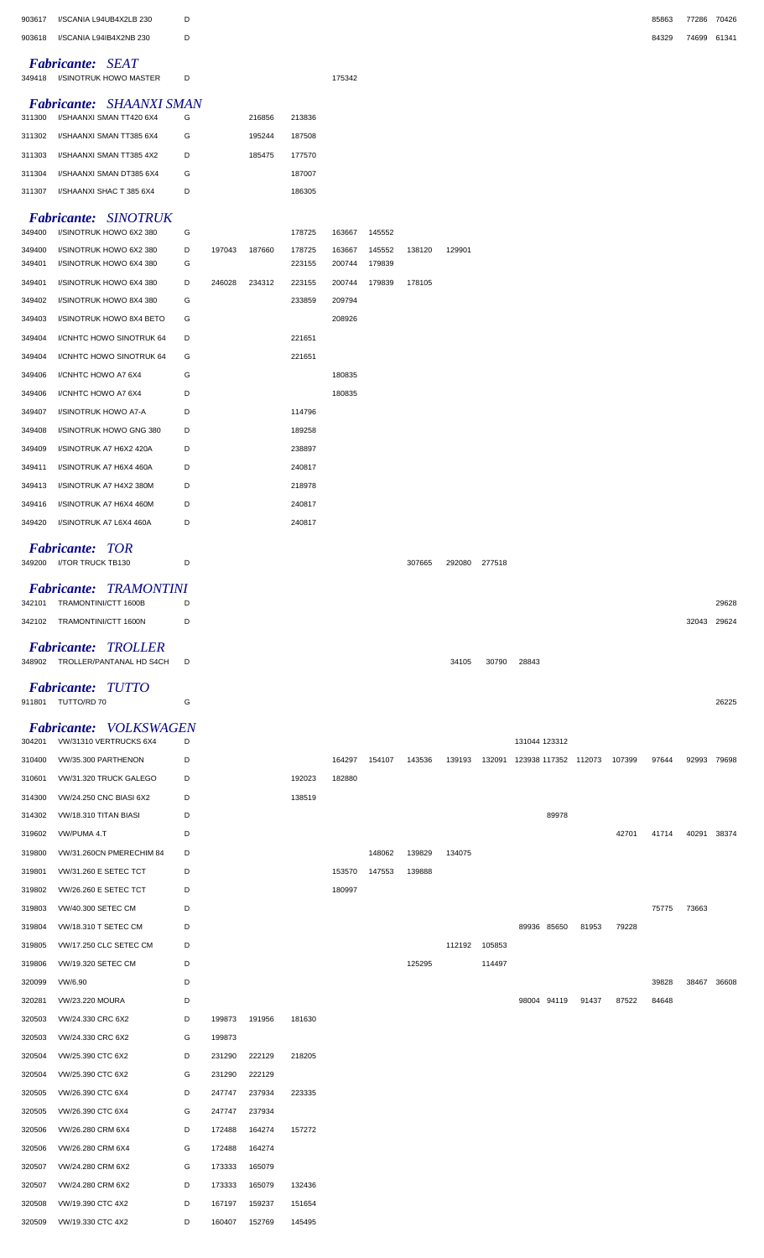| 903617<br>903618 | I/SCANIA L94UB4X2LB 230<br>I/SCANIA L94IB4X2NB 230     | D<br>D |                  |                  |                  |                  |                  |        |        |        |                      |       |        | 85863<br>84329 | 77286 70426<br>74699 61341 |       |
|------------------|--------------------------------------------------------|--------|------------------|------------------|------------------|------------------|------------------|--------|--------|--------|----------------------|-------|--------|----------------|----------------------------|-------|
|                  |                                                        |        |                  |                  |                  |                  |                  |        |        |        |                      |       |        |                |                            |       |
| 349418           | <b>Fabricante: SEAT</b><br>I/SINOTRUK HOWO MASTER      | D      |                  |                  |                  | 175342           |                  |        |        |        |                      |       |        |                |                            |       |
| 311300           | Fabricante: SHAANXI SMAN<br>I/SHAANXI SMAN TT420 6X4   | G      |                  | 216856           | 213836           |                  |                  |        |        |        |                      |       |        |                |                            |       |
| 311302           | I/SHAANXI SMAN TT385 6X4                               | G      |                  | 195244           | 187508           |                  |                  |        |        |        |                      |       |        |                |                            |       |
| 311303           | I/SHAANXI SMAN TT385 4X2                               | D      |                  | 185475           | 177570           |                  |                  |        |        |        |                      |       |        |                |                            |       |
| 311304           | I/SHAANXI SMAN DT385 6X4                               | G      |                  |                  | 187007           |                  |                  |        |        |        |                      |       |        |                |                            |       |
| 311307           | I/SHAANXI SHAC T 385 6X4                               | D      |                  |                  | 186305           |                  |                  |        |        |        |                      |       |        |                |                            |       |
| 349400           | <b>Fabricante: SINOTRUK</b><br>I/SINOTRUK HOWO 6X2 380 | G      |                  |                  | 178725           | 163667           | 145552           |        |        |        |                      |       |        |                |                            |       |
| 349400<br>349401 | I/SINOTRUK HOWO 6X2 380<br>I/SINOTRUK HOWO 6X4 380     | D<br>G | 197043           | 187660           | 178725<br>223155 | 163667<br>200744 | 145552<br>179839 | 138120 | 129901 |        |                      |       |        |                |                            |       |
| 349401           | I/SINOTRUK HOWO 6X4 380                                | D      | 246028           | 234312           | 223155           | 200744           | 179839           | 178105 |        |        |                      |       |        |                |                            |       |
| 349402           | I/SINOTRUK HOWO 8X4 380                                | G      |                  |                  | 233859           | 209794           |                  |        |        |        |                      |       |        |                |                            |       |
| 349403           | I/SINOTRUK HOWO 8X4 BETO                               | G      |                  |                  |                  | 208926           |                  |        |        |        |                      |       |        |                |                            |       |
| 349404           | I/CNHTC HOWO SINOTRUK 64                               | D      |                  |                  | 221651           |                  |                  |        |        |        |                      |       |        |                |                            |       |
| 349404           | I/CNHTC HOWO SINOTRUK 64                               | G      |                  |                  | 221651           |                  |                  |        |        |        |                      |       |        |                |                            |       |
| 349406           | I/CNHTC HOWO A7 6X4                                    | G      |                  |                  |                  | 180835           |                  |        |        |        |                      |       |        |                |                            |       |
| 349406           | I/CNHTC HOWO A7 6X4                                    | D      |                  |                  |                  | 180835           |                  |        |        |        |                      |       |        |                |                            |       |
| 349407           | I/SINOTRUK HOWO A7-A                                   | D      |                  |                  | 114796           |                  |                  |        |        |        |                      |       |        |                |                            |       |
| 349408           | I/SINOTRUK HOWO GNG 380                                | D      |                  |                  | 189258           |                  |                  |        |        |        |                      |       |        |                |                            |       |
| 349409           | I/SINOTRUK A7 H6X2 420A                                | D      |                  |                  | 238897           |                  |                  |        |        |        |                      |       |        |                |                            |       |
| 349411           | I/SINOTRUK A7 H6X4 460A                                | D      |                  |                  | 240817           |                  |                  |        |        |        |                      |       |        |                |                            |       |
| 349413<br>349416 | I/SINOTRUK A7 H4X2 380M<br>I/SINOTRUK A7 H6X4 460M     | D<br>D |                  |                  | 218978<br>240817 |                  |                  |        |        |        |                      |       |        |                |                            |       |
| 349420           | I/SINOTRUK A7 L6X4 460A                                | D      |                  |                  | 240817           |                  |                  |        |        |        |                      |       |        |                |                            |       |
|                  |                                                        |        |                  |                  |                  |                  |                  |        |        |        |                      |       |        |                |                            |       |
|                  | <b>Fabricante: TOR</b><br>349200 I/TOR TRUCK TB130     | D      |                  |                  |                  |                  |                  | 307665 | 292080 | 277518 |                      |       |        |                |                            |       |
|                  | Fabricante: TRAMONTINI                                 |        |                  |                  |                  |                  |                  |        |        |        |                      |       |        |                |                            |       |
| 342101           | TRAMONTINI/CTT 1600B                                   | D      |                  |                  |                  |                  |                  |        |        |        |                      |       |        |                |                            | 29628 |
| 342102           | TRAMONTINI/CTT 1600N                                   | D      |                  |                  |                  |                  |                  |        |        |        |                      |       |        |                | 32043                      | 29624 |
| 348902           | <b>Fabricante: TROLLER</b><br>TROLLER/PANTANAL HD S4CH | D      |                  |                  |                  |                  |                  |        | 34105  | 30790  | 28843                |       |        |                |                            |       |
|                  | <b>Fabricante: TUTTO</b><br>911801 TUTTO/RD 70         | G      |                  |                  |                  |                  |                  |        |        |        |                      |       |        |                |                            | 26225 |
|                  | Fabricante: VOLKSWAGEN                                 |        |                  |                  |                  |                  |                  |        |        |        |                      |       |        |                |                            |       |
| 304201           | VW/31310 VERTRUCKS 6X4                                 | D      |                  |                  |                  |                  |                  |        |        |        | 131044 123312        |       |        |                |                            |       |
| 310400           | VW/35.300 PARTHENON                                    | D      |                  |                  |                  | 164297           | 154107           | 143536 | 139193 | 132091 | 123938 117352 112073 |       | 107399 | 97644          | 92993 79698                |       |
| 310601           | VW/31.320 TRUCK GALEGO                                 | D      |                  |                  | 192023           | 182880           |                  |        |        |        |                      |       |        |                |                            |       |
| 314300           | VW/24.250 CNC BIASI 6X2                                | D      |                  |                  | 138519           |                  |                  |        |        |        |                      |       |        |                |                            |       |
| 314302           | VW/18.310 TITAN BIASI                                  | D      |                  |                  |                  |                  |                  |        |        |        | 89978                |       |        |                |                            |       |
| 319602           | VW/PUMA 4.T                                            | D      |                  |                  |                  |                  |                  |        |        |        |                      |       | 42701  | 41714          | 40291 38374                |       |
| 319800           | VW/31.260CN PMERECHIM 84                               | D      |                  |                  |                  |                  | 148062           | 139829 | 134075 |        |                      |       |        |                |                            |       |
| 319801<br>319802 | VW/31.260 E SETEC TCT<br><b>VW/26.260 E SETEC TCT</b>  | D<br>D |                  |                  |                  | 153570<br>180997 | 147553           | 139888 |        |        |                      |       |        |                |                            |       |
| 319803           | VW/40.300 SETEC CM                                     | D      |                  |                  |                  |                  |                  |        |        |        |                      |       |        | 75775          | 73663                      |       |
| 319804           | <b>VW/18.310 T SETEC CM</b>                            | D      |                  |                  |                  |                  |                  |        |        |        | 89936 85650          | 81953 | 79228  |                |                            |       |
| 319805           | VW/17.250 CLC SETEC CM                                 | D      |                  |                  |                  |                  |                  |        | 112192 | 105853 |                      |       |        |                |                            |       |
| 319806           | VW/19.320 SETEC CM                                     | D      |                  |                  |                  |                  |                  | 125295 |        | 114497 |                      |       |        |                |                            |       |
| 320099           | VW/6.90                                                | D      |                  |                  |                  |                  |                  |        |        |        |                      |       |        | 39828          | 38467 36608                |       |
| 320281           | <b>VW/23.220 MOURA</b>                                 | D      |                  |                  |                  |                  |                  |        |        |        | 98004 94119          | 91437 | 87522  | 84648          |                            |       |
| 320503           | VW/24.330 CRC 6X2                                      | D      | 199873           | 191956           | 181630           |                  |                  |        |        |        |                      |       |        |                |                            |       |
| 320503           | VW/24.330 CRC 6X2                                      | G      | 199873           |                  |                  |                  |                  |        |        |        |                      |       |        |                |                            |       |
| 320504           | VW/25.390 CTC 6X2                                      | D      | 231290           | 222129           | 218205           |                  |                  |        |        |        |                      |       |        |                |                            |       |
| 320504           | VW/25.390 CTC 6X2                                      | G      | 231290           | 222129           |                  |                  |                  |        |        |        |                      |       |        |                |                            |       |
| 320505           | VW/26.390 CTC 6X4                                      | D      | 247747           | 237934           | 223335           |                  |                  |        |        |        |                      |       |        |                |                            |       |
| 320505           | VW/26.390 CTC 6X4                                      | G      | 247747           | 237934           |                  |                  |                  |        |        |        |                      |       |        |                |                            |       |
| 320506           | VW/26.280 CRM 6X4                                      | D      | 172488           | 164274           | 157272           |                  |                  |        |        |        |                      |       |        |                |                            |       |
| 320506<br>320507 | VW/26.280 CRM 6X4<br>VW/24.280 CRM 6X2                 | G<br>G | 172488<br>173333 | 164274<br>165079 |                  |                  |                  |        |        |        |                      |       |        |                |                            |       |
| 320507           | VW/24.280 CRM 6X2                                      | D      | 173333           | 165079           | 132436           |                  |                  |        |        |        |                      |       |        |                |                            |       |
| 320508           | VW/19.390 CTC 4X2                                      | D      | 167197           | 159237           | 151654           |                  |                  |        |        |        |                      |       |        |                |                            |       |
| 320509           | VW/19.330 CTC 4X2                                      | D      | 160407           | 152769           | 145495           |                  |                  |        |        |        |                      |       |        |                |                            |       |
|                  |                                                        |        |                  |                  |                  |                  |                  |        |        |        |                      |       |        |                |                            |       |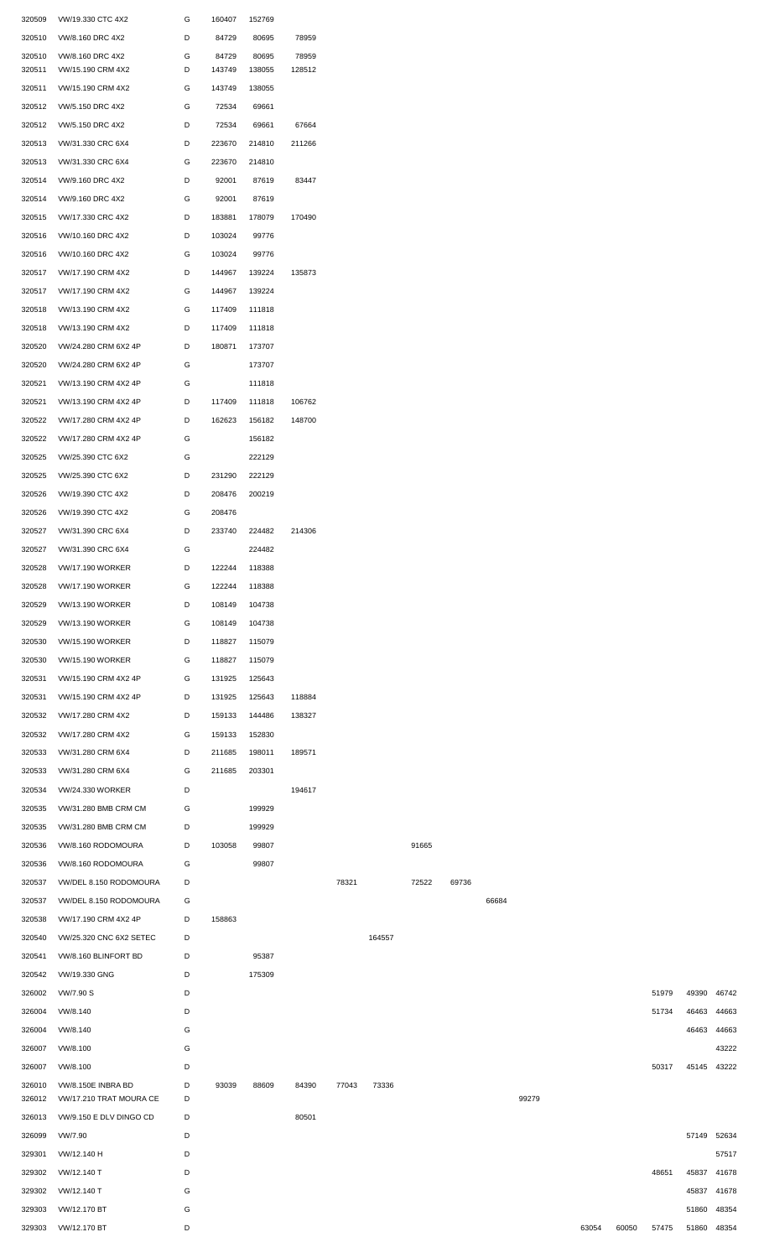| 320509           | VW/19.330 CTC 4X2                                         | G      | 160407           | 152769           |                 |       |        |       |       |       |       |       |       |       |             |       |
|------------------|-----------------------------------------------------------|--------|------------------|------------------|-----------------|-------|--------|-------|-------|-------|-------|-------|-------|-------|-------------|-------|
| 320510           | VW/8.160 DRC 4X2                                          | D      | 84729            | 80695            | 78959           |       |        |       |       |       |       |       |       |       |             |       |
| 320510<br>320511 | VW/8.160 DRC 4X2<br>VW/15.190 CRM 4X2                     | G<br>D | 84729<br>143749  | 80695<br>138055  | 78959<br>128512 |       |        |       |       |       |       |       |       |       |             |       |
| 320511           | VW/15.190 CRM 4X2                                         | G      | 143749           | 138055           |                 |       |        |       |       |       |       |       |       |       |             |       |
| 320512           | VW/5.150 DRC 4X2                                          | G      | 72534            | 69661            |                 |       |        |       |       |       |       |       |       |       |             |       |
| 320512           | VW/5.150 DRC 4X2                                          | D      | 72534            | 69661            | 67664           |       |        |       |       |       |       |       |       |       |             |       |
| 320513           | VW/31.330 CRC 6X4                                         | D      | 223670           | 214810           | 211266          |       |        |       |       |       |       |       |       |       |             |       |
| 320513           | VW/31.330 CRC 6X4                                         | G      | 223670           | 214810           |                 |       |        |       |       |       |       |       |       |       |             |       |
| 320514           | VW/9.160 DRC 4X2                                          | D      | 92001            | 87619            | 83447           |       |        |       |       |       |       |       |       |       |             |       |
| 320514           | VW/9.160 DRC 4X2                                          | G      | 92001            | 87619            |                 |       |        |       |       |       |       |       |       |       |             |       |
| 320515           | VW/17.330 CRC 4X2                                         | D      | 183881           | 178079           | 170490          |       |        |       |       |       |       |       |       |       |             |       |
| 320516           | VW/10.160 DRC 4X2                                         | D      | 103024           | 99776            |                 |       |        |       |       |       |       |       |       |       |             |       |
| 320516           | VW/10.160 DRC 4X2                                         | G      | 103024           | 99776            |                 |       |        |       |       |       |       |       |       |       |             |       |
| 320517           | VW/17.190 CRM 4X2                                         | D      | 144967           | 139224           | 135873          |       |        |       |       |       |       |       |       |       |             |       |
| 320517           | VW/17.190 CRM 4X2                                         | G      | 144967           | 139224           |                 |       |        |       |       |       |       |       |       |       |             |       |
| 320518<br>320518 | VW/13.190 CRM 4X2<br>VW/13.190 CRM 4X2                    | G<br>D | 117409<br>117409 | 111818<br>111818 |                 |       |        |       |       |       |       |       |       |       |             |       |
| 320520           | VW/24.280 CRM 6X2 4P                                      | D      | 180871           | 173707           |                 |       |        |       |       |       |       |       |       |       |             |       |
| 320520           | VW/24.280 CRM 6X2 4P                                      | G      |                  | 173707           |                 |       |        |       |       |       |       |       |       |       |             |       |
| 320521           | VW/13.190 CRM 4X2 4P                                      | G      |                  | 111818           |                 |       |        |       |       |       |       |       |       |       |             |       |
| 320521           | VW/13.190 CRM 4X2 4P                                      | D      | 117409           | 111818           | 106762          |       |        |       |       |       |       |       |       |       |             |       |
| 320522           | VW/17.280 CRM 4X2 4P                                      | D      | 162623           | 156182           | 148700          |       |        |       |       |       |       |       |       |       |             |       |
| 320522           | VW/17.280 CRM 4X2 4P                                      | G      |                  | 156182           |                 |       |        |       |       |       |       |       |       |       |             |       |
| 320525           | VW/25.390 CTC 6X2                                         | G      |                  | 222129           |                 |       |        |       |       |       |       |       |       |       |             |       |
| 320525           | VW/25.390 CTC 6X2                                         | D      | 231290           | 222129           |                 |       |        |       |       |       |       |       |       |       |             |       |
| 320526           | VW/19.390 CTC 4X2                                         | D      | 208476           | 200219           |                 |       |        |       |       |       |       |       |       |       |             |       |
| 320526           | VW/19.390 CTC 4X2                                         | G      | 208476           |                  |                 |       |        |       |       |       |       |       |       |       |             |       |
| 320527           | VW/31.390 CRC 6X4                                         | D      | 233740           | 224482           | 214306          |       |        |       |       |       |       |       |       |       |             |       |
|                  | 320527 VW/31.390 CRC 6X4                                  | G      |                  | 224482           |                 |       |        |       |       |       |       |       |       |       |             |       |
| 320528           | <b>VW/17.190 WORKER</b>                                   | D      | 122244           | 118388           |                 |       |        |       |       |       |       |       |       |       |             |       |
| 320528           | <b>VW/17.190 WORKER</b>                                   | G      | 122244           | 118388           |                 |       |        |       |       |       |       |       |       |       |             |       |
| 320529<br>320529 | <b>VW/13.190 WORKER</b><br><b>VW/13.190 WORKER</b>        | D<br>G | 108149<br>108149 | 104738<br>104738 |                 |       |        |       |       |       |       |       |       |       |             |       |
| 320530           | <b>VW/15.190 WORKER</b>                                   | D      | 118827           | 115079           |                 |       |        |       |       |       |       |       |       |       |             |       |
| 320530           | <b>VW/15.190 WORKER</b>                                   | G      | 118827           | 115079           |                 |       |        |       |       |       |       |       |       |       |             |       |
| 320531           | VW/15.190 CRM 4X2 4P                                      | G      | 131925           | 125643           |                 |       |        |       |       |       |       |       |       |       |             |       |
| 320531           | VW/15.190 CRM 4X2 4P                                      | D      | 131925           | 125643           | 118884          |       |        |       |       |       |       |       |       |       |             |       |
| 320532           | VW/17.280 CRM 4X2                                         | D      | 159133           | 144486           | 138327          |       |        |       |       |       |       |       |       |       |             |       |
| 320532           | VW/17.280 CRM 4X2                                         | G      | 159133           | 152830           |                 |       |        |       |       |       |       |       |       |       |             |       |
| 320533           | VW/31.280 CRM 6X4                                         | D      | 211685           | 198011           | 189571          |       |        |       |       |       |       |       |       |       |             |       |
| 320533           | VW/31.280 CRM 6X4                                         | G      | 211685           | 203301           |                 |       |        |       |       |       |       |       |       |       |             |       |
| 320534           | <b>VW/24.330 WORKER</b>                                   | D      |                  |                  | 194617          |       |        |       |       |       |       |       |       |       |             |       |
| 320535           | VW/31.280 BMB CRM CM                                      | G      |                  | 199929           |                 |       |        |       |       |       |       |       |       |       |             |       |
| 320535           | VW/31.280 BMB CRM CM                                      | D      |                  | 199929           |                 |       |        |       |       |       |       |       |       |       |             |       |
| 320536           | VW/8.160 RODOMOURA                                        | D      | 103058           | 99807            |                 |       |        | 91665 |       |       |       |       |       |       |             |       |
| 320536           | VW/8.160 RODOMOURA                                        | G      |                  | 99807            |                 |       |        |       |       |       |       |       |       |       |             |       |
| 320537           | VW/DEL 8.150 RODOMOURA                                    | D      |                  |                  |                 | 78321 |        | 72522 | 69736 |       |       |       |       |       |             |       |
| 320537<br>320538 | VW/DEL 8.150 RODOMOURA<br>VW/17.190 CRM 4X2 4P            | G<br>D | 158863           |                  |                 |       |        |       |       | 66684 |       |       |       |       |             |       |
| 320540           | VW/25.320 CNC 6X2 SETEC                                   | D      |                  |                  |                 |       | 164557 |       |       |       |       |       |       |       |             |       |
| 320541           | VW/8.160 BLINFORT BD                                      | D      |                  | 95387            |                 |       |        |       |       |       |       |       |       |       |             |       |
| 320542           | VW/19.330 GNG                                             | D      |                  | 175309           |                 |       |        |       |       |       |       |       |       |       |             |       |
| 326002           | VW/7.90 S                                                 | D      |                  |                  |                 |       |        |       |       |       |       |       |       | 51979 | 49390       | 46742 |
| 326004           | VW/8.140                                                  | D      |                  |                  |                 |       |        |       |       |       |       |       |       | 51734 | 46463       | 44663 |
| 326004           | VW/8.140                                                  | G      |                  |                  |                 |       |        |       |       |       |       |       |       |       | 46463       | 44663 |
| 326007           | VW/8.100                                                  | G      |                  |                  |                 |       |        |       |       |       |       |       |       |       |             | 43222 |
| 326007           | VW/8.100                                                  | D      |                  |                  |                 |       |        |       |       |       |       |       |       | 50317 | 45145       | 43222 |
| 326010           | VW/8.150E INBRA BD                                        | D<br>D | 93039            | 88609            | 84390           | 77043 | 73336  |       |       |       | 99279 |       |       |       |             |       |
| 326012           | VW/17.210 TRAT MOURA CE<br>326013 VW/9.150 E DLV DINGO CD | D      |                  |                  | 80501           |       |        |       |       |       |       |       |       |       |             |       |
| 326099           | VW/7.90                                                   | D      |                  |                  |                 |       |        |       |       |       |       |       |       |       | 57149 52634 |       |
| 329301           | VW/12.140 H                                               | D      |                  |                  |                 |       |        |       |       |       |       |       |       |       |             | 57517 |
| 329302           | VW/12.140 T                                               | D      |                  |                  |                 |       |        |       |       |       |       |       |       | 48651 | 45837 41678 |       |
| 329302           | VW/12.140 T                                               | G      |                  |                  |                 |       |        |       |       |       |       |       |       |       | 45837 41678 |       |
| 329303           | VW/12.170 BT                                              | G      |                  |                  |                 |       |        |       |       |       |       |       |       |       | 51860 48354 |       |
| 329303           | VW/12.170 BT                                              | D      |                  |                  |                 |       |        |       |       |       |       | 63054 | 60050 | 57475 | 51860 48354 |       |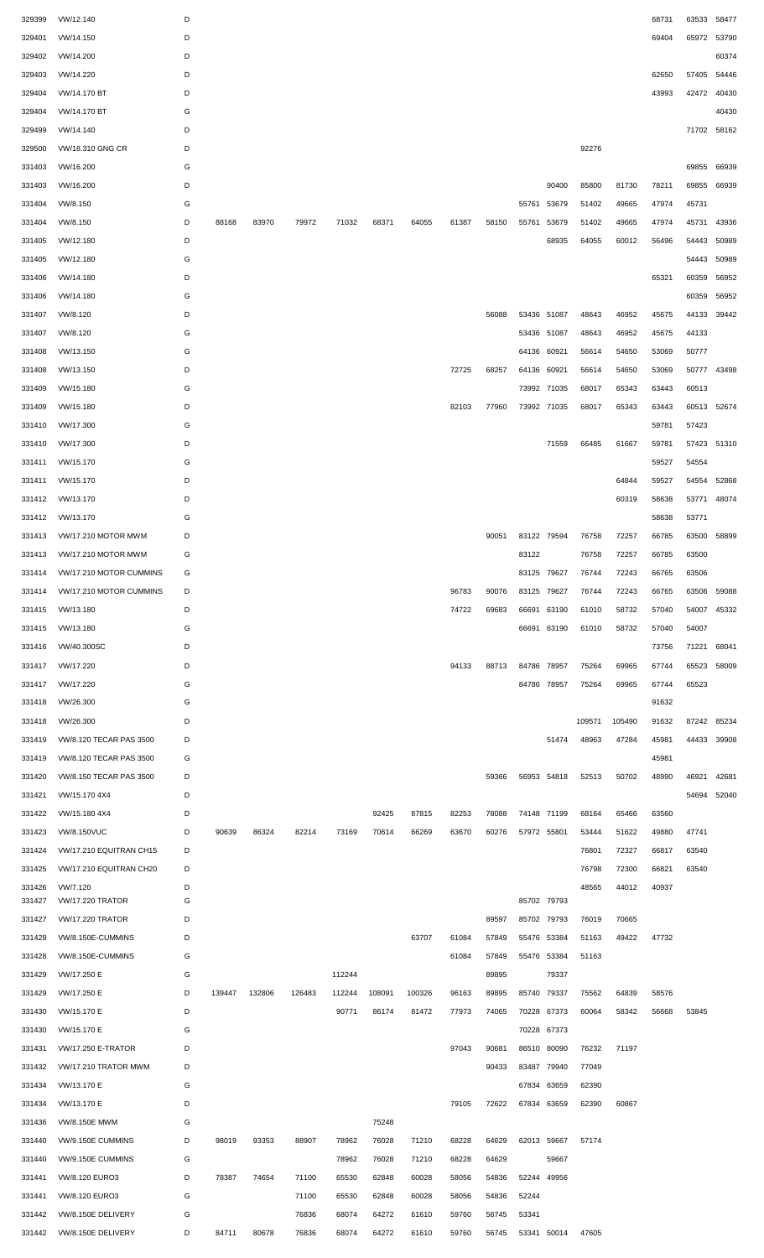| 329399 | VW/12.140                 | D |        |        |        |        |        |        |       |       |             |             |        |        | 68731 | 63533       | 58477 |
|--------|---------------------------|---|--------|--------|--------|--------|--------|--------|-------|-------|-------------|-------------|--------|--------|-------|-------------|-------|
| 329401 | VW/14.150                 | D |        |        |        |        |        |        |       |       |             |             |        |        | 69404 | 65972       | 53790 |
| 329402 | VW/14.200                 | D |        |        |        |        |        |        |       |       |             |             |        |        |       |             | 60374 |
| 329403 | VW/14.220                 | D |        |        |        |        |        |        |       |       |             |             |        |        | 62650 | 57405       | 54446 |
| 329404 | VW/14.170 BT              | D |        |        |        |        |        |        |       |       |             |             |        |        | 43993 | 42472       | 40430 |
| 329404 | VW/14.170 BT              | G |        |        |        |        |        |        |       |       |             |             |        |        |       |             | 40430 |
| 329499 | VW/14.140                 | D |        |        |        |        |        |        |       |       |             |             |        |        |       | 71702       | 58162 |
| 329500 | VW/18.310 GNG CR          | D |        |        |        |        |        |        |       |       |             |             | 92276  |        |       |             |       |
| 331403 | VW/16.200                 | G |        |        |        |        |        |        |       |       |             |             |        |        |       | 69855       | 66939 |
| 331403 | VW/16.200                 | D |        |        |        |        |        |        |       |       |             | 90400       | 85800  | 81730  | 78211 | 69855       | 66939 |
| 331404 | VW/8.150                  | G |        |        |        |        |        |        |       |       | 55761       | 53679       | 51402  | 49665  | 47974 | 45731       |       |
| 331404 | VW/8.150                  | D | 88168  | 83970  | 79972  | 71032  | 68371  | 64055  | 61387 | 58150 | 55761       | 53679       | 51402  | 49665  | 47974 | 45731       | 43936 |
| 331405 | VW/12.180                 | D |        |        |        |        |        |        |       |       |             | 68935       | 64055  | 60012  | 56496 | 54443       | 50989 |
| 331405 | VW/12.180                 | G |        |        |        |        |        |        |       |       |             |             |        |        |       | 54443       | 50989 |
| 331406 | VW/14.180                 | D |        |        |        |        |        |        |       |       |             |             |        |        | 65321 | 60359       | 56952 |
| 331406 | VW/14.180                 | G |        |        |        |        |        |        |       |       |             |             |        |        |       | 60359       | 56952 |
| 331407 | VW/8.120                  | D |        |        |        |        |        |        |       | 56088 | 53436 51087 |             | 48643  | 46952  | 45675 | 44133       | 39442 |
| 331407 | VW/8.120                  | G |        |        |        |        |        |        |       |       |             | 53436 51087 | 48643  | 46952  | 45675 | 44133       |       |
| 331408 | VW/13.150                 | G |        |        |        |        |        |        |       |       | 64136 60921 |             | 56614  | 54650  | 53069 | 50777       |       |
| 331408 | VW/13.150                 | D |        |        |        |        |        |        | 72725 | 68257 | 64136 60921 |             | 56614  | 54650  | 53069 | 50777 43498 |       |
| 331409 | VW/15.180                 | G |        |        |        |        |        |        |       |       |             | 73992 71035 | 68017  | 65343  | 63443 | 60513       |       |
| 331409 | VW/15.180                 | D |        |        |        |        |        |        | 82103 | 77960 |             | 73992 71035 | 68017  | 65343  | 63443 | 60513       | 52674 |
| 331410 | VW/17.300                 | G |        |        |        |        |        |        |       |       |             |             |        |        | 59781 | 57423       |       |
| 331410 | VW/17.300                 | D |        |        |        |        |        |        |       |       |             | 71559       | 66485  | 61667  | 59781 | 57423       | 51310 |
| 331411 | VW/15.170                 | G |        |        |        |        |        |        |       |       |             |             |        |        | 59527 | 54554       |       |
| 331411 | VW/15.170                 | D |        |        |        |        |        |        |       |       |             |             |        | 64844  | 59527 | 54554       | 52868 |
|        |                           | D |        |        |        |        |        |        |       |       |             |             |        | 60319  | 58638 | 53771       | 48074 |
| 331412 | VW/13.170                 | G |        |        |        |        |        |        |       |       |             |             |        |        |       |             |       |
| 331412 | VW/13.170                 |   |        |        |        |        |        |        |       |       |             |             |        |        | 58638 | 53771       |       |
| 331413 | VW/17.210 MOTOR MWM       | D |        |        |        |        |        |        |       | 90051 | 83122 79594 |             | 76758  | 72257  | 66785 | 63500       | 58899 |
| 331413 | VW/17.210 MOTOR MWM       | G |        |        |        |        |        |        |       |       | 83122       |             | 76758  | 72257  | 66785 | 63500       |       |
| 331414 | VW/17.210 MOTOR CUMMINS   | G |        |        |        |        |        |        |       |       |             | 83125 79627 | 76744  | 72243  | 66765 | 63506       |       |
| 331414 | VW/17.210 MOTOR CUMMINS   | D |        |        |        |        |        |        | 96783 | 90076 | 83125       | 79627       | 76744  | 72243  | 66765 | 63506       | 59088 |
| 331415 | VW/13.180                 | D |        |        |        |        |        |        | 74722 | 69683 | 66691       | 63190       | 61010  | 58732  | 57040 | 54007       | 45332 |
| 331415 | VW/13.180                 | G |        |        |        |        |        |        |       |       | 66691       | 63190       | 61010  | 58732  | 57040 | 54007       |       |
| 331416 | VW/40.300SC               | D |        |        |        |        |        |        |       |       |             |             |        |        | 73756 | 71221       | 68041 |
| 331417 | VW/17.220                 | D |        |        |        |        |        |        | 94133 | 88713 | 84786       | 78957       | 75264  | 69965  | 67744 | 65523       | 58009 |
| 331417 | VW/17.220                 | G |        |        |        |        |        |        |       |       | 84786 78957 |             | 75264  | 69965  | 67744 | 65523       |       |
| 331418 | VW/26.300                 | G |        |        |        |        |        |        |       |       |             |             |        |        | 91632 |             |       |
| 331418 | VW/26.300                 | D |        |        |        |        |        |        |       |       |             |             | 109571 | 105490 | 91632 | 87242       | 85234 |
| 331419 | VW/8.120 TECAR PAS 3500   | D |        |        |        |        |        |        |       |       |             | 51474       | 48963  | 47284  | 45981 | 44433       | 39908 |
| 331419 | VW/8.120 TECAR PAS 3500   | G |        |        |        |        |        |        |       |       |             |             |        |        | 45981 |             |       |
| 331420 | VW/8.150 TECAR PAS 3500   | D |        |        |        |        |        |        |       | 59366 |             | 56953 54818 | 52513  | 50702  | 48990 | 46921       | 42681 |
| 331421 | VW/15.170 4X4             | D |        |        |        |        |        |        |       |       |             |             |        |        |       | 54694       | 52040 |
| 331422 | VW/15.180 4X4             | D |        |        |        |        | 92425  | 87815  | 82253 | 78088 |             | 74148 71199 | 68164  | 65466  | 63560 |             |       |
| 331423 | <b>VW/8.150VUC</b>        | D | 90639  | 86324  | 82214  | 73169  | 70614  | 66269  | 63670 | 60276 | 57972 55801 |             | 53444  | 51622  | 49880 | 47741       |       |
| 331424 | VW/17.210 EQUITRAN CH15   | D |        |        |        |        |        |        |       |       |             |             | 76801  | 72327  | 66817 | 63540       |       |
| 331425 | VW/17.210 EQUITRAN CH20   | D |        |        |        |        |        |        |       |       |             |             | 76798  | 72300  | 66821 | 63540       |       |
| 331426 | VW/7.120                  | D |        |        |        |        |        |        |       |       |             |             | 48565  | 44012  | 40937 |             |       |
| 331427 | <b>VW/17.220 TRATOR</b>   | G |        |        |        |        |        |        |       |       |             | 85702 79793 |        |        |       |             |       |
| 331427 | <b>VW/17.220 TRATOR</b>   | D |        |        |        |        |        |        |       | 89597 |             | 85702 79793 | 76019  | 70665  |       |             |       |
| 331428 | VW/8.150E-CUMMINS         | D |        |        |        |        |        | 63707  | 61084 | 57849 | 55476       | 53384       | 51163  | 49422  | 47732 |             |       |
| 331428 | VW/8.150E-CUMMINS         | G |        |        |        |        |        |        | 61084 | 57849 | 55476       | 53384       | 51163  |        |       |             |       |
| 331429 | VW/17.250 E               | G |        |        |        | 112244 |        |        |       | 89895 |             | 79337       |        |        |       |             |       |
| 331429 | VW/17.250 E               | D | 139447 | 132806 | 126483 | 112244 | 108091 | 100326 | 96163 | 89895 | 85740       | 79337       | 75562  | 64839  | 58576 |             |       |
| 331430 | VW/15.170 E               | D |        |        |        | 90771  | 86174  | 81472  | 77973 | 74065 | 70228       | 67373       | 60064  | 58342  | 56668 | 53845       |       |
| 331430 | VW/15.170 E               | G |        |        |        |        |        |        |       |       |             | 70228 67373 |        |        |       |             |       |
| 331431 | <b>VW/17.250 E-TRATOR</b> | D |        |        |        |        |        |        | 97043 | 90681 | 86510       | 80090       | 76232  | 71197  |       |             |       |
| 331432 | VW/17.210 TRATOR MWM      | D |        |        |        |        |        |        |       | 90433 | 83487       | 79940       | 77049  |        |       |             |       |
| 331434 | VW/13.170 E               | G |        |        |        |        |        |        |       |       | 67834       | 63659       | 62390  |        |       |             |       |
| 331434 | VW/13.170 E               | D |        |        |        |        |        |        | 79105 | 72622 |             | 67834 63659 | 62390  | 60867  |       |             |       |
| 331436 | <b>VW/8.150E MWM</b>      | G |        |        |        |        | 75248  |        |       |       |             |             |        |        |       |             |       |
| 331440 | VW/9.150E CUMMINS         | D | 98019  | 93353  | 88907  | 78962  | 76028  | 71210  | 68228 | 64629 |             | 62013 59667 | 57174  |        |       |             |       |
| 331440 | VW/9.150E CUMMINS         | G |        |        |        | 78962  | 76028  | 71210  | 68228 | 64629 |             | 59667       |        |        |       |             |       |
| 331441 | VW/8.120 EURO3            | D | 78387  | 74654  | 71100  | 65530  | 62848  | 60028  | 58056 | 54836 |             | 52244 49956 |        |        |       |             |       |
| 331441 | VW/8.120 EURO3            | G |        |        | 71100  | 65530  | 62848  | 60028  | 58056 | 54836 | 52244       |             |        |        |       |             |       |
| 331442 | VW/8.150E DELIVERY        | G |        |        | 76836  | 68074  | 64272  | 61610  | 59760 | 56745 | 53341       |             |        |        |       |             |       |
|        | 331442 VW/8.150E DELIVERY | D | 84711  | 80678  | 76836  | 68074  | 64272  | 61610  | 59760 | 56745 |             | 53341 50014 | 47605  |        |       |             |       |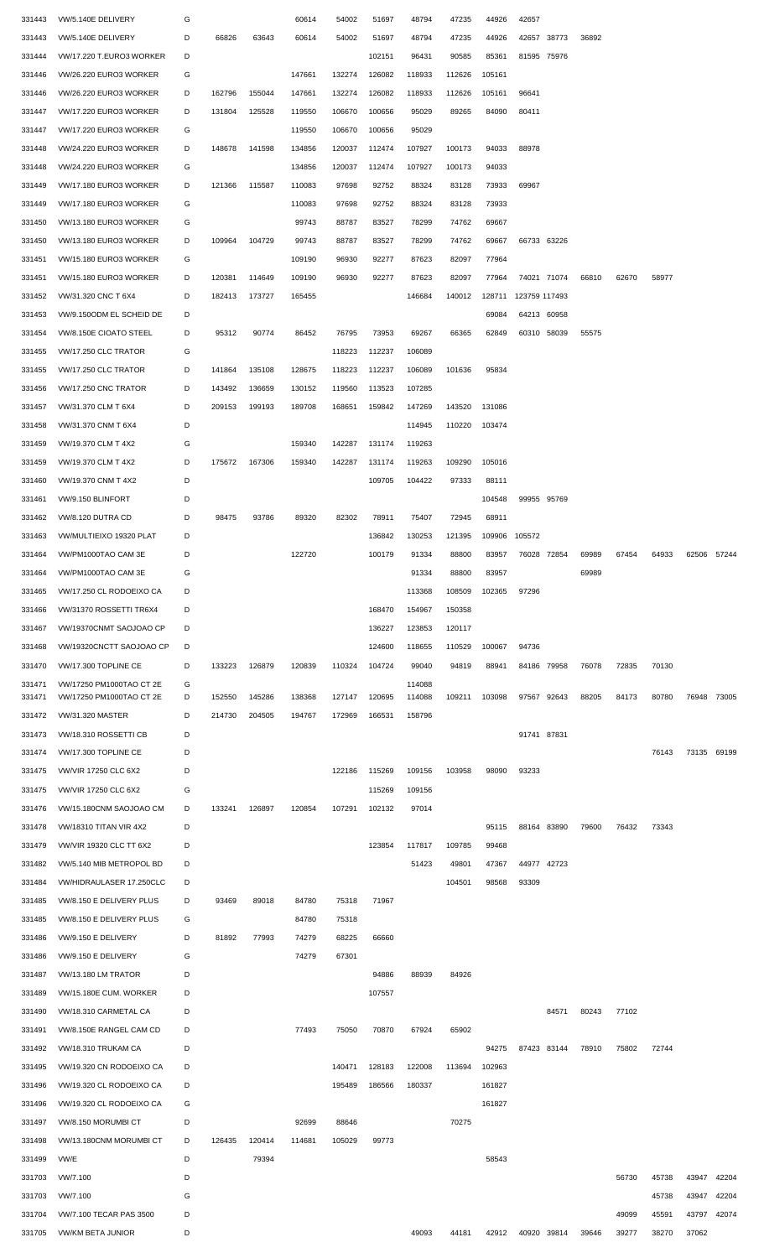| 331443 | VW/5.140E DELIVERY          | G |        |        | 60614  | 54002  | 51697  | 48794  | 47235  | 44926  | 42657             |       |       |       |       |             |       |
|--------|-----------------------------|---|--------|--------|--------|--------|--------|--------|--------|--------|-------------------|-------|-------|-------|-------|-------------|-------|
| 331443 | VW/5.140E DELIVERY          | D | 66826  | 63643  | 60614  | 54002  | 51697  | 48794  | 47235  | 44926  | 42657 38773       |       | 36892 |       |       |             |       |
| 331444 | VW/17.220 T.EURO3 WORKER    | D |        |        |        |        | 102151 | 96431  | 90585  | 85361  | 81595 75976       |       |       |       |       |             |       |
| 331446 | VW/26.220 EURO3 WORKER      | G |        |        | 147661 | 132274 | 126082 | 118933 | 112626 | 105161 |                   |       |       |       |       |             |       |
| 331446 | VW/26.220 EURO3 WORKER      | D | 162796 | 155044 | 147661 | 132274 | 126082 | 118933 | 112626 | 105161 | 96641             |       |       |       |       |             |       |
| 331447 | VW/17.220 EURO3 WORKER      | D | 131804 | 125528 | 119550 | 106670 | 100656 | 95029  | 89265  | 84090  | 80411             |       |       |       |       |             |       |
| 331447 | VW/17.220 EURO3 WORKER      | G |        |        | 119550 | 106670 | 100656 | 95029  |        |        |                   |       |       |       |       |             |       |
| 331448 | VW/24.220 EURO3 WORKER      | D | 148678 | 141598 | 134856 | 120037 | 112474 | 107927 | 100173 | 94033  | 88978             |       |       |       |       |             |       |
| 331448 | VW/24.220 EURO3 WORKER      | G |        |        | 134856 | 120037 | 112474 | 107927 | 100173 | 94033  |                   |       |       |       |       |             |       |
| 331449 | VW/17.180 EURO3 WORKER      | D | 121366 | 115587 | 110083 | 97698  | 92752  | 88324  | 83128  | 73933  | 69967             |       |       |       |       |             |       |
| 331449 | VW/17.180 EURO3 WORKER      | G |        |        | 110083 | 97698  | 92752  | 88324  | 83128  | 73933  |                   |       |       |       |       |             |       |
| 331450 | VW/13.180 EURO3 WORKER      | G |        |        | 99743  | 88787  | 83527  | 78299  | 74762  | 69667  |                   |       |       |       |       |             |       |
| 331450 | VW/13.180 EURO3 WORKER      | D | 109964 | 104729 | 99743  | 88787  | 83527  | 78299  | 74762  | 69667  | 66733 63226       |       |       |       |       |             |       |
| 331451 | VW/15.180 EURO3 WORKER      | G |        |        | 109190 | 96930  | 92277  | 87623  | 82097  | 77964  |                   |       |       |       |       |             |       |
| 331451 | VW/15.180 EURO3 WORKER      | D | 120381 | 114649 | 109190 | 96930  | 92277  | 87623  | 82097  | 77964  | 74021 71074       |       | 66810 | 62670 | 58977 |             |       |
| 331452 | VW/31.320 CNC T 6X4         | D | 182413 | 173727 | 165455 |        |        | 146684 | 140012 | 128711 | 123759 117493     |       |       |       |       |             |       |
| 331453 | VW/9.150ODM EL SCHEID DE    | D |        |        |        |        |        |        |        | 69084  | 64213 60958       |       |       |       |       |             |       |
| 331454 | VW/8.150E CIOATO STEEL      | D | 95312  | 90774  | 86452  | 76795  | 73953  | 69267  | 66365  | 62849  | 60310 58039       |       | 55575 |       |       |             |       |
| 331455 | VW/17.250 CLC TRATOR        | G |        |        |        | 118223 | 112237 | 106089 |        |        |                   |       |       |       |       |             |       |
| 331455 | VW/17.250 CLC TRATOR        | D | 141864 | 135108 | 128675 | 118223 | 112237 | 106089 | 101636 | 95834  |                   |       |       |       |       |             |       |
| 331456 | VW/17.250 CNC TRATOR        | D | 143492 | 136659 | 130152 | 119560 | 113523 | 107285 |        |        |                   |       |       |       |       |             |       |
| 331457 | VW/31.370 CLM T 6X4         | D | 209153 | 199193 | 189708 | 168651 | 159842 | 147269 | 143520 | 131086 |                   |       |       |       |       |             |       |
| 331458 | VW/31.370 CNM T 6X4         | D |        |        |        |        |        | 114945 | 110220 | 103474 |                   |       |       |       |       |             |       |
| 331459 | VW/19.370 CLM T 4X2         | G |        |        | 159340 | 142287 | 131174 | 119263 |        |        |                   |       |       |       |       |             |       |
| 331459 | VW/19.370 CLM T 4X2         | D | 175672 | 167306 | 159340 | 142287 | 131174 | 119263 | 109290 | 105016 |                   |       |       |       |       |             |       |
| 331460 | VW/19.370 CNM T 4X2         | D |        |        |        |        | 109705 | 104422 | 97333  | 88111  |                   |       |       |       |       |             |       |
| 331461 | VW/9.150 BLINFORT           | D |        |        |        |        |        |        |        | 104548 | 99955 95769       |       |       |       |       |             |       |
| 331462 | VW/8.120 DUTRA CD           | D | 98475  | 93786  | 89320  | 82302  | 78911  | 75407  | 72945  | 68911  |                   |       |       |       |       |             |       |
| 331463 | VW/MULTIEIXO 19320 PLAT     | D |        |        |        |        | 136842 | 130253 | 121395 | 109906 | 105572            |       |       |       |       |             |       |
| 331464 | VW/PM1000TAO CAM 3E         | D |        |        | 122720 |        | 100179 | 91334  | 88800  | 83957  | 76028 72854       |       | 69989 | 67454 | 64933 | 62506       | 57244 |
| 331464 | VW/PM1000TAO CAM 3E         | G |        |        |        |        |        | 91334  | 88800  | 83957  |                   |       | 69989 |       |       |             |       |
| 331465 | VW/17.250 CL RODOEIXO CA    | D |        |        |        |        |        | 113368 | 108509 | 102365 | 97296             |       |       |       |       |             |       |
| 331466 | VW/31370 ROSSETTI TR6X4     | D |        |        |        |        | 168470 | 154967 | 150358 |        |                   |       |       |       |       |             |       |
| 331467 | VW/19370CNMT SAOJOAO CP     | D |        |        |        |        | 136227 | 123853 | 120117 |        |                   |       |       |       |       |             |       |
| 331468 | VW/19320CNCTT SAOJOAO CP    | D |        |        |        |        | 124600 | 118655 | 110529 | 100067 | 94736             |       |       |       |       |             |       |
| 331470 | VW/17.300 TOPLINE CE        | D | 133223 | 126879 | 120839 | 110324 | 104724 | 99040  | 94819  | 88941  | 84186 79958       |       | 76078 | 72835 | 70130 |             |       |
| 331471 | VW/17250 PM1000TAO CT 2E    | G |        |        |        |        |        | 114088 |        |        |                   |       |       |       |       |             |       |
| 331471 | VW/17250 PM1000TAO CT 2E    | D | 152550 | 145286 | 138368 | 127147 | 120695 | 114088 | 109211 | 103098 | 97567             | 92643 | 88205 | 84173 | 80780 | 76948       | 73005 |
| 331472 | VW/31.320 MASTER            | D | 214730 | 204505 | 194767 | 172969 | 166531 | 158796 |        |        |                   |       |       |       |       |             |       |
| 331473 | VW/18.310 ROSSETTI CB       | D |        |        |        |        |        |        |        |        | 91741 87831       |       |       |       |       |             |       |
| 331474 | VW/17.300 TOPLINE CE        | D |        |        |        |        |        |        |        |        |                   |       |       |       | 76143 | 73135 69199 |       |
| 331475 | <b>VW/VIR 17250 CLC 6X2</b> | D |        |        |        | 122186 | 115269 | 109156 | 103958 | 98090  | 93233             |       |       |       |       |             |       |
| 331475 | <b>VW/VIR 17250 CLC 6X2</b> | G |        |        |        |        | 115269 | 109156 |        |        |                   |       |       |       |       |             |       |
| 331476 | VW/15.180CNM SAOJOAO CM     | D | 133241 | 126897 | 120854 | 107291 | 102132 | 97014  |        |        |                   |       |       |       |       |             |       |
| 331478 | VW/18310 TITAN VIR 4X2      | D |        |        |        |        |        |        |        | 95115  | 88164 83890       |       | 79600 | 76432 | 73343 |             |       |
| 331479 | VW/VIR 19320 CLC TT 6X2     | D |        |        |        |        | 123854 | 117817 | 109785 | 99468  |                   |       |       |       |       |             |       |
| 331482 | VW/5.140 MIB METROPOL BD    | D |        |        |        |        |        | 51423  | 49801  | 47367  | 44977             | 42723 |       |       |       |             |       |
| 331484 | VW/HIDRAULASER 17.250CLC    | D |        |        |        |        |        |        | 104501 | 98568  | 93309             |       |       |       |       |             |       |
| 331485 | VW/8.150 E DELIVERY PLUS    | D | 93469  | 89018  | 84780  | 75318  | 71967  |        |        |        |                   |       |       |       |       |             |       |
| 331485 | VW/8.150 E DELIVERY PLUS    | G |        |        | 84780  | 75318  |        |        |        |        |                   |       |       |       |       |             |       |
| 331486 | VW/9.150 E DELIVERY         | D | 81892  | 77993  | 74279  | 68225  | 66660  |        |        |        |                   |       |       |       |       |             |       |
| 331486 | VW/9.150 E DELIVERY         | G |        |        | 74279  | 67301  |        |        |        |        |                   |       |       |       |       |             |       |
| 331487 | VW/13.180 LM TRATOR         | D |        |        |        |        | 94886  | 88939  | 84926  |        |                   |       |       |       |       |             |       |
| 331489 | VW/15.180E CUM. WORKER      | D |        |        |        |        | 107557 |        |        |        |                   |       |       |       |       |             |       |
| 331490 | VW/18.310 CARMETAL CA       | D |        |        |        |        |        |        |        |        |                   | 84571 | 80243 | 77102 |       |             |       |
| 331491 | VW/8.150E RANGEL CAM CD     | D |        |        | 77493  | 75050  | 70870  | 67924  | 65902  |        |                   |       |       |       |       |             |       |
| 331492 | VW/18.310 TRUKAM CA         | D |        |        |        |        |        |        |        | 94275  | 87423 83144       |       | 78910 | 75802 | 72744 |             |       |
| 331495 | VW/19.320 CN RODOEIXO CA    | D |        |        |        | 140471 | 128183 | 122008 | 113694 | 102963 |                   |       |       |       |       |             |       |
| 331496 | VW/19.320 CL RODOEIXO CA    | D |        |        |        | 195489 | 186566 | 180337 |        | 161827 |                   |       |       |       |       |             |       |
| 331496 | VW/19.320 CL RODOEIXO CA    | G |        |        |        |        |        |        |        | 161827 |                   |       |       |       |       |             |       |
| 331497 | VW/8.150 MORUMBICT          | D |        |        | 92699  | 88646  |        |        | 70275  |        |                   |       |       |       |       |             |       |
| 331498 | VW/13.180CNM MORUMBICT      | D | 126435 | 120414 | 114681 | 105029 | 99773  |        |        |        |                   |       |       |       |       |             |       |
| 331499 | VW/E                        | D |        | 79394  |        |        |        |        |        | 58543  |                   |       |       |       |       |             |       |
| 331703 | VW/7.100                    | D |        |        |        |        |        |        |        |        |                   |       |       | 56730 | 45738 | 43947 42204 |       |
| 331703 | VW/7.100                    | G |        |        |        |        |        |        |        |        |                   |       |       |       | 45738 | 43947 42204 |       |
| 331704 | VW/7.100 TECAR PAS 3500     | D |        |        |        |        |        |        |        |        |                   |       |       | 49099 | 45591 | 43797 42074 |       |
| 331705 | <b>VW/KM BETA JUNIOR</b>    | D |        |        |        |        |        | 49093  | 44181  |        | 42912 40920 39814 |       | 39646 | 39277 | 38270 | 37062       |       |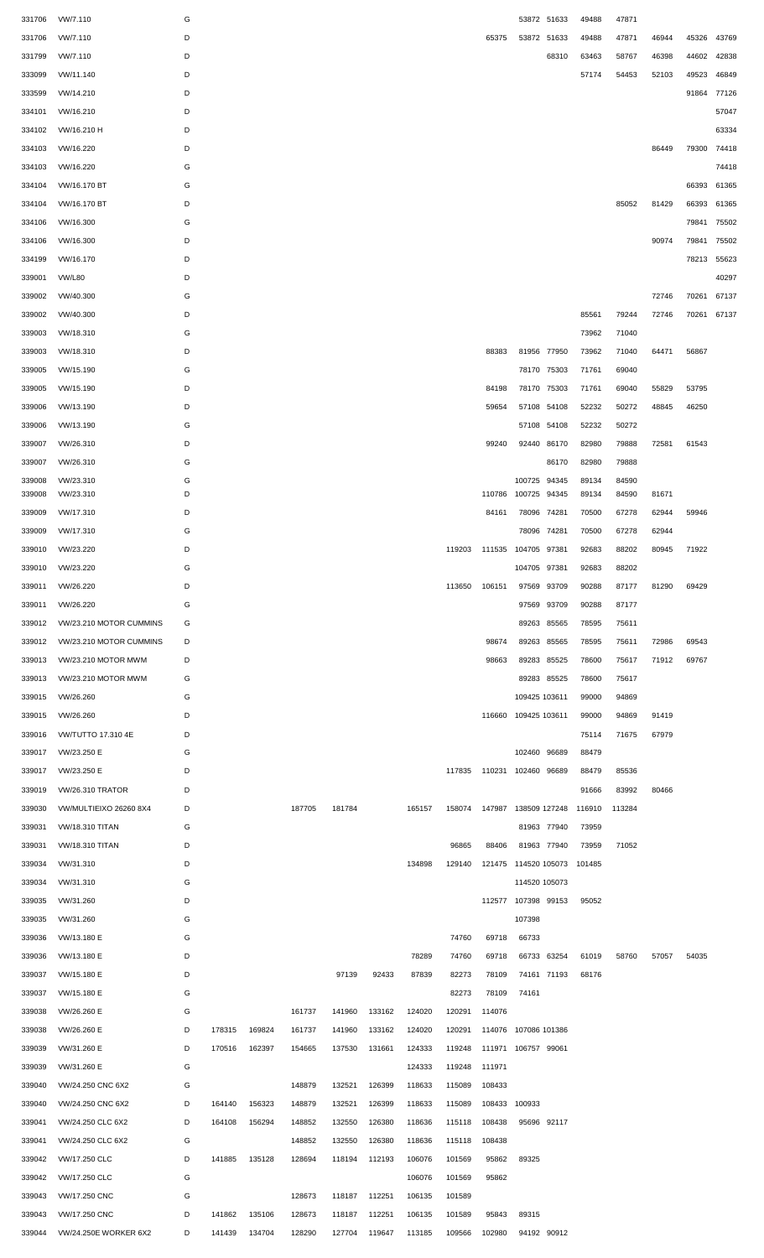| 331706 | VW/7.110                     | G |               |               |        |               |               |        |        |                            |                      | 53872 51633 | 49488  | 47871  |       |             |       |
|--------|------------------------------|---|---------------|---------------|--------|---------------|---------------|--------|--------|----------------------------|----------------------|-------------|--------|--------|-------|-------------|-------|
| 331706 | VW/7.110                     | D |               |               |        |               |               |        |        | 65375                      |                      | 53872 51633 | 49488  | 47871  | 46944 | 45326 43769 |       |
| 331799 | VW/7.110                     | D |               |               |        |               |               |        |        |                            |                      | 68310       | 63463  | 58767  | 46398 | 44602       | 42838 |
|        |                              |   |               |               |        |               |               |        |        |                            |                      |             |        |        |       |             |       |
| 333099 | VW/11.140                    | D |               |               |        |               |               |        |        |                            |                      |             | 57174  | 54453  | 52103 | 49523       | 46849 |
| 333599 | VW/14.210                    | D |               |               |        |               |               |        |        |                            |                      |             |        |        |       | 91864 77126 |       |
| 334101 | VW/16.210                    | D |               |               |        |               |               |        |        |                            |                      |             |        |        |       |             | 57047 |
| 334102 | VW/16.210 H                  | D |               |               |        |               |               |        |        |                            |                      |             |        |        |       |             | 63334 |
| 334103 | VW/16.220                    | D |               |               |        |               |               |        |        |                            |                      |             |        |        | 86449 | 79300       | 74418 |
| 334103 | VW/16.220                    | G |               |               |        |               |               |        |        |                            |                      |             |        |        |       |             | 74418 |
| 334104 | VW/16.170 BT                 | G |               |               |        |               |               |        |        |                            |                      |             |        |        |       | 66393       | 61365 |
| 334104 | VW/16.170 BT                 | D |               |               |        |               |               |        |        |                            |                      |             |        | 85052  | 81429 | 66393       | 61365 |
|        |                              |   |               |               |        |               |               |        |        |                            |                      |             |        |        |       |             |       |
| 334106 | VW/16.300                    | G |               |               |        |               |               |        |        |                            |                      |             |        |        |       | 79841       | 75502 |
| 334106 | VW/16.300                    | D |               |               |        |               |               |        |        |                            |                      |             |        |        | 90974 | 79841       | 75502 |
| 334199 | VW/16.170                    | D |               |               |        |               |               |        |        |                            |                      |             |        |        |       | 78213 55623 |       |
| 339001 | <b>VW/L80</b>                | D |               |               |        |               |               |        |        |                            |                      |             |        |        |       |             | 40297 |
| 339002 | VW/40.300                    | G |               |               |        |               |               |        |        |                            |                      |             |        |        | 72746 | 70261       | 67137 |
| 339002 | VW/40.300                    | D |               |               |        |               |               |        |        |                            |                      |             | 85561  | 79244  | 72746 | 70261 67137 |       |
| 339003 | VW/18.310                    | G |               |               |        |               |               |        |        |                            |                      |             | 73962  | 71040  |       |             |       |
| 339003 | VW/18.310                    | D |               |               |        |               |               |        |        | 88383                      |                      | 81956 77950 | 73962  | 71040  | 64471 | 56867       |       |
| 339005 | VW/15.190                    | G |               |               |        |               |               |        |        |                            |                      | 78170 75303 | 71761  | 69040  |       |             |       |
|        |                              |   |               |               |        |               |               |        |        |                            |                      |             |        |        |       |             |       |
| 339005 | VW/15.190                    | D |               |               |        |               |               |        |        | 84198                      |                      | 78170 75303 | 71761  | 69040  | 55829 | 53795       |       |
| 339006 | VW/13.190                    | D |               |               |        |               |               |        |        | 59654                      |                      | 57108 54108 | 52232  | 50272  | 48845 | 46250       |       |
| 339006 | VW/13.190                    | G |               |               |        |               |               |        |        |                            |                      | 57108 54108 | 52232  | 50272  |       |             |       |
| 339007 | VW/26.310                    | D |               |               |        |               |               |        |        | 99240                      |                      | 92440 86170 | 82980  | 79888  | 72581 | 61543       |       |
| 339007 | VW/26.310                    | G |               |               |        |               |               |        |        |                            |                      | 86170       | 82980  | 79888  |       |             |       |
| 339008 | VW/23.310                    | G |               |               |        |               |               |        |        |                            | 100725 94345         |             | 89134  | 84590  |       |             |       |
| 339008 | VW/23.310                    | D |               |               |        |               |               |        |        | 110786                     | 100725 94345         |             | 89134  | 84590  | 81671 |             |       |
| 339009 | VW/17.310                    | D |               |               |        |               |               |        |        | 84161                      | 78096 74281          |             | 70500  | 67278  | 62944 | 59946       |       |
| 339009 | VW/17.310                    | G |               |               |        |               |               |        |        |                            |                      | 78096 74281 | 70500  | 67278  | 62944 |             |       |
| 339010 | VW/23.220                    | D |               |               |        |               |               |        |        | 119203 111535 104705 97381 |                      |             | 92683  | 88202  | 80945 | 71922       |       |
| 339010 | VW/23.220                    | G |               |               |        |               |               |        |        |                            | 104705 97381         |             | 92683  | 88202  |       |             |       |
| 339011 | VW/26.220                    | D |               |               |        |               |               |        | 113650 | 106151                     |                      | 97569 93709 | 90288  | 87177  | 81290 | 69429       |       |
|        |                              |   |               |               |        |               |               |        |        |                            |                      |             |        |        |       |             |       |
| 339011 | VW/26.220                    | G |               |               |        |               |               |        |        |                            |                      | 97569 93709 | 90288  | 87177  |       |             |       |
| 339012 | VW/23.210 MOTOR CUMMINS      | G |               |               |        |               |               |        |        |                            |                      | 89263 85565 | 78595  | 75611  |       |             |       |
| 339012 | VW/23.210 MOTOR CUMMINS      | D |               |               |        |               |               |        |        | 98674                      |                      | 89263 85565 | 78595  | 75611  | 72986 | 69543       |       |
| 339013 | VW/23.210 MOTOR MWM          | D |               |               |        |               |               |        |        | 98663                      |                      | 89283 85525 | 78600  | 75617  | 71912 | 69767       |       |
| 339013 | VW/23.210 MOTOR MWM          | G |               |               |        |               |               |        |        |                            |                      | 89283 85525 | 78600  | 75617  |       |             |       |
| 339015 | VW/26.260                    | G |               |               |        |               |               |        |        |                            | 109425 103611        |             | 99000  | 94869  |       |             |       |
| 339015 | VW/26.260                    | D |               |               |        |               |               |        |        | 116660                     | 109425 103611        |             | 99000  | 94869  | 91419 |             |       |
| 339016 | VW/TUTTO 17.310 4E           | D |               |               |        |               |               |        |        |                            |                      |             | 75114  | 71675  | 67979 |             |       |
| 339017 | VW/23.250 E                  | G |               |               |        |               |               |        |        |                            | 102460 96689         |             | 88479  |        |       |             |       |
|        |                              |   |               |               |        |               |               |        |        |                            |                      |             |        |        |       |             |       |
| 339017 | VW/23.250 E                  | D |               |               |        |               |               |        |        | 117835 110231 102460 96689 |                      |             | 88479  | 85536  |       |             |       |
| 339019 | <b>VW/26.310 TRATOR</b>      | D |               |               |        |               |               |        |        |                            |                      |             | 91666  | 83992  | 80466 |             |       |
| 339030 | VW/MULTIEIXO 26260 8X4       | D |               |               | 187705 | 181784        |               | 165157 | 158074 |                            | 147987 138509 127248 |             | 116910 | 113284 |       |             |       |
| 339031 | <b>VW/18.310 TITAN</b>       | G |               |               |        |               |               |        |        |                            |                      | 81963 77940 | 73959  |        |       |             |       |
| 339031 | <b>VW/18.310 TITAN</b>       | D |               |               |        |               |               |        | 96865  | 88406                      |                      | 81963 77940 | 73959  | 71052  |       |             |       |
| 339034 | VW/31.310                    | D |               |               |        |               |               | 134898 | 129140 |                            | 121475 114520 105073 |             | 101485 |        |       |             |       |
| 339034 | VW/31.310                    | G |               |               |        |               |               |        |        |                            | 114520 105073        |             |        |        |       |             |       |
| 339035 | VW/31.260                    | D |               |               |        |               |               |        |        |                            | 112577 107398 99153  |             | 95052  |        |       |             |       |
| 339035 | VW/31.260                    | G |               |               |        |               |               |        |        |                            | 107398               |             |        |        |       |             |       |
| 339036 | VW/13.180 E                  | G |               |               |        |               |               |        | 74760  | 69718                      | 66733                |             |        |        |       |             |       |
|        |                              |   |               |               |        |               |               |        |        |                            |                      |             |        |        |       |             |       |
| 339036 | VW/13.180 E                  | D |               |               |        |               |               | 78289  | 74760  | 69718                      |                      | 66733 63254 | 61019  | 58760  | 57057 | 54035       |       |
| 339037 | VW/15.180 E                  | D |               |               |        | 97139         | 92433         | 87839  | 82273  | 78109                      |                      | 74161 71193 | 68176  |        |       |             |       |
| 339037 | VW/15.180 E                  | G |               |               |        |               |               |        | 82273  | 78109                      | 74161                |             |        |        |       |             |       |
| 339038 | VW/26.260 E                  | G |               |               | 161737 | 141960        | 133162        | 124020 | 120291 | 114076                     |                      |             |        |        |       |             |       |
| 339038 | VW/26.260 E                  | D | 178315        | 169824        | 161737 | 141960        | 133162        | 124020 | 120291 |                            | 114076 107086 101386 |             |        |        |       |             |       |
| 339039 | VW/31.260 E                  | D | 170516        | 162397        | 154665 | 137530        | 131661        | 124333 | 119248 |                            | 111971 106757 99061  |             |        |        |       |             |       |
| 339039 | VW/31.260 E                  | G |               |               |        |               |               | 124333 | 119248 | 111971                     |                      |             |        |        |       |             |       |
| 339040 | VW/24.250 CNC 6X2            | G |               |               | 148879 | 132521        | 126399        | 118633 | 115089 | 108433                     |                      |             |        |        |       |             |       |
| 339040 | VW/24.250 CNC 6X2            | D | 164140        | 156323        | 148879 | 132521        | 126399        | 118633 | 115089 | 108433                     | 100933               |             |        |        |       |             |       |
|        |                              |   |               |               |        | 132550        | 126380        |        | 115118 |                            |                      |             |        |        |       |             |       |
| 339041 | VW/24.250 CLC 6X2            | D | 164108        | 156294        | 148852 |               |               | 118636 |        | 108438                     |                      | 95696 92117 |        |        |       |             |       |
| 339041 | VW/24.250 CLC 6X2            | G |               |               | 148852 | 132550        | 126380        | 118636 | 115118 | 108438                     |                      |             |        |        |       |             |       |
| 339042 | VW/17.250 CLC                | D | 141885 135128 |               | 128694 |               | 118194 112193 | 106076 | 101569 | 95862                      | 89325                |             |        |        |       |             |       |
| 339042 | VW/17.250 CLC                | G |               |               |        |               |               | 106076 | 101569 | 95862                      |                      |             |        |        |       |             |       |
| 339043 | VW/17.250 CNC                | G |               |               | 128673 | 118187 112251 |               | 106135 | 101589 |                            |                      |             |        |        |       |             |       |
| 339043 | VW/17.250 CNC                | D | 141862        | 135106        | 128673 | 118187 112251 |               | 106135 | 101589 | 95843                      | 89315                |             |        |        |       |             |       |
|        | 339044 VW/24.250E WORKER 6X2 | D |               | 141439 134704 | 128290 |               | 127704 119647 | 113185 | 109566 | 102980                     |                      | 94192 90912 |        |        |       |             |       |
|        |                              |   |               |               |        |               |               |        |        |                            |                      |             |        |        |       |             |       |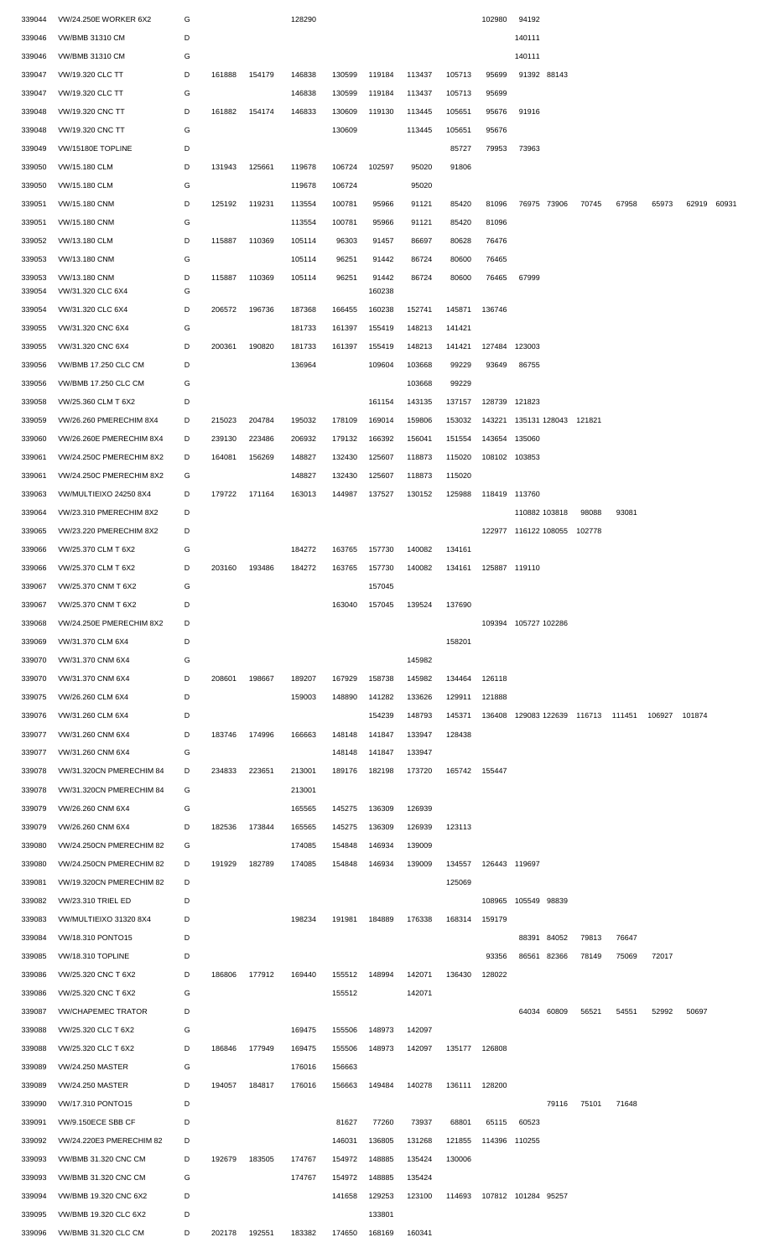| 339044           | VW/24.250E WORKER 6X2              | G      |        |        | 128290 |        |                 |        |        | 102980               | 94192                              |       |       |               |             |  |
|------------------|------------------------------------|--------|--------|--------|--------|--------|-----------------|--------|--------|----------------------|------------------------------------|-------|-------|---------------|-------------|--|
| 339046           | <b>VW/BMB 31310 CM</b>             | D      |        |        |        |        |                 |        |        |                      | 140111                             |       |       |               |             |  |
| 339046           | <b>VW/BMB 31310 CM</b>             | G      |        |        |        |        |                 |        |        |                      | 140111                             |       |       |               |             |  |
| 339047           | VW/19.320 CLC TT                   | D      | 161888 | 154179 | 146838 | 130599 | 119184          | 113437 | 105713 | 95699                | 91392 88143                        |       |       |               |             |  |
| 339047           | VW/19.320 CLC TT                   | G      |        |        | 146838 | 130599 | 119184          | 113437 | 105713 | 95699                |                                    |       |       |               |             |  |
| 339048           | VW/19.320 CNC TT                   | D      | 161882 | 154174 | 146833 | 130609 | 119130          | 113445 | 105651 | 95676                | 91916                              |       |       |               |             |  |
| 339048           | VW/19.320 CNC TT                   | G      |        |        |        | 130609 |                 | 113445 | 105651 | 95676                |                                    |       |       |               |             |  |
| 339049           | VW/15180E TOPLINE                  | D      |        |        |        |        |                 |        | 85727  | 79953                | 73963                              |       |       |               |             |  |
| 339050           | VW/15.180 CLM                      | D      | 131943 | 125661 | 119678 | 106724 | 102597          | 95020  | 91806  |                      |                                    |       |       |               |             |  |
| 339050           | VW/15.180 CLM                      | G      |        |        | 119678 | 106724 |                 | 95020  |        |                      |                                    |       |       |               |             |  |
| 339051           | VW/15.180 CNM                      | D      | 125192 | 119231 | 113554 | 100781 | 95966           | 91121  | 85420  | 81096                | 76975 73906                        | 70745 | 67958 | 65973         | 62919 60931 |  |
| 339051           | VW/15.180 CNM                      | G      |        |        | 113554 | 100781 | 95966           | 91121  | 85420  | 81096                |                                    |       |       |               |             |  |
| 339052           | VW/13.180 CLM                      | D      | 115887 | 110369 | 105114 | 96303  | 91457           | 86697  | 80628  | 76476                |                                    |       |       |               |             |  |
|                  |                                    |        |        |        |        |        | 91442           | 86724  | 80600  | 76465                |                                    |       |       |               |             |  |
| 339053           | VW/13.180 CNM                      | G      |        | 110369 | 105114 | 96251  |                 |        |        |                      |                                    |       |       |               |             |  |
| 339053<br>339054 | VW/13.180 CNM<br>VW/31.320 CLC 6X4 | D<br>G | 115887 |        | 105114 | 96251  | 91442<br>160238 | 86724  | 80600  | 76465                | 67999                              |       |       |               |             |  |
| 339054           | VW/31.320 CLC 6X4                  | D      | 206572 | 196736 | 187368 | 166455 | 160238          | 152741 | 145871 | 136746               |                                    |       |       |               |             |  |
| 339055           | VW/31.320 CNC 6X4                  | G      |        |        | 181733 | 161397 | 155419          | 148213 | 141421 |                      |                                    |       |       |               |             |  |
| 339055           | VW/31.320 CNC 6X4                  | D      | 200361 | 190820 | 181733 | 161397 | 155419          | 148213 | 141421 | 127484 123003        |                                    |       |       |               |             |  |
| 339056           | <b>VW/BMB 17.250 CLC CM</b>        | D      |        |        | 136964 |        | 109604          | 103668 | 99229  | 93649                | 86755                              |       |       |               |             |  |
| 339056           | VW/BMB 17.250 CLC CM               | G      |        |        |        |        |                 | 103668 | 99229  |                      |                                    |       |       |               |             |  |
| 339058           | VW/25.360 CLM T 6X2                | D      |        |        |        |        | 161154          | 143135 | 137157 | 128739 121823        |                                    |       |       |               |             |  |
| 339059           | VW/26.260 PMERECHIM 8X4            | D      | 215023 | 204784 | 195032 | 178109 | 169014          | 159806 | 153032 |                      | 143221 135131 128043 121821        |       |       |               |             |  |
| 339060           | VW/26.260E PMERECHIM 8X4           | D      | 239130 | 223486 | 206932 | 179132 | 166392          | 156041 | 151554 | 143654 135060        |                                    |       |       |               |             |  |
| 339061           | VW/24.250C PMERECHIM 8X2           | D      | 164081 | 156269 | 148827 | 132430 | 125607          | 118873 | 115020 | 108102 103853        |                                    |       |       |               |             |  |
| 339061           | VW/24.250C PMERECHIM 8X2           | G      |        |        | 148827 | 132430 | 125607          | 118873 | 115020 |                      |                                    |       |       |               |             |  |
| 339063           | VW/MULTIEIXO 24250 8X4             | D      | 179722 | 171164 | 163013 | 144987 | 137527          | 130152 | 125988 | 118419 113760        |                                    |       |       |               |             |  |
| 339064           | VW/23.310 PMERECHIM 8X2            | D      |        |        |        |        |                 |        |        |                      | 110882 103818                      | 98088 | 93081 |               |             |  |
| 339065           | VW/23.220 PMERECHIM 8X2            | D      |        |        |        |        |                 |        |        |                      | 122977 116122 108055 102778        |       |       |               |             |  |
| 339066           | VW/25.370 CLM T 6X2                | G      |        |        | 184272 | 163765 | 157730          | 140082 | 134161 |                      |                                    |       |       |               |             |  |
| 339066           | VW/25.370 CLM T 6X2                | D      | 203160 | 193486 | 184272 |        | 163765 157730   | 140082 | 134161 | 125887 119110        |                                    |       |       |               |             |  |
| 339067           | VW/25.370 CNM T 6X2                | G      |        |        |        |        | 157045          |        |        |                      |                                    |       |       |               |             |  |
| 339067           | VW/25.370 CNM T 6X2                | D      |        |        |        | 163040 | 157045          | 139524 | 137690 |                      |                                    |       |       |               |             |  |
| 339068           | VW/24.250E PMERECHIM 8X2           | D      |        |        |        |        |                 |        |        |                      | 109394 105727 102286               |       |       |               |             |  |
| 339069           | VW/31.370 CLM 6X4                  | D      |        |        |        |        |                 |        | 158201 |                      |                                    |       |       |               |             |  |
| 339070           | VW/31.370 CNM 6X4                  | G      |        |        |        |        |                 | 145982 |        |                      |                                    |       |       |               |             |  |
| 339070           | VW/31.370 CNM 6X4                  | D      | 208601 | 198667 | 189207 | 167929 | 158738          | 145982 | 134464 | 126118               |                                    |       |       |               |             |  |
| 339075           | VW/26.260 CLM 6X4                  | D      |        |        | 159003 | 148890 | 141282          | 133626 | 129911 | 121888               |                                    |       |       |               |             |  |
|                  |                                    |        |        |        |        |        |                 |        |        |                      |                                    |       |       |               |             |  |
| 339076           | VW/31.260 CLM 6X4                  | D      |        |        |        |        | 154239          | 148793 | 145371 |                      | 136408 129083 122639 116713 111451 |       |       | 106927 101874 |             |  |
| 339077           | VW/31.260 CNM 6X4                  | D      | 183746 | 174996 | 166663 | 148148 | 141847          | 133947 | 128438 |                      |                                    |       |       |               |             |  |
| 339077           | VW/31.260 CNM 6X4                  | G      |        |        |        | 148148 | 141847          | 133947 |        |                      |                                    |       |       |               |             |  |
| 339078           | VW/31.320CN PMERECHIM 84           | D      | 234833 | 223651 | 213001 | 189176 | 182198          | 173720 | 165742 | 155447               |                                    |       |       |               |             |  |
| 339078           | VW/31.320CN PMERECHIM 84           | G      |        |        | 213001 |        |                 |        |        |                      |                                    |       |       |               |             |  |
| 339079           | VW/26.260 CNM 6X4                  | G      |        |        | 165565 | 145275 | 136309          | 126939 |        |                      |                                    |       |       |               |             |  |
| 339079           | VW/26.260 CNM 6X4                  | D      | 182536 | 173844 | 165565 | 145275 | 136309          | 126939 | 123113 |                      |                                    |       |       |               |             |  |
| 339080           | VW/24.250CN PMERECHIM 82           | G      |        |        | 174085 | 154848 | 146934          | 139009 |        |                      |                                    |       |       |               |             |  |
| 339080           | VW/24.250CN PMERECHIM 82           | D      | 191929 | 182789 | 174085 | 154848 | 146934          | 139009 | 134557 | 126443 119697        |                                    |       |       |               |             |  |
| 339081           | VW/19.320CN PMERECHIM 82           | D      |        |        |        |        |                 |        | 125069 |                      |                                    |       |       |               |             |  |
| 339082           | <b>VW/23.310 TRIEL ED</b>          | D      |        |        |        |        |                 |        |        | 108965               | 105549 98839                       |       |       |               |             |  |
| 339083           | VW/MULTIEIXO 31320 8X4             | D      |        |        | 198234 | 191981 | 184889          | 176338 | 168314 | 159179               |                                    |       |       |               |             |  |
| 339084           | VW/18.310 PONTO15                  | D      |        |        |        |        |                 |        |        |                      | 84052<br>88391                     | 79813 | 76647 |               |             |  |
| 339085           | VW/18.310 TOPLINE                  | D      |        |        |        |        |                 |        |        | 93356                | 82366<br>86561                     | 78149 | 75069 | 72017         |             |  |
| 339086           | VW/25.320 CNC T 6X2                | D      | 186806 | 177912 | 169440 | 155512 | 148994          | 142071 | 136430 | 128022               |                                    |       |       |               |             |  |
| 339086           | VW/25.320 CNC T 6X2                | G      |        |        |        | 155512 |                 | 142071 |        |                      |                                    |       |       |               |             |  |
| 339087           | <b>VW/CHAPEMEC TRATOR</b>          | D      |        |        |        |        |                 |        |        |                      | 64034 60809                        | 56521 | 54551 | 52992         | 50697       |  |
| 339088           | VW/25.320 CLC T 6X2                | G      |        |        | 169475 | 155506 | 148973          | 142097 |        |                      |                                    |       |       |               |             |  |
| 339088           | VW/25.320 CLC T 6X2                | D      | 186846 | 177949 | 169475 | 155506 | 148973          | 142097 | 135177 | 126808               |                                    |       |       |               |             |  |
| 339089           | <b>VW/24.250 MASTER</b>            | G      |        |        | 176016 | 156663 |                 |        |        |                      |                                    |       |       |               |             |  |
| 339089           | <b>VW/24.250 MASTER</b>            | D      | 194057 | 184817 | 176016 | 156663 | 149484          | 140278 | 136111 | 128200               |                                    |       |       |               |             |  |
| 339090           | VW/17.310 PONTO15                  | D      |        |        |        |        |                 |        |        |                      | 79116                              | 75101 | 71648 |               |             |  |
| 339091           | <b>VW/9.150ECE SBB CF</b>          | D      |        |        |        | 81627  | 77260           | 73937  | 68801  | 65115                | 60523                              |       |       |               |             |  |
| 339092           | VW/24.220E3 PMERECHIM 82           | D      |        |        |        | 146031 | 136805          | 131268 |        | 121855 114396 110255 |                                    |       |       |               |             |  |
| 339093           | VW/BMB 31.320 CNC CM               | D      | 192679 | 183505 | 174767 | 154972 | 148885          | 135424 | 130006 |                      |                                    |       |       |               |             |  |
| 339093           | VW/BMB 31.320 CNC CM               | G      |        |        | 174767 | 154972 | 148885          | 135424 |        |                      |                                    |       |       |               |             |  |
| 339094           | VW/BMB 19.320 CNC 6X2              | D      |        |        |        | 141658 | 129253          | 123100 |        |                      | 114693 107812 101284 95257         |       |       |               |             |  |
| 339095           | VW/BMB 19.320 CLC 6X2              | D      |        |        |        |        | 133801          |        |        |                      |                                    |       |       |               |             |  |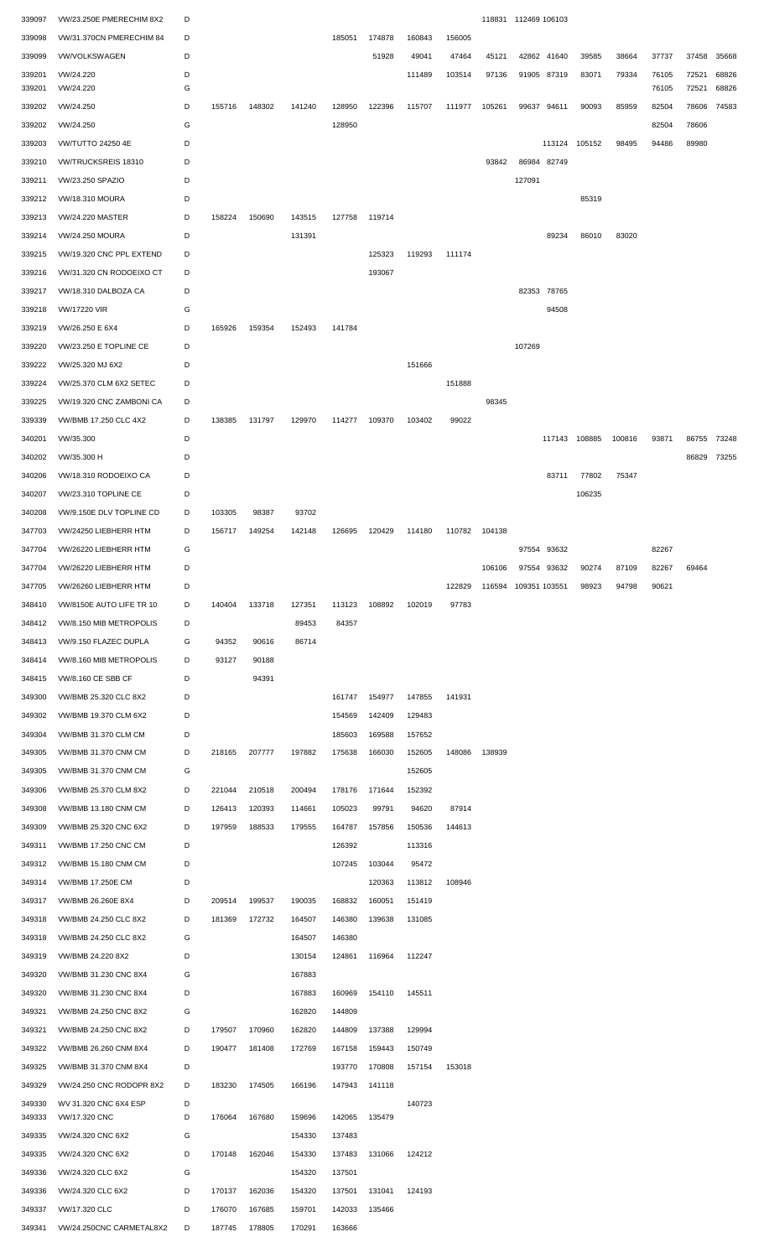| 339097           | VW/23.250E PMERECHIM 8X2               | D      |               |               |        |        |                      |        |        |        | 118831 112469 106103 |             |               |        |       |       |       |
|------------------|----------------------------------------|--------|---------------|---------------|--------|--------|----------------------|--------|--------|--------|----------------------|-------------|---------------|--------|-------|-------|-------|
| 339098           | VW/31.370CN PMERECHIM 84               | D      |               |               |        | 185051 | 174878               | 160843 | 156005 |        |                      |             |               |        |       |       |       |
| 339099           | <b>VW/VOLKSWAGEN</b>                   | D      |               |               |        |        | 51928                | 49041  | 47464  | 45121  |                      | 42862 41640 | 39585         | 38664  | 37737 | 37458 | 35668 |
| 339201           | VW/24.220                              | D      |               |               |        |        |                      | 111489 | 103514 | 97136  |                      | 91905 87319 | 83071         | 79334  | 76105 | 72521 | 68826 |
| 339201           | VW/24.220                              | G      |               |               |        |        |                      |        |        |        |                      |             |               |        | 76105 | 72521 | 68826 |
| 339202           | VW/24.250                              | D      | 155716        | 148302        | 141240 | 128950 | 122396               | 115707 | 111977 | 105261 |                      | 99637 94611 | 90093         | 85959  | 82504 | 78606 | 74583 |
| 339202           | VW/24.250                              | G      |               |               |        | 128950 |                      |        |        |        |                      |             |               |        | 82504 | 78606 |       |
| 339203           | <b>VW/TUTTO 24250 4E</b>               | D      |               |               |        |        |                      |        |        |        |                      |             | 113124 105152 | 98495  | 94486 | 89980 |       |
| 339210           | VW/TRUCKSREIS 18310                    | D      |               |               |        |        |                      |        |        | 93842  |                      | 86984 82749 |               |        |       |       |       |
|                  | VW/23.250 SPAZIO                       | D      |               |               |        |        |                      |        |        |        | 127091               |             |               |        |       |       |       |
| 339211           |                                        |        |               |               |        |        |                      |        |        |        |                      |             |               |        |       |       |       |
| 339212           | <b>VW/18.310 MOURA</b>                 | D      |               |               |        |        |                      |        |        |        |                      |             | 85319         |        |       |       |       |
| 339213           | <b>VW/24.220 MASTER</b>                | D      | 158224        | 150690        | 143515 | 127758 | 119714               |        |        |        |                      |             |               |        |       |       |       |
| 339214           | <b>VW/24.250 MOURA</b>                 | D      |               |               | 131391 |        |                      |        |        |        |                      | 89234       | 86010         | 83020  |       |       |       |
| 339215           | VW/19.320 CNC PPL EXTEND               | D      |               |               |        |        | 125323               | 119293 | 111174 |        |                      |             |               |        |       |       |       |
| 339216           | VW/31.320 CN RODOEIXO CT               | D      |               |               |        |        | 193067               |        |        |        |                      |             |               |        |       |       |       |
| 339217           | VW/18.310 DALBOZA CA                   | D      |               |               |        |        |                      |        |        |        |                      | 82353 78765 |               |        |       |       |       |
| 339218           | <b>VW/17220 VIR</b>                    | G      |               |               |        |        |                      |        |        |        |                      | 94508       |               |        |       |       |       |
| 339219           | VW/26.250 E 6X4                        | D      | 165926        | 159354        | 152493 | 141784 |                      |        |        |        |                      |             |               |        |       |       |       |
| 339220           | VW/23.250 E TOPLINE CE                 | D      |               |               |        |        |                      |        |        |        | 107269               |             |               |        |       |       |       |
| 339222           | VW/25.320 MJ 6X2                       | D      |               |               |        |        |                      | 151666 |        |        |                      |             |               |        |       |       |       |
| 339224           | VW/25.370 CLM 6X2 SETEC                | D      |               |               |        |        |                      |        | 151888 |        |                      |             |               |        |       |       |       |
|                  |                                        |        |               |               |        |        |                      |        |        |        |                      |             |               |        |       |       |       |
| 339225           | VW/19.320 CNC ZAMBONI CA               | D      |               |               |        |        |                      |        |        | 98345  |                      |             |               |        |       |       |       |
| 339339           | VW/BMB 17.250 CLC 4X2                  | D      | 138385        | 131797        | 129970 | 114277 | 109370               | 103402 | 99022  |        |                      |             |               |        |       |       |       |
| 340201           | VW/35.300                              | D      |               |               |        |        |                      |        |        |        |                      |             | 117143 108885 | 100816 | 93871 | 86755 | 73248 |
| 340202           | VW/35.300 H                            | D      |               |               |        |        |                      |        |        |        |                      |             |               |        |       | 86829 | 73255 |
| 340206           | VW/18.310 RODOEIXO CA                  | D      |               |               |        |        |                      |        |        |        |                      | 83711       | 77802         | 75347  |       |       |       |
| 340207           | VW/23.310 TOPLINE CE                   | D      |               |               |        |        |                      |        |        |        |                      |             | 106235        |        |       |       |       |
| 340208           | VW/9.150E DLV TOPLINE CD               | D      | 103305        | 98387         | 93702  |        |                      |        |        |        |                      |             |               |        |       |       |       |
| 347703           | VW/24250 LIEBHERR HTM                  | D      | 156717        | 149254        | 142148 | 126695 | 120429               | 114180 | 110782 | 104138 |                      |             |               |        |       |       |       |
| 347704           | VW/26220 LIEBHERR HTM                  | G      |               |               |        |        |                      |        |        |        |                      | 97554 93632 |               |        | 82267 |       |       |
| 347704           | VW/26220 LIEBHERR HTM                  | D      |               |               |        |        |                      |        |        | 106106 |                      | 97554 93632 | 90274         | 87109  | 82267 | 69464 |       |
| 347705           | VW/26260 LIEBHERR HTM                  | D      |               |               |        |        |                      |        | 122829 |        | 116594 109351 103551 |             | 98923         | 94798  | 90621 |       |       |
|                  | VW/8150E AUTO LIFE TR 10               | D      | 140404        | 133718        | 127351 | 113123 | 108892               | 102019 | 97783  |        |                      |             |               |        |       |       |       |
| 348410           |                                        |        |               |               |        |        |                      |        |        |        |                      |             |               |        |       |       |       |
| 348412           | VW/8.150 MIB METROPOLIS                | D      |               |               | 89453  | 84357  |                      |        |        |        |                      |             |               |        |       |       |       |
| 348413           | VW/9.150 FLAZEC DUPLA                  | G      | 94352         | 90616         | 86714  |        |                      |        |        |        |                      |             |               |        |       |       |       |
| 348414           | VW/8.160 MIB METROPOLIS                | D      | 93127         | 90188         |        |        |                      |        |        |        |                      |             |               |        |       |       |       |
| 348415           | VW/8.160 CE SBB CF                     | D      |               | 94391         |        |        |                      |        |        |        |                      |             |               |        |       |       |       |
| 349300           | VW/BMB 25.320 CLC 8X2                  | D      |               |               |        | 161747 | 154977               | 147855 | 141931 |        |                      |             |               |        |       |       |       |
| 349302           | VW/BMB 19.370 CLM 6X2                  | D      |               |               |        | 154569 | 142409               | 129483 |        |        |                      |             |               |        |       |       |       |
| 349304           | VW/BMB 31.370 CLM CM                   | D      |               |               |        | 185603 | 169588               | 157652 |        |        |                      |             |               |        |       |       |       |
| 349305           | VW/BMB 31.370 CNM CM                   | D      | 218165        | 207777        | 197882 | 175638 | 166030               | 152605 | 148086 | 138939 |                      |             |               |        |       |       |       |
| 349305           | VW/BMB 31.370 CNM CM                   | G      |               |               |        |        |                      | 152605 |        |        |                      |             |               |        |       |       |       |
| 349306           | VW/BMB 25.370 CLM 8X2                  | D      | 221044        | 210518        | 200494 | 178176 | 171644               | 152392 |        |        |                      |             |               |        |       |       |       |
| 349308           | <b>VW/BMB 13.180 CNM CM</b>            | D      | 126413        | 120393        | 114661 | 105023 | 99791                | 94620  | 87914  |        |                      |             |               |        |       |       |       |
| 349309           | VW/BMB 25.320 CNC 6X2                  | D      | 197959        | 188533        | 179555 | 164787 | 157856               | 150536 | 144613 |        |                      |             |               |        |       |       |       |
|                  |                                        | D      |               |               |        |        |                      |        |        |        |                      |             |               |        |       |       |       |
| 349311           | VW/BMB 17.250 CNC CM                   |        |               |               |        | 126392 |                      | 113316 |        |        |                      |             |               |        |       |       |       |
| 349312           | VW/BMB 15.180 CNM CM                   | D      |               |               |        | 107245 | 103044               | 95472  |        |        |                      |             |               |        |       |       |       |
| 349314           | VW/BMB 17.250E CM                      | D      |               |               |        |        | 120363               | 113812 | 108946 |        |                      |             |               |        |       |       |       |
| 349317           | VW/BMB 26.260E 8X4                     | D      | 209514        | 199537        | 190035 | 168832 | 160051               | 151419 |        |        |                      |             |               |        |       |       |       |
| 349318           | VW/BMB 24.250 CLC 8X2                  | D      | 181369        | 172732        | 164507 | 146380 | 139638               | 131085 |        |        |                      |             |               |        |       |       |       |
| 349318           | VW/BMB 24.250 CLC 8X2                  | G      |               |               | 164507 | 146380 |                      |        |        |        |                      |             |               |        |       |       |       |
| 349319           | VW/BMB 24.220 8X2                      | D      |               |               | 130154 | 124861 | 116964               | 112247 |        |        |                      |             |               |        |       |       |       |
| 349320           | VW/BMB 31.230 CNC 8X4                  | G      |               |               | 167883 |        |                      |        |        |        |                      |             |               |        |       |       |       |
| 349320           | VW/BMB 31.230 CNC 8X4                  | D      |               |               | 167883 | 160969 | 154110               | 145511 |        |        |                      |             |               |        |       |       |       |
| 349321           | VW/BMB 24.250 CNC 8X2                  | G      |               |               | 162820 | 144809 |                      |        |        |        |                      |             |               |        |       |       |       |
| 349321           | VW/BMB 24.250 CNC 8X2                  | D      | 179507        | 170960        | 162820 | 144809 | 137388               | 129994 |        |        |                      |             |               |        |       |       |       |
| 349322           | VW/BMB 26.260 CNM 8X4                  | D      | 190477        | 181408        | 172769 | 167158 | 159443               | 150749 |        |        |                      |             |               |        |       |       |       |
|                  |                                        |        |               |               |        |        |                      |        |        |        |                      |             |               |        |       |       |       |
| 349325           | VW/BMB 31.370 CNM 8X4                  | D      |               |               |        | 193770 | 170808               | 157154 | 153018 |        |                      |             |               |        |       |       |       |
| 349329           | VW/24.250 CNC RODOPR 8X2               | D      | 183230        | 174505        | 166196 | 147943 | 141118               |        |        |        |                      |             |               |        |       |       |       |
| 349330<br>349333 | WV 31.320 CNC 6X4 ESP<br>VW/17.320 CNC | D<br>D | 176064        | 167680        | 159696 | 142065 | 135479               | 140723 |        |        |                      |             |               |        |       |       |       |
|                  |                                        |        |               |               |        |        |                      |        |        |        |                      |             |               |        |       |       |       |
|                  | 349335 VW/24.320 CNC 6X2               | G      |               |               | 154330 | 137483 |                      |        |        |        |                      |             |               |        |       |       |       |
|                  | 349335 VW/24.320 CNC 6X2               | D      | 170148 162046 |               | 154330 |        | 137483 131066 124212 |        |        |        |                      |             |               |        |       |       |       |
| 349336           | VW/24.320 CLC 6X2                      | G      |               |               | 154320 | 137501 |                      |        |        |        |                      |             |               |        |       |       |       |
| 349336           | VW/24.320 CLC 6X2                      | D      | 170137 162036 |               | 154320 |        | 137501 131041        | 124193 |        |        |                      |             |               |        |       |       |       |
| 349337           | VW/17.320 CLC                          | D      | 176070        | 167685        | 159701 |        | 142033 135466        |        |        |        |                      |             |               |        |       |       |       |
|                  | 349341 VW/24.250CNC CARMETAL8X2        | D      |               | 187745 178805 | 170291 | 163666 |                      |        |        |        |                      |             |               |        |       |       |       |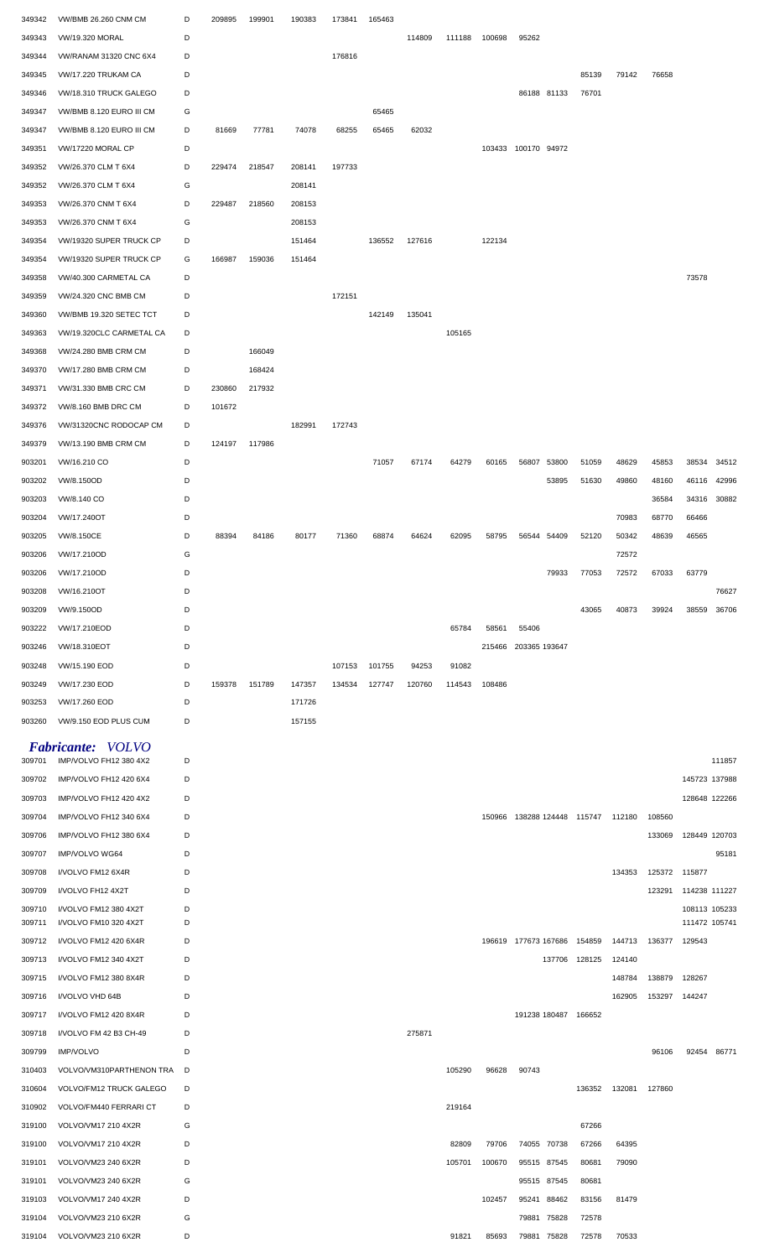| 349342 | VW/BMB 26.260 CNM CM                           | D      | 209895 | 199901 | 190383 | 173841 | 165463 |        |        |        |                             |               |        |               |                                |        |
|--------|------------------------------------------------|--------|--------|--------|--------|--------|--------|--------|--------|--------|-----------------------------|---------------|--------|---------------|--------------------------------|--------|
| 349343 | <b>VW/19.320 MORAL</b>                         | D      |        |        |        |        |        | 114809 | 111188 | 100698 | 95262                       |               |        |               |                                |        |
| 349344 | VW/RANAM 31320 CNC 6X4                         | D      |        |        |        | 176816 |        |        |        |        |                             |               |        |               |                                |        |
| 349345 | VW/17.220 TRUKAM CA                            | D      |        |        |        |        |        |        |        |        |                             | 85139         | 79142  | 76658         |                                |        |
| 349346 | VW/18.310 TRUCK GALEGO                         | D      |        |        |        |        |        |        |        |        | 86188 81133                 | 76701         |        |               |                                |        |
| 349347 | VW/BMB 8.120 EURO III CM                       | G      |        |        |        |        | 65465  |        |        |        |                             |               |        |               |                                |        |
| 349347 | VW/BMB 8.120 EURO III CM                       | D      | 81669  | 77781  | 74078  | 68255  | 65465  | 62032  |        |        |                             |               |        |               |                                |        |
| 349351 | VW/17220 MORAL CP                              | D      |        |        |        |        |        |        |        |        | 103433 100170 94972         |               |        |               |                                |        |
| 349352 | VW/26.370 CLM T 6X4                            | D      | 229474 | 218547 | 208141 | 197733 |        |        |        |        |                             |               |        |               |                                |        |
| 349352 | VW/26.370 CLM T 6X4                            | G      |        |        | 208141 |        |        |        |        |        |                             |               |        |               |                                |        |
| 349353 | VW/26.370 CNM T 6X4                            | D      | 229487 | 218560 | 208153 |        |        |        |        |        |                             |               |        |               |                                |        |
| 349353 | VW/26.370 CNM T 6X4                            | G      |        |        | 208153 |        |        |        |        |        |                             |               |        |               |                                |        |
| 349354 | VW/19320 SUPER TRUCK CP                        | D      |        |        | 151464 |        | 136552 | 127616 |        | 122134 |                             |               |        |               |                                |        |
| 349354 | VW/19320 SUPER TRUCK CP                        | G      | 166987 | 159036 | 151464 |        |        |        |        |        |                             |               |        |               |                                |        |
| 349358 | VW/40.300 CARMETAL CA                          | D      |        |        |        |        |        |        |        |        |                             |               |        |               | 73578                          |        |
| 349359 | VW/24.320 CNC BMB CM                           | D      |        |        |        | 172151 |        |        |        |        |                             |               |        |               |                                |        |
| 349360 | VW/BMB 19.320 SETEC TCT                        | D      |        |        |        |        | 142149 | 135041 |        |        |                             |               |        |               |                                |        |
| 349363 | VW/19.320CLC CARMETAL CA                       | D      |        |        |        |        |        |        | 105165 |        |                             |               |        |               |                                |        |
| 349368 | VW/24.280 BMB CRM CM                           | D      |        | 166049 |        |        |        |        |        |        |                             |               |        |               |                                |        |
| 349370 | VW/17.280 BMB CRM CM                           | D      |        | 168424 |        |        |        |        |        |        |                             |               |        |               |                                |        |
| 349371 | VW/31.330 BMB CRC CM                           | D      | 230860 | 217932 |        |        |        |        |        |        |                             |               |        |               |                                |        |
| 349372 | VW/8.160 BMB DRC CM                            | D      | 101672 |        |        |        |        |        |        |        |                             |               |        |               |                                |        |
| 349376 | VW/31320CNC RODOCAP CM                         | D      |        |        | 182991 | 172743 |        |        |        |        |                             |               |        |               |                                |        |
| 349379 | VW/13.190 BMB CRM CM                           | D      | 124197 | 117986 |        |        |        |        |        |        |                             |               |        |               |                                |        |
| 903201 | VW/16.210 CO                                   | D      |        |        |        |        | 71057  | 67174  | 64279  | 60165  | 53800<br>56807              | 51059         | 48629  | 45853         | 38534                          | 34512  |
| 903202 | VW/8.150OD                                     | D      |        |        |        |        |        |        |        |        | 53895                       | 51630         | 49860  | 48160         | 46116                          | 42996  |
| 903203 | VW/8.140 CO                                    | D      |        |        |        |        |        |        |        |        |                             |               |        | 36584         | 34316                          | 30882  |
| 903204 | VW/17.240OT                                    | D      |        |        |        |        |        |        |        |        |                             |               | 70983  | 68770         | 66466                          |        |
| 903205 | VW/8.150CE                                     | D      | 88394  | 84186  | 80177  | 71360  | 68874  | 64624  | 62095  | 58795  | 56544 54409                 | 52120         | 50342  | 48639         | 46565                          |        |
| 903206 | VW/17.210OD                                    | G      |        |        |        |        |        |        |        |        |                             |               | 72572  |               |                                |        |
| 903206 | VW/17.210OD                                    | D      |        |        |        |        |        |        |        |        | 79933                       | 77053         | 72572  | 67033         | 63779                          |        |
| 903208 | VW/16.210OT                                    | D      |        |        |        |        |        |        |        |        |                             |               |        |               |                                | 76627  |
| 903209 | VW/9.150OD                                     | D      |        |        |        |        |        |        |        |        |                             | 43065         | 40873  | 39924         | 38559                          | 36706  |
| 903222 | VW/17.210EOD                                   | D      |        |        |        |        |        |        | 65784  | 58561  | 55406                       |               |        |               |                                |        |
| 903246 | VW/18.310EOT                                   | D      |        |        |        |        |        |        |        |        | 215466 203365 193647        |               |        |               |                                |        |
| 903248 | VW/15.190 EOD                                  | D      |        |        |        | 107153 | 101755 | 94253  | 91082  |        |                             |               |        |               |                                |        |
| 903249 | VW/17.230 EOD                                  | D      | 159378 | 151789 | 147357 | 134534 | 127747 | 120760 | 114543 | 108486 |                             |               |        |               |                                |        |
| 903253 | VW/17.260 EOD                                  | D      |        |        | 171726 |        |        |        |        |        |                             |               |        |               |                                |        |
| 903260 | VW/9.150 EOD PLUS CUM                          | D      |        |        | 157155 |        |        |        |        |        |                             |               |        |               |                                |        |
|        |                                                |        |        |        |        |        |        |        |        |        |                             |               |        |               |                                |        |
|        | Fabricante: VOLVO                              |        |        |        |        |        |        |        |        |        |                             |               |        |               |                                |        |
| 309701 | IMP/VOLVO FH12 380 4X2                         | D      |        |        |        |        |        |        |        |        |                             |               |        |               |                                | 111857 |
| 309702 | IMP/VOLVO FH12 420 6X4                         | D      |        |        |        |        |        |        |        |        |                             |               |        |               | 145723 137988                  |        |
| 309703 | IMP/VOLVO FH12 420 4X2                         | D      |        |        |        |        |        |        |        |        |                             |               |        |               | 128648 122266                  |        |
| 309704 | IMP/VOLVO FH12 340 6X4                         | D      |        |        |        |        |        |        |        | 150966 | 138288 124448 115747 112180 |               |        | 108560        |                                |        |
| 309706 | IMP/VOLVO FH12 380 6X4                         | D      |        |        |        |        |        |        |        |        |                             |               |        | 133069        | 128449 120703                  |        |
| 309707 | IMP/VOLVO WG64                                 | D      |        |        |        |        |        |        |        |        |                             |               |        |               |                                | 95181  |
| 309708 | I/VOLVO FM12 6X4R                              | D      |        |        |        |        |        |        |        |        |                             |               | 134353 | 125372 115877 |                                |        |
| 309709 | I/VOLVO FH12 4X2T                              | D      |        |        |        |        |        |        |        |        |                             |               |        | 123291        | 114238 111227                  |        |
| 309710 | I/VOLVO FM12 380 4X2T<br>I/VOLVO FM10 320 4X2T | D<br>D |        |        |        |        |        |        |        |        |                             |               |        |               | 108113 105233<br>111472 105741 |        |
| 309711 |                                                | D      |        |        |        |        |        |        |        |        |                             |               | 144713 | 136377        |                                |        |
| 309712 | I/VOLVO FM12 420 6X4R                          |        |        |        |        |        |        |        |        |        | 196619 177673 167686 154859 |               |        |               | 129543                         |        |
| 309713 | I/VOLVO FM12 340 4X2T                          | D      |        |        |        |        |        |        |        |        |                             | 137706 128125 | 124140 |               |                                |        |
| 309715 | I/VOLVO FM12 380 8X4R                          | D      |        |        |        |        |        |        |        |        |                             |               | 148784 | 138879        | 128267                         |        |
| 309716 | I/VOLVO VHD 64B                                | D      |        |        |        |        |        |        |        |        |                             |               | 162905 | 153297        | 144247                         |        |
| 309717 | I/VOLVO FM12 420 8X4R                          | D      |        |        |        |        |        |        |        |        | 191238 180487 166652        |               |        |               |                                |        |
| 309718 | I/VOLVO FM 42 B3 CH-49                         | D      |        |        |        |        |        | 275871 |        |        |                             |               |        |               |                                |        |
| 309799 | <b>IMP/VOLVO</b>                               | D      |        |        |        |        |        |        |        |        |                             |               |        | 96106         | 92454 86771                    |        |
| 310403 | VOLVO/VM310PARTHENON TRA                       | D      |        |        |        |        |        |        | 105290 | 96628  | 90743                       |               |        |               |                                |        |
| 310604 | VOLVO/FM12 TRUCK GALEGO                        | D      |        |        |        |        |        |        |        |        |                             | 136352        | 132081 | 127860        |                                |        |
| 310902 | VOLVO/FM440 FERRARI CT                         | D      |        |        |        |        |        |        | 219164 |        |                             |               |        |               |                                |        |
| 319100 | VOLVO/VM17 210 4X2R                            | G      |        |        |        |        |        |        |        |        |                             | 67266         |        |               |                                |        |
| 319100 | VOLVO/VM17 210 4X2R                            | D      |        |        |        |        |        |        | 82809  | 79706  | 74055 70738                 | 67266         | 64395  |               |                                |        |
| 319101 | VOLVO/VM23 240 6X2R                            | D      |        |        |        |        |        |        | 105701 | 100670 | 95515 87545                 | 80681         | 79090  |               |                                |        |
| 319101 | VOLVO/VM23 240 6X2R                            | G      |        |        |        |        |        |        |        |        | 95515 87545                 | 80681         |        |               |                                |        |
| 319103 | VOLVO/VM17 240 4X2R                            | D      |        |        |        |        |        |        |        | 102457 | 95241 88462                 | 83156         | 81479  |               |                                |        |
| 319104 | VOLVO/VM23 210 6X2R                            | G      |        |        |        |        |        |        |        |        | 79881 75828                 | 72578         |        |               |                                |        |
| 319104 | VOLVO/VM23 210 6X2R                            | D      |        |        |        |        |        |        | 91821  | 85693  | 79881 75828                 | 72578         | 70533  |               |                                |        |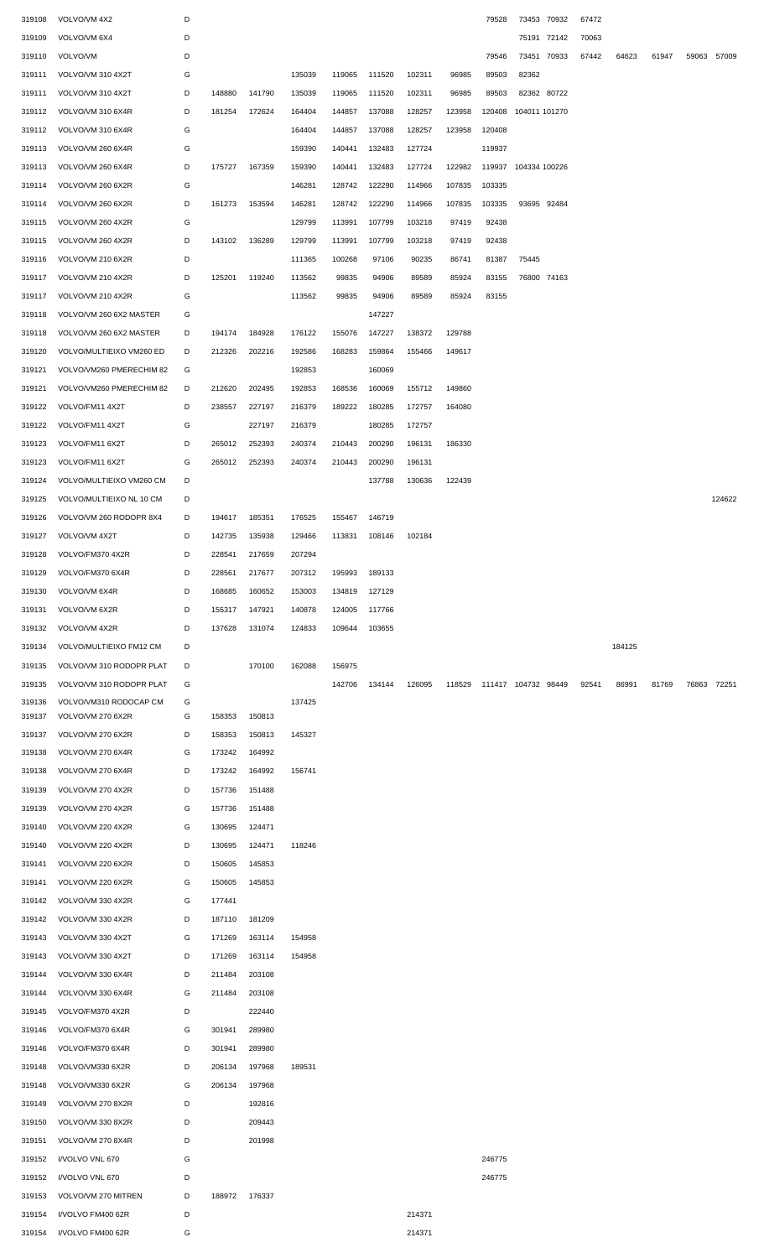| 319108           | VOLVO/VM 4X2                           | D      |                  |        |        |        |        |        |        | 79528               | 73453 70932   |       | 67472 |        |       |             |        |
|------------------|----------------------------------------|--------|------------------|--------|--------|--------|--------|--------|--------|---------------------|---------------|-------|-------|--------|-------|-------------|--------|
| 319109           | VOLVO/VM 6X4                           | D      |                  |        |        |        |        |        |        |                     | 75191 72142   |       | 70063 |        |       |             |        |
| 319110           | VOLVO/VM                               | D      |                  |        |        |        |        |        |        | 79546               | 73451         | 70933 | 67442 | 64623  | 61947 | 59063 57009 |        |
| 319111           | VOLVO/VM 310 4X2T                      | G      |                  |        | 135039 | 119065 | 111520 | 102311 | 96985  | 89503               | 82362         |       |       |        |       |             |        |
| 319111           | VOLVO/VM 310 4X2T                      | D      | 148880           | 141790 | 135039 | 119065 | 111520 | 102311 | 96985  | 89503               | 82362 80722   |       |       |        |       |             |        |
| 319112           | VOLVO/VM 310 6X4R                      | D      | 181254           | 172624 | 164404 | 144857 | 137088 | 128257 | 123958 | 120408              | 104011 101270 |       |       |        |       |             |        |
| 319112           | VOLVO/VM 310 6X4R                      | G      |                  |        | 164404 | 144857 | 137088 | 128257 | 123958 | 120408              |               |       |       |        |       |             |        |
| 319113           | VOLVO/VM 260 6X4R                      | G      |                  |        | 159390 | 140441 | 132483 | 127724 |        | 119937              |               |       |       |        |       |             |        |
| 319113           | VOLVO/VM 260 6X4R                      | D      | 175727           | 167359 | 159390 | 140441 | 132483 | 127724 | 122982 | 119937              | 104334 100226 |       |       |        |       |             |        |
| 319114           | VOLVO/VM 260 6X2R                      | G      |                  |        | 146281 | 128742 | 122290 | 114966 | 107835 | 103335              |               |       |       |        |       |             |        |
| 319114           | VOLVO/VM 260 6X2R                      | D      | 161273           | 153594 | 146281 | 128742 | 122290 | 114966 | 107835 | 103335              | 93695 92484   |       |       |        |       |             |        |
| 319115           | VOLVO/VM 260 4X2R                      | G      |                  |        | 129799 | 113991 | 107799 | 103218 | 97419  | 92438               |               |       |       |        |       |             |        |
| 319115           | VOLVO/VM 260 4X2R                      | D      | 143102           | 136289 | 129799 | 113991 | 107799 | 103218 | 97419  | 92438               |               |       |       |        |       |             |        |
| 319116           | VOLVO/VM 210 6X2R                      | D      |                  |        | 111365 | 100268 | 97106  | 90235  | 86741  | 81387               | 75445         |       |       |        |       |             |        |
| 319117           | VOLVO/VM 210 4X2R                      | D      | 125201           | 119240 | 113562 | 99835  | 94906  | 89589  | 85924  | 83155               | 76800 74163   |       |       |        |       |             |        |
| 319117           | VOLVO/VM 210 4X2R                      | G      |                  |        | 113562 | 99835  | 94906  | 89589  | 85924  | 83155               |               |       |       |        |       |             |        |
| 319118           | VOLVO/VM 260 6X2 MASTER                | G      |                  |        |        |        | 147227 |        |        |                     |               |       |       |        |       |             |        |
| 319118           | VOLVO/VM 260 6X2 MASTER                | D      | 194174           | 184928 | 176122 | 155076 | 147227 | 138372 | 129788 |                     |               |       |       |        |       |             |        |
| 319120           | VOLVO/MULTIEIXO VM260 ED               | D      | 212326           | 202216 | 192586 | 168283 | 159864 | 155466 | 149617 |                     |               |       |       |        |       |             |        |
| 319121           | VOLVO/VM260 PMERECHIM 82               | G      |                  |        | 192853 |        | 160069 |        |        |                     |               |       |       |        |       |             |        |
| 319121           | VOLVO/VM260 PMERECHIM 82               | D      | 212620           | 202495 | 192853 | 168536 | 160069 | 155712 | 149860 |                     |               |       |       |        |       |             |        |
|                  |                                        |        |                  |        |        |        |        |        |        |                     |               |       |       |        |       |             |        |
| 319122           | VOLVO/FM11 4X2T                        | D      | 238557           | 227197 | 216379 | 189222 | 180285 | 172757 | 164080 |                     |               |       |       |        |       |             |        |
| 319122           | VOLVO/FM11 4X2T                        | G      |                  | 227197 | 216379 |        | 180285 | 172757 |        |                     |               |       |       |        |       |             |        |
| 319123           | VOLVO/FM11 6X2T                        | D      | 265012           | 252393 | 240374 | 210443 | 200290 | 196131 | 186330 |                     |               |       |       |        |       |             |        |
| 319123           | VOLVO/FM11 6X2T                        | G      | 265012           | 252393 | 240374 | 210443 | 200290 | 196131 |        |                     |               |       |       |        |       |             |        |
| 319124           | VOLVO/MULTIEIXO VM260 CM               | D      |                  |        |        |        | 137788 | 130636 | 122439 |                     |               |       |       |        |       |             |        |
| 319125           | VOLVO/MULTIEIXO NL 10 CM               | D      |                  |        |        |        |        |        |        |                     |               |       |       |        |       |             | 124622 |
| 319126           | VOLVO/VM 260 RODOPR 8X4                | D      | 194617           | 185351 | 176525 | 155467 | 146719 |        |        |                     |               |       |       |        |       |             |        |
| 319127           | VOLVO/VM 4X2T                          | D      | 142735           | 135938 | 129466 | 113831 | 108146 | 102184 |        |                     |               |       |       |        |       |             |        |
| 319128           | VOLVO/FM370 4X2R                       | D      | 228541           | 217659 | 207294 |        |        |        |        |                     |               |       |       |        |       |             |        |
| 319129           | VOLVO/FM370 6X4R                       | D      | 228561           | 217677 | 207312 | 195993 | 189133 |        |        |                     |               |       |       |        |       |             |        |
| 319130           | VOLVO/VM 6X4R                          | D      | 168685           | 160652 | 153003 | 134819 | 127129 |        |        |                     |               |       |       |        |       |             |        |
| 319131           | VOLVO/VM 6X2R                          | D      | 155317           | 147921 | 140878 | 124005 | 117766 |        |        |                     |               |       |       |        |       |             |        |
|                  |                                        |        |                  |        |        |        |        |        |        |                     |               |       |       |        |       |             |        |
| 319132           | VOLVO/VM 4X2R                          | D      | 137628           | 131074 | 124833 | 109644 | 103655 |        |        |                     |               |       |       |        |       |             |        |
| 319134           | VOLVO/MULTIEIXO FM12 CM                | D      |                  |        |        |        |        |        |        |                     |               |       |       | 184125 |       |             |        |
| 319135           | VOLVO/VM 310 RODOPR PLAT               | D      |                  | 170100 | 162088 | 156975 |        |        |        |                     |               |       |       |        |       |             |        |
| 319135           | VOLVO/VM 310 RODOPR PLAT               | G      |                  |        |        | 142706 | 134144 | 126095 | 118529 | 111417 104732 98449 |               |       | 92541 | 86991  | 81769 | 76863 72251 |        |
| 319136           | VOLVO/VM310 RODOCAP CM                 | G      |                  |        | 137425 |        |        |        |        |                     |               |       |       |        |       |             |        |
| 319137           | VOLVO/VM 270 6X2R                      | G      | 158353           | 150813 |        |        |        |        |        |                     |               |       |       |        |       |             |        |
| 319137           | VOLVO/VM 270 6X2R                      | D      | 158353           | 150813 | 145327 |        |        |        |        |                     |               |       |       |        |       |             |        |
| 319138           | VOLVO/VM 270 6X4R                      | G      | 173242           | 164992 |        |        |        |        |        |                     |               |       |       |        |       |             |        |
| 319138           | VOLVO/VM 270 6X4R                      | D      | 173242           | 164992 | 156741 |        |        |        |        |                     |               |       |       |        |       |             |        |
| 319139           | VOLVO/VM 270 4X2R                      | D      | 157736           | 151488 |        |        |        |        |        |                     |               |       |       |        |       |             |        |
| 319139           | VOLVO/VM 270 4X2R                      | G      | 157736           | 151488 |        |        |        |        |        |                     |               |       |       |        |       |             |        |
| 319140           | VOLVO/VM 220 4X2R                      | G      | 130695           | 124471 |        |        |        |        |        |                     |               |       |       |        |       |             |        |
| 319140           | VOLVO/VM 220 4X2R                      | D      | 130695           | 124471 | 118246 |        |        |        |        |                     |               |       |       |        |       |             |        |
| 319141           | VOLVO/VM 220 6X2R                      | D      | 150605           | 145853 |        |        |        |        |        |                     |               |       |       |        |       |             |        |
|                  |                                        |        |                  |        |        |        |        |        |        |                     |               |       |       |        |       |             |        |
| 319141           | VOLVO/VM 220 6X2R                      | G      | 150605           | 145853 |        |        |        |        |        |                     |               |       |       |        |       |             |        |
| 319142<br>319142 | VOLVO/VM 330 4X2R<br>VOLVO/VM 330 4X2R | G<br>D | 177441<br>187110 | 181209 |        |        |        |        |        |                     |               |       |       |        |       |             |        |
|                  |                                        |        |                  |        |        |        |        |        |        |                     |               |       |       |        |       |             |        |
| 319143           | VOLVO/VM 330 4X2T                      | G      | 171269           | 163114 | 154958 |        |        |        |        |                     |               |       |       |        |       |             |        |
| 319143           | VOLVO/VM 330 4X2T                      | D      | 171269           | 163114 | 154958 |        |        |        |        |                     |               |       |       |        |       |             |        |
| 319144           | VOLVO/VM 330 6X4R                      | D      | 211484           | 203108 |        |        |        |        |        |                     |               |       |       |        |       |             |        |
| 319144           | VOLVO/VM 330 6X4R                      | G      | 211484           | 203108 |        |        |        |        |        |                     |               |       |       |        |       |             |        |
| 319145           | VOLVO/FM370 4X2R                       | D      |                  | 222440 |        |        |        |        |        |                     |               |       |       |        |       |             |        |
| 319146           | VOLVO/FM370 6X4R                       | G      | 301941           | 289980 |        |        |        |        |        |                     |               |       |       |        |       |             |        |
| 319146           | VOLVO/FM370 6X4R                       | D      | 301941           | 289980 |        |        |        |        |        |                     |               |       |       |        |       |             |        |
| 319148           | VOLVO/VM330 6X2R                       | D      | 206134           | 197968 | 189531 |        |        |        |        |                     |               |       |       |        |       |             |        |
| 319148           | VOLVO/VM330 6X2R                       | G      | 206134           | 197968 |        |        |        |        |        |                     |               |       |       |        |       |             |        |
| 319149           | VOLVO/VM 270 8X2R                      | D      |                  | 192816 |        |        |        |        |        |                     |               |       |       |        |       |             |        |
| 319150           | VOLVO/VM 330 8X2R                      | D      |                  | 209443 |        |        |        |        |        |                     |               |       |       |        |       |             |        |
| 319151           | VOLVO/VM 270 8X4R                      | D      |                  | 201998 |        |        |        |        |        |                     |               |       |       |        |       |             |        |
| 319152           | I/VOLVO VNL 670                        | G      |                  |        |        |        |        |        |        | 246775              |               |       |       |        |       |             |        |
| 319152           | I/VOLVO VNL 670                        | D      |                  |        |        |        |        |        |        | 246775              |               |       |       |        |       |             |        |
| 319153           | VOLVO/VM 270 MITREN                    | D      | 188972 176337    |        |        |        |        |        |        |                     |               |       |       |        |       |             |        |
| 319154           | I/VOLVO FM400 62R                      | D      |                  |        |        |        |        | 214371 |        |                     |               |       |       |        |       |             |        |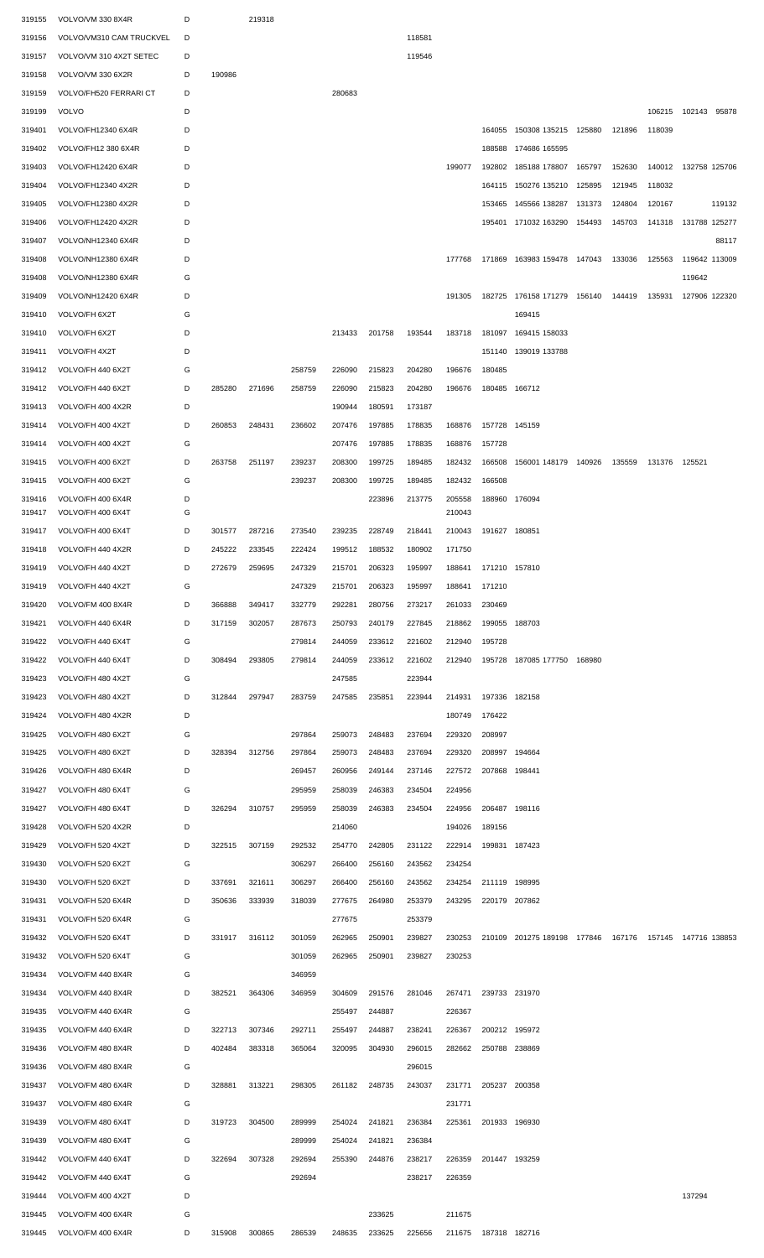| 319155 | VOLVO/VM 330 8X4R        | D |        | 219318 |        |        |        |        |        |                      |                             |        |        |        |                 |
|--------|--------------------------|---|--------|--------|--------|--------|--------|--------|--------|----------------------|-----------------------------|--------|--------|--------|-----------------|
| 319156 | VOLVO/VM310 CAM TRUCKVEL | D |        |        |        |        |        | 118581 |        |                      |                             |        |        |        |                 |
| 319157 | VOLVO/VM 310 4X2T SETEC  | D |        |        |        |        |        | 119546 |        |                      |                             |        |        |        |                 |
| 319158 | VOLVO/VM 330 6X2R        | D | 190986 |        |        |        |        |        |        |                      |                             |        |        |        |                 |
| 319159 | VOLVO/FH520 FERRARI CT   | D |        |        |        | 280683 |        |        |        |                      |                             |        |        |        |                 |
| 319199 | <b>VOLVO</b>             | D |        |        |        |        |        |        |        |                      |                             |        |        | 106215 | 102143<br>95878 |
| 319401 | VOLVO/FH12340 6X4R       | D |        |        |        |        |        |        |        |                      | 164055 150308 135215 125880 |        | 121896 | 118039 |                 |
| 319402 | VOLVO/FH12 380 6X4R      | D |        |        |        |        |        |        |        |                      | 188588 174686 165595        |        |        |        |                 |
| 319403 | VOLVO/FH12420 6X4R       | D |        |        |        |        |        |        | 199077 |                      | 192802 185188 178807        | 165797 | 152630 | 140012 | 132758 125706   |
| 319404 | VOLVO/FH12340 4X2R       | D |        |        |        |        |        |        |        |                      | 164115 150276 135210        | 125895 | 121945 | 118032 |                 |
| 319405 | VOLVO/FH12380 4X2R       | D |        |        |        |        |        |        |        | 153465               | 145566 138287               | 131373 | 124804 | 120167 | 119132          |
| 319406 | VOLVO/FH12420 4X2R       | D |        |        |        |        |        |        |        |                      | 195401 171032 163290        | 154493 | 145703 | 141318 | 131788 125277   |
| 319407 | VOLVO/NH12340 6X4R       | D |        |        |        |        |        |        |        |                      |                             |        |        |        | 88117           |
| 319408 | VOLVO/NH12380 6X4R       | D |        |        |        |        |        |        | 177768 |                      | 171869 163983 159478 147043 |        | 133036 | 125563 | 119642 113009   |
| 319408 | VOLVO/NH12380 6X4R       | G |        |        |        |        |        |        |        |                      |                             |        |        |        | 119642          |
| 319409 | VOLVO/NH12420 6X4R       | D |        |        |        |        |        |        | 191305 |                      | 182725 176158 171279 156140 |        | 144419 | 135931 | 127906 122320   |
| 319410 | VOLVO/FH 6X2T            | G |        |        |        |        |        |        |        |                      | 169415                      |        |        |        |                 |
|        | VOLVO/FH 6X2T            | D |        |        |        | 213433 | 201758 | 193544 | 183718 |                      | 169415 158033               |        |        |        |                 |
| 319410 |                          | D |        |        |        |        |        |        |        | 181097<br>151140     |                             |        |        |        |                 |
| 319411 | VOLVO/FH 4X2T            |   |        |        |        |        |        |        |        |                      | 139019 133788               |        |        |        |                 |
| 319412 | VOLVO/FH 440 6X2T        | G |        |        | 258759 | 226090 | 215823 | 204280 | 196676 | 180485               |                             |        |        |        |                 |
| 319412 | VOLVO/FH 440 6X2T        | D | 285280 | 271696 | 258759 | 226090 | 215823 | 204280 | 196676 |                      | 180485 166712               |        |        |        |                 |
| 319413 | VOLVO/FH 400 4X2R        | D |        |        |        | 190944 | 180591 | 173187 |        |                      |                             |        |        |        |                 |
| 319414 | VOLVO/FH 400 4X2T        | D | 260853 | 248431 | 236602 | 207476 | 197885 | 178835 | 168876 |                      | 157728 145159               |        |        |        |                 |
| 319414 | VOLVO/FH 400 4X2T        | G |        |        |        | 207476 | 197885 | 178835 | 168876 | 157728               |                             |        |        |        |                 |
| 319415 | VOLVO/FH 400 6X2T        | D | 263758 | 251197 | 239237 | 208300 | 199725 | 189485 | 182432 | 166508               | 156001 148179 140926        |        | 135559 | 131376 | 125521          |
| 319415 | VOLVO/FH 400 6X2T        | G |        |        | 239237 | 208300 | 199725 | 189485 | 182432 | 166508               |                             |        |        |        |                 |
| 319416 | VOLVO/FH 400 6X4R        | D |        |        |        |        | 223896 | 213775 | 205558 |                      | 188960 176094               |        |        |        |                 |
| 319417 | VOLVO/FH 400 6X4T        | G |        |        |        |        |        |        | 210043 |                      |                             |        |        |        |                 |
| 319417 | VOLVO/FH 400 6X4T        | D | 301577 | 287216 | 273540 | 239235 | 228749 | 218441 | 210043 |                      | 191627 180851               |        |        |        |                 |
| 319418 | VOLVO/FH 440 4X2R        | D | 245222 | 233545 | 222424 | 199512 | 188532 | 180902 | 171750 |                      |                             |        |        |        |                 |
| 319419 | VOLVO/FH 440 4X2T        | D | 272679 | 259695 | 247329 | 215701 | 206323 | 195997 |        | 188641 171210 157810 |                             |        |        |        |                 |
| 319419 | VOLVO/FH 440 4X2T        | G |        |        | 247329 | 215701 | 206323 | 195997 | 188641 | 171210               |                             |        |        |        |                 |
| 319420 | VOLVO/FM 400 8X4R        | D | 366888 | 349417 | 332779 | 292281 | 280756 | 273217 | 261033 | 230469               |                             |        |        |        |                 |
| 319421 | VOLVO/FH 440 6X4R        | D | 317159 | 302057 | 287673 | 250793 | 240179 | 227845 | 218862 | 199055               | 188703                      |        |        |        |                 |
| 319422 | VOLVO/FH 440 6X4T        | G |        |        | 279814 | 244059 | 233612 | 221602 | 212940 | 195728               |                             |        |        |        |                 |
| 319422 | VOLVO/FH 440 6X4T        | D | 308494 | 293805 | 279814 | 244059 | 233612 | 221602 | 212940 |                      | 195728 187085 177750        | 168980 |        |        |                 |
| 319423 | VOLVO/FH 480 4X2T        | G |        |        |        | 247585 |        | 223944 |        |                      |                             |        |        |        |                 |
| 319423 | VOLVO/FH 480 4X2T        | D | 312844 | 297947 | 283759 | 247585 | 235851 | 223944 | 214931 | 197336               | 182158                      |        |        |        |                 |
| 319424 | VOLVO/FH 480 4X2R        | D |        |        |        |        |        |        | 180749 | 176422               |                             |        |        |        |                 |
| 319425 | VOLVO/FH 480 6X2T        | G |        |        | 297864 | 259073 | 248483 | 237694 | 229320 | 208997               |                             |        |        |        |                 |
| 319425 | VOLVO/FH 480 6X2T        | D | 328394 | 312756 | 297864 | 259073 | 248483 | 237694 | 229320 | 208997               | 194664                      |        |        |        |                 |
| 319426 | VOLVO/FH 480 6X4R        | D |        |        | 269457 | 260956 | 249144 | 237146 | 227572 | 207868 198441        |                             |        |        |        |                 |
| 319427 | VOLVO/FH 480 6X4T        | G |        |        | 295959 | 258039 | 246383 | 234504 | 224956 |                      |                             |        |        |        |                 |
| 319427 | VOLVO/FH 480 6X4T        | D | 326294 | 310757 | 295959 | 258039 | 246383 | 234504 | 224956 |                      | 206487 198116               |        |        |        |                 |
| 319428 | VOLVO/FH 520 4X2R        | D |        |        |        | 214060 |        |        | 194026 | 189156               |                             |        |        |        |                 |
| 319429 | VOLVO/FH 520 4X2T        | D | 322515 | 307159 | 292532 | 254770 | 242805 | 231122 | 222914 |                      | 199831 187423               |        |        |        |                 |
| 319430 | VOLVO/FH 520 6X2T        | G |        |        | 306297 | 266400 | 256160 | 243562 | 234254 |                      |                             |        |        |        |                 |
| 319430 | VOLVO/FH 520 6X2T        | D | 337691 | 321611 | 306297 | 266400 | 256160 | 243562 | 234254 |                      | 211119 198995               |        |        |        |                 |
| 319431 | VOLVO/FH 520 6X4R        | D | 350636 | 333939 | 318039 | 277675 | 264980 | 253379 | 243295 |                      | 220179 207862               |        |        |        |                 |
| 319431 | VOLVO/FH 520 6X4R        | G |        |        |        | 277675 |        | 253379 |        |                      |                             |        |        |        |                 |
| 319432 | VOLVO/FH 520 6X4T        | D | 331917 | 316112 | 301059 | 262965 | 250901 | 239827 | 230253 |                      | 210109 201275 189198 177846 |        | 167176 | 157145 | 147716 138853   |
| 319432 | VOLVO/FH 520 6X4T        | G |        |        | 301059 | 262965 | 250901 | 239827 | 230253 |                      |                             |        |        |        |                 |
| 319434 | VOLVO/FM 440 8X4R        | G |        |        | 346959 |        |        |        |        |                      |                             |        |        |        |                 |
| 319434 | VOLVO/FM 440 8X4R        | D | 382521 | 364306 | 346959 | 304609 | 291576 | 281046 | 267471 |                      | 239733 231970               |        |        |        |                 |
| 319435 | VOLVO/FM 440 6X4R        | G |        |        |        | 255497 | 244887 |        | 226367 |                      |                             |        |        |        |                 |
| 319435 | VOLVO/FM 440 6X4R        | D | 322713 | 307346 | 292711 | 255497 | 244887 | 238241 | 226367 |                      | 200212 195972               |        |        |        |                 |
| 319436 | VOLVO/FM 480 8X4R        | D | 402484 | 383318 | 365064 | 320095 | 304930 | 296015 | 282662 |                      | 250788 238869               |        |        |        |                 |
| 319436 | VOLVO/FM 480 8X4R        | G |        |        |        |        |        | 296015 |        |                      |                             |        |        |        |                 |
| 319437 | VOLVO/FM 480 6X4R        | D | 328881 | 313221 | 298305 | 261182 | 248735 | 243037 | 231771 | 205237               | 200358                      |        |        |        |                 |
| 319437 | VOLVO/FM 480 6X4R        | G |        |        |        |        |        |        | 231771 |                      |                             |        |        |        |                 |
| 319439 | VOLVO/FM 480 6X4T        | D | 319723 | 304500 | 289999 | 254024 | 241821 | 236384 | 225361 |                      | 201933 196930               |        |        |        |                 |
| 319439 | VOLVO/FM 480 6X4T        | G |        |        | 289999 | 254024 | 241821 | 236384 |        |                      |                             |        |        |        |                 |
| 319442 | VOLVO/FM 440 6X4T        | D | 322694 | 307328 | 292694 | 255390 | 244876 | 238217 | 226359 | 201447 193259        |                             |        |        |        |                 |
| 319442 | VOLVO/FM 440 6X4T        | G |        |        | 292694 |        |        | 238217 | 226359 |                      |                             |        |        |        |                 |
| 319444 | VOLVO/FM 400 4X2T        | D |        |        |        |        |        |        |        |                      |                             |        |        |        | 137294          |
| 319445 | VOLVO/FM 400 6X4R        | G |        |        |        |        | 233625 |        | 211675 |                      |                             |        |        |        |                 |
|        |                          |   |        |        |        |        |        |        |        |                      |                             |        |        |        |                 |
| 319445 | VOLVO/FM 400 6X4R        | D | 315908 | 300865 | 286539 | 248635 | 233625 | 225656 |        | 211675 187318 182716 |                             |        |        |        |                 |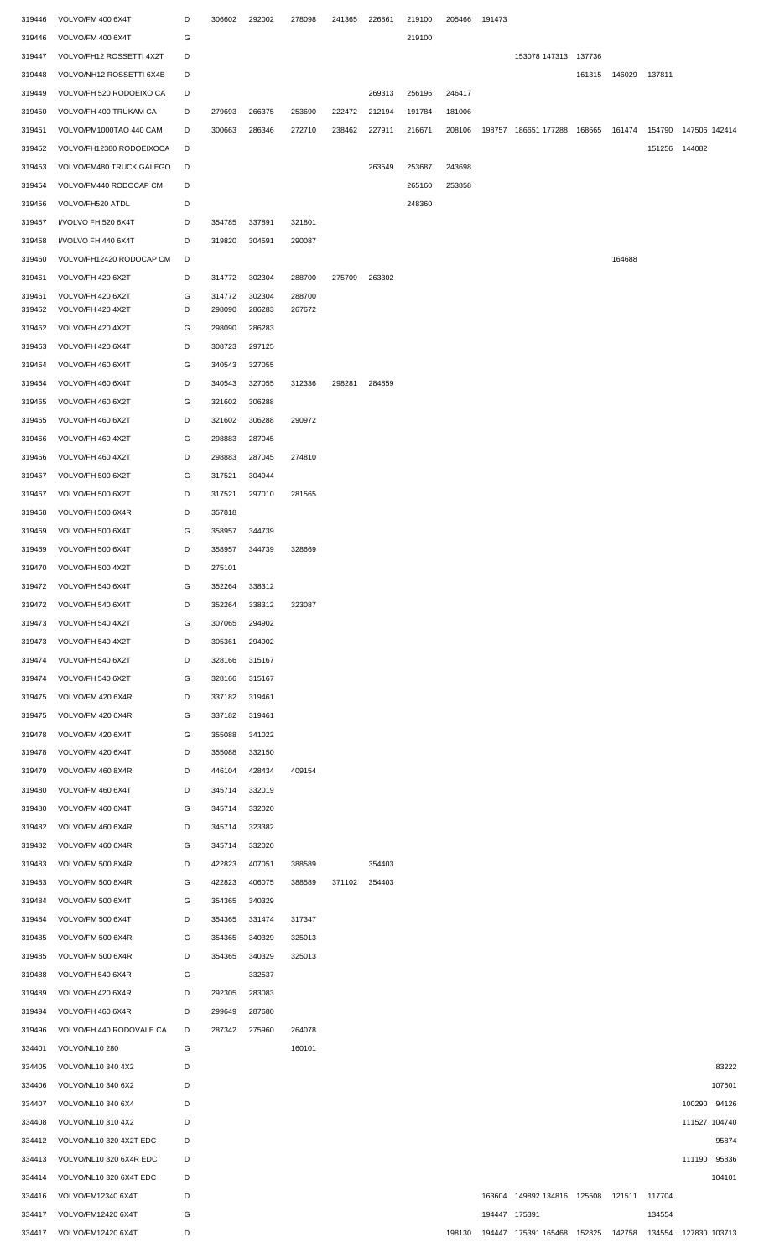| 319446           | VOLVO/FM 400 6X4T                        | D      | 306602 | 292002 | 278098 | 241365 | 226861 | 219100 | 205466 | 191473        |                                           |        |               |        |               |                 |
|------------------|------------------------------------------|--------|--------|--------|--------|--------|--------|--------|--------|---------------|-------------------------------------------|--------|---------------|--------|---------------|-----------------|
| 319446           | VOLVO/FM 400 6X4T                        | G      |        |        |        |        |        | 219100 |        |               |                                           |        |               |        |               |                 |
| 319447           | VOLVO/FH12 ROSSETTI 4X2T                 | D      |        |        |        |        |        |        |        |               | 153078 147313 137736                      |        |               |        |               |                 |
| 319448           | VOLVO/NH12 ROSSETTI 6X4B                 | D      |        |        |        |        |        |        |        |               |                                           | 161315 | 146029 137811 |        |               |                 |
| 319449           | VOLVO/FH 520 RODOEIXO CA                 | D      |        |        |        |        | 269313 | 256196 | 246417 |               |                                           |        |               |        |               |                 |
| 319450           | VOLVO/FH 400 TRUKAM CA                   | D      | 279693 | 266375 | 253690 | 222472 | 212194 | 191784 | 181006 |               |                                           |        |               |        |               |                 |
| 319451           | VOLVO/PM1000TAO 440 CAM                  | D      | 300663 | 286346 | 272710 | 238462 | 227911 | 216671 | 208106 |               | 198757 186651 177288 168665               |        | 161474        | 154790 | 147506 142414 |                 |
| 319452           | VOLVO/FH12380 RODOEIXOCA                 | D      |        |        |        |        |        |        |        |               |                                           |        |               | 151256 | 144082        |                 |
| 319453           | VOLVO/FM480 TRUCK GALEGO                 | D      |        |        |        |        | 263549 | 253687 | 243698 |               |                                           |        |               |        |               |                 |
| 319454           | VOLVO/FM440 RODOCAP CM                   | D      |        |        |        |        |        | 265160 | 253858 |               |                                           |        |               |        |               |                 |
| 319456           | VOLVO/FH520 ATDL                         | D      |        |        |        |        |        | 248360 |        |               |                                           |        |               |        |               |                 |
| 319457           | I/VOLVO FH 520 6X4T                      | D      | 354785 | 337891 | 321801 |        |        |        |        |               |                                           |        |               |        |               |                 |
| 319458           | I/VOLVO FH 440 6X4T                      | D      | 319820 | 304591 | 290087 |        |        |        |        |               |                                           |        |               |        |               |                 |
| 319460           | VOLVO/FH12420 RODOCAP CM                 | D      |        |        |        |        |        |        |        |               |                                           |        | 164688        |        |               |                 |
| 319461           | VOLVO/FH 420 6X2T                        | D      | 314772 | 302304 | 288700 | 275709 | 263302 |        |        |               |                                           |        |               |        |               |                 |
| 319461           | VOLVO/FH 420 6X2T                        | G      | 314772 | 302304 | 288700 |        |        |        |        |               |                                           |        |               |        |               |                 |
| 319462           | VOLVO/FH 420 4X2T                        | D      | 298090 | 286283 | 267672 |        |        |        |        |               |                                           |        |               |        |               |                 |
| 319462           | VOLVO/FH 420 4X2T                        | G      | 298090 | 286283 |        |        |        |        |        |               |                                           |        |               |        |               |                 |
| 319463           | VOLVO/FH 420 6X4T                        | D      | 308723 | 297125 |        |        |        |        |        |               |                                           |        |               |        |               |                 |
| 319464           | VOLVO/FH 460 6X4T                        | G      | 340543 | 327055 |        |        |        |        |        |               |                                           |        |               |        |               |                 |
| 319464           | VOLVO/FH 460 6X4T                        | D      | 340543 | 327055 | 312336 | 298281 | 284859 |        |        |               |                                           |        |               |        |               |                 |
| 319465           | VOLVO/FH 460 6X2T                        | G      | 321602 | 306288 |        |        |        |        |        |               |                                           |        |               |        |               |                 |
| 319465           | VOLVO/FH 460 6X2T                        | D      | 321602 | 306288 | 290972 |        |        |        |        |               |                                           |        |               |        |               |                 |
| 319466           | VOLVO/FH 460 4X2T                        | G      | 298883 | 287045 |        |        |        |        |        |               |                                           |        |               |        |               |                 |
| 319466           | VOLVO/FH 460 4X2T                        | D      | 298883 | 287045 | 274810 |        |        |        |        |               |                                           |        |               |        |               |                 |
| 319467           | VOLVO/FH 500 6X2T                        | G      | 317521 | 304944 |        |        |        |        |        |               |                                           |        |               |        |               |                 |
| 319467           | VOLVO/FH 500 6X2T                        | D      | 317521 | 297010 | 281565 |        |        |        |        |               |                                           |        |               |        |               |                 |
| 319468           | VOLVO/FH 500 6X4R                        | D      | 357818 |        |        |        |        |        |        |               |                                           |        |               |        |               |                 |
| 319469           | VOLVO/FH 500 6X4T                        | G      | 358957 | 344739 |        |        |        |        |        |               |                                           |        |               |        |               |                 |
| 319469           | VOLVO/FH 500 6X4T                        | D      | 358957 | 344739 | 328669 |        |        |        |        |               |                                           |        |               |        |               |                 |
| 319470           | VOLVO/FH 500 4X2T                        | D      | 275101 |        |        |        |        |        |        |               |                                           |        |               |        |               |                 |
| 319472           | VOLVO/FH 540 6X4T                        | G      | 352264 | 338312 |        |        |        |        |        |               |                                           |        |               |        |               |                 |
| 319472           | VOLVO/FH 540 6X4T                        | D      | 352264 | 338312 | 323087 |        |        |        |        |               |                                           |        |               |        |               |                 |
| 319473           | VOLVO/FH 540 4X2T                        | G      | 307065 | 294902 |        |        |        |        |        |               |                                           |        |               |        |               |                 |
| 319473           | VOLVO/FH 540 4X2T                        | D      | 305361 | 294902 |        |        |        |        |        |               |                                           |        |               |        |               |                 |
| 319474           | VOLVO/FH 540 6X2T                        | D      | 328166 | 315167 |        |        |        |        |        |               |                                           |        |               |        |               |                 |
| 319474           | VOLVO/FH 540 6X2T                        | G      | 328166 | 315167 |        |        |        |        |        |               |                                           |        |               |        |               |                 |
| 319475           | VOLVO/FM 420 6X4R                        | D      | 337182 | 319461 |        |        |        |        |        |               |                                           |        |               |        |               |                 |
| 319475           | VOLVO/FM 420 6X4R                        | G      | 337182 | 319461 |        |        |        |        |        |               |                                           |        |               |        |               |                 |
| 319478           | VOLVO/FM 420 6X4T                        | G      | 355088 | 341022 |        |        |        |        |        |               |                                           |        |               |        |               |                 |
| 319478           | VOLVO/FM 420 6X4T                        | D      | 355088 | 332150 |        |        |        |        |        |               |                                           |        |               |        |               |                 |
| 319479           | VOLVO/FM 460 8X4R                        | D      | 446104 | 428434 | 409154 |        |        |        |        |               |                                           |        |               |        |               |                 |
| 319480           | VOLVO/FM 460 6X4T                        | D      | 345714 | 332019 |        |        |        |        |        |               |                                           |        |               |        |               |                 |
| 319480           | VOLVO/FM 460 6X4T                        | G      | 345714 | 332020 |        |        |        |        |        |               |                                           |        |               |        |               |                 |
| 319482           | VOLVO/FM 460 6X4R                        | D      | 345714 | 323382 |        |        |        |        |        |               |                                           |        |               |        |               |                 |
| 319482           | VOLVO/FM 460 6X4R                        | G      | 345714 | 332020 |        |        |        |        |        |               |                                           |        |               |        |               |                 |
| 319483           | VOLVO/FM 500 8X4R                        | D      | 422823 | 407051 | 388589 |        | 354403 |        |        |               |                                           |        |               |        |               |                 |
| 319483           | VOLVO/FM 500 8X4R                        | G      | 422823 | 406075 | 388589 | 371102 | 354403 |        |        |               |                                           |        |               |        |               |                 |
| 319484           | VOLVO/FM 500 6X4T                        | G      | 354365 | 340329 |        |        |        |        |        |               |                                           |        |               |        |               |                 |
| 319484           | VOLVO/FM 500 6X4T                        | D      | 354365 | 331474 | 317347 |        |        |        |        |               |                                           |        |               |        |               |                 |
| 319485           | VOLVO/FM 500 6X4R                        | G      | 354365 | 340329 | 325013 |        |        |        |        |               |                                           |        |               |        |               |                 |
| 319485           | VOLVO/FM 500 6X4R                        | D      | 354365 | 340329 | 325013 |        |        |        |        |               |                                           |        |               |        |               |                 |
| 319488           | VOLVO/FH 540 6X4R                        | G      |        | 332537 |        |        |        |        |        |               |                                           |        |               |        |               |                 |
| 319489           | VOLVO/FH 420 6X4R                        | D      | 292305 | 283083 |        |        |        |        |        |               |                                           |        |               |        |               |                 |
| 319494           | VOLVO/FH 460 6X4R                        | D      | 299649 | 287680 |        |        |        |        |        |               |                                           |        |               |        |               |                 |
| 319496           | VOLVO/FH 440 RODOVALE CA                 | D      | 287342 | 275960 | 264078 |        |        |        |        |               |                                           |        |               |        |               |                 |
| 334401           | VOLVO/NL10 280                           | G      |        |        | 160101 |        |        |        |        |               |                                           |        |               |        |               |                 |
| 334405<br>334406 | VOLVO/NL10 340 4X2<br>VOLVO/NL10 340 6X2 | D<br>D |        |        |        |        |        |        |        |               |                                           |        |               |        |               | 83222<br>107501 |
| 334407           | VOLVO/NL10 340 6X4                       | D      |        |        |        |        |        |        |        |               |                                           |        |               |        | 100290        | 94126           |
| 334408           | VOLVO/NL10 310 4X2                       | D      |        |        |        |        |        |        |        |               |                                           |        |               |        | 111527 104740 |                 |
| 334412           | VOLVO/NL10 320 4X2T EDC                  | D      |        |        |        |        |        |        |        |               |                                           |        |               |        |               | 95874           |
| 334413           | VOLVO/NL10 320 6X4R EDC                  | D      |        |        |        |        |        |        |        |               |                                           |        |               |        | 111190 95836  |                 |
| 334414           | VOLVO/NL10 320 6X4T EDC                  | D      |        |        |        |        |        |        |        |               |                                           |        |               |        |               | 104101          |
| 334416           | VOLVO/FM12340 6X4T                       | D      |        |        |        |        |        |        |        |               | 163604 149892 134816 125508 121511 117704 |        |               |        |               |                 |
| 334417           | VOLVO/FM12420 6X4T                       | G      |        |        |        |        |        |        |        | 194447 175391 |                                           |        |               | 134554 |               |                 |
| 334417           | VOLVO/FM12420 6X4T                       | D      |        |        |        |        |        |        | 198130 |               | 194447 175391 165468 152825               |        | 142758        | 134554 | 127830 103713 |                 |
|                  |                                          |        |        |        |        |        |        |        |        |               |                                           |        |               |        |               |                 |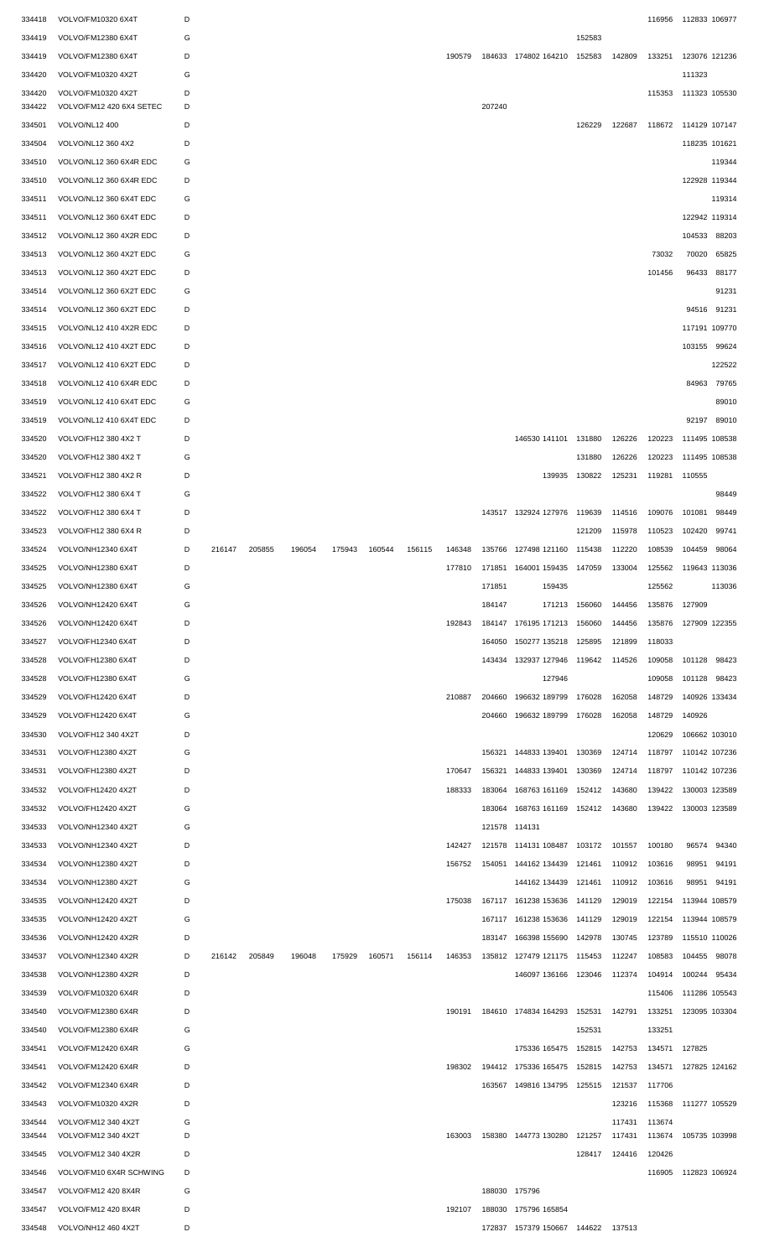| 334418 | VOLVO/FM10320 6X4T       | D |        |        |        |        |        |        |        |               |                                                                        |        |                      | 116956               | 112833 106977        |        |
|--------|--------------------------|---|--------|--------|--------|--------|--------|--------|--------|---------------|------------------------------------------------------------------------|--------|----------------------|----------------------|----------------------|--------|
| 334419 | VOLVO/FM12380 6X4T       | G |        |        |        |        |        |        |        |               |                                                                        | 152583 |                      |                      |                      |        |
| 334419 | VOLVO/FM12380 6X4T       | D |        |        |        |        |        |        | 190579 |               | 184633 174802 164210                                                   | 152583 | 142809               | 133251               | 123076 121236        |        |
| 334420 | VOLVO/FM10320 4X2T       | G |        |        |        |        |        |        |        |               |                                                                        |        |                      |                      | 111323               |        |
| 334420 | VOLVO/FM10320 4X2T       | D |        |        |        |        |        |        |        |               |                                                                        |        |                      | 115353               | 111323 105530        |        |
| 334422 | VOLVO/FM12 420 6X4 SETEC | D |        |        |        |        |        |        |        | 207240        |                                                                        |        |                      |                      |                      |        |
| 334501 | VOLVO/NL12 400           | D |        |        |        |        |        |        |        |               |                                                                        | 126229 | 122687               | 118672 114129 107147 |                      |        |
| 334504 | VOLVO/NL12 360 4X2       | D |        |        |        |        |        |        |        |               |                                                                        |        |                      |                      | 118235 101621        |        |
| 334510 | VOLVO/NL12 360 6X4R EDC  | G |        |        |        |        |        |        |        |               |                                                                        |        |                      |                      |                      | 119344 |
| 334510 | VOLVO/NL12 360 6X4R EDC  | D |        |        |        |        |        |        |        |               |                                                                        |        |                      |                      | 122928 119344        |        |
| 334511 | VOLVO/NL12 360 6X4T EDC  | G |        |        |        |        |        |        |        |               |                                                                        |        |                      |                      |                      | 119314 |
|        |                          |   |        |        |        |        |        |        |        |               |                                                                        |        |                      |                      |                      |        |
| 334511 | VOLVO/NL12 360 6X4T EDC  | D |        |        |        |        |        |        |        |               |                                                                        |        |                      |                      | 122942 119314        |        |
| 334512 | VOLVO/NL12 360 4X2R EDC  | D |        |        |        |        |        |        |        |               |                                                                        |        |                      |                      | 104533               | 88203  |
| 334513 | VOLVO/NL12 360 4X2T EDC  | G |        |        |        |        |        |        |        |               |                                                                        |        |                      | 73032                | 70020                | 65825  |
| 334513 | VOLVO/NL12 360 4X2T EDC  | D |        |        |        |        |        |        |        |               |                                                                        |        |                      | 101456               | 96433                | 88177  |
| 334514 | VOLVO/NL12 360 6X2T EDC  | G |        |        |        |        |        |        |        |               |                                                                        |        |                      |                      |                      | 91231  |
| 334514 | VOLVO/NL12 360 6X2T EDC  | D |        |        |        |        |        |        |        |               |                                                                        |        |                      |                      | 94516                | 91231  |
| 334515 | VOLVO/NL12 410 4X2R EDC  | D |        |        |        |        |        |        |        |               |                                                                        |        |                      |                      | 117191 109770        |        |
| 334516 | VOLVO/NL12 410 4X2T EDC  | D |        |        |        |        |        |        |        |               |                                                                        |        |                      |                      | 103155 99624         |        |
| 334517 | VOLVO/NL12 410 6X2T EDC  | D |        |        |        |        |        |        |        |               |                                                                        |        |                      |                      |                      | 122522 |
| 334518 | VOLVO/NL12 410 6X4R EDC  | D |        |        |        |        |        |        |        |               |                                                                        |        |                      |                      | 84963                | 79765  |
| 334519 | VOLVO/NL12 410 6X4T EDC  | G |        |        |        |        |        |        |        |               |                                                                        |        |                      |                      |                      | 89010  |
|        |                          | D |        |        |        |        |        |        |        |               |                                                                        |        |                      |                      | 92197                | 89010  |
| 334519 | VOLVO/NL12 410 6X4T EDC  |   |        |        |        |        |        |        |        |               |                                                                        |        |                      |                      |                      |        |
| 334520 | VOLVO/FH12 380 4X2 T     | D |        |        |        |        |        |        |        |               | 146530 141101 131880                                                   |        | 126226               | 120223               | 111495 108538        |        |
| 334520 | VOLVO/FH12 380 4X2 T     | G |        |        |        |        |        |        |        |               |                                                                        | 131880 | 126226               | 120223               | 111495 108538        |        |
| 334521 | VOLVO/FH12 380 4X2 R     | D |        |        |        |        |        |        |        |               | 139935                                                                 | 130822 | 125231               | 119281               | 110555               |        |
| 334522 | VOLVO/FH12 380 6X4 T     | G |        |        |        |        |        |        |        |               |                                                                        |        |                      |                      |                      | 98449  |
| 334522 | VOLVO/FH12 380 6X4 T     | D |        |        |        |        |        |        |        |               | 143517 132924 127976                                                   | 119639 | 114516               | 109076               | 101081               | 98449  |
| 334523 | VOLVO/FH12 380 6X4 R     | D |        |        |        |        |        |        |        |               |                                                                        | 121209 | 115978               | 110523               | 102420               | 99741  |
| 334524 | VOLVO/NH12340 6X4T       | D | 216147 | 205855 | 196054 | 175943 | 160544 | 156115 | 146348 |               | 135766 127498 121160                                                   | 115438 | 112220               | 108539               | 104459               | 98064  |
| 334525 | VOLVO/NH12380 6X4T       | D |        |        |        |        |        |        | 177810 |               | 171851 164001 159435 147059                                            |        | 133004               | 125562               | 119643 113036        |        |
| 334525 | VOLVO/NH12380 6X4T       | G |        |        |        |        |        |        |        | 171851        | 159435                                                                 |        |                      | 125562               |                      | 113036 |
| 334526 | VOLVO/NH12420 6X4T       | G |        |        |        |        |        |        |        | 184147        | 171213                                                                 | 156060 | 144456               | 135876               | 127909               |        |
|        | VOLVO/NH12420 6X4T       | D |        |        |        |        |        |        | 192843 |               |                                                                        |        |                      |                      |                      |        |
| 334526 |                          |   |        |        |        |        |        |        |        |               | 184147 176195 171213                                                   | 156060 | 144456               | 135876               | 127909 122355        |        |
| 334527 | VOLVO/FH12340 6X4T       | D |        |        |        |        |        |        |        | 164050        | 150277 135218                                                          | 125895 | 121899               | 118033               |                      |        |
| 334528 | VOLVO/FH12380 6X4T       | D |        |        |        |        |        |        |        | 143434        | 132937 127946                                                          | 119642 | 114526               | 109058               | 101128               | 98423  |
| 334528 | VOLVO/FH12380 6X4T       | G |        |        |        |        |        |        |        |               | 127946                                                                 |        |                      | 109058               | 101128               | 98423  |
| 334529 | VOLVO/FH12420 6X4T       | D |        |        |        |        |        |        | 210887 | 204660        | 196632 189799                                                          | 176028 | 162058               | 148729               | 140926 133434        |        |
| 334529 | VOLVO/FH12420 6X4T       | G |        |        |        |        |        |        |        | 204660        | 196632 189799                                                          | 176028 | 162058               | 148729               | 140926               |        |
| 334530 | VOLVO/FH12 340 4X2T      | D |        |        |        |        |        |        |        |               |                                                                        |        |                      | 120629               | 106662 103010        |        |
| 334531 | VOLVO/FH12380 4X2T       | G |        |        |        |        |        |        |        | 156321        | 144833 139401                                                          | 130369 | 124714               | 118797               | 110142 107236        |        |
| 334531 | VOLVO/FH12380 4X2T       | D |        |        |        |        |        |        | 170647 | 156321        | 144833 139401                                                          | 130369 | 124714               | 118797               | 110142 107236        |        |
| 334532 | VOLVO/FH12420 4X2T       | D |        |        |        |        |        |        | 188333 | 183064        | 168763 161169                                                          | 152412 | 143680               | 139422               | 130003 123589        |        |
| 334532 | VOLVO/FH12420 4X2T       | G |        |        |        |        |        |        |        |               | 183064 168763 161169 152412                                            |        | 143680               | 139422               | 130003 123589        |        |
| 334533 | VOLVO/NH12340 4X2T       | G |        |        |        |        |        |        |        | 121578 114131 |                                                                        |        |                      |                      |                      |        |
|        |                          | D |        |        |        |        |        |        | 142427 |               | 121578 114131 108487 103172                                            |        |                      |                      |                      | 94340  |
| 334533 | VOLVO/NH12340 4X2T       |   |        |        |        |        |        |        |        |               |                                                                        |        | 101557               | 100180               | 96574                |        |
| 334534 | VOLVO/NH12380 4X2T       | D |        |        |        |        |        |        | 156752 |               | 154051 144162 134439                                                   | 121461 | 110912               | 103616               | 98951                | 94191  |
| 334534 | VOLVO/NH12380 4X2T       | G |        |        |        |        |        |        |        |               | 144162 134439                                                          | 121461 | 110912               | 103616               | 98951                | 94191  |
| 334535 | VOLVO/NH12420 4X2T       | D |        |        |        |        |        |        | 175038 |               | 167117 161238 153636                                                   | 141129 | 129019               | 122154               | 113944 108579        |        |
| 334535 | VOLVO/NH12420 4X2T       | G |        |        |        |        |        |        |        |               | 167117 161238 153636                                                   | 141129 | 129019               | 122154               | 113944 108579        |        |
| 334536 | VOLVO/NH12420 4X2R       | D |        |        |        |        |        |        |        |               | 183147 166398 155690                                                   | 142978 | 130745               | 123789               | 115510 110026        |        |
| 334537 | VOLVO/NH12340 4X2R       | D | 216142 | 205849 | 196048 | 175929 | 160571 | 156114 | 146353 |               | 135812 127479 121175 115453                                            |        | 112247               | 108583               | 104455               | 98078  |
| 334538 | VOLVO/NH12380 4X2R       | D |        |        |        |        |        |        |        |               | 146097 136166                                                          | 123046 | 112374               | 104914               | 100244               | 95434  |
| 334539 | VOLVO/FM10320 6X4R       | D |        |        |        |        |        |        |        |               |                                                                        |        |                      | 115406               | 111286 105543        |        |
| 334540 | VOLVO/FM12380 6X4R       | D |        |        |        |        |        |        | 190191 |               | 184610 174834 164293                                                   | 152531 | 142791               | 133251               | 123095 103304        |        |
|        |                          | G |        |        |        |        |        |        |        |               |                                                                        | 152531 |                      |                      |                      |        |
| 334540 | VOLVO/FM12380 6X4R       |   |        |        |        |        |        |        |        |               |                                                                        |        |                      | 133251               |                      |        |
| 334541 | VOLVO/FM12420 6X4R       | G |        |        |        |        |        |        |        |               | 175336 165475                                                          | 152815 | 142753               | 134571               | 127825               |        |
| 334541 | VOLVO/FM12420 6X4R       | D |        |        |        |        |        |        | 198302 |               | 194412 175336 165475                                                   | 152815 | 142753               | 134571               | 127825 124162        |        |
| 334542 | VOLVO/FM12340 6X4R       | D |        |        |        |        |        |        |        |               | 163567 149816 134795 125515                                            |        | 121537               | 117706               |                      |        |
| 334543 | VOLVO/FM10320 4X2R       | D |        |        |        |        |        |        |        |               |                                                                        |        | 123216               | 115368               | 111277 105529        |        |
| 334544 | VOLVO/FM12 340 4X2T      | G |        |        |        |        |        |        |        |               |                                                                        |        | 117431 113674        |                      |                      |        |
| 334544 | VOLVO/FM12 340 4X2T      | D |        |        |        |        |        |        |        |               | 163003  158380  144773  130280  121257  117431  113674  105735  103998 |        |                      |                      |                      |        |
| 334545 | VOLVO/FM12 340 4X2R      | D |        |        |        |        |        |        |        |               |                                                                        |        | 128417 124416 120426 |                      |                      |        |
| 334546 | VOLVO/FM10 6X4R SCHWING  | D |        |        |        |        |        |        |        |               |                                                                        |        |                      |                      | 116905 112823 106924 |        |
| 334547 | VOLVO/FM12 420 8X4R      | G |        |        |        |        |        |        |        | 188030 175796 |                                                                        |        |                      |                      |                      |        |
| 334547 | VOLVO/FM12 420 8X4R      | D |        |        |        |        |        |        | 192107 |               | 188030 175796 165854                                                   |        |                      |                      |                      |        |
| 334548 | VOLVO/NH12 460 4X2T      | D |        |        |        |        |        |        |        |               | 172837 157379 150667 144622 137513                                     |        |                      |                      |                      |        |
|        |                          |   |        |        |        |        |        |        |        |               |                                                                        |        |                      |                      |                      |        |